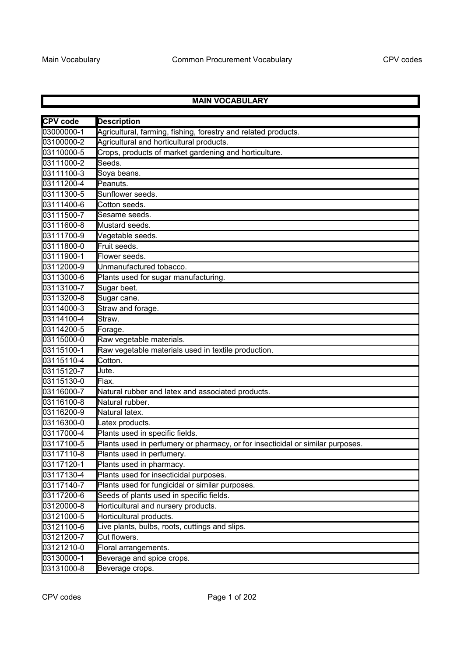## **MAIN VOCABULARY**

| <b>CPV</b> code | <b>Description</b>                                                             |
|-----------------|--------------------------------------------------------------------------------|
| 03000000-1      | Agricultural, farming, fishing, forestry and related products.                 |
| 03100000-2      | Agricultural and horticultural products.                                       |
| 03110000-5      | Crops, products of market gardening and horticulture.                          |
| 03111000-2      | Seeds.                                                                         |
| 03111100-3      | Soya beans.                                                                    |
| 03111200-4      | Peanuts.                                                                       |
| 03111300-5      | Sunflower seeds.                                                               |
| 03111400-6      | Cotton seeds.                                                                  |
| 03111500-7      | Sesame seeds.                                                                  |
| 03111600-8      | Mustard seeds.                                                                 |
| 03111700-9      | Vegetable seeds.                                                               |
| 03111800-0      | Fruit seeds.                                                                   |
| 03111900-1      | Flower seeds.                                                                  |
| 03112000-9      | Unmanufactured tobacco.                                                        |
| 03113000-6      | Plants used for sugar manufacturing.                                           |
| 03113100-7      | Sugar beet.                                                                    |
| 03113200-8      | Sugar cane.                                                                    |
| 03114000-3      | Straw and forage.                                                              |
| 03114100-4      | Straw.                                                                         |
| 03114200-5      | Forage.                                                                        |
| 03115000-0      | Raw vegetable materials.                                                       |
| 03115100-1      | Raw vegetable materials used in textile production.                            |
| 03115110-4      | Cotton.                                                                        |
| 03115120-7      | Jute.                                                                          |
| 03115130-0      | Flax.                                                                          |
| 03116000-7      | Natural rubber and latex and associated products.                              |
| 03116100-8      | Natural rubber.                                                                |
| 03116200-9      | Natural latex.                                                                 |
| 03116300-0      | Latex products.                                                                |
| 03117000-4      | Plants used in specific fields.                                                |
| 03117100-5      | Plants used in perfumery or pharmacy, or for insecticidal or similar purposes. |
| 03117110-8      | Plants used in perfumery.                                                      |
| 03117120-1      | Plants used in pharmacy.                                                       |
| 03117130-4      | Plants used for insecticidal purposes.                                         |
| 03117140-7      | Plants used for fungicidal or similar purposes.                                |
| 03117200-6      | Seeds of plants used in specific fields.                                       |
| 03120000-8      | Horticultural and nursery products.                                            |
| 03121000-5      | Horticultural products.                                                        |
| 03121100-6      | Live plants, bulbs, roots, cuttings and slips.                                 |
| 03121200-7      | Cut flowers.                                                                   |
| 03121210-0      | Floral arrangements.                                                           |
| 03130000-1      | Beverage and spice crops.                                                      |
| 03131000-8      | Beverage crops.                                                                |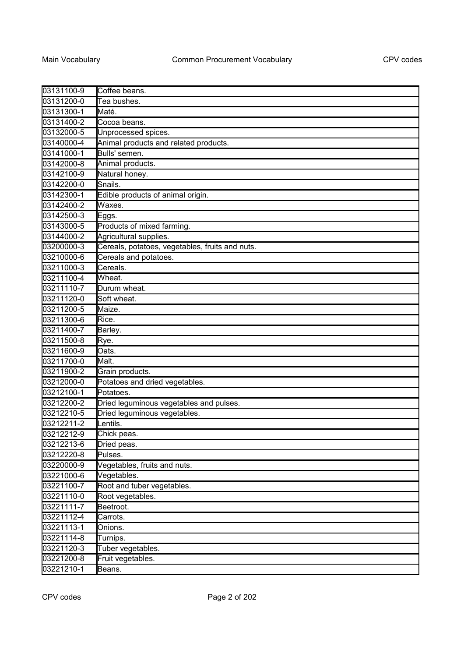| 03131100-9 | Coffee beans.                                   |
|------------|-------------------------------------------------|
| 03131200-0 | Tea bushes.                                     |
| 03131300-1 | Maté.                                           |
| 03131400-2 | Cocoa beans.                                    |
| 03132000-5 | Unprocessed spices.                             |
| 03140000-4 | Animal products and related products.           |
| 03141000-1 | Bulls' semen.                                   |
| 03142000-8 | Animal products.                                |
| 03142100-9 | Natural honey.                                  |
| 03142200-0 | Snails.                                         |
| 03142300-1 | Edible products of animal origin.               |
| 03142400-2 | Waxes.                                          |
| 03142500-3 | Eggs.                                           |
| 03143000-5 | Products of mixed farming.                      |
| 03144000-2 | Agricultural supplies.                          |
| 03200000-3 | Cereals, potatoes, vegetables, fruits and nuts. |
| 03210000-6 | Cereals and potatoes.                           |
| 03211000-3 | Cereals.                                        |
| 03211100-4 | Wheat.                                          |
| 03211110-7 | Durum wheat.                                    |
| 03211120-0 | Soft wheat.                                     |
| 03211200-5 | Maize.                                          |
| 03211300-6 | Rice.                                           |
| 03211400-7 | Barley.                                         |
| 03211500-8 | Rye.                                            |
| 03211600-9 | Oats.                                           |
| 03211700-0 | Malt.                                           |
| 03211900-2 | Grain products.                                 |
| 03212000-0 | Potatoes and dried vegetables.                  |
| 03212100-1 | Potatoes.                                       |
| 03212200-2 | Dried leguminous vegetables and pulses.         |
| 03212210-5 | Dried leguminous vegetables.                    |
| 03212211-2 | Lentils.                                        |
| 03212212-9 | Chick peas.                                     |
| 03212213-6 | Dried peas.                                     |
| 03212220-8 | Pulses.                                         |
| 03220000-9 | Vegetables, fruits and nuts.                    |
| 03221000-6 | Vegetables.                                     |
| 03221100-7 | Root and tuber vegetables.                      |
| 03221110-0 | Root vegetables.                                |
| 03221111-7 | Beetroot.                                       |
| 03221112-4 | Carrots.                                        |
| 03221113-1 | Onions.                                         |
| 03221114-8 | Turnips.                                        |
| 03221120-3 | Tuber vegetables.                               |
| 03221200-8 | Fruit vegetables.                               |
| 03221210-1 | Beans.                                          |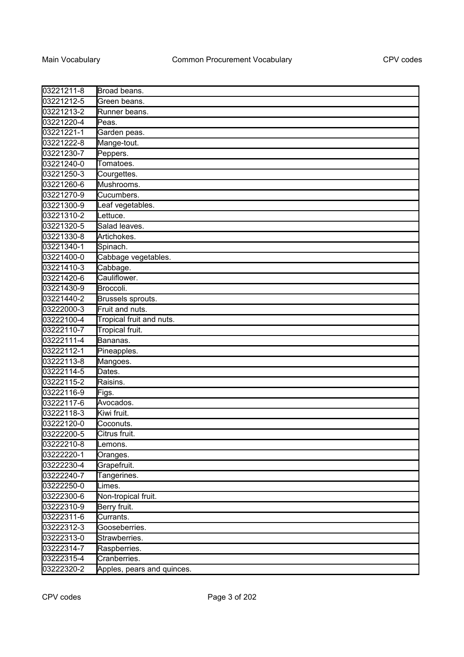| 03221211-8 | Broad beans.               |
|------------|----------------------------|
| 03221212-5 | Green beans.               |
| 03221213-2 | Runner beans.              |
| 03221220-4 | Peas.                      |
| 03221221-1 | Garden peas.               |
| 03221222-8 | Mange-tout.                |
| 03221230-7 | Peppers.                   |
| 03221240-0 | Tomatoes.                  |
| 03221250-3 | Courgettes.                |
| 03221260-6 | Mushrooms.                 |
| 03221270-9 | Cucumbers.                 |
| 03221300-9 | Leaf vegetables.           |
| 03221310-2 | Lettuce.                   |
| 03221320-5 | Salad leaves.              |
| 03221330-8 | Artichokes.                |
| 03221340-1 | Spinach.                   |
| 03221400-0 | Cabbage vegetables.        |
| 03221410-3 | Cabbage.                   |
| 03221420-6 | Cauliflower.               |
| 03221430-9 | Broccoli.                  |
| 03221440-2 | Brussels sprouts.          |
| 03222000-3 | Fruit and nuts.            |
| 03222100-4 | Tropical fruit and nuts.   |
| 03222110-7 | Tropical fruit.            |
| 03222111-4 | Bananas.                   |
| 03222112-1 | Pineapples.                |
| 03222113-8 | Mangoes.                   |
| 03222114-5 | Dates.                     |
| 03222115-2 | Raisins.                   |
| 03222116-9 | Figs.                      |
| 03222117-6 | Avocados.                  |
| 03222118-3 | Kiwi fruit.                |
| 03222120-0 | Coconuts.                  |
| 03222200-5 | Citrus fruit.              |
| 03222210-8 | Lemons.                    |
| 03222220-1 | Oranges.                   |
| 03222230-4 | Grapefruit.                |
| 03222240-7 | Tangerines.                |
| 03222250-0 | Limes.                     |
| 03222300-6 | Non-tropical fruit.        |
| 03222310-9 | Berry fruit.               |
| 03222311-6 | Currants.                  |
| 03222312-3 | Gooseberries.              |
| 03222313-0 | Strawberries.              |
| 03222314-7 | Raspberries.               |
| 03222315-4 | Cranberries.               |
| 03222320-2 | Apples, pears and quinces. |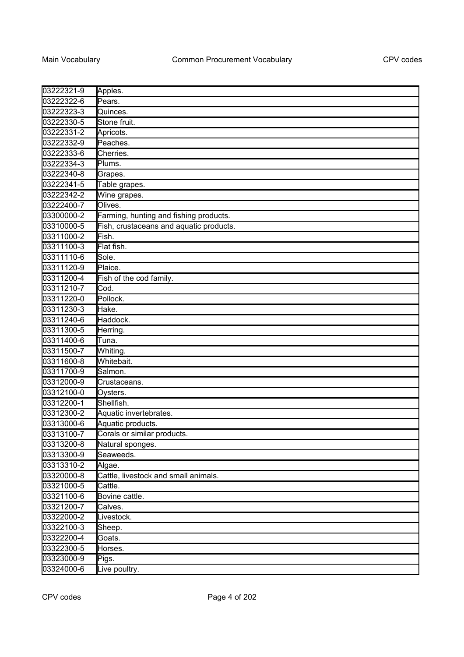| 03222321-9 | Apples.                                 |
|------------|-----------------------------------------|
| 03222322-6 | Pears.                                  |
| 03222323-3 | Quinces.                                |
| 03222330-5 | Stone fruit.                            |
| 03222331-2 | Apricots.                               |
| 03222332-9 | Peaches.                                |
| 03222333-6 | Cherries.                               |
| 03222334-3 | Plums.                                  |
| 03222340-8 | Grapes.                                 |
| 03222341-5 | Table grapes.                           |
| 03222342-2 | Wine grapes.                            |
| 03222400-7 | Olives.                                 |
| 03300000-2 | Farming, hunting and fishing products.  |
| 03310000-5 | Fish, crustaceans and aquatic products. |
| 03311000-2 | Fish.                                   |
| 03311100-3 | Flat fish.                              |
| 03311110-6 | Sole.                                   |
| 03311120-9 | Plaice.                                 |
| 03311200-4 | Fish of the cod family.                 |
| 03311210-7 | Cod.                                    |
| 03311220-0 | Pollock.                                |
| 03311230-3 | Hake.                                   |
| 03311240-6 | Haddock.                                |
| 03311300-5 | Herring.                                |
| 03311400-6 | Tuna.                                   |
| 03311500-7 | Whiting.                                |
| 03311600-8 | Whitebait.                              |
| 03311700-9 | Salmon.                                 |
| 03312000-9 | Crustaceans.                            |
| 03312100-0 | Oysters.                                |
| 03312200-1 | Shellfish.                              |
| 03312300-2 | Aquatic invertebrates.                  |
| 03313000-6 | Aquatic products.                       |
| 03313100-7 | Corals or similar products.             |
| 03313200-8 | Natural sponges.                        |
| 03313300-9 | Seaweeds.                               |
| 03313310-2 | Algae.                                  |
| 03320000-8 | Cattle, livestock and small animals.    |
| 03321000-5 | $\overline{\mathrm{C}}$ attle.          |
| 03321100-6 | Bovine cattle.                          |
| 03321200-7 | Calves.                                 |
| 03322000-2 | Livestock.                              |
| 03322100-3 | Sheep.                                  |
| 03322200-4 | Goats.                                  |
| 03322300-5 | Horses.                                 |
| 03323000-9 | Pigs.                                   |
| 03324000-6 | Live poultry.                           |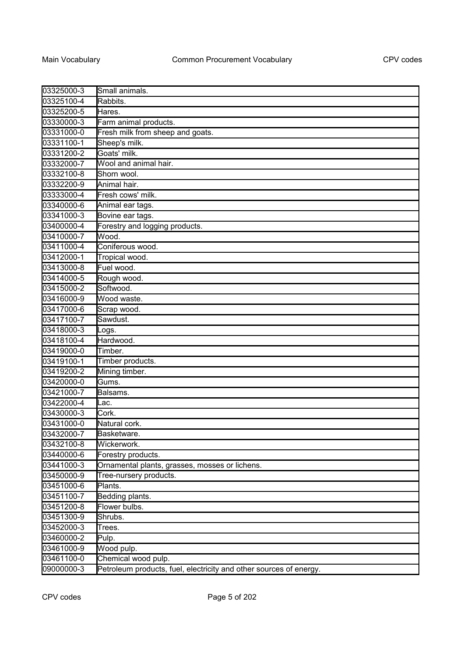| 03325000-3 | Small animals.                                                     |
|------------|--------------------------------------------------------------------|
| 03325100-4 | Rabbits.                                                           |
| 03325200-5 | Hares.                                                             |
| 03330000-3 | Farm animal products.                                              |
| 03331000-0 | Fresh milk from sheep and goats.                                   |
| 03331100-1 | Sheep's milk.                                                      |
| 03331200-2 | Goats' milk.                                                       |
| 03332000-7 | Wool and animal hair.                                              |
| 03332100-8 | Shorn wool.                                                        |
| 03332200-9 | Animal hair.                                                       |
| 03333000-4 | Fresh cows' milk.                                                  |
| 03340000-6 | Animal ear tags.                                                   |
| 03341000-3 | Bovine ear tags.                                                   |
| 03400000-4 | Forestry and logging products.                                     |
| 03410000-7 | Wood.                                                              |
| 03411000-4 | Coniferous wood.                                                   |
| 03412000-1 | Tropical wood.                                                     |
| 03413000-8 | Fuel wood.                                                         |
| 03414000-5 | Rough wood.                                                        |
| 03415000-2 | Softwood.                                                          |
| 03416000-9 | Wood waste.                                                        |
| 03417000-6 | Scrap wood.                                                        |
| 03417100-7 | Sawdust.                                                           |
| 03418000-3 | Logs.                                                              |
| 03418100-4 | Hardwood.                                                          |
| 03419000-0 | Timber.                                                            |
| 03419100-1 | Timber products.                                                   |
| 03419200-2 | Mining timber.                                                     |
| 03420000-0 | Gums.                                                              |
| 03421000-7 | Balsams.                                                           |
| 03422000-4 | Lac.                                                               |
| 03430000-3 | Cork.                                                              |
| 03431000-0 | Natural cork.                                                      |
| 03432000-7 | Basketware.                                                        |
| 03432100-8 | Wickerwork.                                                        |
| 03440000-6 | Forestry products.                                                 |
| 03441000-3 | Ornamental plants, grasses, mosses or lichens.                     |
| 03450000-9 | Tree-nursery products.                                             |
| 03451000-6 | Plants.                                                            |
| 03451100-7 | Bedding plants.                                                    |
| 03451200-8 | Flower bulbs.                                                      |
| 03451300-9 | Shrubs.                                                            |
| 03452000-3 | Trees.                                                             |
| 03460000-2 | Pulp.                                                              |
| 03461000-9 | Wood pulp.                                                         |
| 03461100-0 | Chemical wood pulp.                                                |
| 09000000-3 | Petroleum products, fuel, electricity and other sources of energy. |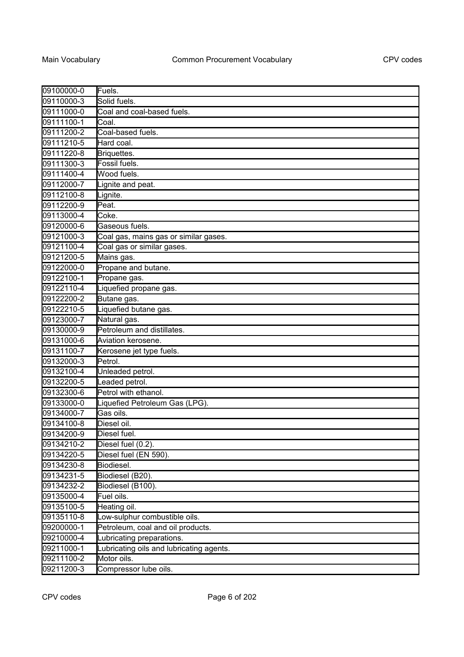| 09100000-0 | Fuels.                                   |
|------------|------------------------------------------|
| 09110000-3 | Solid fuels.                             |
| 09111000-0 | Coal and coal-based fuels.               |
| 09111100-1 | Coal.                                    |
| 09111200-2 | Coal-based fuels.                        |
| 09111210-5 | Hard coal.                               |
| 09111220-8 | Briquettes.                              |
| 09111300-3 | Fossil fuels.                            |
| 09111400-4 | Wood fuels.                              |
| 09112000-7 | Lignite and peat.                        |
| 09112100-8 | Lignite.                                 |
| 09112200-9 | Peat.                                    |
| 09113000-4 | Coke.                                    |
| 09120000-6 | Gaseous fuels.                           |
| 09121000-3 | Coal gas, mains gas or similar gases.    |
| 09121100-4 | Coal gas or similar gases.               |
| 09121200-5 | Mains gas.                               |
| 09122000-0 | Propane and butane.                      |
| 09122100-1 | Propane gas.                             |
| 09122110-4 | Liquefied propane gas.                   |
| 09122200-2 | Butane gas.                              |
| 09122210-5 | Liquefied butane gas.                    |
| 09123000-7 | Natural gas.                             |
| 09130000-9 | Petroleum and distillates.               |
| 09131000-6 | Aviation kerosene.                       |
| 09131100-7 | Kerosene jet type fuels.                 |
| 09132000-3 | Petrol.                                  |
| 09132100-4 | Unleaded petrol.                         |
| 09132200-5 | eaded petrol.                            |
| 09132300-6 | Petrol with ethanol.                     |
| 09133000-0 | Liquefied Petroleum Gas (LPG).           |
| 09134000-7 | Gas oils.                                |
| 09134100-8 | Diesel oil.                              |
| 09134200-9 | Diesel fuel.                             |
| 09134210-2 | Diesel fuel (0.2).                       |
| 09134220-5 | Diesel fuel (EN 590).                    |
| 09134230-8 | Biodiesel.                               |
| 09134231-5 | Biodiesel (B20).                         |
| 09134232-2 | Biodiesel (B100).                        |
| 09135000-4 | Fuel oils.                               |
| 09135100-5 | Heating oil.                             |
| 09135110-8 | Low-sulphur combustible oils.            |
| 09200000-1 | Petroleum, coal and oil products.        |
| 09210000-4 | Lubricating preparations.                |
| 09211000-1 | Lubricating oils and lubricating agents. |
| 09211100-2 | Motor oils.                              |
| 09211200-3 | Compressor lube oils.                    |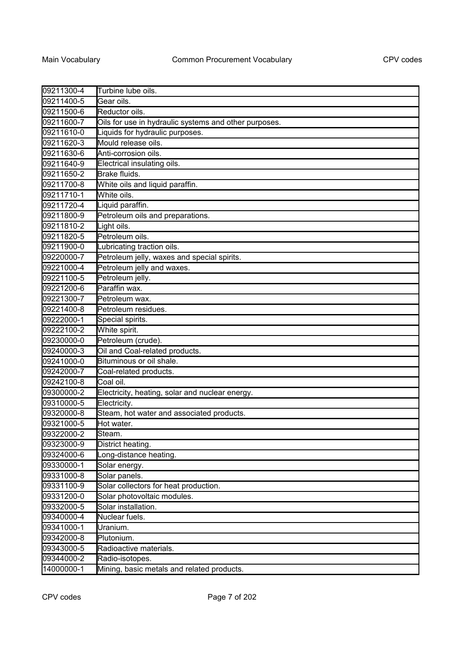| 09211300-4 | Turbine lube oils.                                    |
|------------|-------------------------------------------------------|
| 09211400-5 | Gear oils.                                            |
| 09211500-6 | Reductor oils.                                        |
| 09211600-7 | Oils for use in hydraulic systems and other purposes. |
| 09211610-0 | Liquids for hydraulic purposes.                       |
| 09211620-3 | Mould release oils.                                   |
| 09211630-6 | Anti-corrosion oils.                                  |
| 09211640-9 | Electrical insulating oils.                           |
| 09211650-2 | Brake fluids.                                         |
| 09211700-8 | White oils and liquid paraffin.                       |
| 09211710-1 | White oils.                                           |
| 09211720-4 | Liquid paraffin.                                      |
| 09211800-9 | Petroleum oils and preparations.                      |
| 09211810-2 | Light oils.                                           |
| 09211820-5 | Petroleum oils.                                       |
| 09211900-0 | Lubricating traction oils.                            |
| 09220000-7 | Petroleum jelly, waxes and special spirits.           |
| 09221000-4 | Petroleum jelly and waxes.                            |
| 09221100-5 | Petroleum jelly.                                      |
| 09221200-6 | Paraffin wax.                                         |
| 09221300-7 | Petroleum wax.                                        |
| 09221400-8 | Petroleum residues.                                   |
| 09222000-1 | Special spirits.                                      |
| 09222100-2 | White spirit.                                         |
| 09230000-0 | Petroleum (crude).                                    |
| 09240000-3 | Oil and Coal-related products.                        |
| 09241000-0 | Bituminous or oil shale.                              |
| 09242000-7 | Coal-related products.                                |
| 09242100-8 | Coal oil.                                             |
| 09300000-2 | Electricity, heating, solar and nuclear energy.       |
| 09310000-5 | Electricity.                                          |
| 09320000-8 | Steam, hot water and associated products.             |
| 09321000-5 | Hot water.                                            |
| 09322000-2 | Steam.                                                |
| 09323000-9 | District heating.                                     |
| 09324000-6 | Long-distance heating.                                |
| 09330000-1 | Solar energy.                                         |
| 09331000-8 | Solar panels.                                         |
| 09331100-9 | Solar collectors for heat production.                 |
| 09331200-0 | Solar photovoltaic modules.                           |
| 09332000-5 | Solar installation.                                   |
| 09340000-4 | Nuclear fuels.                                        |
| 09341000-1 | Uranium.                                              |
| 09342000-8 | Plutonium.                                            |
| 09343000-5 | Radioactive materials.                                |
| 09344000-2 | Radio-isotopes.                                       |
| 14000000-1 | Mining, basic metals and related products.            |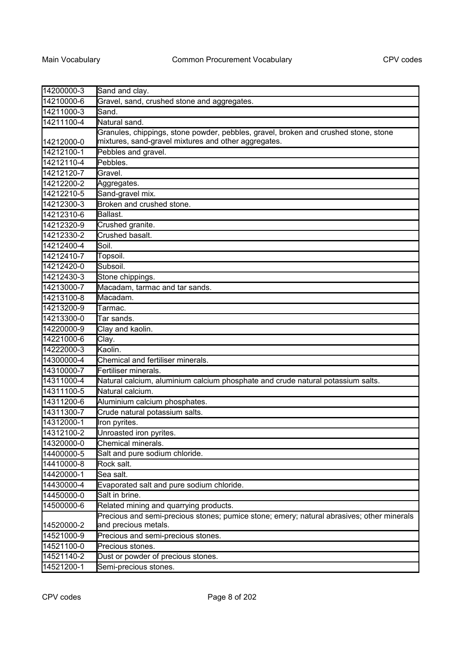| 14200000-3 | Sand and clay.                                                                                                                              |
|------------|---------------------------------------------------------------------------------------------------------------------------------------------|
| 14210000-6 | Gravel, sand, crushed stone and aggregates.                                                                                                 |
| 14211000-3 | Sand.                                                                                                                                       |
| 14211100-4 | Natural sand.                                                                                                                               |
| 14212000-0 | Granules, chippings, stone powder, pebbles, gravel, broken and crushed stone, stone<br>mixtures, sand-gravel mixtures and other aggregates. |
| 14212100-1 | Pebbles and gravel.                                                                                                                         |
| 14212110-4 | Pebbles.                                                                                                                                    |
| 14212120-7 | Gravel.                                                                                                                                     |
| 14212200-2 | Aggregates.                                                                                                                                 |
| 14212210-5 | Sand-gravel mix.                                                                                                                            |
| 14212300-3 | Broken and crushed stone.                                                                                                                   |
| 14212310-6 | Ballast.                                                                                                                                    |
| 14212320-9 | Crushed granite.                                                                                                                            |
| 14212330-2 | Crushed basalt.                                                                                                                             |
| 14212400-4 | Soil.                                                                                                                                       |
| 14212410-7 | Topsoil.                                                                                                                                    |
| 14212420-0 | Subsoil.                                                                                                                                    |
| 14212430-3 | Stone chippings.                                                                                                                            |
| 14213000-7 | Macadam, tarmac and tar sands.                                                                                                              |
| 14213100-8 | Macadam.                                                                                                                                    |
| 14213200-9 | Tarmac.                                                                                                                                     |
| 14213300-0 | Tar sands.                                                                                                                                  |
| 14220000-9 | Clay and kaolin.                                                                                                                            |
| 14221000-6 | Clay.                                                                                                                                       |
| 14222000-3 | Kaolin.                                                                                                                                     |
| 14300000-4 | Chemical and fertiliser minerals.                                                                                                           |
| 14310000-7 | Fertiliser minerals.                                                                                                                        |
| 14311000-4 | Natural calcium, aluminium calcium phosphate and crude natural potassium salts.                                                             |
| 14311100-5 | Natural calcium.                                                                                                                            |
| 14311200-6 | Aluminium calcium phosphates.                                                                                                               |
| 14311300-7 | Crude natural potassium salts.                                                                                                              |
| 14312000-1 | Iron pyrites.                                                                                                                               |
| 14312100-2 | Unroasted iron pyrites.                                                                                                                     |
| 14320000-0 | Chemical minerals.                                                                                                                          |
| 14400000-5 | Salt and pure sodium chloride.                                                                                                              |
| 14410000-8 | Rock salt.                                                                                                                                  |
| 14420000-1 | Sea salt.                                                                                                                                   |
| 14430000-4 | Evaporated salt and pure sodium chloride.                                                                                                   |
| 14450000-0 | Salt in brine.                                                                                                                              |
| 14500000-6 | Related mining and quarrying products.                                                                                                      |
|            | Precious and semi-precious stones; pumice stone; emery; natural abrasives; other minerals                                                   |
| 14520000-2 | and precious metals.                                                                                                                        |
| 14521000-9 | Precious and semi-precious stones.                                                                                                          |
| 14521100-0 | Precious stones.                                                                                                                            |
| 14521140-2 | Dust or powder of precious stones.                                                                                                          |
| 14521200-1 | Semi-precious stones.                                                                                                                       |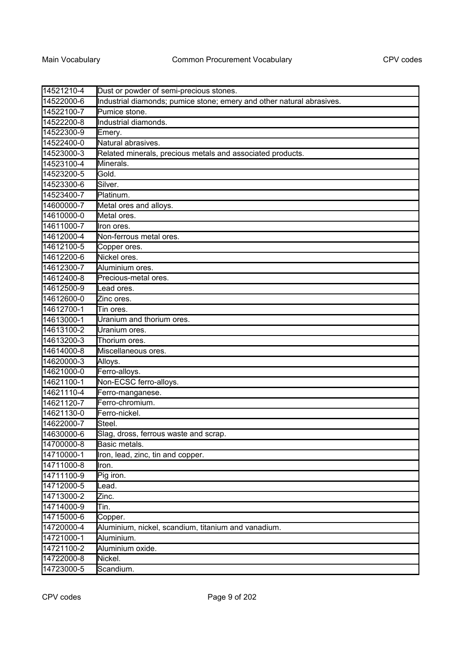| 14521210-4 | Dust or powder of semi-precious stones.                               |
|------------|-----------------------------------------------------------------------|
| 14522000-6 | Industrial diamonds; pumice stone; emery and other natural abrasives. |
| 14522100-7 | Pumice stone.                                                         |
| 14522200-8 | Industrial diamonds.                                                  |
| 14522300-9 | Emery.                                                                |
| 14522400-0 | Natural abrasives.                                                    |
| 14523000-3 | Related minerals, precious metals and associated products.            |
| 14523100-4 | Minerals.                                                             |
| 14523200-5 | Gold.                                                                 |
| 14523300-6 | Silver.                                                               |
| 14523400-7 | Platinum.                                                             |
| 14600000-7 | Metal ores and alloys.                                                |
| 14610000-0 | Metal ores.                                                           |
| 14611000-7 | Iron ores.                                                            |
| 14612000-4 | Non-ferrous metal ores.                                               |
| 14612100-5 | Copper ores.                                                          |
| 14612200-6 | Nickel ores.                                                          |
| 14612300-7 | Aluminium ores.                                                       |
| 14612400-8 | Precious-metal ores.                                                  |
| 14612500-9 | Lead ores.                                                            |
| 14612600-0 | Zinc ores.                                                            |
| 14612700-1 | Tin ores.                                                             |
| 14613000-1 | Uranium and thorium ores.                                             |
| 14613100-2 | Uranium ores.                                                         |
| 14613200-3 | Thorium ores.                                                         |
| 14614000-8 | Miscellaneous ores.                                                   |
| 14620000-3 | Alloys.                                                               |
| 14621000-0 | Ferro-alloys.                                                         |
| 14621100-1 | Non-ECSC ferro-alloys.                                                |
| 14621110-4 | Ferro-manganese.                                                      |
| 14621120-7 | Ferro-chromium.                                                       |
| 14621130-0 | Ferro-nickel.                                                         |
| 14622000-7 | Steel.                                                                |
| 14630000-6 | Slag, dross, ferrous waste and scrap.                                 |
| 14700000-8 | Basic metals.                                                         |
| 14710000-1 | Iron, lead, zinc, tin and copper.                                     |
| 14711000-8 | Iron.                                                                 |
| 14711100-9 | Pig iron.                                                             |
| 14712000-5 | Lead.                                                                 |
| 14713000-2 | Zinc.                                                                 |
| 14714000-9 | Tin.                                                                  |
| 14715000-6 | Copper.                                                               |
| 14720000-4 | Aluminium, nickel, scandium, titanium and vanadium.                   |
| 14721000-1 | Aluminium.                                                            |
| 14721100-2 | Aluminium oxide.                                                      |
| 14722000-8 | Nickel.                                                               |
| 14723000-5 | Scandium.                                                             |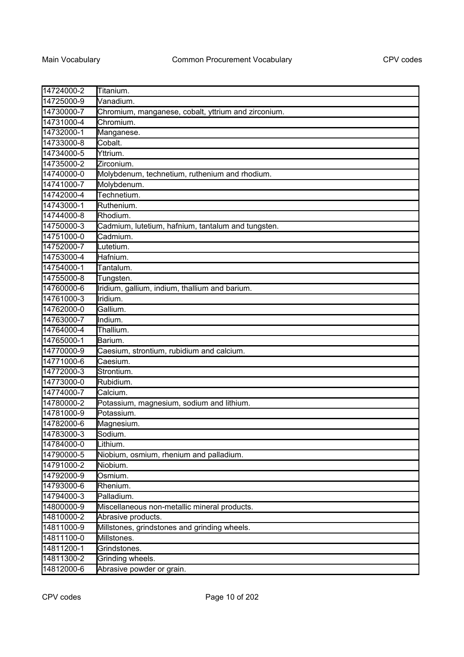| 14724000-2 | Titanium.                                           |
|------------|-----------------------------------------------------|
| 14725000-9 | Vanadium.                                           |
| 14730000-7 | Chromium, manganese, cobalt, yttrium and zirconium. |
| 14731000-4 | Chromium.                                           |
| 14732000-1 | Manganese.                                          |
| 14733000-8 | Cobalt.                                             |
| 14734000-5 | Yttrium.                                            |
| 14735000-2 | Zirconium.                                          |
| 14740000-0 | Molybdenum, technetium, ruthenium and rhodium.      |
| 14741000-7 | Molybdenum.                                         |
| 14742000-4 | Technetium.                                         |
| 14743000-1 | Ruthenium.                                          |
| 14744000-8 | Rhodium.                                            |
| 14750000-3 | Cadmium, lutetium, hafnium, tantalum and tungsten.  |
| 14751000-0 | Cadmium.                                            |
| 14752000-7 | Lutetium.                                           |
| 14753000-4 | Hafnium.                                            |
| 14754000-1 | Tantalum.                                           |
| 14755000-8 | Tungsten.                                           |
| 14760000-6 | Iridium, gallium, indium, thallium and barium.      |
| 14761000-3 | Iridium.                                            |
| 14762000-0 | Gallium.                                            |
| 14763000-7 | Indium.                                             |
| 14764000-4 | Thallium.                                           |
| 14765000-1 | Barium.                                             |
| 14770000-9 | Caesium, strontium, rubidium and calcium.           |
| 14771000-6 | Caesium.                                            |
| 14772000-3 | Strontium.                                          |
| 14773000-0 | Rubidium.                                           |
| 14774000-7 | Calcium.                                            |
| 14780000-2 | Potassium, magnesium, sodium and lithium.           |
| 14781000-9 | Potassium.                                          |
| 14782000-6 | Magnesium.                                          |
| 14783000-3 | Sodium.                                             |
| 14784000-0 | Lithium.                                            |
| 14790000-5 | Niobium, osmium, rhenium and palladium.             |
| 14791000-2 | Niobium.                                            |
| 14792000-9 | Osmium.                                             |
| 14793000-6 | Rhenium.                                            |
| 14794000-3 | Palladium.                                          |
| 14800000-9 | Miscellaneous non-metallic mineral products.        |
| 14810000-2 | Abrasive products.                                  |
| 14811000-9 | Millstones, grindstones and grinding wheels.        |
| 14811100-0 | Millstones.                                         |
| 14811200-1 | Grindstones.                                        |
| 14811300-2 | Grinding wheels.                                    |
| 14812000-6 | Abrasive powder or grain.                           |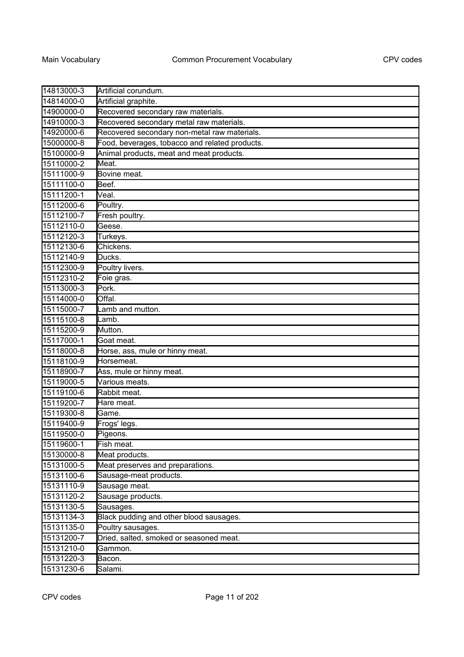| 14813000-3 | Artificial corundum.                           |
|------------|------------------------------------------------|
| 14814000-0 | Artificial graphite.                           |
| 14900000-0 | Recovered secondary raw materials.             |
| 14910000-3 | Recovered secondary metal raw materials.       |
| 14920000-6 | Recovered secondary non-metal raw materials.   |
| 15000000-8 | Food, beverages, tobacco and related products. |
| 15100000-9 | Animal products, meat and meat products.       |
| 15110000-2 | Meat.                                          |
| 15111000-9 | Bovine meat.                                   |
| 15111100-0 | Beef.                                          |
| 15111200-1 | Veal.                                          |
| 15112000-6 | Poultry.                                       |
| 15112100-7 | Fresh poultry.                                 |
| 15112110-0 | Geese.                                         |
| 15112120-3 | Turkeys.                                       |
| 15112130-6 | Chickens.                                      |
| 15112140-9 | Ducks.                                         |
| 15112300-9 | Poultry livers.                                |
| 15112310-2 | Foie gras.                                     |
| 15113000-3 | Pork.                                          |
| 15114000-0 | Offal.                                         |
| 15115000-7 | Lamb and mutton.                               |
| 15115100-8 | Lamb.                                          |
| 15115200-9 | Mutton.                                        |
| 15117000-1 | Goat meat.                                     |
| 15118000-8 | Horse, ass, mule or hinny meat.                |
| 15118100-9 | Horsemeat.                                     |
| 15118900-7 | Ass, mule or hinny meat.                       |
| 15119000-5 | Various meats.                                 |
| 15119100-6 | Rabbit meat.                                   |
| 15119200-7 | Hare meat.                                     |
| 15119300-8 | Game.                                          |
| 15119400-9 | Frogs' legs.                                   |
| 15119500-0 | Pigeons.                                       |
| 15119600-1 | Fish meat.                                     |
| 15130000-8 | Meat products.                                 |
| 15131000-5 | Meat preserves and preparations.               |
| 15131100-6 | Sausage-meat products.                         |
| 15131110-9 | Sausage meat.                                  |
| 15131120-2 | Sausage products.                              |
| 15131130-5 | Sausages.                                      |
| 15131134-3 | Black pudding and other blood sausages.        |
| 15131135-0 | Poultry sausages.                              |
| 15131200-7 | Dried, salted, smoked or seasoned meat.        |
| 15131210-0 | Gammon.                                        |
| 15131220-3 | Bacon.                                         |
| 15131230-6 | Salami.                                        |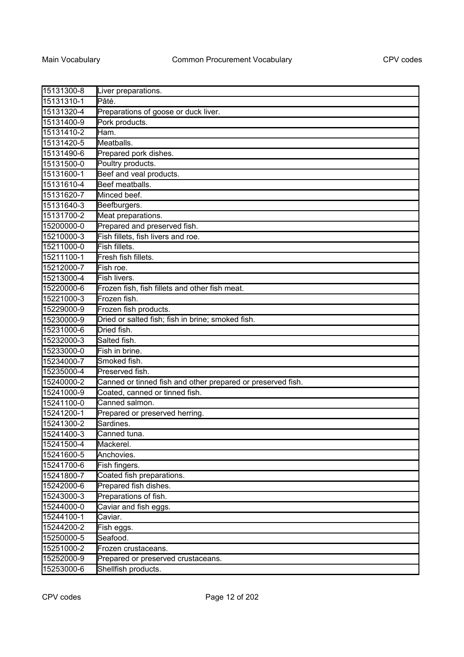| 15131300-8 | Liver preparations.                                         |
|------------|-------------------------------------------------------------|
| 15131310-1 | Pâté.                                                       |
| 15131320-4 | Preparations of goose or duck liver.                        |
| 15131400-9 | Pork products.                                              |
| 15131410-2 | Ham.                                                        |
| 15131420-5 | Meatballs.                                                  |
| 15131490-6 | Prepared pork dishes.                                       |
| 15131500-0 | Poultry products.                                           |
| 15131600-1 | Beef and veal products.                                     |
| 15131610-4 | Beef meatballs.                                             |
| 15131620-7 | Minced beef.                                                |
| 15131640-3 | Beefburgers.                                                |
| 15131700-2 | Meat preparations.                                          |
| 15200000-0 | Prepared and preserved fish.                                |
| 15210000-3 | Fish fillets, fish livers and roe.                          |
| 15211000-0 | Fish fillets.                                               |
| 15211100-1 | Fresh fish fillets.                                         |
| 15212000-7 | Fish roe.                                                   |
| 15213000-4 | Fish livers.                                                |
| 15220000-6 | Frozen fish, fish fillets and other fish meat.              |
| 15221000-3 | Frozen fish.                                                |
| 15229000-9 | Frozen fish products.                                       |
| 15230000-9 | Dried or salted fish; fish in brine; smoked fish.           |
| 15231000-6 | Dried fish.                                                 |
| 15232000-3 | Salted fish.                                                |
| 15233000-0 | Fish in brine.                                              |
| 15234000-7 | Smoked fish.                                                |
| 15235000-4 | Preserved fish.                                             |
| 15240000-2 | Canned or tinned fish and other prepared or preserved fish. |
| 15241000-9 | Coated, canned or tinned fish.                              |
| 15241100-0 | Canned salmon.                                              |
| 15241200-1 | Prepared or preserved herring.                              |
| 15241300-2 | Sardines.                                                   |
| 15241400-3 | Canned tuna.                                                |
| 15241500-4 | Mackerel.                                                   |
| 15241600-5 | Anchovies.                                                  |
| 15241700-6 | Fish fingers.                                               |
| 15241800-7 | Coated fish preparations.                                   |
| 15242000-6 | Prepared fish dishes.                                       |
| 15243000-3 | Preparations of fish.                                       |
| 15244000-0 | Caviar and fish eggs.                                       |
| 15244100-1 | Caviar.                                                     |
| 15244200-2 | Fish eggs.                                                  |
| 15250000-5 | Seafood.                                                    |
| 15251000-2 | Frozen crustaceans.                                         |
| 15252000-9 | Prepared or preserved crustaceans.                          |
| 15253000-6 | Shellfish products.                                         |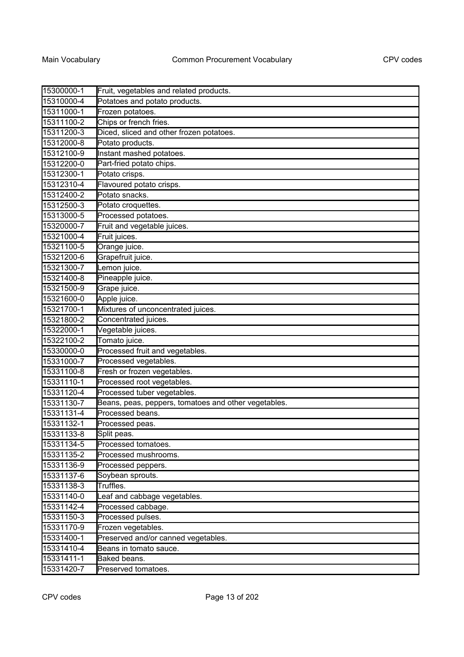| 15300000-1 | Fruit, vegetables and related products.              |
|------------|------------------------------------------------------|
| 15310000-4 | Potatoes and potato products.                        |
| 15311000-1 | Frozen potatoes.                                     |
| 15311100-2 | Chips or french fries.                               |
| 15311200-3 | Diced, sliced and other frozen potatoes.             |
| 15312000-8 | Potato products.                                     |
| 15312100-9 | Instant mashed potatoes.                             |
| 15312200-0 | Part-fried potato chips.                             |
| 15312300-1 | Potato crisps.                                       |
| 15312310-4 | Flavoured potato crisps.                             |
| 15312400-2 | Potato snacks.                                       |
| 15312500-3 | Potato croquettes.                                   |
| 15313000-5 | Processed potatoes.                                  |
| 15320000-7 | Fruit and vegetable juices.                          |
| 15321000-4 | Fruit juices.                                        |
| 15321100-5 | Orange juice.                                        |
| 15321200-6 | Grapefruit juice.                                    |
| 15321300-7 | Lemon juice.                                         |
| 15321400-8 | Pineapple juice.                                     |
| 15321500-9 | Grape juice.                                         |
| 15321600-0 | Apple juice.                                         |
| 15321700-1 | Mixtures of unconcentrated juices.                   |
| 15321800-2 | Concentrated juices.                                 |
| 15322000-1 | Vegetable juices.                                    |
| 15322100-2 | Tomato juice.                                        |
| 15330000-0 | Processed fruit and vegetables.                      |
| 15331000-7 | Processed vegetables.                                |
| 15331100-8 | Fresh or frozen vegetables.                          |
| 15331110-1 | Processed root vegetables.                           |
| 15331120-4 | Processed tuber vegetables.                          |
| 15331130-7 | Beans, peas, peppers, tomatoes and other vegetables. |
| 15331131-4 | Processed beans.                                     |
| 15331132-1 | Processed peas.                                      |
| 15331133-8 | Split peas.                                          |
| 15331134-5 | Processed tomatoes.                                  |
| 15331135-2 | Processed mushrooms.                                 |
| 15331136-9 | Processed peppers.                                   |
| 15331137-6 | Soybean sprouts.                                     |
| 15331138-3 | Truffles.                                            |
| 15331140-0 | Leaf and cabbage vegetables.                         |
| 15331142-4 | Processed cabbage.                                   |
| 15331150-3 | Processed pulses.                                    |
| 15331170-9 | Frozen vegetables.                                   |
| 15331400-1 | Preserved and/or canned vegetables.                  |
| 15331410-4 | Beans in tomato sauce.                               |
| 15331411-1 | Baked beans.                                         |
| 15331420-7 | Preserved tomatoes.                                  |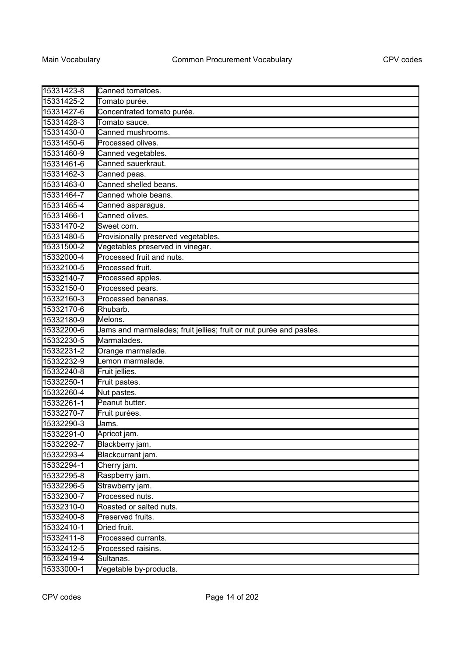| 15331423-8 | Canned tomatoes.                                                   |
|------------|--------------------------------------------------------------------|
| 15331425-2 | Tomato purée.                                                      |
| 15331427-6 | Concentrated tomato purée.                                         |
| 15331428-3 | Tomato sauce.                                                      |
| 15331430-0 | Canned mushrooms.                                                  |
| 15331450-6 | Processed olives.                                                  |
| 15331460-9 | Canned vegetables.                                                 |
| 15331461-6 | Canned sauerkraut.                                                 |
| 15331462-3 | Canned peas.                                                       |
| 15331463-0 | Canned shelled beans.                                              |
| 15331464-7 | Canned whole beans.                                                |
| 15331465-4 | Canned asparagus.                                                  |
| 15331466-1 | Canned olives.                                                     |
| 15331470-2 | Sweet corn.                                                        |
| 15331480-5 | Provisionally preserved vegetables.                                |
| 15331500-2 | Vegetables preserved in vinegar.                                   |
| 15332000-4 | Processed fruit and nuts.                                          |
| 15332100-5 | Processed fruit.                                                   |
| 15332140-7 | Processed apples.                                                  |
| 15332150-0 | Processed pears.                                                   |
| 15332160-3 | Processed bananas.                                                 |
| 15332170-6 | Rhubarb.                                                           |
| 15332180-9 | Melons.                                                            |
| 15332200-6 | Jams and marmalades; fruit jellies; fruit or nut purée and pastes. |
| 15332230-5 | Marmalades.                                                        |
| 15332231-2 | Orange marmalade.                                                  |
| 15332232-9 | Lemon marmalade.                                                   |
| 15332240-8 | Fruit jellies.                                                     |
| 15332250-1 | Fruit pastes.                                                      |
| 15332260-4 | Nut pastes.                                                        |
| 15332261-1 | Peanut butter.                                                     |
| 15332270-7 | Fruit purées.                                                      |
| 15332290-3 | Jams.                                                              |
| 15332291-0 | Apricot jam.                                                       |
| 15332292-7 | Blackberry jam.                                                    |
| 15332293-4 | Blackcurrant jam.                                                  |
| 15332294-1 | Cherry jam.                                                        |
| 15332295-8 | Raspberry jam.                                                     |
| 15332296-5 | Strawberry jam.                                                    |
| 15332300-7 | Processed nuts.                                                    |
| 15332310-0 | Roasted or salted nuts.                                            |
| 15332400-8 | Preserved fruits.                                                  |
| 15332410-1 | Dried fruit.                                                       |
| 15332411-8 | Processed currants.                                                |
| 15332412-5 | Processed raisins.                                                 |
| 15332419-4 | Sultanas.                                                          |
| 15333000-1 | Vegetable by-products.                                             |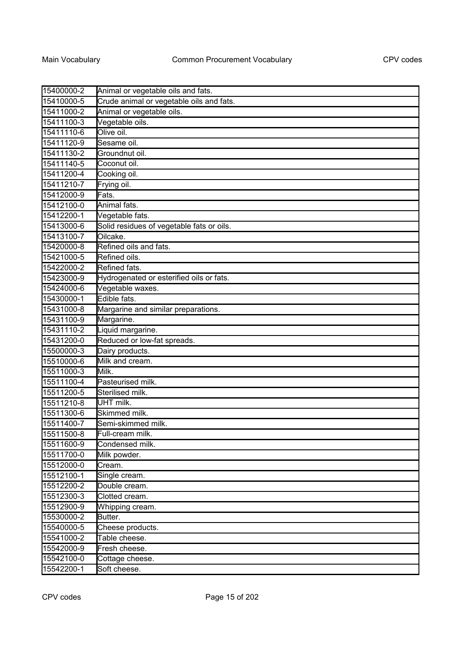| 15400000-2 | Animal or vegetable oils and fats.        |
|------------|-------------------------------------------|
| 15410000-5 | Crude animal or vegetable oils and fats.  |
| 15411000-2 | Animal or vegetable oils.                 |
| 15411100-3 | Vegetable oils.                           |
| 15411110-6 | Olive oil.                                |
| 15411120-9 | Sesame oil.                               |
| 15411130-2 | Groundnut oil.                            |
| 15411140-5 | Coconut oil.                              |
| 15411200-4 | Cooking oil.                              |
| 15411210-7 | Frying oil.                               |
| 15412000-9 | Fats.                                     |
| 15412100-0 | Animal fats.                              |
| 15412200-1 | Vegetable fats.                           |
| 15413000-6 | Solid residues of vegetable fats or oils. |
| 15413100-7 | Oilcake.                                  |
| 15420000-8 | Refined oils and fats                     |
| 15421000-5 | Refined oils.                             |
| 15422000-2 | Refined fats.                             |
| 15423000-9 | Hydrogenated or esterified oils or fats.  |
| 15424000-6 | Vegetable waxes.                          |
| 15430000-1 | Edible fats.                              |
| 15431000-8 | Margarine and similar preparations.       |
| 15431100-9 | Margarine.                                |
| 15431110-2 | Liquid margarine.                         |
| 15431200-0 | Reduced or low-fat spreads.               |
| 15500000-3 | Dairy products.                           |
| 15510000-6 | Milk and cream.                           |
| 15511000-3 | Milk.                                     |
| 15511100-4 | Pasteurised milk.                         |
| 15511200-5 | Sterilised milk.                          |
| 15511210-8 | UHT milk.                                 |
| 15511300-6 | Skimmed milk.                             |
| 15511400-7 | Semi-skimmed milk.                        |
| 15511500-8 | Full-cream milk.                          |
| 15511600-9 | Condensed milk.                           |
| 15511700-0 | Milk powder.                              |
| 15512000-0 | Cream.                                    |
| 15512100-1 | Single cream.                             |
| 15512200-2 | Double cream.                             |
| 15512300-3 | Clotted cream.                            |
| 15512900-9 | Whipping cream.                           |
| 15530000-2 | Butter.                                   |
| 15540000-5 | Cheese products.                          |
| 15541000-2 | Table cheese.                             |
| 15542000-9 | Fresh cheese.                             |
| 15542100-0 | Cottage cheese.                           |
| 15542200-1 | Soft cheese.                              |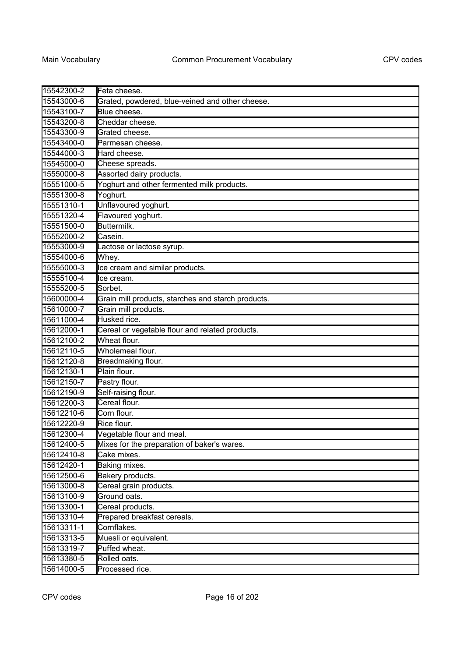| 15542300-2 | Feta cheese.                                       |
|------------|----------------------------------------------------|
| 15543000-6 | Grated, powdered, blue-veined and other cheese.    |
| 15543100-7 | Blue cheese.                                       |
| 15543200-8 | Cheddar cheese.                                    |
| 15543300-9 | Grated cheese.                                     |
| 15543400-0 | Parmesan cheese.                                   |
| 15544000-3 | Hard cheese.                                       |
| 15545000-0 | Cheese spreads.                                    |
| 15550000-8 | Assorted dairy products.                           |
| 15551000-5 | Yoghurt and other fermented milk products.         |
| 15551300-8 | Yoghurt.                                           |
| 15551310-1 | Unflavoured yoghurt.                               |
| 15551320-4 | Flavoured yoghurt.                                 |
| 15551500-0 | Buttermilk.                                        |
| 15552000-2 | Casein.                                            |
| 15553000-9 | Lactose or lactose syrup.                          |
| 15554000-6 | Whey.                                              |
| 15555000-3 | Ice cream and similar products.                    |
| 15555100-4 | Ice cream.                                         |
| 15555200-5 | Sorbet.                                            |
| 15600000-4 | Grain mill products, starches and starch products. |
| 15610000-7 | Grain mill products.                               |
| 15611000-4 | Husked rice.                                       |
| 15612000-1 | Cereal or vegetable flour and related products.    |
| 15612100-2 | Wheat flour.                                       |
| 15612110-5 | Wholemeal flour.                                   |
| 15612120-8 | Breadmaking flour.                                 |
| 15612130-1 | Plain flour.                                       |
| 15612150-7 | Pastry flour.                                      |
| 15612190-9 | Self-raising flour.                                |
| 15612200-3 | Cereal flour.                                      |
| 15612210-6 | Corn flour.                                        |
| 15612220-9 | Rice flour.                                        |
| 15612300-4 | Vegetable flour and meal.                          |
| 15612400-5 | Mixes for the preparation of baker's wares.        |
| 15612410-8 | Cake mixes.                                        |
| 15612420-1 | Baking mixes.                                      |
| 15612500-6 | Bakery products.                                   |
| 15613000-8 | Cereal grain products.                             |
| 15613100-9 | Ground oats.                                       |
| 15613300-1 | Cereal products.                                   |
| 15613310-4 | Prepared breakfast cereals.                        |
| 15613311-1 | Cornflakes.                                        |
| 15613313-5 | Muesli or equivalent.                              |
| 15613319-7 | Puffed wheat.                                      |
| 15613380-5 | Rolled oats.                                       |
| 15614000-5 | Processed rice.                                    |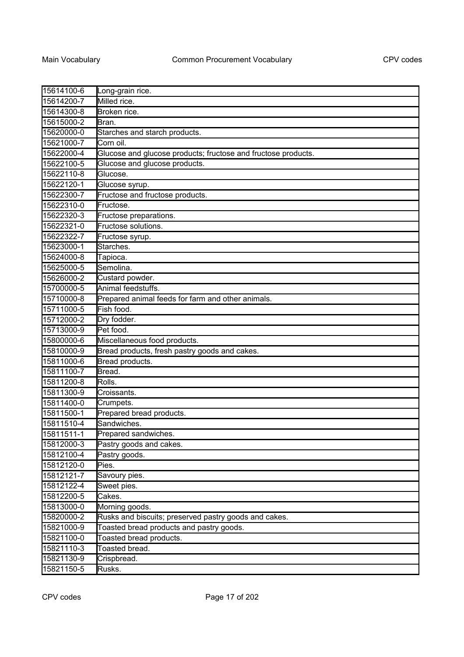| 15614100-6 | Long-grain rice.                                              |
|------------|---------------------------------------------------------------|
| 15614200-7 | Milled rice.                                                  |
| 15614300-8 | Broken rice.                                                  |
| 15615000-2 | Bran.                                                         |
| 15620000-0 | Starches and starch products.                                 |
| 15621000-7 | Corn oil.                                                     |
| 15622000-4 | Glucose and glucose products; fructose and fructose products. |
| 15622100-5 | Glucose and glucose products.                                 |
| 15622110-8 | Glucose.                                                      |
| 15622120-1 | Glucose syrup.                                                |
| 15622300-7 | Fructose and fructose products.                               |
| 15622310-0 | Fructose.                                                     |
| 15622320-3 | Fructose preparations.                                        |
| 15622321-0 | Fructose solutions.                                           |
| 15622322-7 | Fructose syrup.                                               |
| 15623000-1 | Starches.                                                     |
| 15624000-8 | Tapioca.                                                      |
| 15625000-5 | Semolina.                                                     |
| 15626000-2 | Custard powder.                                               |
| 15700000-5 | Animal feedstuffs.                                            |
| 15710000-8 | Prepared animal feeds for farm and other animals.             |
| 15711000-5 | Fish food.                                                    |
| 15712000-2 | Dry fodder.                                                   |
| 15713000-9 | Pet food.                                                     |
| 15800000-6 | Miscellaneous food products.                                  |
| 15810000-9 | Bread products, fresh pastry goods and cakes.                 |
| 15811000-6 | Bread products.                                               |
| 15811100-7 | Bread.                                                        |
| 15811200-8 | Rolls.                                                        |
| 15811300-9 | Croissants.                                                   |
| 15811400-0 | Crumpets.                                                     |
| 15811500-1 | Prepared bread products.                                      |
| 15811510-4 | Sandwiches.                                                   |
| 15811511-1 | Prepared sandwiches.                                          |
| 15812000-3 | Pastry goods and cakes.                                       |
| 15812100-4 | Pastry goods.                                                 |
| 15812120-0 | Pies.                                                         |
| 15812121-7 | Savoury pies.                                                 |
| 15812122-4 | Sweet pies.                                                   |
| 15812200-5 | Cakes.                                                        |
| 15813000-0 | Morning goods.                                                |
| 15820000-2 | Rusks and biscuits; preserved pastry goods and cakes.         |
| 15821000-9 | Toasted bread products and pastry goods.                      |
| 15821100-0 | Toasted bread products.                                       |
| 15821110-3 | Toasted bread.                                                |
| 15821130-9 | Crispbread.                                                   |
| 15821150-5 | Rusks.                                                        |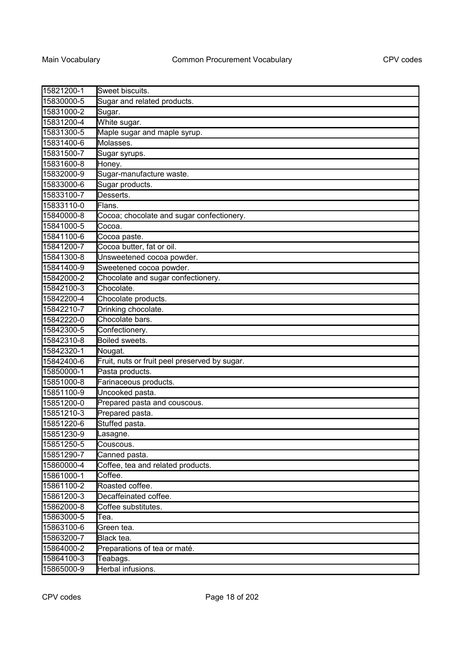| 15821200-1 | Sweet biscuits.                               |
|------------|-----------------------------------------------|
| 15830000-5 | Sugar and related products.                   |
| 15831000-2 | Sugar.                                        |
| 15831200-4 | White sugar.                                  |
| 15831300-5 | Maple sugar and maple syrup.                  |
| 15831400-6 | Molasses.                                     |
| 15831500-7 | Sugar syrups.                                 |
| 15831600-8 | Honey.                                        |
| 15832000-9 | Sugar-manufacture waste.                      |
| 15833000-6 | Sugar products.                               |
| 15833100-7 | Desserts.                                     |
| 15833110-0 | Flans.                                        |
| 15840000-8 | Cocoa; chocolate and sugar confectionery.     |
| 15841000-5 | Cocoa.                                        |
| 15841100-6 | Cocoa paste.                                  |
| 15841200-7 | Cocoa butter, fat or oil.                     |
| 15841300-8 | Unsweetened cocoa powder.                     |
| 15841400-9 | Sweetened cocoa powder.                       |
| 15842000-2 | Chocolate and sugar confectionery.            |
| 15842100-3 | Chocolate.                                    |
| 15842200-4 | Chocolate products.                           |
| 15842210-7 | Drinking chocolate.                           |
| 15842220-0 | Chocolate bars.                               |
| 15842300-5 | Confectionery.                                |
| 15842310-8 | Boiled sweets.                                |
| 15842320-1 | Nougat.                                       |
| 15842400-6 | Fruit, nuts or fruit peel preserved by sugar. |
| 15850000-1 | Pasta products.                               |
| 15851000-8 | Farinaceous products.                         |
| 15851100-9 | Uncooked pasta.                               |
| 15851200-0 | Prepared pasta and couscous.                  |
| 15851210-3 | Prepared pasta.                               |
| 15851220-6 | Stuffed pasta.                                |
| 15851230-9 | Lasagne.                                      |
| 15851250-5 | Couscous.                                     |
| 15851290-7 | Canned pasta.                                 |
| 15860000-4 | Coffee, tea and related products.             |
| 15861000-1 | Coffee.                                       |
| 15861100-2 | Roasted coffee.                               |
| 15861200-3 | Decaffeinated coffee.                         |
| 15862000-8 | Coffee substitutes.                           |
| 15863000-5 | Tea.                                          |
| 15863100-6 | Green tea.                                    |
| 15863200-7 | Black tea.                                    |
| 15864000-2 | Preparations of tea or maté.                  |
| 15864100-3 | Teabags.                                      |
| 15865000-9 | Herbal infusions.                             |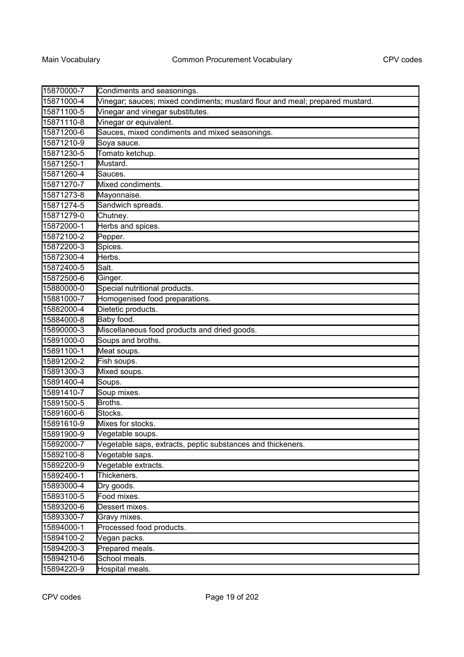| 15870000-7 | Condiments and seasonings.                                                   |
|------------|------------------------------------------------------------------------------|
| 15871000-4 | Vinegar; sauces; mixed condiments; mustard flour and meal; prepared mustard. |
| 15871100-5 | Vinegar and vinegar substitutes.                                             |
| 15871110-8 | Vinegar or equivalent.                                                       |
| 15871200-6 | Sauces, mixed condiments and mixed seasonings.                               |
| 15871210-9 | Soya sauce.                                                                  |
| 15871230-5 | Tomato ketchup.                                                              |
| 15871250-1 | Mustard.                                                                     |
| 15871260-4 | Sauces.                                                                      |
| 15871270-7 | Mixed condiments.                                                            |
| 15871273-8 | Mayonnaise.                                                                  |
| 15871274-5 | Sandwich spreads.                                                            |
| 15871279-0 | Chutney.                                                                     |
| 15872000-1 | Herbs and spices.                                                            |
| 15872100-2 | Pepper.                                                                      |
| 15872200-3 | Spices.                                                                      |
| 15872300-4 | Herbs.                                                                       |
| 15872400-5 | Salt.                                                                        |
| 15872500-6 | Ginger.                                                                      |
| 15880000-0 | Special nutritional products.                                                |
| 15881000-7 | Homogenised food preparations.                                               |
| 15882000-4 | Dietetic products.                                                           |
| 15884000-8 | Baby food.                                                                   |
| 15890000-3 | Miscellaneous food products and dried goods.                                 |
| 15891000-0 | Soups and broths.                                                            |
| 15891100-1 | Meat soups.                                                                  |
| 15891200-2 | Fish soups.                                                                  |
| 15891300-3 | Mixed soups.                                                                 |
| 15891400-4 | Soups.                                                                       |
| 15891410-7 | Soup mixes.                                                                  |
| 15891500-5 | Broths.                                                                      |
| 15891600-6 | Stocks.                                                                      |
| 15891610-9 | Mixes for stocks.                                                            |
| 15891900-9 | Vegetable soups.                                                             |
| 15892000-7 | Vegetable saps, extracts, peptic substances and thickeners.                  |
| 15892100-8 | Vegetable saps.                                                              |
| 15892200-9 | Vegetable extracts.                                                          |
| 15892400-1 | Thickeners.                                                                  |
| 15893000-4 | Dry goods.                                                                   |
| 15893100-5 | Food mixes.                                                                  |
| 15893200-6 | Dessert mixes.                                                               |
| 15893300-7 | Gravy mixes.                                                                 |
| 15894000-1 | Processed food products.                                                     |
| 15894100-2 | Vegan packs.                                                                 |
| 15894200-3 | Prepared meals.                                                              |
| 15894210-6 | School meals.                                                                |
| 15894220-9 | Hospital meals.                                                              |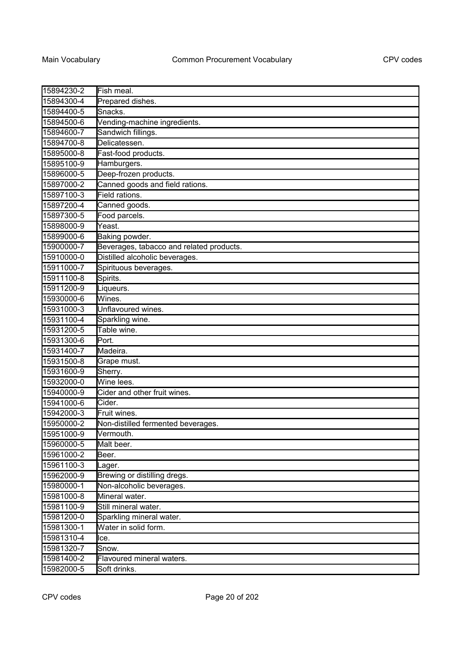| 15894230-2 | Fish meal.                               |
|------------|------------------------------------------|
| 15894300-4 | Prepared dishes.                         |
| 15894400-5 | Snacks.                                  |
| 15894500-6 | Vending-machine ingredients.             |
| 15894600-7 | Sandwich fillings.                       |
| 15894700-8 | Delicatessen.                            |
| 15895000-8 | Fast-food products.                      |
| 15895100-9 | Hamburgers.                              |
| 15896000-5 | Deep-frozen products.                    |
| 15897000-2 | Canned goods and field rations.          |
| 15897100-3 | Field rations.                           |
| 15897200-4 | Canned goods.                            |
| 15897300-5 | Food parcels.                            |
| 15898000-9 | Yeast.                                   |
| 15899000-6 | Baking powder.                           |
| 15900000-7 | Beverages, tabacco and related products. |
| 15910000-0 | Distilled alcoholic beverages.           |
| 15911000-7 | Spirituous beverages.                    |
| 15911100-8 | Spirits.                                 |
| 15911200-9 | Liqueurs.                                |
| 15930000-6 | Wines.                                   |
| 15931000-3 | Unflavoured wines.                       |
| 15931100-4 | Sparkling wine.                          |
| 15931200-5 | Table wine.                              |
| 15931300-6 | Port.                                    |
| 15931400-7 | Madeira.                                 |
| 15931500-8 | Grape must.                              |
| 15931600-9 | Sherry.                                  |
| 15932000-0 | Wine lees.                               |
| 15940000-9 | Cider and other fruit wines.             |
| 15941000-6 | Cider.                                   |
| 15942000-3 | Fruit wines.                             |
| 15950000-2 | Non-distilled fermented beverages.       |
| 15951000-9 | Vermouth.                                |
| 15960000-5 | Malt beer.                               |
| 15961000-2 | Beer.                                    |
| 15961100-3 | Lager.                                   |
| 15962000-9 | Brewing or distilling dregs.             |
| 15980000-1 | Non-alcoholic beverages.                 |
| 15981000-8 | Mineral water.                           |
| 15981100-9 | Still mineral water.                     |
| 15981200-0 | Sparkling mineral water.                 |
| 15981300-1 | Water in solid form.                     |
| 15981310-4 | lce.                                     |
| 15981320-7 | Snow.                                    |
| 15981400-2 | Flavoured mineral waters.                |
| 15982000-5 | Soft drinks.                             |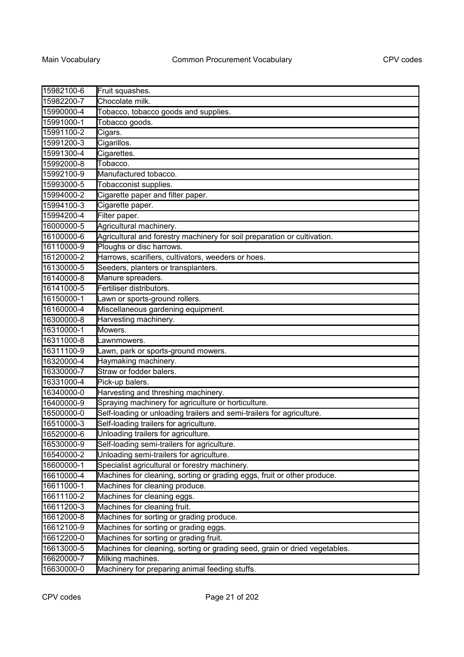| 15982100-6 | Fruit squashes.                                                            |
|------------|----------------------------------------------------------------------------|
| 15982200-7 | Chocolate milk.                                                            |
| 15990000-4 | Tobacco, tobacco goods and supplies.                                       |
| 15991000-1 | Tobacco goods.                                                             |
| 15991100-2 | Cigars.                                                                    |
| 15991200-3 | Cigarillos.                                                                |
| 15991300-4 | Cigarettes.                                                                |
| 15992000-8 | Tobacco.                                                                   |
| 15992100-9 | Manufactured tobacco.                                                      |
| 15993000-5 | Tobacconist supplies.                                                      |
| 15994000-2 | Cigarette paper and filter paper.                                          |
| 15994100-3 | Cigarette paper.                                                           |
| 15994200-4 | Filter paper.                                                              |
| 16000000-5 | Agricultural machinery.                                                    |
| 16100000-6 | Agricultural and forestry machinery for soil preparation or cultivation.   |
| 16110000-9 | Ploughs or disc harrows.                                                   |
| 16120000-2 | Harrows, scarifiers, cultivators, weeders or hoes.                         |
| 16130000-5 | Seeders, planters or transplanters.                                        |
| 16140000-8 | Manure spreaders.                                                          |
| 16141000-5 | Fertiliser distributors.                                                   |
| 16150000-1 | Lawn or sports-ground rollers.                                             |
| 16160000-4 | Miscellaneous gardening equipment.                                         |
| 16300000-8 | Harvesting machinery.                                                      |
| 16310000-1 | Mowers.                                                                    |
| 16311000-8 | Lawnmowers.                                                                |
| 16311100-9 | Lawn, park or sports-ground mowers.                                        |
| 16320000-4 | Haymaking machinery.                                                       |
| 16330000-7 | Straw or fodder balers.                                                    |
| 16331000-4 | Pick-up balers.                                                            |
| 16340000-0 | Harvesting and threshing machinery.                                        |
| 16400000-9 | Spraying machinery for agriculture or horticulture.                        |
| 16500000-0 | Self-loading or unloading trailers and semi-trailers for agriculture.      |
| 16510000-3 | Self-loading trailers for agriculture.                                     |
| 16520000-6 | Unloading trailers for agriculture.                                        |
| 16530000-9 | Self-loading semi-trailers for agriculture.                                |
| 16540000-2 | Unloading semi-trailers for agriculture.                                   |
| 16600000-1 | Specialist agricultural or forestry machinery.                             |
| 16610000-4 | Machines for cleaning, sorting or grading eggs, fruit or other produce.    |
| 16611000-1 | Machines for cleaning produce.                                             |
| 16611100-2 | Machines for cleaning eggs.                                                |
| 16611200-3 | Machines for cleaning fruit.                                               |
| 16612000-8 | Machines for sorting or grading produce.                                   |
| 16612100-9 | Machines for sorting or grading eggs.                                      |
| 16612200-0 | Machines for sorting or grading fruit.                                     |
| 16613000-5 | Machines for cleaning, sorting or grading seed, grain or dried vegetables. |
| 16620000-7 | Milking machines.                                                          |
| 16630000-0 | Machinery for preparing animal feeding stuffs.                             |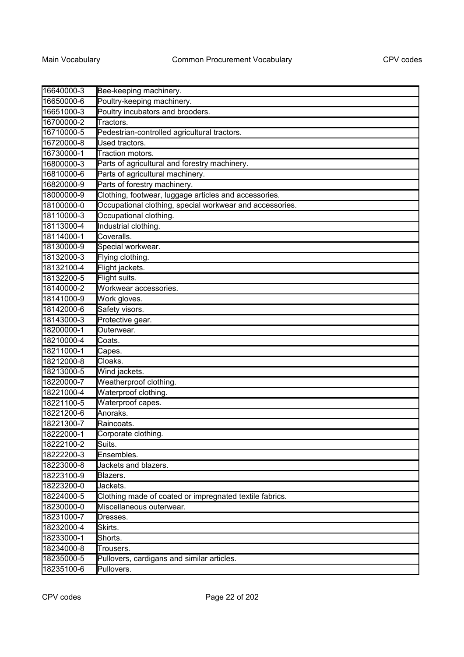| 16640000-3 | Bee-keeping machinery.                                   |
|------------|----------------------------------------------------------|
| 16650000-6 | Poultry-keeping machinery.                               |
| 16651000-3 | Poultry incubators and brooders.                         |
| 16700000-2 | Tractors.                                                |
| 16710000-5 | Pedestrian-controlled agricultural tractors.             |
| 16720000-8 | Used tractors.                                           |
| 16730000-1 | Traction motors.                                         |
| 16800000-3 | Parts of agricultural and forestry machinery.            |
| 16810000-6 | Parts of agricultural machinery.                         |
| 16820000-9 | Parts of forestry machinery.                             |
| 18000000-9 | Clothing, footwear, luggage articles and accessories.    |
| 18100000-0 | Occupational clothing, special workwear and accessories. |
| 18110000-3 | Occupational clothing.                                   |
| 18113000-4 | Industrial clothing.                                     |
| 18114000-1 | Coveralls.                                               |
| 18130000-9 | Special workwear.                                        |
| 18132000-3 | Flying clothing.                                         |
| 18132100-4 | Flight jackets.                                          |
| 18132200-5 | Flight suits.                                            |
| 18140000-2 | Workwear accessories.                                    |
| 18141000-9 | Work gloves.                                             |
| 18142000-6 | Safety visors.                                           |
| 18143000-3 | Protective gear.                                         |
| 18200000-1 | Outerwear.                                               |
| 18210000-4 | Coats.                                                   |
| 18211000-1 | Capes.                                                   |
| 18212000-8 | Cloaks.                                                  |
| 18213000-5 | Wind jackets.                                            |
| 18220000-7 | Weatherproof clothing.                                   |
| 18221000-4 | Waterproof clothing.                                     |
| 18221100-5 | Waterproof capes.                                        |
| 18221200-6 | Anoraks.                                                 |
| 18221300-7 | Raincoats.                                               |
| 18222000-1 | Corporate clothing.                                      |
| 18222100-2 | Suits.                                                   |
| 18222200-3 | Ensembles.                                               |
| 18223000-8 | Jackets and blazers.                                     |
| 18223100-9 | Blazers.                                                 |
| 18223200-0 | Jackets.                                                 |
| 18224000-5 | Clothing made of coated or impregnated textile fabrics.  |
| 18230000-0 | Miscellaneous outerwear.                                 |
| 18231000-7 | Dresses.                                                 |
| 18232000-4 | Skirts.                                                  |
| 18233000-1 | Shorts.                                                  |
| 18234000-8 | Trousers.                                                |
| 18235000-5 | Pullovers, cardigans and similar articles.               |
| 18235100-6 | Pullovers.                                               |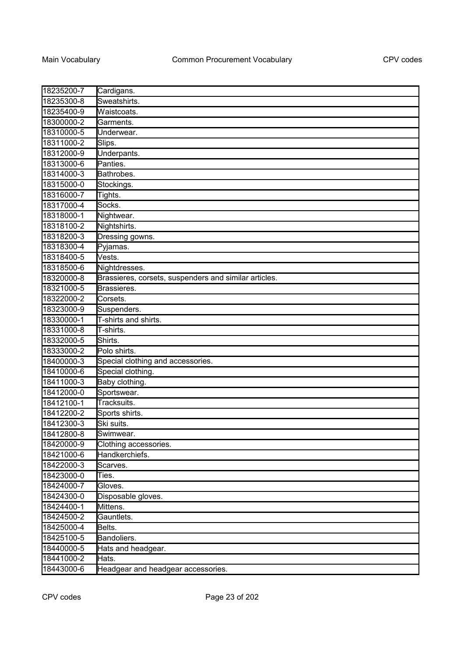| 18235200-7 | Cardigans.                                            |
|------------|-------------------------------------------------------|
| 18235300-8 | Sweatshirts.                                          |
| 18235400-9 | Waistcoats.                                           |
| 18300000-2 | Garments.                                             |
| 18310000-5 | Underwear.                                            |
| 18311000-2 | Slips.                                                |
| 18312000-9 | Underpants.                                           |
| 18313000-6 | Panties.                                              |
| 18314000-3 | Bathrobes.                                            |
| 18315000-0 | Stockings.                                            |
| 18316000-7 | Tights.                                               |
| 18317000-4 | Socks.                                                |
| 18318000-1 | Nightwear.                                            |
| 18318100-2 | Nightshirts.                                          |
| 18318200-3 | Dressing gowns.                                       |
| 18318300-4 | Pyjamas.                                              |
| 18318400-5 | Vests.                                                |
| 18318500-6 | Nightdresses.                                         |
| 18320000-8 | Brassieres, corsets, suspenders and similar articles. |
| 18321000-5 | Brassieres.                                           |
| 18322000-2 | Corsets.                                              |
| 18323000-9 | Suspenders.                                           |
| 18330000-1 | T-shirts and shirts.                                  |
| 18331000-8 | T-shirts.                                             |
| 18332000-5 | Shirts.                                               |
| 18333000-2 | Polo shirts.                                          |
| 18400000-3 | Special clothing and accessories.                     |
| 18410000-6 | Special clothing.                                     |
| 18411000-3 | Baby clothing.                                        |
| 18412000-0 | Sportswear.                                           |
| 18412100-1 | Tracksuits.                                           |
| 18412200-2 | Sports shirts.                                        |
| 18412300-3 | Ski suits.                                            |
| 18412800-8 | Swimwear.                                             |
| 18420000-9 | Clothing accessories.                                 |
| 18421000-6 | Handkerchiefs.                                        |
| 18422000-3 | Scarves.                                              |
| 18423000-0 | Ties.                                                 |
| 18424000-7 | Gloves.                                               |
| 18424300-0 | Disposable gloves.                                    |
| 18424400-1 | Mittens.                                              |
| 18424500-2 | Gauntlets.                                            |
| 18425000-4 | Belts.                                                |
| 18425100-5 | Bandoliers.                                           |
| 18440000-5 | Hats and headgear.                                    |
| 18441000-2 | Hats.                                                 |
| 18443000-6 | Headgear and headgear accessories.                    |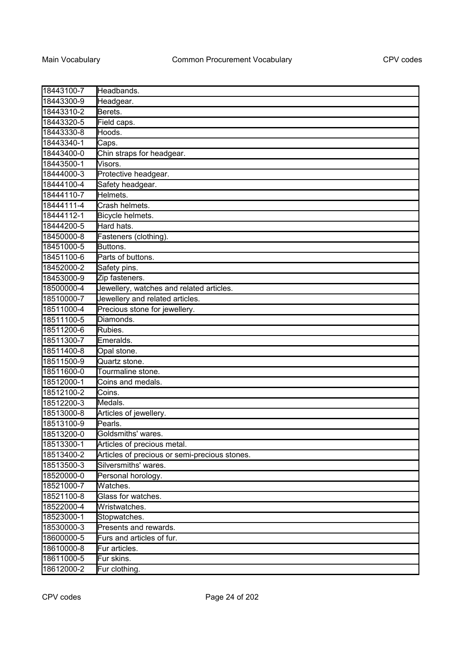| 18443100-7 | Headbands.                                    |
|------------|-----------------------------------------------|
| 18443300-9 | Headgear.                                     |
| 18443310-2 | Berets.                                       |
| 18443320-5 | Field caps.                                   |
| 18443330-8 | Hoods.                                        |
| 18443340-1 | Caps.                                         |
| 18443400-0 | Chin straps for headgear.                     |
| 18443500-1 | Visors.                                       |
| 18444000-3 | Protective headgear.                          |
| 18444100-4 | Safety headgear.                              |
| 18444110-7 | Helmets.                                      |
| 18444111-4 | Crash helmets.                                |
| 18444112-1 | Bicycle helmets.                              |
| 18444200-5 | Hard hats.                                    |
| 18450000-8 | Fasteners (clothing).                         |
| 18451000-5 | Buttons.                                      |
| 18451100-6 | Parts of buttons.                             |
| 18452000-2 | Safety pins.                                  |
| 18453000-9 | Zip fasteners.                                |
| 18500000-4 | Jewellery, watches and related articles.      |
| 18510000-7 | Jewellery and related articles.               |
| 18511000-4 | Precious stone for jewellery.                 |
| 18511100-5 | Diamonds.                                     |
| 18511200-6 | Rubies.                                       |
| 18511300-7 | Emeralds.                                     |
| 18511400-8 | Opal stone.                                   |
| 18511500-9 | Quartz stone.                                 |
| 18511600-0 | Tourmaline stone.                             |
| 18512000-1 | Coins and medals.                             |
| 18512100-2 | Coins.                                        |
| 18512200-3 | Medals.                                       |
| 18513000-8 | Articles of jewellery.                        |
| 18513100-9 | Pearls.                                       |
| 18513200-0 | Goldsmiths' wares.                            |
| 18513300-1 | Articles of precious metal.                   |
| 18513400-2 | Articles of precious or semi-precious stones. |
| 18513500-3 | Silversmiths' wares.                          |
| 18520000-0 | Personal horology.                            |
| 18521000-7 | Watches.                                      |
| 18521100-8 | Glass for watches.                            |
| 18522000-4 | Wristwatches.                                 |
| 18523000-1 | Stopwatches.                                  |
| 18530000-3 | Presents and rewards.                         |
| 18600000-5 | Furs and articles of fur.                     |
| 18610000-8 | Fur articles.                                 |
| 18611000-5 | Fur skins.                                    |
| 18612000-2 | Fur clothing.                                 |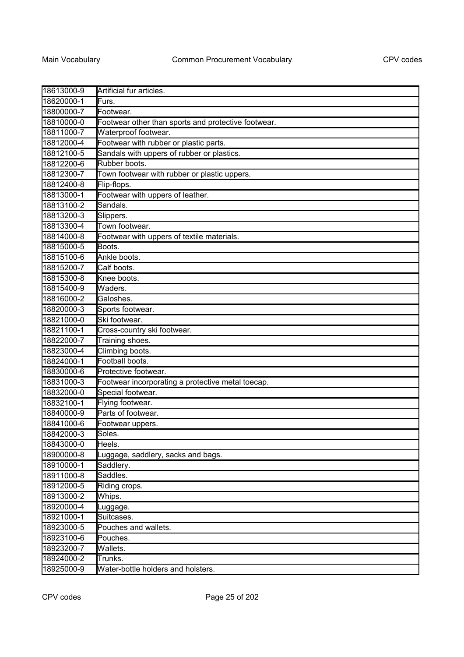| 18613000-9 | Artificial fur articles.                            |
|------------|-----------------------------------------------------|
| 18620000-1 | Furs.                                               |
| 18800000-7 | Footwear.                                           |
| 18810000-0 | Footwear other than sports and protective footwear. |
| 18811000-7 | Waterproof footwear.                                |
| 18812000-4 | Footwear with rubber or plastic parts.              |
| 18812100-5 | Sandals with uppers of rubber or plastics.          |
| 18812200-6 | Rubber boots.                                       |
| 18812300-7 | Town footwear with rubber or plastic uppers.        |
| 18812400-8 | Flip-flops.                                         |
| 18813000-1 | Footwear with uppers of leather.                    |
| 18813100-2 | Sandals.                                            |
| 18813200-3 | Slippers.                                           |
| 18813300-4 | Town footwear.                                      |
| 18814000-8 | Footwear with uppers of textile materials.          |
| 18815000-5 | Boots.                                              |
| 18815100-6 | Ankle boots.                                        |
| 18815200-7 | Calf boots.                                         |
| 18815300-8 | Knee boots.                                         |
| 18815400-9 | Waders.                                             |
| 18816000-2 | Galoshes.                                           |
| 18820000-3 | Sports footwear.                                    |
| 18821000-0 | Ski footwear.                                       |
| 18821100-1 | Cross-country ski footwear.                         |
| 18822000-7 | Training shoes.                                     |
| 18823000-4 | Climbing boots.                                     |
| 18824000-1 | Football boots.                                     |
| 18830000-6 | Protective footwear.                                |
| 18831000-3 | Footwear incorporating a protective metal toecap.   |
| 18832000-0 | Special footwear.                                   |
| 18832100-1 | Flying footwear.                                    |
| 18840000-9 | Parts of footwear.                                  |
| 18841000-6 | Footwear uppers.                                    |
| 18842000-3 | Soles.                                              |
| 18843000-0 | Heels.                                              |
| 18900000-8 | Luggage, saddlery, sacks and bags.                  |
| 18910000-1 | Saddlery.                                           |
| 18911000-8 | Saddles.                                            |
| 18912000-5 | Riding crops.                                       |
| 18913000-2 | Whips.                                              |
| 18920000-4 | Luggage.                                            |
| 18921000-1 | Suitcases.                                          |
| 18923000-5 | Pouches and wallets.                                |
| 18923100-6 | Pouches.                                            |
| 18923200-7 | Wallets.                                            |
| 18924000-2 | Trunks.                                             |
| 18925000-9 | Water-bottle holders and holsters.                  |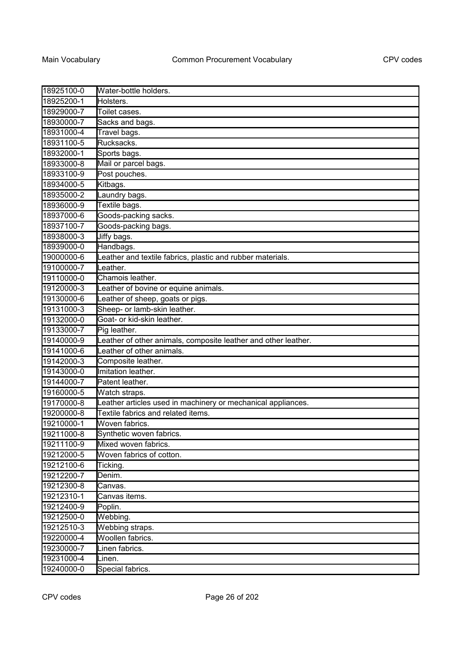| 18925100-0 | Water-bottle holders.                                          |
|------------|----------------------------------------------------------------|
| 18925200-1 | Holsters.                                                      |
| 18929000-7 | Toilet cases.                                                  |
| 18930000-7 | Sacks and bags.                                                |
| 18931000-4 | Travel bags.                                                   |
| 18931100-5 | Rucksacks.                                                     |
| 18932000-1 | Sports bags.                                                   |
| 18933000-8 | Mail or parcel bags.                                           |
| 18933100-9 | Post pouches.                                                  |
| 18934000-5 | Kitbags.                                                       |
| 18935000-2 | Laundry bags.                                                  |
| 18936000-9 | Textile bags.                                                  |
| 18937000-6 | Goods-packing sacks.                                           |
| 18937100-7 | Goods-packing bags.                                            |
| 18938000-3 | Jiffy bags.                                                    |
| 18939000-0 | Handbags.                                                      |
| 19000000-6 | Leather and textile fabrics, plastic and rubber materials.     |
| 19100000-7 | Leather.                                                       |
| 19110000-0 | Chamois leather.                                               |
| 19120000-3 | Leather of bovine or equine animals.                           |
| 19130000-6 | Leather of sheep, goats or pigs.                               |
| 19131000-3 | Sheep- or lamb-skin leather.                                   |
| 19132000-0 | Goat- or kid-skin leather.                                     |
| 19133000-7 | Pig leather.                                                   |
| 19140000-9 | Leather of other animals, composite leather and other leather. |
| 19141000-6 | Leather of other animals.                                      |
| 19142000-3 | Composite leather.                                             |
| 19143000-0 | Imitation leather.                                             |
| 19144000-7 | Patent leather.                                                |
| 19160000-5 | Watch straps.                                                  |
| 19170000-8 | Leather articles used in machinery or mechanical appliances.   |
| 19200000-8 | Textile fabrics and related items.                             |
| 19210000-1 | Woven fabrics.                                                 |
| 19211000-8 | Synthetic woven fabrics.                                       |
| 19211100-9 | Mixed woven fabrics.                                           |
| 19212000-5 | Woven fabrics of cotton.                                       |
| 19212100-6 | Ticking.                                                       |
| 19212200-7 | Denim.                                                         |
| 19212300-8 | Canvas.                                                        |
| 19212310-1 | Canvas items.                                                  |
| 19212400-9 | Poplin.                                                        |
| 19212500-0 | Webbing.                                                       |
| 19212510-3 | Webbing straps.                                                |
| 19220000-4 | Woollen fabrics.                                               |
| 19230000-7 | Linen fabrics.                                                 |
| 19231000-4 | Linen.                                                         |
| 19240000-0 | Special fabrics.                                               |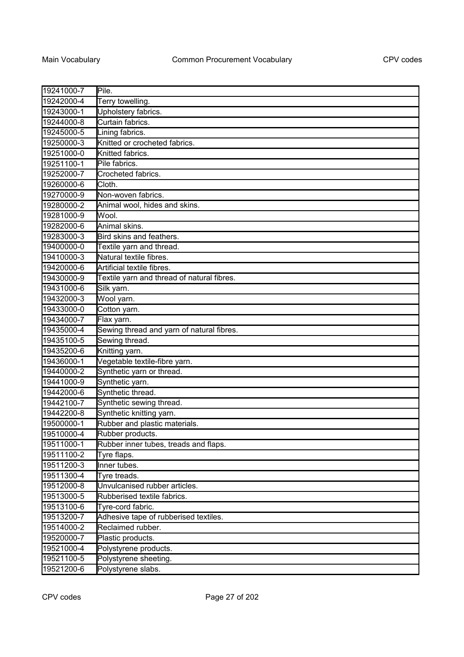| 19241000-7 | Pile.                                      |
|------------|--------------------------------------------|
| 19242000-4 | Terry towelling.                           |
| 19243000-1 | Upholstery fabrics.                        |
| 19244000-8 | Curtain fabrics.                           |
| 19245000-5 | Lining fabrics.                            |
| 19250000-3 | Knitted or crocheted fabrics.              |
| 19251000-0 | Knitted fabrics.                           |
| 19251100-1 | Pile fabrics.                              |
| 19252000-7 | Crocheted fabrics.                         |
| 19260000-6 | Cloth.                                     |
| 19270000-9 | Non-woven fabrics.                         |
| 19280000-2 | Animal wool, hides and skins.              |
| 19281000-9 | Wool.                                      |
| 19282000-6 | Animal skins.                              |
| 19283000-3 | Bird skins and feathers.                   |
| 19400000-0 | Textile yarn and thread.                   |
| 19410000-3 | Natural textile fibres.                    |
| 19420000-6 | Artificial textile fibres.                 |
| 19430000-9 | Textile yarn and thread of natural fibres. |
| 19431000-6 | Silk yarn.                                 |
| 19432000-3 | Wool yarn.                                 |
| 19433000-0 | Cotton yarn.                               |
| 19434000-7 | Flax yarn.                                 |
| 19435000-4 | Sewing thread and yarn of natural fibres.  |
| 19435100-5 | Sewing thread.                             |
| 19435200-6 | Knitting yarn.                             |
| 19436000-1 | Vegetable textile-fibre yarn.              |
| 19440000-2 | Synthetic yarn or thread.                  |
| 19441000-9 | Synthetic yarn.                            |
| 19442000-6 | Synthetic thread.                          |
| 19442100-7 | Synthetic sewing thread.                   |
| 19442200-8 | Synthetic knitting yarn.                   |
| 19500000-1 | Rubber and plastic materials.              |
| 19510000-4 | Rubber products.                           |
| 19511000-1 | Rubber inner tubes, treads and flaps.      |
| 19511100-2 | Tyre flaps.                                |
| 19511200-3 | Inner tubes.                               |
| 19511300-4 | Tyre treads.                               |
| 19512000-8 | Unvulcanised rubber articles.              |
| 19513000-5 | Rubberised textile fabrics.                |
| 19513100-6 | Tyre-cord fabric.                          |
| 19513200-7 | Adhesive tape of rubberised textiles.      |
| 19514000-2 | Reclaimed rubber.                          |
| 19520000-7 | Plastic products.                          |
| 19521000-4 | Polystyrene products.                      |
| 19521100-5 | Polystyrene sheeting.                      |
| 19521200-6 | Polystyrene slabs.                         |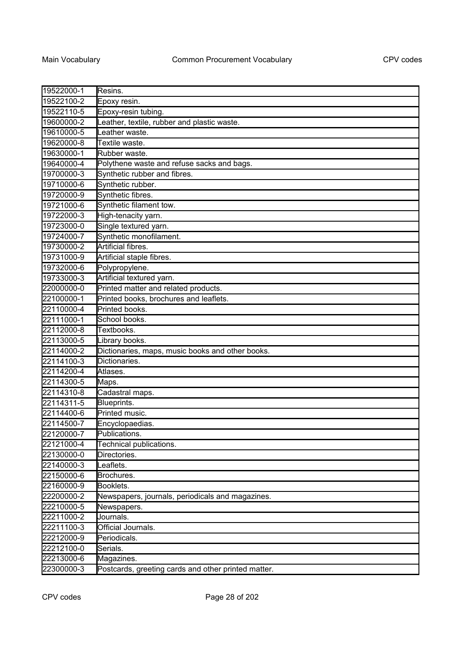| 19522000-1 | Resins.                                             |
|------------|-----------------------------------------------------|
| 19522100-2 | Epoxy resin.                                        |
| 19522110-5 | Epoxy-resin tubing.                                 |
| 19600000-2 | eather, textile, rubber and plastic waste.          |
| 19610000-5 | eather waste.                                       |
| 19620000-8 | Textile waste.                                      |
| 19630000-1 | Rubber waste.                                       |
| 19640000-4 | Polythene waste and refuse sacks and bags.          |
| 19700000-3 | Synthetic rubber and fibres.                        |
| 19710000-6 | Synthetic rubber.                                   |
| 19720000-9 | Synthetic fibres.                                   |
| 19721000-6 | Synthetic filament tow.                             |
| 19722000-3 | High-tenacity yarn.                                 |
| 19723000-0 | Single textured yarn.                               |
| 19724000-7 | Synthetic monofilament.                             |
| 19730000-2 | Artificial fibres.                                  |
| 19731000-9 | Artificial staple fibres.                           |
| 19732000-6 | Polypropylene.                                      |
| 19733000-3 | Artificial textured yarn.                           |
| 22000000-0 | Printed matter and related products.                |
| 22100000-1 | Printed books, brochures and leaflets.              |
| 22110000-4 | Printed books.                                      |
| 22111000-1 | School books.                                       |
| 22112000-8 | Textbooks.                                          |
| 22113000-5 | Library books.                                      |
| 22114000-2 | Dictionaries, maps, music books and other books.    |
| 22114100-3 | Dictionaries.                                       |
| 22114200-4 | Atlases.                                            |
| 22114300-5 | Maps.                                               |
| 22114310-8 | Cadastral maps.                                     |
| 22114311-5 | Blueprints.                                         |
| 22114400-6 | Printed music.                                      |
| 22114500-7 | Encyclopaedias.                                     |
| 22120000-7 | Publications.                                       |
| 22121000-4 | Technical publications.                             |
| 22130000-0 | Directories.                                        |
| 22140000-3 | Leaflets.                                           |
| 22150000-6 | Brochures.                                          |
| 22160000-9 | Booklets.                                           |
| 22200000-2 | Newspapers, journals, periodicals and magazines.    |
| 22210000-5 | Newspapers.                                         |
| 22211000-2 | Journals.                                           |
| 22211100-3 | Official Journals.                                  |
| 22212000-9 | Periodicals.                                        |
| 22212100-0 | Serials.                                            |
| 22213000-6 | Magazines.                                          |
| 22300000-3 | Postcards, greeting cards and other printed matter. |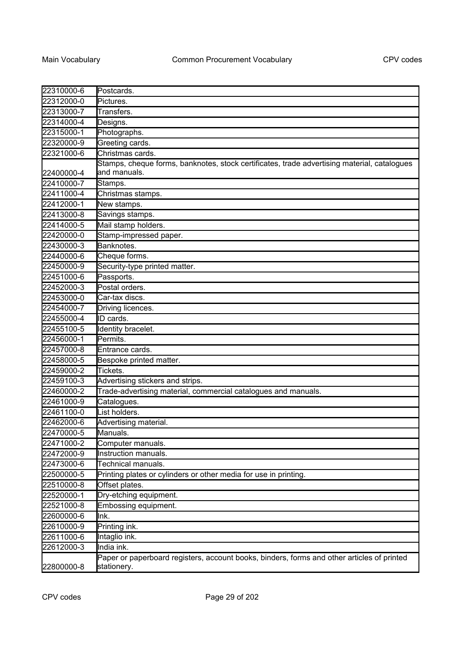| Postcards.<br>22312000-0<br>Pictures.<br>Transfers.<br>Designs.<br>Photographs.<br>Greeting cards.<br>Christmas cards.<br>Stamps, cheque forms, banknotes, stock certificates, trade advertising material, catalogues<br>and manuals.<br>Stamps.<br>Christmas stamps.<br>New stamps.<br>Savings stamps.<br>Mail stamp holders.<br>Stamp-impressed paper.<br>Banknotes.<br>Cheque forms.<br>Security-type printed matter.<br>22450000-9<br>Passports.<br>Postal orders.<br>22453000-0<br>Car-tax discs.<br>22454000-7<br>Driving licences.<br>ID cards.<br>Identity bracelet.<br>Permits.<br>Entrance cards.<br>Bespoke printed matter.<br>22458000-5<br>Tickets.<br>22459100-3<br>Advertising stickers and strips.<br>22460000-2<br>Trade-advertising material, commercial catalogues and manuals.<br>22461000-9<br>Catalogues.<br>List holders.<br>22462000-6<br>Advertising material.<br>22470000-5<br>Manuals.<br>22471000-2<br>Computer manuals.<br>22472000-9<br>Instruction manuals.<br>Technical manuals.<br>22473000-6<br>22500000-5<br>Printing plates or cylinders or other media for use in printing.<br>22510000-8<br>Offset plates.<br>Dry-etching equipment.<br>22520000-1<br>22521000-8<br>Embossing equipment.<br>22600000-6<br>Ink.<br>22610000-9<br>Printing ink.<br>22611000-6<br>Intaglio ink.<br>22612000-3<br>India ink.<br>Paper or paperboard registers, account books, binders, forms and other articles of printed<br>stationery. |            |  |
|-------------------------------------------------------------------------------------------------------------------------------------------------------------------------------------------------------------------------------------------------------------------------------------------------------------------------------------------------------------------------------------------------------------------------------------------------------------------------------------------------------------------------------------------------------------------------------------------------------------------------------------------------------------------------------------------------------------------------------------------------------------------------------------------------------------------------------------------------------------------------------------------------------------------------------------------------------------------------------------------------------------------------------------------------------------------------------------------------------------------------------------------------------------------------------------------------------------------------------------------------------------------------------------------------------------------------------------------------------------------------------------------------------------------------------------------------------------|------------|--|
|                                                                                                                                                                                                                                                                                                                                                                                                                                                                                                                                                                                                                                                                                                                                                                                                                                                                                                                                                                                                                                                                                                                                                                                                                                                                                                                                                                                                                                                             | 22310000-6 |  |
|                                                                                                                                                                                                                                                                                                                                                                                                                                                                                                                                                                                                                                                                                                                                                                                                                                                                                                                                                                                                                                                                                                                                                                                                                                                                                                                                                                                                                                                             |            |  |
|                                                                                                                                                                                                                                                                                                                                                                                                                                                                                                                                                                                                                                                                                                                                                                                                                                                                                                                                                                                                                                                                                                                                                                                                                                                                                                                                                                                                                                                             | 22313000-7 |  |
|                                                                                                                                                                                                                                                                                                                                                                                                                                                                                                                                                                                                                                                                                                                                                                                                                                                                                                                                                                                                                                                                                                                                                                                                                                                                                                                                                                                                                                                             | 22314000-4 |  |
|                                                                                                                                                                                                                                                                                                                                                                                                                                                                                                                                                                                                                                                                                                                                                                                                                                                                                                                                                                                                                                                                                                                                                                                                                                                                                                                                                                                                                                                             | 22315000-1 |  |
|                                                                                                                                                                                                                                                                                                                                                                                                                                                                                                                                                                                                                                                                                                                                                                                                                                                                                                                                                                                                                                                                                                                                                                                                                                                                                                                                                                                                                                                             | 22320000-9 |  |
|                                                                                                                                                                                                                                                                                                                                                                                                                                                                                                                                                                                                                                                                                                                                                                                                                                                                                                                                                                                                                                                                                                                                                                                                                                                                                                                                                                                                                                                             | 22321000-6 |  |
|                                                                                                                                                                                                                                                                                                                                                                                                                                                                                                                                                                                                                                                                                                                                                                                                                                                                                                                                                                                                                                                                                                                                                                                                                                                                                                                                                                                                                                                             |            |  |
|                                                                                                                                                                                                                                                                                                                                                                                                                                                                                                                                                                                                                                                                                                                                                                                                                                                                                                                                                                                                                                                                                                                                                                                                                                                                                                                                                                                                                                                             | 22400000-4 |  |
|                                                                                                                                                                                                                                                                                                                                                                                                                                                                                                                                                                                                                                                                                                                                                                                                                                                                                                                                                                                                                                                                                                                                                                                                                                                                                                                                                                                                                                                             | 22410000-7 |  |
|                                                                                                                                                                                                                                                                                                                                                                                                                                                                                                                                                                                                                                                                                                                                                                                                                                                                                                                                                                                                                                                                                                                                                                                                                                                                                                                                                                                                                                                             | 22411000-4 |  |
|                                                                                                                                                                                                                                                                                                                                                                                                                                                                                                                                                                                                                                                                                                                                                                                                                                                                                                                                                                                                                                                                                                                                                                                                                                                                                                                                                                                                                                                             | 22412000-1 |  |
|                                                                                                                                                                                                                                                                                                                                                                                                                                                                                                                                                                                                                                                                                                                                                                                                                                                                                                                                                                                                                                                                                                                                                                                                                                                                                                                                                                                                                                                             | 22413000-8 |  |
|                                                                                                                                                                                                                                                                                                                                                                                                                                                                                                                                                                                                                                                                                                                                                                                                                                                                                                                                                                                                                                                                                                                                                                                                                                                                                                                                                                                                                                                             | 22414000-5 |  |
|                                                                                                                                                                                                                                                                                                                                                                                                                                                                                                                                                                                                                                                                                                                                                                                                                                                                                                                                                                                                                                                                                                                                                                                                                                                                                                                                                                                                                                                             | 22420000-0 |  |
|                                                                                                                                                                                                                                                                                                                                                                                                                                                                                                                                                                                                                                                                                                                                                                                                                                                                                                                                                                                                                                                                                                                                                                                                                                                                                                                                                                                                                                                             | 22430000-3 |  |
|                                                                                                                                                                                                                                                                                                                                                                                                                                                                                                                                                                                                                                                                                                                                                                                                                                                                                                                                                                                                                                                                                                                                                                                                                                                                                                                                                                                                                                                             | 22440000-6 |  |
|                                                                                                                                                                                                                                                                                                                                                                                                                                                                                                                                                                                                                                                                                                                                                                                                                                                                                                                                                                                                                                                                                                                                                                                                                                                                                                                                                                                                                                                             |            |  |
|                                                                                                                                                                                                                                                                                                                                                                                                                                                                                                                                                                                                                                                                                                                                                                                                                                                                                                                                                                                                                                                                                                                                                                                                                                                                                                                                                                                                                                                             | 22451000-6 |  |
|                                                                                                                                                                                                                                                                                                                                                                                                                                                                                                                                                                                                                                                                                                                                                                                                                                                                                                                                                                                                                                                                                                                                                                                                                                                                                                                                                                                                                                                             | 22452000-3 |  |
|                                                                                                                                                                                                                                                                                                                                                                                                                                                                                                                                                                                                                                                                                                                                                                                                                                                                                                                                                                                                                                                                                                                                                                                                                                                                                                                                                                                                                                                             |            |  |
|                                                                                                                                                                                                                                                                                                                                                                                                                                                                                                                                                                                                                                                                                                                                                                                                                                                                                                                                                                                                                                                                                                                                                                                                                                                                                                                                                                                                                                                             |            |  |
|                                                                                                                                                                                                                                                                                                                                                                                                                                                                                                                                                                                                                                                                                                                                                                                                                                                                                                                                                                                                                                                                                                                                                                                                                                                                                                                                                                                                                                                             | 22455000-4 |  |
|                                                                                                                                                                                                                                                                                                                                                                                                                                                                                                                                                                                                                                                                                                                                                                                                                                                                                                                                                                                                                                                                                                                                                                                                                                                                                                                                                                                                                                                             | 22455100-5 |  |
|                                                                                                                                                                                                                                                                                                                                                                                                                                                                                                                                                                                                                                                                                                                                                                                                                                                                                                                                                                                                                                                                                                                                                                                                                                                                                                                                                                                                                                                             | 22456000-1 |  |
|                                                                                                                                                                                                                                                                                                                                                                                                                                                                                                                                                                                                                                                                                                                                                                                                                                                                                                                                                                                                                                                                                                                                                                                                                                                                                                                                                                                                                                                             | 22457000-8 |  |
|                                                                                                                                                                                                                                                                                                                                                                                                                                                                                                                                                                                                                                                                                                                                                                                                                                                                                                                                                                                                                                                                                                                                                                                                                                                                                                                                                                                                                                                             |            |  |
|                                                                                                                                                                                                                                                                                                                                                                                                                                                                                                                                                                                                                                                                                                                                                                                                                                                                                                                                                                                                                                                                                                                                                                                                                                                                                                                                                                                                                                                             | 22459000-2 |  |
|                                                                                                                                                                                                                                                                                                                                                                                                                                                                                                                                                                                                                                                                                                                                                                                                                                                                                                                                                                                                                                                                                                                                                                                                                                                                                                                                                                                                                                                             |            |  |
|                                                                                                                                                                                                                                                                                                                                                                                                                                                                                                                                                                                                                                                                                                                                                                                                                                                                                                                                                                                                                                                                                                                                                                                                                                                                                                                                                                                                                                                             |            |  |
|                                                                                                                                                                                                                                                                                                                                                                                                                                                                                                                                                                                                                                                                                                                                                                                                                                                                                                                                                                                                                                                                                                                                                                                                                                                                                                                                                                                                                                                             |            |  |
|                                                                                                                                                                                                                                                                                                                                                                                                                                                                                                                                                                                                                                                                                                                                                                                                                                                                                                                                                                                                                                                                                                                                                                                                                                                                                                                                                                                                                                                             | 22461100-0 |  |
|                                                                                                                                                                                                                                                                                                                                                                                                                                                                                                                                                                                                                                                                                                                                                                                                                                                                                                                                                                                                                                                                                                                                                                                                                                                                                                                                                                                                                                                             |            |  |
|                                                                                                                                                                                                                                                                                                                                                                                                                                                                                                                                                                                                                                                                                                                                                                                                                                                                                                                                                                                                                                                                                                                                                                                                                                                                                                                                                                                                                                                             |            |  |
|                                                                                                                                                                                                                                                                                                                                                                                                                                                                                                                                                                                                                                                                                                                                                                                                                                                                                                                                                                                                                                                                                                                                                                                                                                                                                                                                                                                                                                                             |            |  |
|                                                                                                                                                                                                                                                                                                                                                                                                                                                                                                                                                                                                                                                                                                                                                                                                                                                                                                                                                                                                                                                                                                                                                                                                                                                                                                                                                                                                                                                             |            |  |
|                                                                                                                                                                                                                                                                                                                                                                                                                                                                                                                                                                                                                                                                                                                                                                                                                                                                                                                                                                                                                                                                                                                                                                                                                                                                                                                                                                                                                                                             |            |  |
|                                                                                                                                                                                                                                                                                                                                                                                                                                                                                                                                                                                                                                                                                                                                                                                                                                                                                                                                                                                                                                                                                                                                                                                                                                                                                                                                                                                                                                                             |            |  |
|                                                                                                                                                                                                                                                                                                                                                                                                                                                                                                                                                                                                                                                                                                                                                                                                                                                                                                                                                                                                                                                                                                                                                                                                                                                                                                                                                                                                                                                             |            |  |
|                                                                                                                                                                                                                                                                                                                                                                                                                                                                                                                                                                                                                                                                                                                                                                                                                                                                                                                                                                                                                                                                                                                                                                                                                                                                                                                                                                                                                                                             |            |  |
|                                                                                                                                                                                                                                                                                                                                                                                                                                                                                                                                                                                                                                                                                                                                                                                                                                                                                                                                                                                                                                                                                                                                                                                                                                                                                                                                                                                                                                                             |            |  |
|                                                                                                                                                                                                                                                                                                                                                                                                                                                                                                                                                                                                                                                                                                                                                                                                                                                                                                                                                                                                                                                                                                                                                                                                                                                                                                                                                                                                                                                             |            |  |
|                                                                                                                                                                                                                                                                                                                                                                                                                                                                                                                                                                                                                                                                                                                                                                                                                                                                                                                                                                                                                                                                                                                                                                                                                                                                                                                                                                                                                                                             |            |  |
|                                                                                                                                                                                                                                                                                                                                                                                                                                                                                                                                                                                                                                                                                                                                                                                                                                                                                                                                                                                                                                                                                                                                                                                                                                                                                                                                                                                                                                                             |            |  |
|                                                                                                                                                                                                                                                                                                                                                                                                                                                                                                                                                                                                                                                                                                                                                                                                                                                                                                                                                                                                                                                                                                                                                                                                                                                                                                                                                                                                                                                             |            |  |
|                                                                                                                                                                                                                                                                                                                                                                                                                                                                                                                                                                                                                                                                                                                                                                                                                                                                                                                                                                                                                                                                                                                                                                                                                                                                                                                                                                                                                                                             |            |  |
|                                                                                                                                                                                                                                                                                                                                                                                                                                                                                                                                                                                                                                                                                                                                                                                                                                                                                                                                                                                                                                                                                                                                                                                                                                                                                                                                                                                                                                                             | 22800000-8 |  |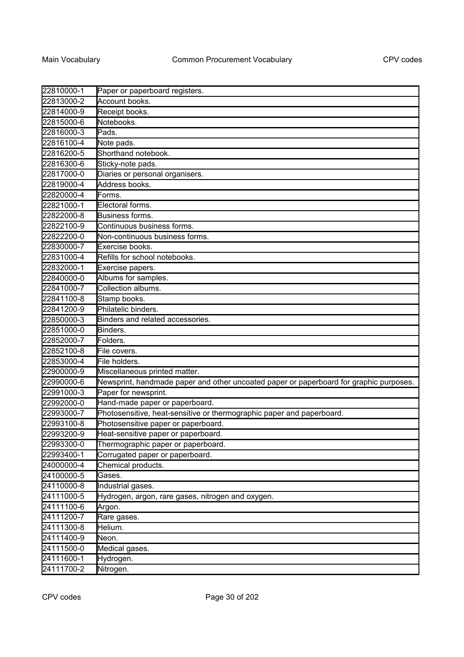| 22810000-1 | Paper or paperboard registers.                                                         |
|------------|----------------------------------------------------------------------------------------|
| 22813000-2 | Account books.                                                                         |
| 22814000-9 | Receipt books.                                                                         |
| 22815000-6 | Notebooks.                                                                             |
| 22816000-3 | Pads.                                                                                  |
| 22816100-4 | Note pads.                                                                             |
| 22816200-5 | Shorthand notebook.                                                                    |
| 22816300-6 | Sticky-note pads.                                                                      |
| 22817000-0 | Diaries or personal organisers.                                                        |
| 22819000-4 | Address books.                                                                         |
| 22820000-4 | Forms.                                                                                 |
| 22821000-1 | Electoral forms.                                                                       |
| 22822000-8 | Business forms.                                                                        |
| 22822100-9 | Continuous business forms.                                                             |
| 22822200-0 | Non-continuous business forms.                                                         |
| 22830000-7 | Exercise books.                                                                        |
| 22831000-4 | Refills for school notebooks.                                                          |
| 22832000-1 | Exercise papers.                                                                       |
| 22840000-0 | Albums for samples.                                                                    |
| 22841000-7 | Collection albums.                                                                     |
| 22841100-8 | Stamp books.                                                                           |
| 22841200-9 | Philatelic binders.                                                                    |
| 22850000-3 | Binders and related accessories.                                                       |
| 22851000-0 | Binders.                                                                               |
| 22852000-7 | Folders.                                                                               |
| 22852100-8 | File covers.                                                                           |
| 22853000-4 | File holders.                                                                          |
| 22900000-9 | Miscellaneous printed matter.                                                          |
| 22990000-6 | Newsprint, handmade paper and other uncoated paper or paperboard for graphic purposes. |
| 22991000-3 | Paper for newsprint.                                                                   |
| 22992000-0 | Hand-made paper or paperboard.                                                         |
| 22993000-7 | Photosensitive, heat-sensitive or thermographic paper and paperboard.                  |
| 22993100-8 | Photosensitive paper or paperboard.                                                    |
| 22993200-9 | Heat-sensitive paper or paperboard.                                                    |
| 22993300-0 | Thermographic paper or paperboard.                                                     |
| 22993400-1 | Corrugated paper or paperboard.                                                        |
| 24000000-4 | Chemical products.                                                                     |
| 24100000-5 | Gases.                                                                                 |
| 24110000-8 | Industrial gases.                                                                      |
| 24111000-5 | Hydrogen, argon, rare gases, nitrogen and oxygen.                                      |
| 24111100-6 | Argon.                                                                                 |
| 24111200-7 | Rare gases.                                                                            |
| 24111300-8 | Helium.                                                                                |
| 24111400-9 | Neon.                                                                                  |
| 24111500-0 | Medical gases.                                                                         |
| 24111600-1 | Hydrogen.                                                                              |
| 24111700-2 | Nitrogen.                                                                              |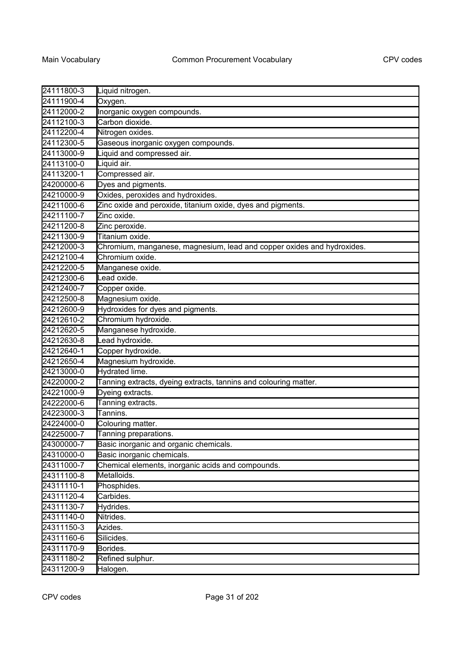| 24111800-3 | Liquid nitrogen.                                                       |
|------------|------------------------------------------------------------------------|
| 24111900-4 | Oxygen.                                                                |
| 24112000-2 | Inorganic oxygen compounds.                                            |
| 24112100-3 | Carbon dioxide.                                                        |
| 24112200-4 | Nitrogen oxides.                                                       |
| 24112300-5 | Gaseous inorganic oxygen compounds.                                    |
| 24113000-9 | Liquid and compressed air.                                             |
| 24113100-0 | Liquid air.                                                            |
| 24113200-1 | Compressed air.                                                        |
| 24200000-6 | Dyes and pigments.                                                     |
| 24210000-9 | Oxides, peroxides and hydroxides.                                      |
| 24211000-6 | Zinc oxide and peroxide, titanium oxide, dyes and pigments.            |
| 24211100-7 | Zinc oxide.                                                            |
| 24211200-8 | Zinc peroxide.                                                         |
| 24211300-9 | Titanium oxide.                                                        |
| 24212000-3 | Chromium, manganese, magnesium, lead and copper oxides and hydroxides. |
| 24212100-4 | Chromium oxide.                                                        |
| 24212200-5 | Manganese oxide.                                                       |
| 24212300-6 | Lead oxide.                                                            |
| 24212400-7 | Copper oxide.                                                          |
| 24212500-8 | Magnesium oxide.                                                       |
| 24212600-9 | Hydroxides for dyes and pigments.                                      |
| 24212610-2 | Chromium hydroxide.                                                    |
| 24212620-5 | Manganese hydroxide.                                                   |
| 24212630-8 | Lead hydroxide.                                                        |
| 24212640-1 | Copper hydroxide.                                                      |
| 24212650-4 | Magnesium hydroxide.                                                   |
| 24213000-0 | Hydrated lime.                                                         |
| 24220000-2 | Tanning extracts, dyeing extracts, tannins and colouring matter.       |
| 24221000-9 | Dyeing extracts.                                                       |
| 24222000-6 | Tanning extracts.                                                      |
| 24223000-3 | Tannins.                                                               |
| 24224000-0 | Colouring matter.                                                      |
| 24225000-7 | Tanning preparations.                                                  |
| 24300000-7 | Basic inorganic and organic chemicals.                                 |
| 24310000-0 | Basic inorganic chemicals.                                             |
| 24311000-7 | Chemical elements, inorganic acids and compounds.                      |
| 24311100-8 | Metalloids.                                                            |
| 24311110-1 | Phosphides.                                                            |
| 24311120-4 | Carbides.                                                              |
| 24311130-7 | Hydrides.                                                              |
| 24311140-0 | Nitrides.                                                              |
| 24311150-3 | Azides.                                                                |
| 24311160-6 | Silicides.                                                             |
| 24311170-9 | Borides.                                                               |
| 24311180-2 | Refined sulphur.                                                       |
| 24311200-9 | Halogen.                                                               |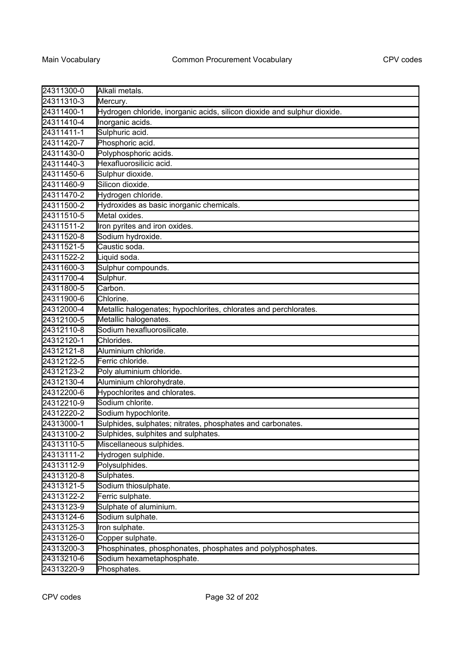| 24311300-0 | Alkali metals.                                                           |
|------------|--------------------------------------------------------------------------|
| 24311310-3 | Mercury.                                                                 |
| 24311400-1 | Hydrogen chloride, inorganic acids, silicon dioxide and sulphur dioxide. |
| 24311410-4 | Inorganic acids.                                                         |
| 24311411-1 | Sulphuric acid.                                                          |
| 24311420-7 | Phosphoric acid.                                                         |
| 24311430-0 | Polyphosphoric acids.                                                    |
| 24311440-3 | Hexafluorosilicic acid.                                                  |
| 24311450-6 | Sulphur dioxide.                                                         |
| 24311460-9 | Silicon dioxide.                                                         |
| 24311470-2 | Hydrogen chloride.                                                       |
| 24311500-2 | Hydroxides as basic inorganic chemicals.                                 |
| 24311510-5 | Metal oxides.                                                            |
| 24311511-2 | Iron pyrites and iron oxides.                                            |
| 24311520-8 | Sodium hydroxide.                                                        |
| 24311521-5 | Caustic soda.                                                            |
| 24311522-2 | Liquid soda.                                                             |
| 24311600-3 | Sulphur compounds.                                                       |
| 24311700-4 | Sulphur.                                                                 |
| 24311800-5 | Carbon.                                                                  |
| 24311900-6 | Chlorine.                                                                |
| 24312000-4 | Metallic halogenates; hypochlorites, chlorates and perchlorates.         |
| 24312100-5 | Metallic halogenates.                                                    |
| 24312110-8 | Sodium hexafluorosilicate.                                               |
| 24312120-1 | Chlorides.                                                               |
| 24312121-8 | Aluminium chloride.                                                      |
| 24312122-5 | Ferric chloride.                                                         |
| 24312123-2 | Poly aluminium chloride.                                                 |
| 24312130-4 | Aluminium chlorohydrate.                                                 |
| 24312200-6 | Hypochlorites and chlorates.                                             |
| 24312210-9 | Sodium chlorite.                                                         |
| 24312220-2 | Sodium hypochlorite.                                                     |
| 24313000-1 | Sulphides, sulphates; nitrates, phosphates and carbonates.               |
| 24313100-2 | Sulphides, sulphites and sulphates.                                      |
| 24313110-5 | Miscellaneous sulphides.                                                 |
| 24313111-2 | Hydrogen sulphide.                                                       |
| 24313112-9 | Polysulphides.                                                           |
| 24313120-8 | Sulphates.                                                               |
| 24313121-5 | Sodium thiosulphate.                                                     |
| 24313122-2 | Ferric sulphate.                                                         |
| 24313123-9 | Sulphate of aluminium.                                                   |
| 24313124-6 | Sodium sulphate.                                                         |
| 24313125-3 | Iron sulphate.                                                           |
| 24313126-0 | Copper sulphate.                                                         |
| 24313200-3 | Phosphinates, phosphonates, phosphates and polyphosphates.               |
| 24313210-6 | Sodium hexametaphosphate.                                                |
| 24313220-9 | Phosphates.                                                              |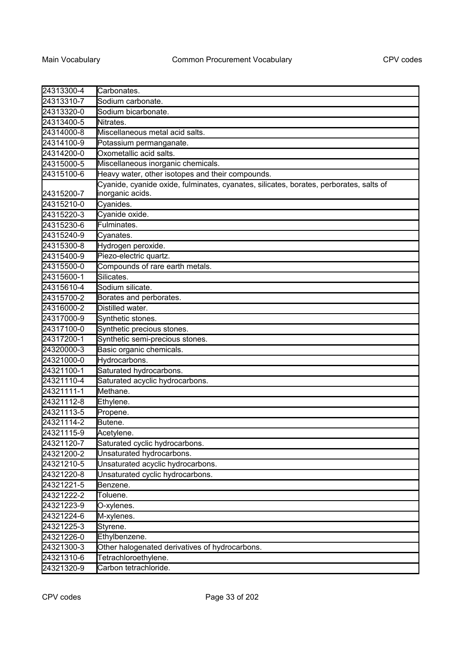| 24313300-4   | Carbonates.                                                                                                |
|--------------|------------------------------------------------------------------------------------------------------------|
| 24313310-7   | Sodium carbonate.                                                                                          |
| 24313320-0   | Sodium bicarbonate.                                                                                        |
| 24313400-5   | Nitrates.                                                                                                  |
| 24314000-8   | Miscellaneous metal acid salts.                                                                            |
| 24314100-9   | Potassium permanganate.                                                                                    |
| 24314200-0   | Oxometallic acid salts.                                                                                    |
| 24315000-5   | Miscellaneous inorganic chemicals.                                                                         |
| 24315100-6   | Heavy water, other isotopes and their compounds.                                                           |
| 24315200-7   | Cyanide, cyanide oxide, fulminates, cyanates, silicates, borates, perborates, salts of<br>inorganic acids. |
| 24315210-0   | Cyanides.                                                                                                  |
| 24315220-3   | Cyanide oxide.                                                                                             |
| 24315230-6   | Fulminates.                                                                                                |
| 24315240-9   | Cyanates.                                                                                                  |
| 24315300-8   | Hydrogen peroxide.                                                                                         |
| 24315400-9   | Piezo-electric quartz.                                                                                     |
| 24315500-0   | Compounds of rare earth metals.                                                                            |
| 24315600-1   | Silicates.                                                                                                 |
| 24315610-4   | Sodium silicate.                                                                                           |
| 24315700-2   | Borates and perborates.                                                                                    |
| 24316000-2   | Distilled water.                                                                                           |
| 24317000-9   | Synthetic stones.                                                                                          |
| 24317100-0   | Synthetic precious stones.                                                                                 |
| 24317200-1   | Synthetic semi-precious stones.                                                                            |
| 24320000-3   | Basic organic chemicals.                                                                                   |
| 24321000-0   | Hydrocarbons.                                                                                              |
| 24321100-1   | Saturated hydrocarbons.                                                                                    |
| 24321110-4   | Saturated acyclic hydrocarbons.                                                                            |
| 24321111-1   | Methane.                                                                                                   |
| 24321112-8   | Ethylene.                                                                                                  |
| 24321113-5   | Propene.                                                                                                   |
| 24321114-2   | Butene.                                                                                                    |
| 24321115-9   | Acetylene.                                                                                                 |
| $24321120-7$ | Saturated cyclic hydrocarbons.                                                                             |
| 24321200-2   | Unsaturated hydrocarbons.                                                                                  |
| 24321210-5   | Unsaturated acyclic hydrocarbons.                                                                          |
| 24321220-8   | Unsaturated cyclic hydrocarbons.                                                                           |
| 24321221-5   | Benzene.                                                                                                   |
| 24321222-2   | Toluene.                                                                                                   |
| 24321223-9   | O-xylenes.                                                                                                 |
| 24321224-6   | M-xylenes.                                                                                                 |
| 24321225-3   | Styrene.                                                                                                   |
| 24321226-0   | Ethylbenzene.                                                                                              |
| 24321300-3   | Other halogenated derivatives of hydrocarbons.                                                             |
| 24321310-6   | Tetrachloroethylene.                                                                                       |
| 24321320-9   | Carbon tetrachloride.                                                                                      |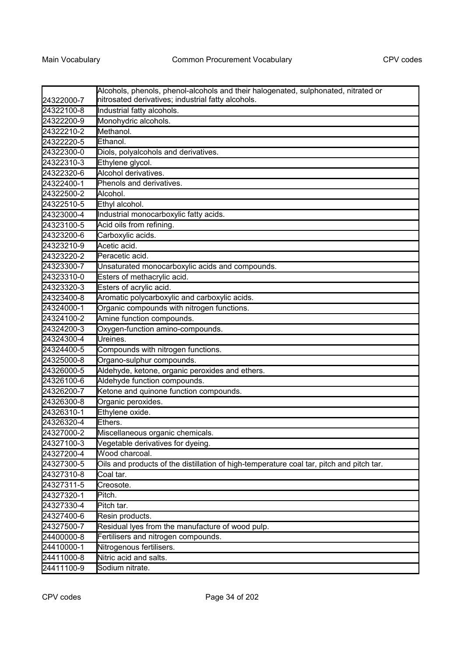| 24322000-7 | Alcohols, phenols, phenol-alcohols and their halogenated, sulphonated, nitrated or<br>nitrosated derivatives; industrial fatty alcohols. |
|------------|------------------------------------------------------------------------------------------------------------------------------------------|
| 24322100-8 | Industrial fatty alcohols.                                                                                                               |
| 24322200-9 | Monohydric alcohols.                                                                                                                     |
| 24322210-2 | Methanol.                                                                                                                                |
| 24322220-5 | Ethanol.                                                                                                                                 |
| 24322300-0 | Diols, polyalcohols and derivatives.                                                                                                     |
| 24322310-3 | Ethylene glycol.                                                                                                                         |
| 24322320-6 | Alcohol derivatives.                                                                                                                     |
| 24322400-1 | Phenols and derivatives.                                                                                                                 |
| 24322500-2 | Alcohol.                                                                                                                                 |
| 24322510-5 | Ethyl alcohol.                                                                                                                           |
| 24323000-4 | Industrial monocarboxylic fatty acids.                                                                                                   |
| 24323100-5 | Acid oils from refining.                                                                                                                 |
| 24323200-6 | Carboxylic acids.                                                                                                                        |
| 24323210-9 | Acetic acid.                                                                                                                             |
| 24323220-2 | Peracetic acid.                                                                                                                          |
| 24323300-7 | Unsaturated monocarboxylic acids and compounds.                                                                                          |
| 24323310-0 | Esters of methacrylic acid.                                                                                                              |
| 24323320-3 | Esters of acrylic acid.                                                                                                                  |
| 24323400-8 | Aromatic polycarboxylic and carboxylic acids.                                                                                            |
| 24324000-1 | Organic compounds with nitrogen functions.                                                                                               |
| 24324100-2 | Amine function compounds.                                                                                                                |
| 24324200-3 | Oxygen-function amino-compounds.                                                                                                         |
| 24324300-4 | Ureines.                                                                                                                                 |
| 24324400-5 | Compounds with nitrogen functions.                                                                                                       |
| 24325000-8 | Organo-sulphur compounds.                                                                                                                |
| 24326000-5 | Aldehyde, ketone, organic peroxides and ethers.                                                                                          |
| 24326100-6 | Aldehyde function compounds.                                                                                                             |
| 24326200-7 | Ketone and quinone function compounds.                                                                                                   |
| 24326300-8 | Organic peroxides.                                                                                                                       |
| 24326310-1 | Ethylene oxide.                                                                                                                          |
| 24326320-4 | Ethers.                                                                                                                                  |
| 24327000-2 | Miscellaneous organic chemicals.                                                                                                         |
| 24327100-3 | Vegetable derivatives for dyeing.                                                                                                        |
| 24327200-4 | Wood charcoal.                                                                                                                           |
| 24327300-5 | Oils and products of the distillation of high-temperature coal tar, pitch and pitch tar.                                                 |
| 24327310-8 | Coal tar.                                                                                                                                |
| 24327311-5 | Creosote.                                                                                                                                |
| 24327320-1 | Pitch.                                                                                                                                   |
| 24327330-4 | Pitch tar.                                                                                                                               |
| 24327400-6 | Resin products.                                                                                                                          |
| 24327500-7 | Residual lyes from the manufacture of wood pulp.                                                                                         |
| 24400000-8 | Fertilisers and nitrogen compounds.                                                                                                      |
| 24410000-1 | Nitrogenous fertilisers.                                                                                                                 |
| 24411000-8 | Nitric acid and salts.                                                                                                                   |
| 24411100-9 | Sodium nitrate.                                                                                                                          |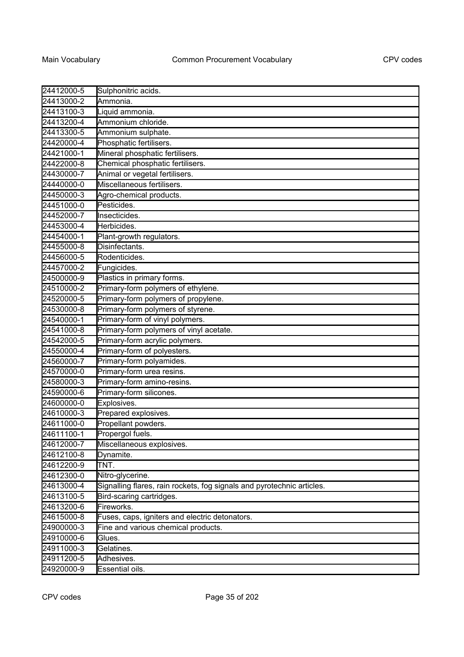| 24412000-5 | Sulphonitric acids.                                                    |
|------------|------------------------------------------------------------------------|
| 24413000-2 | Ammonia.                                                               |
| 24413100-3 | Liquid ammonia.                                                        |
| 24413200-4 | Ammonium chloride.                                                     |
| 24413300-5 | Ammonium sulphate.                                                     |
| 24420000-4 | Phosphatic fertilisers.                                                |
| 24421000-1 | Mineral phosphatic fertilisers.                                        |
| 24422000-8 | Chemical phosphatic fertilisers.                                       |
| 24430000-7 | Animal or vegetal fertilisers.                                         |
| 24440000-0 | Miscellaneous fertilisers.                                             |
| 24450000-3 | Agro-chemical products.                                                |
| 24451000-0 | Pesticides.                                                            |
| 24452000-7 | Insecticides.                                                          |
| 24453000-4 | Herbicides.                                                            |
| 24454000-1 | Plant-growth regulators.                                               |
| 24455000-8 | Disinfectants.                                                         |
| 24456000-5 | Rodenticides.                                                          |
| 24457000-2 | Fungicides.                                                            |
| 24500000-9 | Plastics in primary forms.                                             |
| 24510000-2 | Primary-form polymers of ethylene.                                     |
| 24520000-5 | Primary-form polymers of propylene.                                    |
| 24530000-8 | Primary-form polymers of styrene.                                      |
| 24540000-1 | Primary-form of vinyl polymers.                                        |
| 24541000-8 | Primary-form polymers of vinyl acetate.                                |
| 24542000-5 | Primary-form acrylic polymers.                                         |
| 24550000-4 | Primary-form of polyesters.                                            |
| 24560000-7 | Primary-form polyamides.                                               |
| 24570000-0 | Primary-form urea resins.                                              |
| 24580000-3 | Primary-form amino-resins.                                             |
| 24590000-6 | Primary-form silicones.                                                |
| 24600000-0 | Explosives.                                                            |
| 24610000-3 | Prepared explosives.                                                   |
| 24611000-0 | Propellant powders.                                                    |
| 24611100-1 | Propergol fuels.                                                       |
| 24612000-7 | Miscellaneous explosives.                                              |
| 24612100-8 | Dynamite.                                                              |
| 24612200-9 | TNT.                                                                   |
| 24612300-0 | Nitro-glycerine.                                                       |
| 24613000-4 | Signalling flares, rain rockets, fog signals and pyrotechnic articles. |
| 24613100-5 | Bird-scaring cartridges.                                               |
| 24613200-6 | Fireworks.                                                             |
| 24615000-8 | Fuses, caps, igniters and electric detonators.                         |
| 24900000-3 | Fine and various chemical products.                                    |
| 24910000-6 | Glues.                                                                 |
| 24911000-3 | Gelatines.                                                             |
| 24911200-5 | Adhesives.                                                             |
| 24920000-9 | Essential oils.                                                        |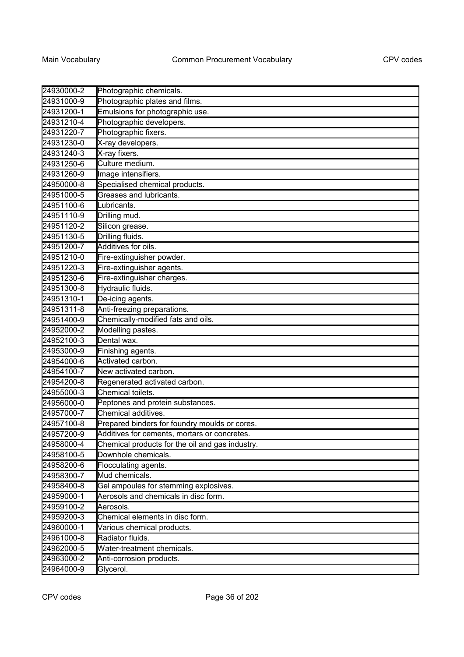| 24930000-2 | Photographic chemicals.                         |
|------------|-------------------------------------------------|
| 24931000-9 | Photographic plates and films.                  |
| 24931200-1 | Emulsions for photographic use.                 |
| 24931210-4 | Photographic developers.                        |
| 24931220-7 | Photographic fixers.                            |
| 24931230-0 | X-ray developers.                               |
| 24931240-3 | X-ray fixers.                                   |
| 24931250-6 | Culture medium.                                 |
| 24931260-9 | Image intensifiers.                             |
| 24950000-8 | Specialised chemical products.                  |
| 24951000-5 | Greases and lubricants.                         |
| 24951100-6 | Lubricants.                                     |
| 24951110-9 | Drilling mud.                                   |
| 24951120-2 | Silicon grease.                                 |
| 24951130-5 | Drilling fluids.                                |
| 24951200-7 | Additives for oils.                             |
| 24951210-0 | Fire-extinguisher powder.                       |
| 24951220-3 | Fire-extinguisher agents.                       |
| 24951230-6 | Fire-extinguisher charges.                      |
| 24951300-8 | Hydraulic fluids.                               |
| 24951310-1 | De-icing agents.                                |
| 24951311-8 | Anti-freezing preparations.                     |
| 24951400-9 | Chemically-modified fats and oils.              |
| 24952000-2 | Modelling pastes.                               |
| 24952100-3 | Dental wax.                                     |
| 24953000-9 | Finishing agents.                               |
| 24954000-6 | Activated carbon.                               |
| 24954100-7 | New activated carbon.                           |
| 24954200-8 | Regenerated activated carbon.                   |
| 24955000-3 | Chemical toilets.                               |
| 24956000-0 | Peptones and protein substances.                |
| 24957000-7 | Chemical additives.                             |
| 24957100-8 | Prepared binders for foundry moulds or cores.   |
| 24957200-9 | Additives for cements, mortars or concretes.    |
| 24958000-4 | Chemical products for the oil and gas industry. |
| 24958100-5 | Downhole chemicals.                             |
| 24958200-6 | Flocculating agents.                            |
| 24958300-7 | Mud chemicals.                                  |
| 24958400-8 | Gel ampoules for stemming explosives.           |
| 24959000-1 | Aerosols and chemicals in disc form.            |
| 24959100-2 | Aerosols.                                       |
| 24959200-3 | Chemical elements in disc form.                 |
| 24960000-1 | Various chemical products.                      |
| 24961000-8 | Radiator fluids.                                |
| 24962000-5 | Water-treatment chemicals.                      |
| 24963000-2 | Anti-corrosion products.                        |
| 24964000-9 | Glycerol.                                       |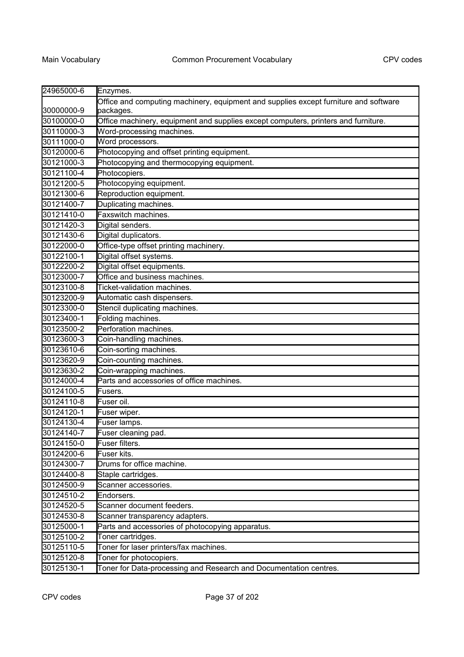| 24965000-6 | Enzymes.                                                                             |
|------------|--------------------------------------------------------------------------------------|
|            | Office and computing machinery, equipment and supplies except furniture and software |
| 30000000-9 | packages.                                                                            |
| 30100000-0 | Office machinery, equipment and supplies except computers, printers and furniture.   |
| 30110000-3 | Word-processing machines.                                                            |
| 30111000-0 | Word processors.                                                                     |
| 30120000-6 | Photocopying and offset printing equipment.                                          |
| 30121000-3 | Photocopying and thermocopying equipment.                                            |
| 30121100-4 | Photocopiers.                                                                        |
| 30121200-5 | Photocopying equipment.                                                              |
| 30121300-6 | Reproduction equipment.                                                              |
| 30121400-7 | Duplicating machines.                                                                |
| 30121410-0 | Faxswitch machines.                                                                  |
| 30121420-3 | Digital senders.                                                                     |
| 30121430-6 | Digital duplicators.                                                                 |
| 30122000-0 | Office-type offset printing machinery.                                               |
| 30122100-1 | Digital offset systems.                                                              |
| 30122200-2 | Digital offset equipments.                                                           |
| 30123000-7 | Office and business machines.                                                        |
| 30123100-8 | Ticket-validation machines.                                                          |
| 30123200-9 | Automatic cash dispensers.                                                           |
| 30123300-0 | Stencil duplicating machines.                                                        |
| 30123400-1 | Folding machines.                                                                    |
| 30123500-2 | Perforation machines.                                                                |
| 30123600-3 | Coin-handling machines.                                                              |
| 30123610-6 | Coin-sorting machines.                                                               |
| 30123620-9 | Coin-counting machines.                                                              |
| 30123630-2 | Coin-wrapping machines.                                                              |
| 30124000-4 | Parts and accessories of office machines.                                            |
| 30124100-5 | Fusers.                                                                              |
| 30124110-8 | Fuser oil.                                                                           |
| 30124120-1 | Fuser wiper.                                                                         |
| 30124130-4 | Fuser lamps.                                                                         |
| 30124140-7 | Fuser cleaning pad.                                                                  |
| 30124150-0 | Fuser filters.                                                                       |
| 30124200-6 | Fuser kits.                                                                          |
| 30124300-7 | Drums for office machine.                                                            |
| 30124400-8 | Staple cartridges.                                                                   |
| 30124500-9 | Scanner accessories.                                                                 |
| 30124510-2 | Endorsers.                                                                           |
| 30124520-5 | Scanner document feeders.                                                            |
| 30124530-8 | Scanner transparency adapters.                                                       |
| 30125000-1 | Parts and accessories of photocopying apparatus.                                     |
| 30125100-2 | Toner cartridges.                                                                    |
| 30125110-5 | Toner for laser printers/fax machines.                                               |
| 30125120-8 | Toner for photocopiers.                                                              |
| 30125130-1 | Toner for Data-processing and Research and Documentation centres.                    |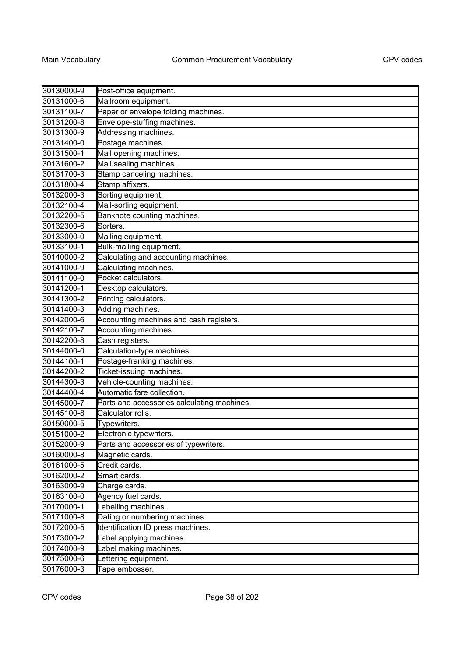| 30130000-9 | Post-office equipment.                      |
|------------|---------------------------------------------|
| 30131000-6 | Mailroom equipment.                         |
| 30131100-7 | Paper or envelope folding machines.         |
| 30131200-8 | Envelope-stuffing machines.                 |
| 30131300-9 | Addressing machines.                        |
| 30131400-0 | Postage machines.                           |
| 30131500-1 | Mail opening machines.                      |
| 30131600-2 | Mail sealing machines.                      |
| 30131700-3 | Stamp canceling machines.                   |
| 30131800-4 | Stamp affixers.                             |
| 30132000-3 | Sorting equipment.                          |
| 30132100-4 | Mail-sorting equipment.                     |
| 30132200-5 | Banknote counting machines.                 |
| 30132300-6 | Sorters.                                    |
| 30133000-0 | Mailing equipment.                          |
| 30133100-1 | Bulk-mailing equipment.                     |
| 30140000-2 | Calculating and accounting machines.        |
| 30141000-9 | Calculating machines.                       |
| 30141100-0 | Pocket calculators.                         |
| 30141200-1 | Desktop calculators.                        |
| 30141300-2 | Printing calculators.                       |
| 30141400-3 | Adding machines.                            |
| 30142000-6 | Accounting machines and cash registers.     |
| 30142100-7 | Accounting machines.                        |
| 30142200-8 | Cash registers.                             |
| 30144000-0 | Calculation-type machines.                  |
| 30144100-1 | Postage-franking machines.                  |
| 30144200-2 | Ticket-issuing machines.                    |
| 30144300-3 | Vehicle-counting machines.                  |
| 30144400-4 | Automatic fare collection.                  |
| 30145000-7 | Parts and accessories calculating machines. |
| 30145100-8 | Calculator rolls.                           |
| 30150000-5 | Typewriters.                                |
| 30151000-2 | Electronic typewriters.                     |
| 30152000-9 | Parts and accessories of typewriters.       |
| 30160000-8 | Magnetic cards.                             |
| 30161000-5 | Credit cards.                               |
| 30162000-2 | Smart cards.                                |
| 30163000-9 | Charge cards.                               |
| 30163100-0 | Agency fuel cards.                          |
| 30170000-1 | Labelling machines.                         |
| 30171000-8 | Dating or numbering machines.               |
| 30172000-5 | Identification ID press machines.           |
| 30173000-2 | Label applying machines.                    |
| 30174000-9 | abel making machines.                       |
| 30175000-6 | Lettering equipment.                        |
| 30176000-3 | Tape embosser.                              |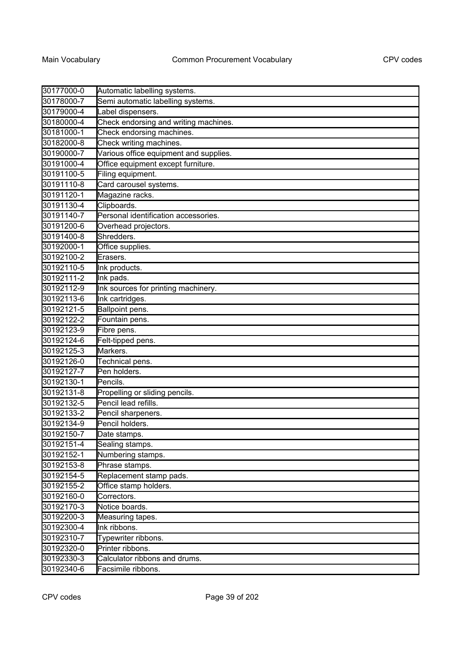| 30177000-0 | Automatic labelling systems.           |
|------------|----------------------------------------|
| 30178000-7 | Semi automatic labelling systems.      |
| 30179000-4 | Label dispensers.                      |
| 30180000-4 | Check endorsing and writing machines.  |
| 30181000-1 | Check endorsing machines.              |
| 30182000-8 | Check writing machines.                |
| 30190000-7 | Various office equipment and supplies. |
| 30191000-4 | Office equipment except furniture.     |
| 30191100-5 | Filing equipment.                      |
| 30191110-8 | Card carousel systems.                 |
| 30191120-1 | Magazine racks.                        |
| 30191130-4 | Clipboards.                            |
| 30191140-7 | Personal identification accessories.   |
| 30191200-6 | Overhead projectors.                   |
| 30191400-8 | Shredders.                             |
| 30192000-1 | Office supplies.                       |
| 30192100-2 | Erasers.                               |
| 30192110-5 | Ink products.                          |
| 30192111-2 | Ink pads.                              |
| 30192112-9 | Ink sources for printing machinery.    |
| 30192113-6 | Ink cartridges.                        |
| 30192121-5 | Ballpoint pens.                        |
| 30192122-2 | Fountain pens.                         |
| 30192123-9 | Fibre pens.                            |
| 30192124-6 | Felt-tipped pens.                      |
| 30192125-3 | Markers.                               |
| 30192126-0 | Technical pens.                        |
| 30192127-7 | Pen holders.                           |
| 30192130-1 | Pencils.                               |
| 30192131-8 | Propelling or sliding pencils.         |
| 30192132-5 | Pencil lead refills.                   |
| 30192133-2 | Pencil sharpeners.                     |
| 30192134-9 | Pencil holders.                        |
| 30192150-7 | Date stamps.                           |
| 30192151-4 | Sealing stamps.                        |
| 30192152-1 | Numbering stamps.                      |
| 30192153-8 | Phrase stamps.                         |
| 30192154-5 | Replacement stamp pads.                |
| 30192155-2 | Office stamp holders.                  |
| 30192160-0 | Correctors.                            |
| 30192170-3 | Notice boards.                         |
| 30192200-3 | Measuring tapes.                       |
| 30192300-4 | Ink ribbons.                           |
| 30192310-7 | Typewriter ribbons.                    |
| 30192320-0 | Printer ribbons.                       |
| 30192330-3 | Calculator ribbons and drums.          |
| 30192340-6 | Facsimile ribbons.                     |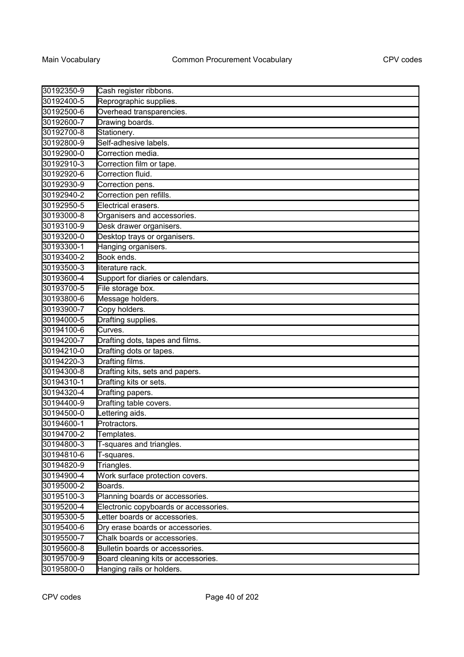| 30192350-9 | Cash register ribbons.                |
|------------|---------------------------------------|
| 30192400-5 | Reprographic supplies.                |
| 30192500-6 | Overhead transparencies.              |
| 30192600-7 | Drawing boards.                       |
| 30192700-8 | Stationery.                           |
| 30192800-9 | Self-adhesive labels.                 |
| 30192900-0 | Correction media.                     |
| 30192910-3 | Correction film or tape.              |
| 30192920-6 | Correction fluid.                     |
| 30192930-9 | Correction pens.                      |
| 30192940-2 | Correction pen refills.               |
| 30192950-5 | Electrical erasers.                   |
| 30193000-8 | Organisers and accessories.           |
| 30193100-9 | Desk drawer organisers.               |
| 30193200-0 | Desktop trays or organisers.          |
| 30193300-1 | Hanging organisers.                   |
| 30193400-2 | Book ends.                            |
| 30193500-3 | literature rack.                      |
| 30193600-4 | Support for diaries or calendars.     |
| 30193700-5 | File storage box.                     |
| 30193800-6 | Message holders.                      |
| 30193900-7 | Copy holders.                         |
| 30194000-5 | Drafting supplies.                    |
| 30194100-6 | Curves.                               |
| 30194200-7 | Drafting dots, tapes and films.       |
| 30194210-0 | Drafting dots or tapes.               |
| 30194220-3 | Drafting films.                       |
| 30194300-8 | Drafting kits, sets and papers.       |
| 30194310-1 | Drafting kits or sets.                |
| 30194320-4 | Drafting papers.                      |
| 30194400-9 | Drafting table covers.                |
| 30194500-0 | Lettering aids.                       |
| 30194600-1 | Protractors.                          |
| 30194700-2 | Templates.                            |
| 30194800-3 | T-squares and triangles.              |
| 30194810-6 | T-squares.                            |
| 30194820-9 | Triangles.                            |
| 30194900-4 | Work surface protection covers.       |
| 30195000-2 | Boards.                               |
| 30195100-3 | Planning boards or accessories.       |
| 30195200-4 | Electronic copyboards or accessories. |
| 30195300-5 | Letter boards or accessories.         |
| 30195400-6 | Dry erase boards or accessories.      |
| 30195500-7 | Chalk boards or accessories.          |
| 30195600-8 | Bulletin boards or accessories.       |
| 30195700-9 | Board cleaning kits or accessories.   |
| 30195800-0 | Hanging rails or holders.             |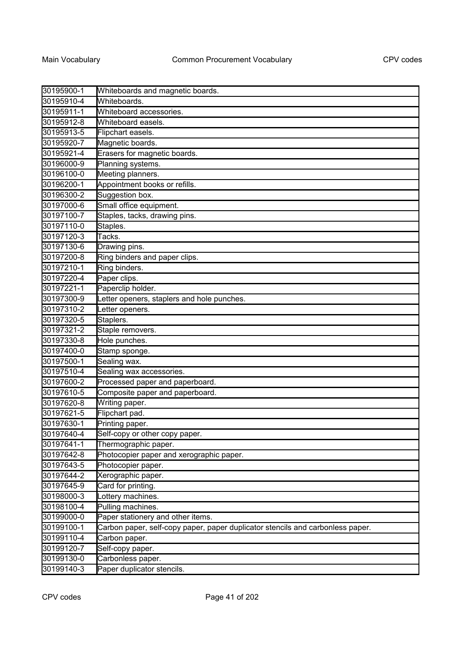| 30195900-1 | Whiteboards and magnetic boards.                                               |
|------------|--------------------------------------------------------------------------------|
| 30195910-4 | Whiteboards.                                                                   |
| 30195911-1 | Whiteboard accessories.                                                        |
| 30195912-8 | Whiteboard easels.                                                             |
| 30195913-5 | Flipchart easels.                                                              |
| 30195920-7 | Magnetic boards.                                                               |
| 30195921-4 | Erasers for magnetic boards.                                                   |
| 30196000-9 | Planning systems.                                                              |
| 30196100-0 | Meeting planners.                                                              |
| 30196200-1 | Appointment books or refills.                                                  |
| 30196300-2 | Suggestion box.                                                                |
| 30197000-6 | Small office equipment.                                                        |
| 30197100-7 | Staples, tacks, drawing pins.                                                  |
| 30197110-0 | Staples.                                                                       |
| 30197120-3 | Tacks.                                                                         |
| 30197130-6 | Drawing pins.                                                                  |
| 30197200-8 | Ring binders and paper clips.                                                  |
| 30197210-1 | Ring binders.                                                                  |
| 30197220-4 | Paper clips.                                                                   |
| 30197221-1 | Paperclip holder.                                                              |
| 30197300-9 | etter openers, staplers and hole punches.                                      |
| 30197310-2 | Letter openers.                                                                |
| 30197320-5 | Staplers.                                                                      |
| 30197321-2 | Staple removers.                                                               |
| 30197330-8 | Hole punches.                                                                  |
| 30197400-0 | Stamp sponge.                                                                  |
| 30197500-1 | Sealing wax.                                                                   |
| 30197510-4 | Sealing wax accessories.                                                       |
| 30197600-2 | Processed paper and paperboard.                                                |
| 30197610-5 | Composite paper and paperboard.                                                |
| 30197620-8 | Writing paper.                                                                 |
| 30197621-5 | Flipchart pad.                                                                 |
| 30197630-1 | Printing paper.                                                                |
| 30197640-4 | Self-copy or other copy paper.                                                 |
| 30197641-1 | Thermographic paper.                                                           |
| 30197642-8 | Photocopier paper and xerographic paper.                                       |
| 30197643-5 | Photocopier paper.                                                             |
| 30197644-2 | Xerographic paper.                                                             |
| 30197645-9 | Card for printing.                                                             |
| 30198000-3 | Lottery machines.                                                              |
| 30198100-4 | Pulling machines.                                                              |
| 30199000-0 | Paper stationery and other items.                                              |
| 30199100-1 | Carbon paper, self-copy paper, paper duplicator stencils and carbonless paper. |
| 30199110-4 | Carbon paper.                                                                  |
| 30199120-7 | Self-copy paper.                                                               |
| 30199130-0 | Carbonless paper.                                                              |
| 30199140-3 | Paper duplicator stencils.                                                     |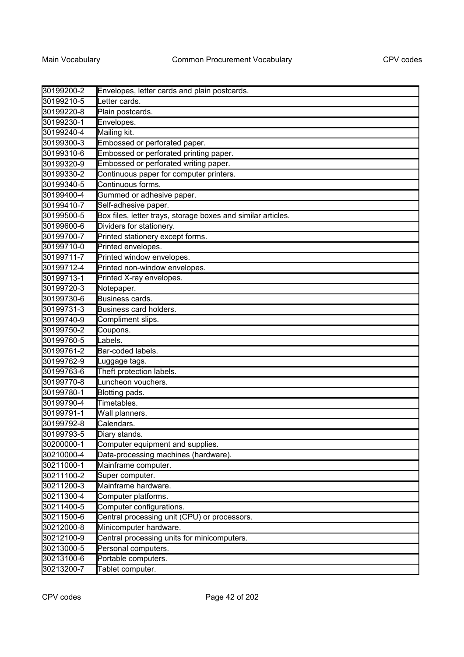| 30199200-2 | Envelopes, letter cards and plain postcards.                 |
|------------|--------------------------------------------------------------|
| 30199210-5 | Letter cards.                                                |
| 30199220-8 | Plain postcards.                                             |
| 30199230-1 | Envelopes.                                                   |
| 30199240-4 | Mailing kit.                                                 |
| 30199300-3 | Embossed or perforated paper.                                |
| 30199310-6 | Embossed or perforated printing paper.                       |
| 30199320-9 | Embossed or perforated writing paper.                        |
| 30199330-2 | Continuous paper for computer printers.                      |
| 30199340-5 | Continuous forms.                                            |
| 30199400-4 | Gummed or adhesive paper.                                    |
| 30199410-7 | Self-adhesive paper.                                         |
| 30199500-5 | Box files, letter trays, storage boxes and similar articles. |
| 30199600-6 | Dividers for stationery.                                     |
| 30199700-7 | Printed stationery except forms.                             |
| 30199710-0 | Printed envelopes.                                           |
| 30199711-7 | Printed window envelopes.                                    |
| 30199712-4 | Printed non-window envelopes.                                |
| 30199713-1 | Printed X-ray envelopes.                                     |
| 30199720-3 | Notepaper.                                                   |
| 30199730-6 | Business cards.                                              |
| 30199731-3 | Business card holders.                                       |
| 30199740-9 | Compliment slips.                                            |
| 30199750-2 | Coupons.                                                     |
| 30199760-5 | Labels.                                                      |
| 30199761-2 | Bar-coded labels.                                            |
| 30199762-9 | Luggage tags.                                                |
| 30199763-6 | Theft protection labels.                                     |
| 30199770-8 | Luncheon vouchers.                                           |
| 30199780-1 | Blotting pads.                                               |
| 30199790-4 | Timetables.                                                  |
| 30199791-1 | Wall planners.                                               |
| 30199792-8 | Calendars.                                                   |
| 30199793-5 | Diary stands.                                                |
| 30200000-1 | Computer equipment and supplies.                             |
| 30210000-4 | Data-processing machines (hardware).                         |
| 30211000-1 | Mainframe computer.                                          |
| 30211100-2 | Super computer.                                              |
| 30211200-3 | Mainframe hardware.                                          |
| 30211300-4 | Computer platforms.                                          |
| 30211400-5 | Computer configurations.                                     |
| 30211500-6 | Central processing unit (CPU) or processors.                 |
| 30212000-8 | Minicomputer hardware.                                       |
| 30212100-9 | Central processing units for minicomputers.                  |
| 30213000-5 | Personal computers.                                          |
| 30213100-6 | Portable computers.                                          |
| 30213200-7 | Tablet computer.                                             |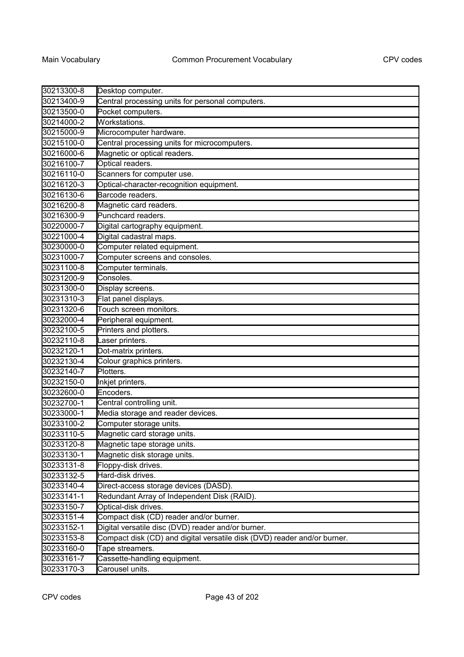| 30213300-8 | Desktop computer.                                                        |
|------------|--------------------------------------------------------------------------|
| 30213400-9 | Central processing units for personal computers.                         |
| 30213500-0 | Pocket computers.                                                        |
| 30214000-2 | Workstations.                                                            |
| 30215000-9 | Microcomputer hardware.                                                  |
| 30215100-0 | Central processing units for microcomputers.                             |
| 30216000-6 | Magnetic or optical readers.                                             |
| 30216100-7 | Optical readers.                                                         |
| 30216110-0 | Scanners for computer use.                                               |
| 30216120-3 | Optical-character-recognition equipment.                                 |
| 30216130-6 | Barcode readers.                                                         |
| 30216200-8 | Magnetic card readers.                                                   |
| 30216300-9 | Punchcard readers.                                                       |
| 30220000-7 | Digital cartography equipment.                                           |
| 30221000-4 | Digital cadastral maps.                                                  |
| 30230000-0 | Computer related equipment.                                              |
| 30231000-7 | Computer screens and consoles.                                           |
| 30231100-8 | Computer terminals.                                                      |
| 30231200-9 | Consoles.                                                                |
| 30231300-0 | Display screens.                                                         |
| 30231310-3 | Flat panel displays.                                                     |
| 30231320-6 | Touch screen monitors.                                                   |
| 30232000-4 | Peripheral equipment.                                                    |
| 30232100-5 | Printers and plotters.                                                   |
| 30232110-8 | Laser printers.                                                          |
| 30232120-1 | Dot-matrix printers.                                                     |
| 30232130-4 | Colour graphics printers.                                                |
| 30232140-7 | Plotters.                                                                |
| 30232150-0 | Inkjet printers.                                                         |
| 30232600-0 | Encoders.                                                                |
| 30232700-1 | Central controlling unit.                                                |
| 30233000-1 | Media storage and reader devices.                                        |
| 30233100-2 | Computer storage units.                                                  |
| 30233110-5 | Magnetic card storage units.                                             |
| 30233120-8 | Magnetic tape storage units.                                             |
| 30233130-1 | Magnetic disk storage units.                                             |
| 30233131-8 | Floppy-disk drives.                                                      |
| 30233132-5 | Hard-disk drives.                                                        |
| 30233140-4 | Direct-access storage devices (DASD).                                    |
| 30233141-1 | Redundant Array of Independent Disk (RAID).                              |
| 30233150-7 | Optical-disk drives.                                                     |
| 30233151-4 | Compact disk (CD) reader and/or burner.                                  |
| 30233152-1 | Digital versatile disc (DVD) reader and/or burner.                       |
| 30233153-8 | Compact disk (CD) and digital versatile disk (DVD) reader and/or burner. |
| 30233160-0 | Tape streamers.                                                          |
| 30233161-7 | Cassette-handling equipment.                                             |
| 30233170-3 | Carousel units.                                                          |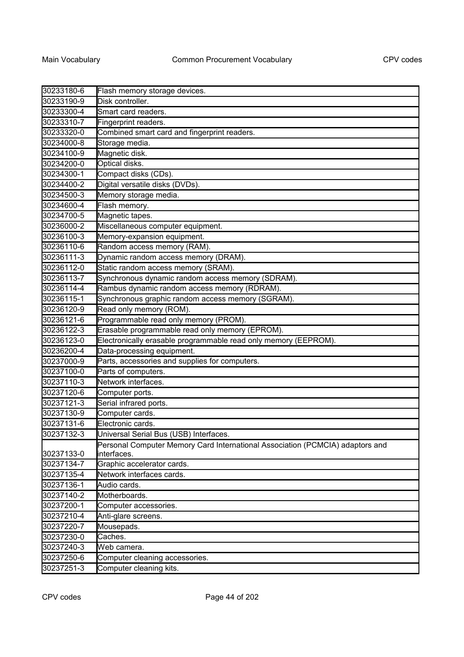| 30233180-6 | Flash memory storage devices.                                                 |
|------------|-------------------------------------------------------------------------------|
| 30233190-9 | Disk controller.                                                              |
| 30233300-4 | Smart card readers.                                                           |
| 30233310-7 | Fingerprint readers.                                                          |
| 30233320-0 | Combined smart card and fingerprint readers.                                  |
| 30234000-8 | Storage media.                                                                |
| 30234100-9 | Magnetic disk.                                                                |
| 30234200-0 | Optical disks.                                                                |
| 30234300-1 | Compact disks (CDs).                                                          |
| 30234400-2 | Digital versatile disks (DVDs).                                               |
| 30234500-3 | Memory storage media.                                                         |
| 30234600-4 | Flash memory.                                                                 |
| 30234700-5 | Magnetic tapes.                                                               |
| 30236000-2 | Miscellaneous computer equipment.                                             |
| 30236100-3 | Memory-expansion equipment.                                                   |
| 30236110-6 | Random access memory (RAM).                                                   |
| 30236111-3 | Dynamic random access memory (DRAM).                                          |
| 30236112-0 | Static random access memory (SRAM).                                           |
| 30236113-7 | Synchronous dynamic random access memory (SDRAM).                             |
| 30236114-4 | Rambus dynamic random access memory (RDRAM).                                  |
| 30236115-1 | Synchronous graphic random access memory (SGRAM).                             |
| 30236120-9 | Read only memory (ROM).                                                       |
| 30236121-6 | Programmable read only memory (PROM).                                         |
| 30236122-3 | Erasable programmable read only memory (EPROM).                               |
| 30236123-0 | Electronically erasable programmable read only memory (EEPROM).               |
| 30236200-4 | Data-processing equipment.                                                    |
| 30237000-9 | Parts, accessories and supplies for computers.                                |
| 30237100-0 | Parts of computers.                                                           |
| 30237110-3 | Network interfaces.                                                           |
| 30237120-6 | Computer ports.                                                               |
| 30237121-3 | Serial infrared ports.                                                        |
| 30237130-9 | Computer cards.                                                               |
| 30237131-6 | Electronic cards.                                                             |
| 30237132-3 | Universal Serial Bus (USB) Interfaces                                         |
|            | Personal Computer Memory Card International Association (PCMCIA) adaptors and |
| 30237133-0 | interfaces.                                                                   |
| 30237134-7 | Graphic accelerator cards.                                                    |
| 30237135-4 | Network interfaces cards.                                                     |
| 30237136-1 | Audio cards.                                                                  |
| 30237140-2 | Motherboards.                                                                 |
| 30237200-1 | Computer accessories.                                                         |
| 30237210-4 | Anti-glare screens.                                                           |
| 30237220-7 | Mousepads.                                                                    |
| 30237230-0 | Caches.                                                                       |
| 30237240-3 | Web camera.                                                                   |
| 30237250-6 | Computer cleaning accessories.                                                |
| 30237251-3 | Computer cleaning kits.                                                       |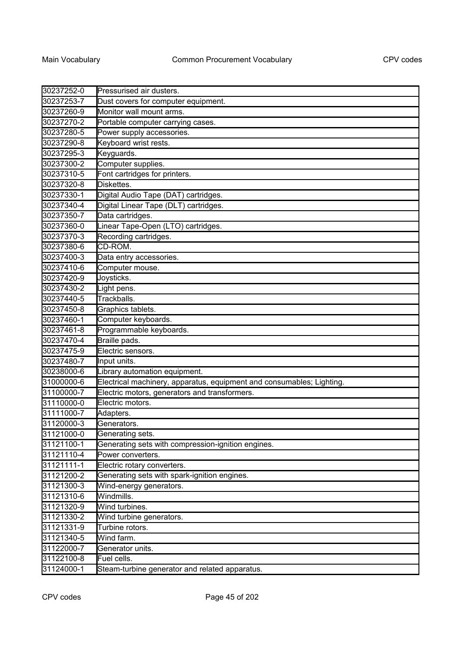| 30237252-0 | Pressurised air dusters.                                              |
|------------|-----------------------------------------------------------------------|
| 30237253-7 | Dust covers for computer equipment.                                   |
| 30237260-9 | Monitor wall mount arms.                                              |
| 30237270-2 | Portable computer carrying cases.                                     |
| 30237280-5 | Power supply accessories.                                             |
| 30237290-8 | Keyboard wrist rests.                                                 |
| 30237295-3 | Keyguards.                                                            |
| 30237300-2 | Computer supplies.                                                    |
| 30237310-5 | Font cartridges for printers.                                         |
| 30237320-8 | Diskettes.                                                            |
| 30237330-1 | Digital Audio Tape (DAT) cartridges.                                  |
| 30237340-4 | Digital Linear Tape (DLT) cartridges.                                 |
| 30237350-7 | Data cartridges.                                                      |
| 30237360-0 | Linear Tape-Open (LTO) cartridges.                                    |
| 30237370-3 | Recording cartridges.                                                 |
| 30237380-6 | CD-ROM.                                                               |
| 30237400-3 | Data entry accessories.                                               |
| 30237410-6 | Computer mouse.                                                       |
| 30237420-9 | Joysticks.                                                            |
| 30237430-2 | Light pens.                                                           |
| 30237440-5 | Trackballs.                                                           |
| 30237450-8 | Graphics tablets.                                                     |
| 30237460-1 | Computer keyboards.                                                   |
| 30237461-8 | Programmable keyboards.                                               |
| 30237470-4 | Braille pads.                                                         |
| 30237475-9 | Electric sensors.                                                     |
| 30237480-7 | Input units.                                                          |
| 30238000-6 | Library automation equipment.                                         |
| 31000000-6 | Electrical machinery, apparatus, equipment and consumables; Lighting. |
| 31100000-7 | Electric motors, generators and transformers.                         |
| 31110000-0 | Electric motors.                                                      |
| 31111000-7 | Adapters.                                                             |
| 31120000-3 | Generators.                                                           |
| 31121000-0 | Generating sets.                                                      |
| 31121100-1 | Generating sets with compression-ignition engines.                    |
| 31121110-4 | Power converters.                                                     |
| 31121111-1 | Electric rotary converters.                                           |
| 31121200-2 | Generating sets with spark-ignition engines.                          |
| 31121300-3 | Wind-energy generators.                                               |
| 31121310-6 | Windmills.                                                            |
| 31121320-9 | Wind turbines.                                                        |
| 31121330-2 | Wind turbine generators.                                              |
| 31121331-9 | Turbine rotors.                                                       |
| 31121340-5 | Wind farm.                                                            |
| 31122000-7 | Generator units.                                                      |
| 31122100-8 | Fuel cells.                                                           |
| 31124000-1 | Steam-turbine generator and related apparatus.                        |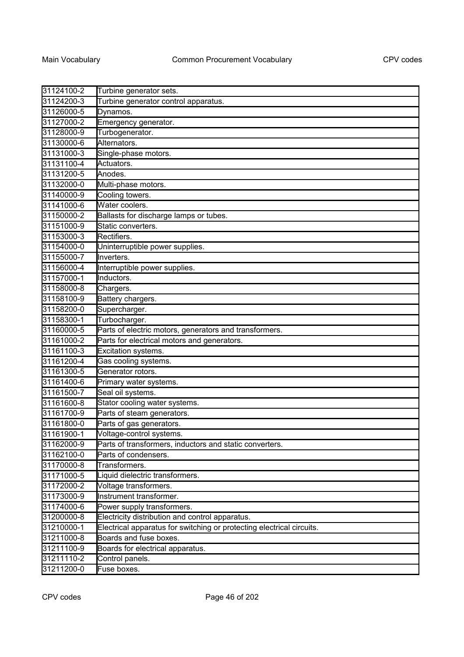| 31124100-2 | Turbine generator sets.                                               |
|------------|-----------------------------------------------------------------------|
| 31124200-3 | Turbine generator control apparatus.                                  |
| 31126000-5 | Dynamos.                                                              |
| 31127000-2 | Emergency generator.                                                  |
| 31128000-9 | Turbogenerator.                                                       |
| 31130000-6 | Alternators.                                                          |
| 31131000-3 | Single-phase motors.                                                  |
| 31131100-4 | Actuators.                                                            |
| 31131200-5 | Anodes.                                                               |
| 31132000-0 | Multi-phase motors.                                                   |
| 31140000-9 | Cooling towers.                                                       |
| 31141000-6 | Water coolers.                                                        |
| 31150000-2 | Ballasts for discharge lamps or tubes.                                |
| 31151000-9 | Static converters.                                                    |
| 31153000-3 | Rectifiers.                                                           |
| 31154000-0 | Uninterruptible power supplies.                                       |
| 31155000-7 | Inverters.                                                            |
| 31156000-4 | Interruptible power supplies.                                         |
| 31157000-1 | Inductors.                                                            |
| 31158000-8 | Chargers.                                                             |
| 31158100-9 | Battery chargers.                                                     |
| 31158200-0 | Supercharger.                                                         |
| 31158300-1 | Turbocharger.                                                         |
| 31160000-5 | Parts of electric motors, generators and transformers.                |
| 31161000-2 | Parts for electrical motors and generators.                           |
| 31161100-3 | Excitation systems.                                                   |
| 31161200-4 | Gas cooling systems.                                                  |
| 31161300-5 | Generator rotors.                                                     |
| 31161400-6 | Primary water systems.                                                |
| 31161500-7 | Seal oil systems.                                                     |
| 31161600-8 | Stator cooling water systems.                                         |
| 31161700-9 | Parts of steam generators.                                            |
| 31161800-0 | Parts of gas generators.                                              |
| 31161900-1 | Voltage-control systems.                                              |
| 31162000-9 | Parts of transformers, inductors and static converters.               |
| 31162100-0 | Parts of condensers.                                                  |
| 31170000-8 | Transformers.                                                         |
| 31171000-5 | Liquid dielectric transformers.                                       |
| 31172000-2 | Voltage transformers.                                                 |
| 31173000-9 | Instrument transformer.                                               |
| 31174000-6 | Power supply transformers.                                            |
| 31200000-8 | Electricity distribution and control apparatus.                       |
| 31210000-1 | Electrical apparatus for switching or protecting electrical circuits. |
| 31211000-8 | Boards and fuse boxes.                                                |
| 31211100-9 | Boards for electrical apparatus.                                      |
| 31211110-2 | Control panels.                                                       |
| 31211200-0 | Fuse boxes.                                                           |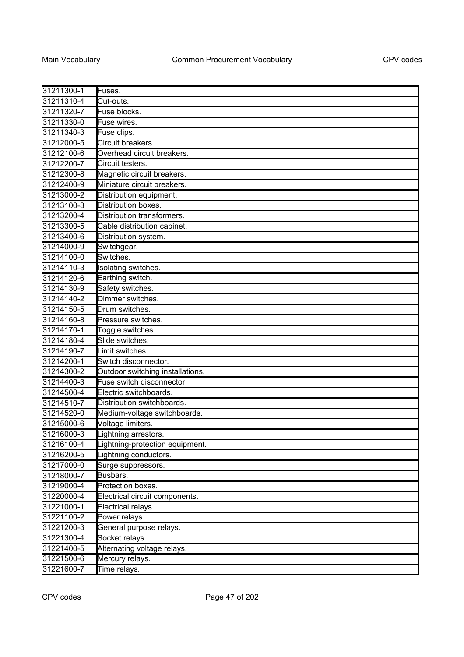| 31211300-1 |                                  |
|------------|----------------------------------|
|            | Fuses.                           |
| 31211310-4 | Cut-outs.                        |
| 31211320-7 | Fuse blocks.                     |
| 31211330-0 | Fuse wires.                      |
| 31211340-3 | Fuse clips.                      |
| 31212000-5 | Circuit breakers.                |
| 31212100-6 | Overhead circuit breakers.       |
| 31212200-7 | Circuit testers.                 |
| 31212300-8 | Magnetic circuit breakers.       |
| 31212400-9 | Miniature circuit breakers.      |
| 31213000-2 | Distribution equipment.          |
| 31213100-3 | Distribution boxes.              |
| 31213200-4 | Distribution transformers.       |
| 31213300-5 | Cable distribution cabinet.      |
| 31213400-6 | Distribution system.             |
| 31214000-9 | Switchgear.                      |
| 31214100-0 | Switches.                        |
| 31214110-3 | Isolating switches.              |
| 31214120-6 | Earthing switch.                 |
| 31214130-9 | Safety switches.                 |
| 31214140-2 | Dimmer switches.                 |
| 31214150-5 | Drum switches.                   |
| 31214160-8 | Pressure switches.               |
| 31214170-1 | Toggle switches.                 |
| 31214180-4 | Slide switches.                  |
| 31214190-7 | Limit switches.                  |
| 31214200-1 | Switch disconnector.             |
| 31214300-2 | Outdoor switching installations. |
| 31214400-3 | Fuse switch disconnector.        |
| 31214500-4 | Electric switchboards.           |
| 31214510-7 | Distribution switchboards.       |
| 31214520-0 | Medium-voltage switchboards.     |
| 31215000-6 | Voltage limiters.                |
| 31216000-3 | Lightning arrestors.             |
| 31216100-4 | Lightning-protection equipment.  |
| 31216200-5 | Lightning conductors.            |
| 31217000-0 | Surge suppressors.               |
| 31218000-7 | Busbars.                         |
| 31219000-4 | Protection boxes.                |
| 31220000-4 | Electrical circuit components.   |
| 31221000-1 | Electrical relays.               |
| 31221100-2 | Power relays.                    |
| 31221200-3 | General purpose relays.          |
| 31221300-4 | Socket relays.                   |
| 31221400-5 | Alternating voltage relays.      |
| 31221500-6 | Mercury relays.                  |
| 31221600-7 | Time relays.                     |
|            |                                  |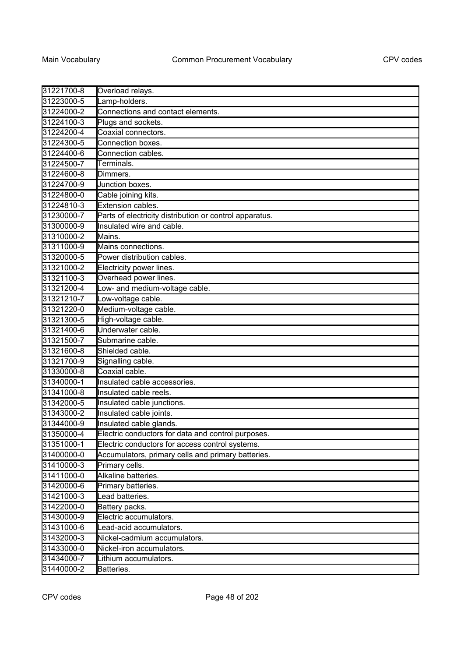| 31221700-8 | Overload relays.                                        |
|------------|---------------------------------------------------------|
| 31223000-5 | Lamp-holders.                                           |
| 31224000-2 | Connections and contact elements.                       |
| 31224100-3 | Plugs and sockets.                                      |
| 31224200-4 | Coaxial connectors.                                     |
| 31224300-5 | Connection boxes.                                       |
| 31224400-6 | Connection cables.                                      |
| 31224500-7 | Terminals.                                              |
| 31224600-8 | Dimmers.                                                |
| 31224700-9 | Junction boxes.                                         |
| 31224800-0 | Cable joining kits.                                     |
| 31224810-3 | Extension cables.                                       |
| 31230000-7 | Parts of electricity distribution or control apparatus. |
| 31300000-9 | Insulated wire and cable.                               |
| 31310000-2 | Mains.                                                  |
| 31311000-9 | Mains connections.                                      |
| 31320000-5 | Power distribution cables.                              |
| 31321000-2 | Electricity power lines.                                |
| 31321100-3 | Overhead power lines.                                   |
| 31321200-4 | Low- and medium-voltage cable.                          |
| 31321210-7 | Low-voltage cable.                                      |
| 31321220-0 | Medium-voltage cable.                                   |
| 31321300-5 | High-voltage cable.                                     |
| 31321400-6 | Underwater cable.                                       |
| 31321500-7 | Submarine cable.                                        |
| 31321600-8 | Shielded cable.                                         |
| 31321700-9 | Signalling cable.                                       |
| 31330000-8 | Coaxial cable.                                          |
| 31340000-1 | Insulated cable accessories.                            |
| 31341000-8 | Insulated cable reels.                                  |
| 31342000-5 | Insulated cable junctions.                              |
| 31343000-2 | Insulated cable joints.                                 |
| 31344000-9 | Insulated cable glands.                                 |
| 31350000-4 | Electric conductors for data and control purposes.      |
| 31351000-1 | Electric conductors for access control systems.         |
| 31400000-0 | Accumulators, primary cells and primary batteries.      |
| 31410000-3 | Primary cells.                                          |
| 31411000-0 | Alkaline batteries.                                     |
| 31420000-6 | Primary batteries.                                      |
| 31421000-3 | Lead batteries.                                         |
| 31422000-0 | Battery packs.                                          |
| 31430000-9 | Electric accumulators.                                  |
| 31431000-6 | Lead-acid accumulators.                                 |
| 31432000-3 | Nickel-cadmium accumulators.                            |
| 31433000-0 | Nickel-iron accumulators.                               |
| 31434000-7 | Lithium accumulators.                                   |
| 31440000-2 | Batteries.                                              |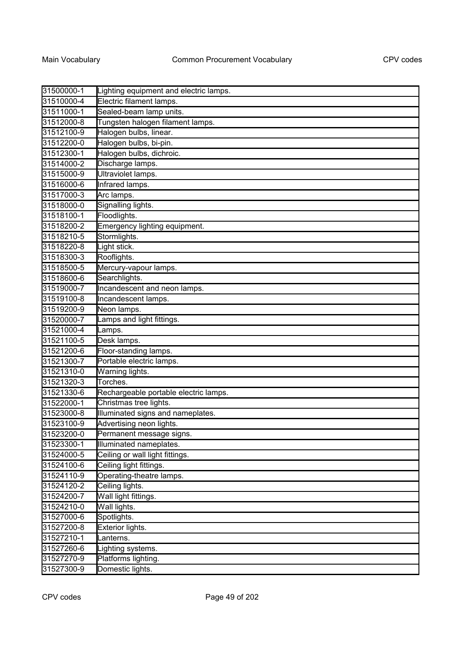| 31500000-1 | Lighting equipment and electric lamps. |
|------------|----------------------------------------|
| 31510000-4 | Electric filament lamps.               |
| 31511000-1 | Sealed-beam lamp units.                |
| 31512000-8 | Tungsten halogen filament lamps.       |
| 31512100-9 | Halogen bulbs, linear.                 |
| 31512200-0 | Halogen bulbs, bi-pin.                 |
| 31512300-1 | Halogen bulbs, dichroic.               |
| 31514000-2 | Discharge lamps.                       |
| 31515000-9 | Ultraviolet lamps.                     |
| 31516000-6 | Infrared lamps.                        |
| 31517000-3 | Arc lamps.                             |
| 31518000-0 | Signalling lights.                     |
| 31518100-1 | Floodlights.                           |
| 31518200-2 | Emergency lighting equipment.          |
| 31518210-5 | Stormlights.                           |
| 31518220-8 | Light stick.                           |
| 31518300-3 | Rooflights.                            |
| 31518500-5 | Mercury-vapour lamps.                  |
| 31518600-6 | Searchlights.                          |
| 31519000-7 | Incandescent and neon lamps.           |
| 31519100-8 | Incandescent lamps.                    |
| 31519200-9 | Neon lamps.                            |
| 31520000-7 | Lamps and light fittings.              |
| 31521000-4 | Lamps.                                 |
| 31521100-5 | Desk lamps.                            |
| 31521200-6 | Floor-standing lamps.                  |
| 31521300-7 | Portable electric lamps.               |
| 31521310-0 | Warning lights.                        |
| 31521320-3 | Torches.                               |
| 31521330-6 | Rechargeable portable electric lamps.  |
| 31522000-1 | Christmas tree lights.                 |
| 31523000-8 | Illuminated signs and nameplates.      |
| 31523100-9 | Advertising neon lights.               |
| 31523200-0 | Permanent message signs.               |
| 31523300-1 | Illuminated nameplates.                |
| 31524000-5 | Ceiling or wall light fittings.        |
| 31524100-6 | Ceiling light fittings.                |
| 31524110-9 | Operating-theatre lamps.               |
| 31524120-2 | Ceiling lights.                        |
| 31524200-7 | Wall light fittings.                   |
| 31524210-0 | Wall lights.                           |
| 31527000-6 | Spotlights.                            |
| 31527200-8 | Exterior lights.                       |
| 31527210-1 | Lanterns.                              |
| 31527260-6 | Lighting systems.                      |
| 31527270-9 | Platforms lighting.                    |
| 31527300-9 | Domestic lights.                       |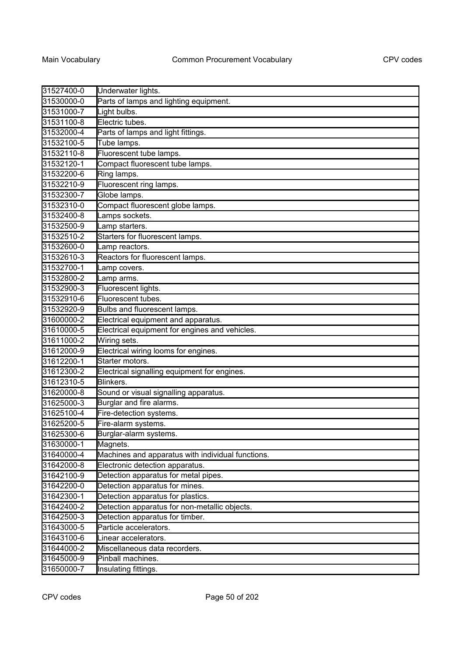| 31527400-0 | Underwater lights.                                |
|------------|---------------------------------------------------|
| 31530000-0 | Parts of lamps and lighting equipment.            |
| 31531000-7 | Light bulbs.                                      |
| 31531100-8 | Electric tubes.                                   |
| 31532000-4 | Parts of lamps and light fittings.                |
| 31532100-5 | Tube lamps.                                       |
| 31532110-8 | Fluorescent tube lamps.                           |
| 31532120-1 | Compact fluorescent tube lamps.                   |
| 31532200-6 | Ring lamps.                                       |
| 31532210-9 | Fluorescent ring lamps.                           |
| 31532300-7 | Globe lamps.                                      |
| 31532310-0 | Compact fluorescent globe lamps.                  |
| 31532400-8 | Lamps sockets.                                    |
| 31532500-9 | Lamp starters.                                    |
| 31532510-2 | Starters for fluorescent lamps.                   |
| 31532600-0 | Lamp reactors.                                    |
| 31532610-3 | Reactors for fluorescent lamps.                   |
| 31532700-1 | Lamp covers.                                      |
| 31532800-2 | Lamp arms.                                        |
| 31532900-3 | Fluorescent lights.                               |
| 31532910-6 | Fluorescent tubes.                                |
| 31532920-9 | <b>Bulbs and fluorescent lamps.</b>               |
| 31600000-2 | Electrical equipment and apparatus.               |
| 31610000-5 | Electrical equipment for engines and vehicles.    |
| 31611000-2 | Wiring sets.                                      |
| 31612000-9 | Electrical wiring looms for engines.              |
| 31612200-1 | Starter motors.                                   |
| 31612300-2 | Electrical signalling equipment for engines.      |
| 31612310-5 | Blinkers.                                         |
| 31620000-8 | Sound or visual signalling apparatus.             |
| 31625000-3 | Burglar and fire alarms.                          |
| 31625100-4 | Fire-detection systems.                           |
| 31625200-5 | Fire-alarm systems.                               |
| 31625300-6 | Burglar-alarm systems.                            |
| 31630000-1 | Magnets.                                          |
| 31640000-4 | Machines and apparatus with individual functions. |
| 31642000-8 | Electronic detection apparatus.                   |
| 31642100-9 | Detection apparatus for metal pipes.              |
| 31642200-0 | Detection apparatus for mines.                    |
| 31642300-1 | Detection apparatus for plastics.                 |
| 31642400-2 | Detection apparatus for non-metallic objects.     |
| 31642500-3 | Detection apparatus for timber.                   |
| 31643000-5 | Particle accelerators.                            |
| 31643100-6 | Linear accelerators.                              |
| 31644000-2 | Miscellaneous data recorders.                     |
| 31645000-9 | Pinball machines.                                 |
| 31650000-7 | Insulating fittings.                              |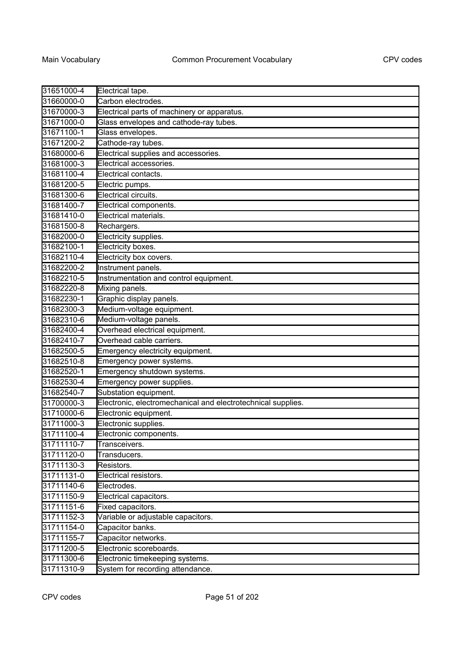| 31651000-4 | Electrical tape.                                             |
|------------|--------------------------------------------------------------|
| 31660000-0 | Carbon electrodes.                                           |
| 31670000-3 | Electrical parts of machinery or apparatus.                  |
| 31671000-0 | Glass envelopes and cathode-ray tubes.                       |
| 31671100-1 | Glass envelopes.                                             |
| 31671200-2 | Cathode-ray tubes.                                           |
| 31680000-6 | Electrical supplies and accessories.                         |
| 31681000-3 | Electrical accessories.                                      |
| 31681100-4 | Electrical contacts.                                         |
| 31681200-5 | Electric pumps.                                              |
| 31681300-6 | Electrical circuits.                                         |
| 31681400-7 | Electrical components.                                       |
| 31681410-0 | Electrical materials.                                        |
| 31681500-8 | Rechargers.                                                  |
| 31682000-0 | Electricity supplies.                                        |
| 31682100-1 | Electricity boxes.                                           |
| 31682110-4 | Electricity box covers.                                      |
| 31682200-2 | Instrument panels.                                           |
| 31682210-5 | Instrumentation and control equipment.                       |
| 31682220-8 | Mixing panels.                                               |
| 31682230-1 | Graphic display panels.                                      |
| 31682300-3 | Medium-voltage equipment.                                    |
| 31682310-6 | Medium-voltage panels.                                       |
| 31682400-4 | Overhead electrical equipment.                               |
| 31682410-7 | Overhead cable carriers.                                     |
| 31682500-5 | Emergency electricity equipment.                             |
| 31682510-8 | Emergency power systems.                                     |
| 31682520-1 | Emergency shutdown systems.                                  |
| 31682530-4 | Emergency power supplies.                                    |
| 31682540-7 | Substation equipment.                                        |
| 31700000-3 | Electronic, electromechanical and electrotechnical supplies. |
| 31710000-6 | Electronic equipment.                                        |
| 31711000-3 | Electronic supplies.                                         |
| 31711100-4 | Electronic components.                                       |
| 31711110-7 | Transceivers.                                                |
| 31711120-0 | Transducers.                                                 |
| 31711130-3 | Resistors.                                                   |
| 31711131-0 | Electrical resistors.                                        |
| 31711140-6 | Electrodes.                                                  |
| 31711150-9 | Electrical capacitors.                                       |
| 31711151-6 | Fixed capacitors.                                            |
| 31711152-3 | Variable or adjustable capacitors.                           |
| 31711154-0 | Capacitor banks.                                             |
| 31711155-7 | Capacitor networks.                                          |
| 31711200-5 | Electronic scoreboards.                                      |
| 31711300-6 | Electronic timekeeping systems.                              |
| 31711310-9 | System for recording attendance.                             |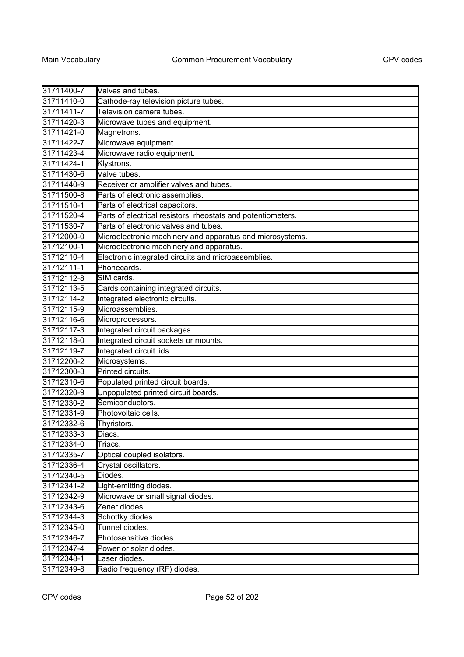| 31711400-7 | Valves and tubes.                                            |
|------------|--------------------------------------------------------------|
| 31711410-0 | Cathode-ray television picture tubes.                        |
| 31711411-7 | Television camera tubes.                                     |
| 31711420-3 | Microwave tubes and equipment.                               |
| 31711421-0 | Magnetrons.                                                  |
| 31711422-7 | Microwave equipment.                                         |
| 31711423-4 | Microwave radio equipment.                                   |
| 31711424-1 | Klystrons.                                                   |
| 31711430-6 | Valve tubes.                                                 |
| 31711440-9 | Receiver or amplifier valves and tubes.                      |
| 31711500-8 | Parts of electronic assemblies.                              |
| 31711510-1 | Parts of electrical capacitors.                              |
| 31711520-4 | Parts of electrical resistors, rheostats and potentiometers. |
| 31711530-7 | Parts of electronic valves and tubes.                        |
| 31712000-0 | Microelectronic machinery and apparatus and microsystems.    |
| 31712100-1 | Microelectronic machinery and apparatus.                     |
| 31712110-4 | Electronic integrated circuits and microassemblies.          |
| 31712111-1 | Phonecards.                                                  |
| 31712112-8 | SIM cards.                                                   |
| 31712113-5 | Cards containing integrated circuits.                        |
| 31712114-2 | Integrated electronic circuits.                              |
| 31712115-9 | Microassemblies.                                             |
| 31712116-6 | Microprocessors.                                             |
| 31712117-3 | Integrated circuit packages.                                 |
| 31712118-0 | Integrated circuit sockets or mounts.                        |
| 31712119-7 | Integrated circuit lids.                                     |
| 31712200-2 | Microsystems.                                                |
| 31712300-3 | Printed circuits.                                            |
| 31712310-6 | Populated printed circuit boards.                            |
| 31712320-9 | Unpopulated printed circuit boards.                          |
| 31712330-2 | Semiconductors.                                              |
| 31712331-9 | Photovoltaic cells.                                          |
| 31712332-6 | Thyristors.                                                  |
| 31712333-3 | Diacs.                                                       |
| 31712334-0 | Triacs.                                                      |
| 31712335-7 | Optical coupled isolators.                                   |
| 31712336-4 | Crystal oscillators.                                         |
| 31712340-5 | Diodes.                                                      |
| 31712341-2 | Light-emitting diodes.                                       |
| 31712342-9 | Microwave or small signal diodes.                            |
| 31712343-6 | Zener diodes.                                                |
| 31712344-3 | Schottky diodes.                                             |
| 31712345-0 | Tunnel diodes.                                               |
| 31712346-7 | Photosensitive diodes.                                       |
| 31712347-4 | Power or solar diodes.                                       |
| 31712348-1 | Laser diodes.                                                |
| 31712349-8 | Radio frequency (RF) diodes.                                 |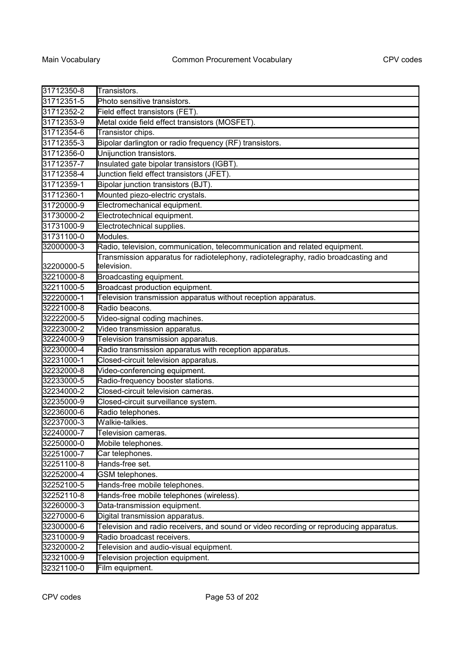| 31712350-8 | Transistors.                                                                                      |
|------------|---------------------------------------------------------------------------------------------------|
| 31712351-5 | Photo sensitive transistors.                                                                      |
| 31712352-2 | Field effect transistors (FET).                                                                   |
| 31712353-9 | Metal oxide field effect transistors (MOSFET).                                                    |
| 31712354-6 | Transistor chips.                                                                                 |
| 31712355-3 | Bipolar darlington or radio frequency (RF) transistors.                                           |
| 31712356-0 | Unijunction transistors.                                                                          |
| 31712357-7 | Insulated gate bipolar transistors (IGBT).                                                        |
| 31712358-4 | Junction field effect transistors (JFET).                                                         |
| 31712359-1 | Bipolar junction transistors (BJT).                                                               |
| 31712360-1 | Mounted piezo-electric crystals.                                                                  |
| 31720000-9 | Electromechanical equipment.                                                                      |
| 31730000-2 | Electrotechnical equipment.                                                                       |
| 31731000-9 | Electrotechnical supplies.                                                                        |
| 31731100-0 | Modules.                                                                                          |
| 32000000-3 | Radio, television, communication, telecommunication and related equipment.                        |
| 32200000-5 | Transmission apparatus for radiotelephony, radiotelegraphy, radio broadcasting and<br>television. |
| 32210000-8 | Broadcasting equipment.                                                                           |
| 32211000-5 | Broadcast production equipment.                                                                   |
| 32220000-1 | Television transmission apparatus without reception apparatus.                                    |
| 32221000-8 | Radio beacons.                                                                                    |
| 32222000-5 | Video-signal coding machines.                                                                     |
| 32223000-2 | Video transmission apparatus.                                                                     |
| 32224000-9 | Television transmission apparatus.                                                                |
| 32230000-4 | Radio transmission apparatus with reception apparatus.                                            |
| 32231000-1 | Closed-circuit television apparatus.                                                              |
| 32232000-8 | Video-conferencing equipment.                                                                     |
| 32233000-5 | Radio-frequency booster stations.                                                                 |
| 32234000-2 | Closed-circuit television cameras.                                                                |
| 32235000-9 | Closed-circuit surveillance system.                                                               |
| 32236000-6 | Radio telephones.                                                                                 |
| 32237000-3 | Walkie-talkies.                                                                                   |
| 32240000-7 | Television cameras                                                                                |
| 32250000-0 | Mobile telephones.                                                                                |
| 32251000-7 | Car telephones.                                                                                   |
| 32251100-8 | Hands-free set.                                                                                   |
| 32252000-4 | GSM telephones.                                                                                   |
| 32252100-5 | Hands-free mobile telephones.                                                                     |
| 32252110-8 | Hands-free mobile telephones (wireless).                                                          |
| 32260000-3 | Data-transmission equipment.                                                                      |
| 32270000-6 | Digital transmission apparatus.                                                                   |
| 32300000-6 | Television and radio receivers, and sound or video recording or reproducing apparatus.            |
| 32310000-9 | Radio broadcast receivers.                                                                        |
| 32320000-2 | Television and audio-visual equipment.                                                            |
| 32321000-9 | Television projection equipment.                                                                  |
| 32321100-0 | Film equipment.                                                                                   |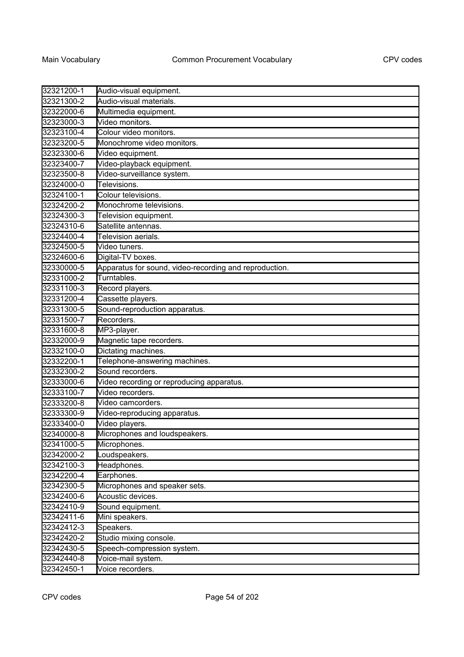| 32321200-1 | Audio-visual equipment.                                |
|------------|--------------------------------------------------------|
| 32321300-2 | Audio-visual materials.                                |
| 32322000-6 | Multimedia equipment.                                  |
| 32323000-3 | Video monitors.                                        |
| 32323100-4 | Colour video monitors.                                 |
| 32323200-5 | Monochrome video monitors.                             |
| 32323300-6 | Video equipment.                                       |
| 32323400-7 | Video-playback equipment.                              |
| 32323500-8 | Video-surveillance system.                             |
| 32324000-0 | Televisions.                                           |
| 32324100-1 | Colour televisions.                                    |
| 32324200-2 | Monochrome televisions.                                |
| 32324300-3 | Television equipment.                                  |
| 32324310-6 | Satellite antennas.                                    |
| 32324400-4 | Television aerials.                                    |
| 32324500-5 | Video tuners.                                          |
| 32324600-6 | Digital-TV boxes.                                      |
| 32330000-5 | Apparatus for sound, video-recording and reproduction. |
| 32331000-2 | Turntables.                                            |
| 32331100-3 | Record players.                                        |
| 32331200-4 | Cassette players.                                      |
| 32331300-5 | Sound-reproduction apparatus.                          |
| 32331500-7 | Recorders.                                             |
| 32331600-8 | MP3-player.                                            |
| 32332000-9 | Magnetic tape recorders.                               |
| 32332100-0 | Dictating machines.                                    |
| 32332200-1 | Telephone-answering machines.                          |
| 32332300-2 | Sound recorders.                                       |
| 32333000-6 | Video recording or reproducing apparatus.              |
| 32333100-7 | Video recorders.                                       |
| 32333200-8 | Video camcorders.                                      |
| 32333300-9 | Video-reproducing apparatus.                           |
| 32333400-0 | Video players.                                         |
| 32340000-8 | Microphones and loudspeakers.                          |
| 32341000-5 | Microphones.                                           |
| 32342000-2 | _oudspeakers.                                          |
| 32342100-3 | Headphones.                                            |
| 32342200-4 | Earphones.                                             |
| 32342300-5 | Microphones and speaker sets.                          |
| 32342400-6 | Acoustic devices.                                      |
| 32342410-9 | Sound equipment.                                       |
| 32342411-6 | Mini speakers.                                         |
| 32342412-3 | Speakers.                                              |
| 32342420-2 | Studio mixing console.                                 |
| 32342430-5 | Speech-compression system.                             |
| 32342440-8 | Voice-mail system.                                     |
| 32342450-1 | Voice recorders.                                       |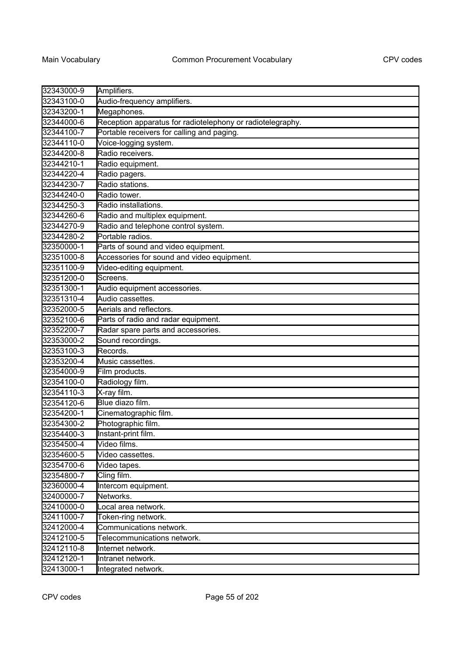| 32343000-9 | Amplifiers.                                                |
|------------|------------------------------------------------------------|
| 32343100-0 | Audio-frequency amplifiers.                                |
| 32343200-1 | Megaphones.                                                |
| 32344000-6 | Reception apparatus for radiotelephony or radiotelegraphy. |
| 32344100-7 | Portable receivers for calling and paging.                 |
| 32344110-0 | Voice-logging system.                                      |
| 32344200-8 | Radio receivers.                                           |
| 32344210-1 | Radio equipment.                                           |
| 32344220-4 | Radio pagers.                                              |
| 32344230-7 | Radio stations.                                            |
| 32344240-0 | Radio tower.                                               |
| 32344250-3 | Radio installations.                                       |
| 32344260-6 | Radio and multiplex equipment.                             |
| 32344270-9 | Radio and telephone control system.                        |
| 32344280-2 | Portable radios.                                           |
| 32350000-1 | Parts of sound and video equipment.                        |
| 32351000-8 | Accessories for sound and video equipment.                 |
| 32351100-9 | Video-editing equipment.                                   |
| 32351200-0 | Screens.                                                   |
| 32351300-1 | Audio equipment accessories.                               |
| 32351310-4 | Audio cassettes.                                           |
| 32352000-5 | Aerials and reflectors.                                    |
| 32352100-6 | Parts of radio and radar equipment.                        |
| 32352200-7 | Radar spare parts and accessories.                         |
| 32353000-2 | Sound recordings.                                          |
| 32353100-3 | Records.                                                   |
| 32353200-4 | Music cassettes.                                           |
| 32354000-9 | Film products.                                             |
| 32354100-0 | Radiology film.                                            |
| 32354110-3 | X-ray film.                                                |
| 32354120-6 | Blue diazo film.                                           |
| 32354200-1 | Cinematographic film.                                      |
| 32354300-2 | Photographic film.                                         |
| 32354400-3 | Instant-print film.                                        |
| 32354500-4 | Video films.                                               |
| 32354600-5 | Video cassettes.                                           |
| 32354700-6 | Video tapes.                                               |
| 32354800-7 | Cling film.                                                |
| 32360000-4 | Intercom equipment.                                        |
| 32400000-7 | Networks.                                                  |
| 32410000-0 | Local area network.                                        |
| 32411000-7 | Token-ring network.                                        |
| 32412000-4 | Communications network.                                    |
| 32412100-5 | Telecommunications network.                                |
| 32412110-8 | Internet network.                                          |
| 32412120-1 | Intranet network.                                          |
| 32413000-1 | Integrated network.                                        |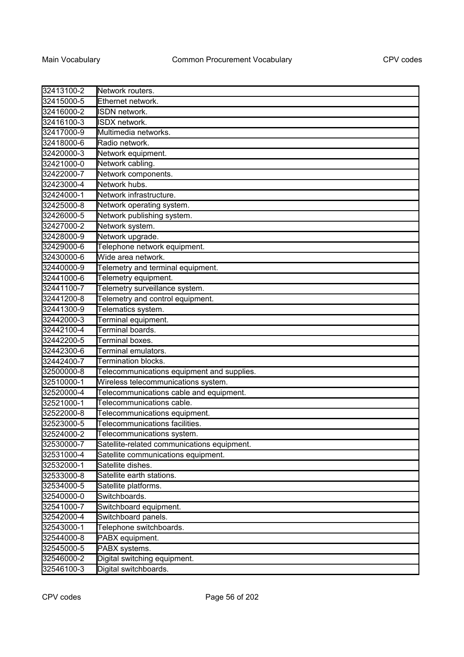| 32413100-2 | Network routers.                            |
|------------|---------------------------------------------|
| 32415000-5 | Ethernet network.                           |
| 32416000-2 | ISDN network.                               |
| 32416100-3 | ISDX network.                               |
| 32417000-9 | Multimedia networks.                        |
| 32418000-6 | Radio network.                              |
| 32420000-3 | Network equipment.                          |
| 32421000-0 | Network cabling.                            |
| 32422000-7 | Network components.                         |
| 32423000-4 | Network hubs.                               |
| 32424000-1 | Network infrastructure.                     |
| 32425000-8 | Network operating system.                   |
| 32426000-5 | Network publishing system.                  |
| 32427000-2 | Network system.                             |
| 32428000-9 | Network upgrade.                            |
| 32429000-6 | Telephone network equipment.                |
| 32430000-6 | Wide area network.                          |
| 32440000-9 | Telemetry and terminal equipment.           |
| 32441000-6 | Telemetry equipment.                        |
| 32441100-7 | Telemetry surveillance system.              |
| 32441200-8 | Telemetry and control equipment.            |
| 32441300-9 | Telematics system.                          |
| 32442000-3 | Terminal equipment.                         |
| 32442100-4 | Terminal boards.                            |
| 32442200-5 | Terminal boxes.                             |
| 32442300-6 | Terminal emulators.                         |
| 32442400-7 | <b>Termination blocks.</b>                  |
| 32500000-8 | Telecommunications equipment and supplies.  |
| 32510000-1 | Wireless telecommunications system.         |
| 32520000-4 | Telecommunications cable and equipment.     |
| 32521000-1 | Telecommunications cable.                   |
| 32522000-8 | Telecommunications equipment.               |
| 32523000-5 | Telecommunications facilities.              |
| 32524000-2 | Telecommunications system.                  |
| 32530000-7 | Satellite-related communications equipment. |
| 32531000-4 | Satellite communications equipment.         |
| 32532000-1 | Satellite dishes.                           |
| 32533000-8 | Satellite earth stations.                   |
| 32534000-5 | Satellite platforms.                        |
| 32540000-0 | Switchboards.                               |
| 32541000-7 | Switchboard equipment.                      |
| 32542000-4 | Switchboard panels.                         |
| 32543000-1 | Telephone switchboards.                     |
| 32544000-8 | PABX equipment.                             |
| 32545000-5 | PABX systems.                               |
| 32546000-2 | Digital switching equipment.                |
| 32546100-3 | Digital switchboards.                       |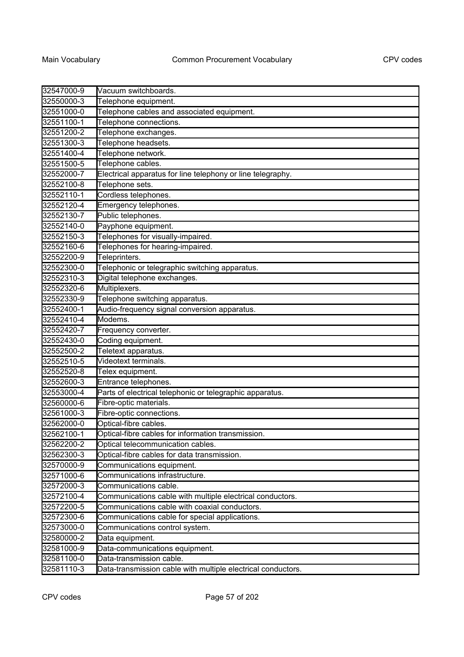| 32547000-9 | Vacuum switchboards.                                         |
|------------|--------------------------------------------------------------|
| 32550000-3 | Telephone equipment.                                         |
| 32551000-0 | Telephone cables and associated equipment.                   |
| 32551100-1 | Telephone connections.                                       |
| 32551200-2 | Telephone exchanges.                                         |
| 32551300-3 | Telephone headsets.                                          |
| 32551400-4 | Telephone network.                                           |
| 32551500-5 | Telephone cables.                                            |
| 32552000-7 | Electrical apparatus for line telephony or line telegraphy.  |
| 32552100-8 | Telephone sets.                                              |
| 32552110-1 | Cordless telephones.                                         |
| 32552120-4 | Emergency telephones.                                        |
| 32552130-7 | Public telephones.                                           |
| 32552140-0 | Payphone equipment.                                          |
| 32552150-3 | Telephones for visually-impaired.                            |
| 32552160-6 | Telephones for hearing-impaired.                             |
| 32552200-9 | Teleprinters.                                                |
| 32552300-0 | Telephonic or telegraphic switching apparatus.               |
| 32552310-3 | Digital telephone exchanges.                                 |
| 32552320-6 | Multiplexers.                                                |
| 32552330-9 | Telephone switching apparatus.                               |
| 32552400-1 | Audio-frequency signal conversion apparatus.                 |
| 32552410-4 | Modems.                                                      |
| 32552420-7 | Frequency converter.                                         |
| 32552430-0 | Coding equipment.                                            |
| 32552500-2 | Teletext apparatus.                                          |
| 32552510-5 | Videotext terminals.                                         |
| 32552520-8 | Telex equipment.                                             |
| 32552600-3 | Entrance telephones.                                         |
| 32553000-4 | Parts of electrical telephonic or telegraphic apparatus.     |
| 32560000-6 | Fibre-optic materials.                                       |
| 32561000-3 | Fibre-optic connections.                                     |
| 32562000-0 | Optical-fibre cables.                                        |
| 32562100-1 | Optical-fibre cables for information transmission.           |
| 32562200-2 | Optical telecommunication cables.                            |
| 32562300-3 | Optical-fibre cables for data transmission.                  |
| 32570000-9 | Communications equipment.                                    |
| 32571000-6 | Communications infrastructure.                               |
| 32572000-3 | Communications cable.                                        |
| 32572100-4 | Communications cable with multiple electrical conductors.    |
| 32572200-5 | Communications cable with coaxial conductors.                |
| 32572300-6 | Communications cable for special applications.               |
| 32573000-0 | Communications control system.                               |
| 32580000-2 | Data equipment.                                              |
| 32581000-9 | Data-communications equipment.                               |
| 32581100-0 | Data-transmission cable.                                     |
| 32581110-3 | Data-transmission cable with multiple electrical conductors. |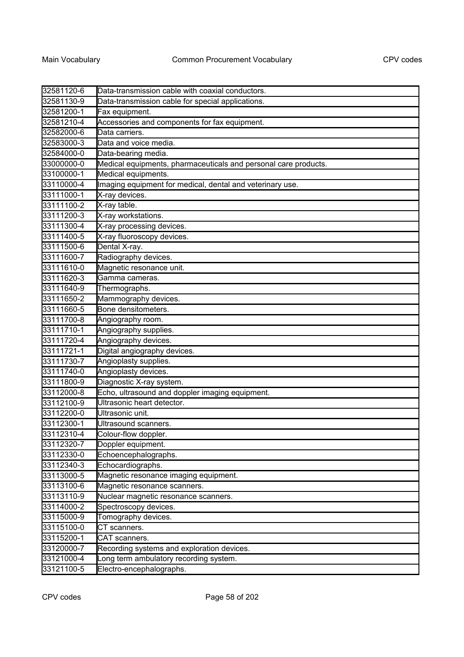| 32581120-6 | Data-transmission cable with coaxial conductors.                |
|------------|-----------------------------------------------------------------|
| 32581130-9 | Data-transmission cable for special applications.               |
| 32581200-1 | Fax equipment.                                                  |
| 32581210-4 | Accessories and components for fax equipment.                   |
| 32582000-6 | Data carriers.                                                  |
| 32583000-3 | Data and voice media.                                           |
| 32584000-0 | Data-bearing media.                                             |
| 33000000-0 | Medical equipments, pharmaceuticals and personal care products. |
| 33100000-1 | Medical equipments.                                             |
| 33110000-4 | Imaging equipment for medical, dental and veterinary use.       |
| 33111000-1 | X-ray devices.                                                  |
| 33111100-2 | X-ray table.                                                    |
| 33111200-3 | X-ray workstations.                                             |
| 33111300-4 | X-ray processing devices.                                       |
| 33111400-5 | X-ray fluoroscopy devices.                                      |
| 33111500-6 | Dental X-ray.                                                   |
| 33111600-7 | Radiography devices.                                            |
| 33111610-0 | Magnetic resonance unit.                                        |
| 33111620-3 | Gamma cameras.                                                  |
| 33111640-9 | Thermographs.                                                   |
| 33111650-2 | Mammography devices.                                            |
| 33111660-5 | Bone densitometers.                                             |
| 33111700-8 | Angiography room.                                               |
| 33111710-1 | Angiography supplies.                                           |
| 33111720-4 | Angiography devices.                                            |
| 33111721-1 | Digital angiography devices.                                    |
| 33111730-7 | Angioplasty supplies.                                           |
| 33111740-0 | Angioplasty devices.                                            |
| 33111800-9 | Diagnostic X-ray system.                                        |
| 33112000-8 | Echo, ultrasound and doppler imaging equipment.                 |
| 33112100-9 | Ultrasonic heart detector.                                      |
| 33112200-0 | Ultrasonic unit.                                                |
| 33112300-1 | Ultrasound scanners.                                            |
| 33112310-4 | Colour-flow doppler.                                            |
| 33112320-7 | Doppler equipment.                                              |
| 33112330-0 | Echoencephalographs.                                            |
| 33112340-3 | Echocardiographs.                                               |
| 33113000-5 | Magnetic resonance imaging equipment.                           |
| 33113100-6 | Magnetic resonance scanners.                                    |
| 33113110-9 | Nuclear magnetic resonance scanners.                            |
| 33114000-2 | Spectroscopy devices.                                           |
| 33115000-9 | Tomography devices.                                             |
| 33115100-0 | CT scanners.                                                    |
| 33115200-1 | CAT scanners.                                                   |
| 33120000-7 | Recording systems and exploration devices.                      |
| 33121000-4 | Long term ambulatory recording system.                          |
| 33121100-5 | Electro-encephalographs.                                        |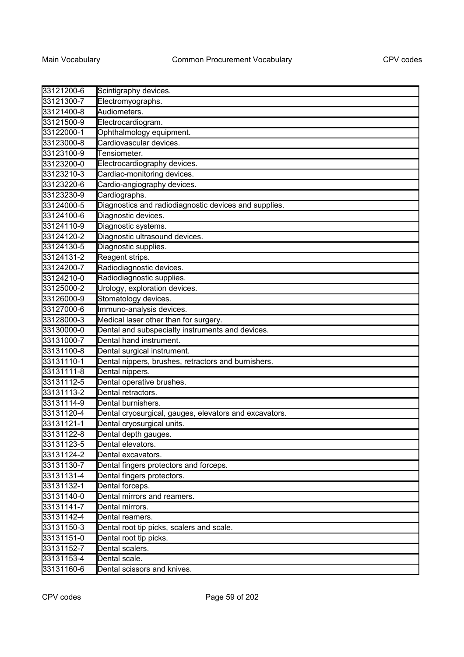| 33121200-6 | Scintigraphy devices.                                  |
|------------|--------------------------------------------------------|
| 33121300-7 | Electromyographs.                                      |
| 33121400-8 | Audiometers.                                           |
| 33121500-9 | Electrocardiogram.                                     |
| 33122000-1 | Ophthalmology equipment.                               |
| 33123000-8 | Cardiovascular devices.                                |
| 33123100-9 | Tensiometer.                                           |
| 33123200-0 | Electrocardiography devices.                           |
| 33123210-3 | Cardiac-monitoring devices.                            |
| 33123220-6 | Cardio-angiography devices.                            |
| 33123230-9 | Cardiographs.                                          |
| 33124000-5 | Diagnostics and radiodiagnostic devices and supplies.  |
| 33124100-6 | Diagnostic devices.                                    |
| 33124110-9 | Diagnostic systems.                                    |
| 33124120-2 | Diagnostic ultrasound devices.                         |
| 33124130-5 | Diagnostic supplies.                                   |
| 33124131-2 | Reagent strips.                                        |
| 33124200-7 | Radiodiagnostic devices.                               |
| 33124210-0 | Radiodiagnostic supplies.                              |
| 33125000-2 | Urology, exploration devices.                          |
| 33126000-9 | Stomatology devices.                                   |
| 33127000-6 | Immuno-analysis devices.                               |
| 33128000-3 | Medical laser other than for surgery.                  |
| 33130000-0 | Dental and subspecialty instruments and devices.       |
| 33131000-7 | Dental hand instrument.                                |
| 33131100-8 | Dental surgical instrument.                            |
| 33131110-1 | Dental nippers, brushes, retractors and burnishers.    |
| 33131111-8 | Dental nippers.                                        |
| 33131112-5 | Dental operative brushes.                              |
| 33131113-2 | Dental retractors.                                     |
| 33131114-9 | Dental burnishers.                                     |
| 33131120-4 | Dental cryosurgical, gauges, elevators and excavators. |
| 33131121-1 | Dental cryosurgical units.                             |
| 33131122-8 | Dental depth gauges.                                   |
| 33131123-5 | Dental elevators.                                      |
| 33131124-2 | Dental excavators.                                     |
| 33131130-7 | Dental fingers protectors and forceps.                 |
| 33131131-4 | Dental fingers protectors.                             |
| 33131132-1 | Dental forceps.                                        |
| 33131140-0 | Dental mirrors and reamers.                            |
| 33131141-7 | Dental mirrors.                                        |
| 33131142-4 | Dental reamers.                                        |
| 33131150-3 | Dental root tip picks, scalers and scale.              |
| 33131151-0 | Dental root tip picks.                                 |
| 33131152-7 | Dental scalers.                                        |
| 33131153-4 | Dental scale.                                          |
| 33131160-6 | Dental scissors and knives.                            |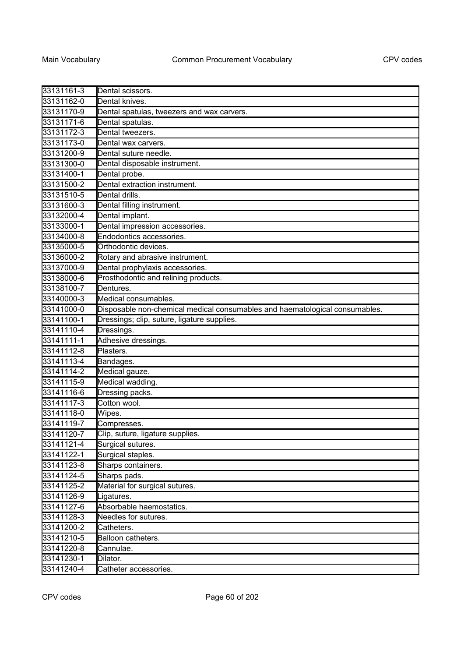| 33131161-3 | Dental scissors.                                                            |
|------------|-----------------------------------------------------------------------------|
| 33131162-0 | Dental knives.                                                              |
| 33131170-9 | Dental spatulas, tweezers and wax carvers.                                  |
| 33131171-6 | Dental spatulas.                                                            |
| 33131172-3 | Dental tweezers.                                                            |
| 33131173-0 | Dental wax carvers.                                                         |
| 33131200-9 | Dental suture needle.                                                       |
| 33131300-0 | Dental disposable instrument.                                               |
| 33131400-1 | Dental probe.                                                               |
| 33131500-2 | Dental extraction instrument.                                               |
| 33131510-5 | Dental drills.                                                              |
| 33131600-3 | Dental filling instrument.                                                  |
| 33132000-4 | Dental implant.                                                             |
| 33133000-1 | Dental impression accessories.                                              |
| 33134000-8 | Endodontics accessories.                                                    |
| 33135000-5 | Orthodontic devices.                                                        |
| 33136000-2 | Rotary and abrasive instrument.                                             |
| 33137000-9 | Dental prophylaxis accessories.                                             |
| 33138000-6 | Prosthodontic and relining products.                                        |
| 33138100-7 | Dentures.                                                                   |
| 33140000-3 | Medical consumables.                                                        |
| 33141000-0 | Disposable non-chemical medical consumables and haematological consumables. |
| 33141100-1 | Dressings; clip, suture, ligature supplies.                                 |
| 33141110-4 | Dressings.                                                                  |
| 33141111-1 | Adhesive dressings.                                                         |
| 33141112-8 | Plasters.                                                                   |
| 33141113-4 | Bandages.                                                                   |
| 33141114-2 | Medical gauze.                                                              |
| 33141115-9 | Medical wadding.                                                            |
| 33141116-6 | Dressing packs.                                                             |
| 33141117-3 | Cotton wool.                                                                |
| 33141118-0 | Wipes.                                                                      |
| 33141119-7 | Compresses.                                                                 |
| 33141120-7 | Clip, suture, ligature supplies.                                            |
| 33141121-4 | Surgical sutures.                                                           |
| 33141122-1 | Surgical staples.                                                           |
| 33141123-8 | Sharps containers.                                                          |
| 33141124-5 | Sharps pads.                                                                |
| 33141125-2 | Material for surgical sutures.                                              |
| 33141126-9 | Ligatures.                                                                  |
| 33141127-6 | Absorbable haemostatics.                                                    |
| 33141128-3 | Needles for sutures.                                                        |
| 33141200-2 | Catheters.                                                                  |
| 33141210-5 | Balloon catheters.                                                          |
| 33141220-8 | Cannulae.                                                                   |
| 33141230-1 | Dilator.                                                                    |
| 33141240-4 | Catheter accessories.                                                       |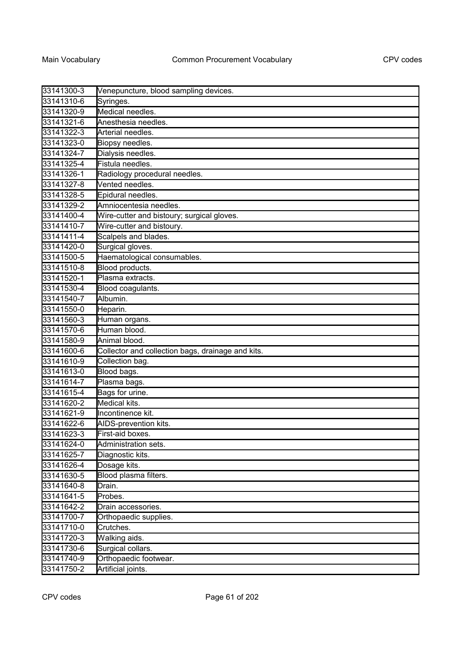| 33141300-3 | Venepuncture, blood sampling devices.             |
|------------|---------------------------------------------------|
| 33141310-6 | Syringes.                                         |
| 33141320-9 | Medical needles.                                  |
| 33141321-6 | Anesthesia needles.                               |
| 33141322-3 | Arterial needles.                                 |
| 33141323-0 | Biopsy needles.                                   |
| 33141324-7 | Dialysis needles.                                 |
| 33141325-4 | Fistula needles.                                  |
| 33141326-1 | Radiology procedural needles.                     |
| 33141327-8 | Vented needles.                                   |
| 33141328-5 | Epidural needles.                                 |
| 33141329-2 | Amniocentesia needles.                            |
| 33141400-4 | Wire-cutter and bistoury; surgical gloves.        |
| 33141410-7 | Wire-cutter and bistoury.                         |
| 33141411-4 | Scalpels and blades.                              |
| 33141420-0 | Surgical gloves.                                  |
| 33141500-5 | Haematological consumables.                       |
| 33141510-8 | Blood products.                                   |
| 33141520-1 | Plasma extracts.                                  |
| 33141530-4 | Blood coagulants.                                 |
| 33141540-7 | Albumin.                                          |
| 33141550-0 | Heparin.                                          |
| 33141560-3 | Human organs.                                     |
| 33141570-6 | Human blood.                                      |
| 33141580-9 | Animal blood.                                     |
| 33141600-6 | Collector and collection bags, drainage and kits. |
| 33141610-9 | Collection bag.                                   |
| 33141613-0 | Blood bags.                                       |
| 33141614-7 | Plasma bags.                                      |
| 33141615-4 | Bags for urine.                                   |
| 33141620-2 | Medical kits.                                     |
| 33141621-9 | Incontinence kit.                                 |
| 33141622-6 | AIDS-prevention kits.                             |
| 33141623-3 | First-aid boxes.                                  |
| 33141624-0 | Administration sets.                              |
| 33141625-7 | Diagnostic kits.                                  |
| 33141626-4 | Dosage kits.                                      |
| 33141630-5 | Blood plasma filters.                             |
| 33141640-8 | Drain.                                            |
| 33141641-5 | Probes.                                           |
| 33141642-2 | Drain accessories.                                |
| 33141700-7 | Orthopaedic supplies.                             |
| 33141710-0 | Crutches.                                         |
| 33141720-3 | Walking aids.                                     |
| 33141730-6 | Surgical collars.                                 |
| 33141740-9 | Orthopaedic footwear.                             |
| 33141750-2 | Artificial joints.                                |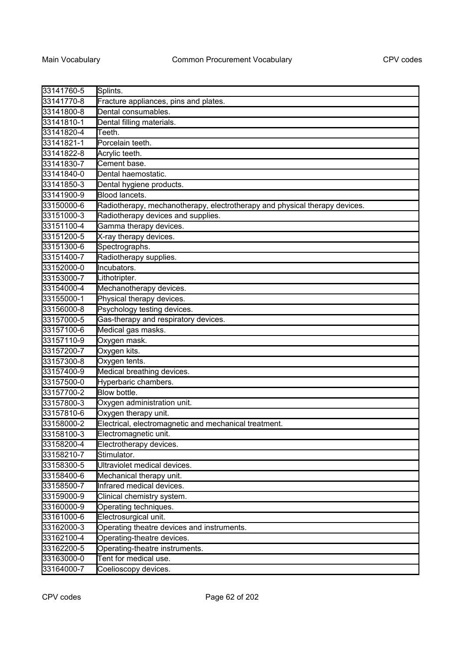| 33141760-5 | Splints.                                                                   |
|------------|----------------------------------------------------------------------------|
| 33141770-8 | Fracture appliances, pins and plates.                                      |
| 33141800-8 | Dental consumables.                                                        |
| 33141810-1 | Dental filling materials.                                                  |
| 33141820-4 | Teeth.                                                                     |
| 33141821-1 | Porcelain teeth.                                                           |
| 33141822-8 | Acrylic teeth.                                                             |
| 33141830-7 | Cement base.                                                               |
| 33141840-0 | Dental haemostatic.                                                        |
| 33141850-3 | Dental hygiene products.                                                   |
| 33141900-9 | Blood lancets.                                                             |
| 33150000-6 | Radiotherapy, mechanotherapy, electrotherapy and physical therapy devices. |
| 33151000-3 | Radiotherapy devices and supplies.                                         |
| 33151100-4 | Gamma therapy devices.                                                     |
| 33151200-5 | X-ray therapy devices.                                                     |
| 33151300-6 | Spectrographs.                                                             |
| 33151400-7 | Radiotherapy supplies.                                                     |
| 33152000-0 | Incubators.                                                                |
| 33153000-7 | Lithotripter.                                                              |
| 33154000-4 | Mechanotherapy devices.                                                    |
| 33155000-1 | Physical therapy devices.                                                  |
| 33156000-8 | Psychology testing devices.                                                |
| 33157000-5 | Gas-therapy and respiratory devices.                                       |
| 33157100-6 | Medical gas masks.                                                         |
| 33157110-9 | Oxygen mask.                                                               |
| 33157200-7 | Oxygen kits.                                                               |
| 33157300-8 | Oxygen tents.                                                              |
| 33157400-9 | Medical breathing devices.                                                 |
| 33157500-0 | Hyperbaric chambers.                                                       |
| 33157700-2 | Blow bottle.                                                               |
| 33157800-3 | Oxygen administration unit.                                                |
| 33157810-6 | Oxygen therapy unit.                                                       |
| 33158000-2 | Electrical, electromagnetic and mechanical treatment.                      |
| 33158100-3 | Electromagnetic unit.                                                      |
| 33158200-4 | Electrotherapy devices.                                                    |
| 33158210-7 | Stimulator.                                                                |
| 33158300-5 | Ultraviolet medical devices.                                               |
| 33158400-6 | Mechanical therapy unit.                                                   |
| 33158500-7 | Infrared medical devices.                                                  |
| 33159000-9 | Clinical chemistry system.                                                 |
| 33160000-9 | Operating techniques.                                                      |
| 33161000-6 | Electrosurgical unit.                                                      |
| 33162000-3 | Operating theatre devices and instruments.                                 |
| 33162100-4 | Operating-theatre devices.                                                 |
| 33162200-5 | Operating-theatre instruments.                                             |
| 33163000-0 | Tent for medical use.                                                      |
| 33164000-7 | Coelioscopy devices.                                                       |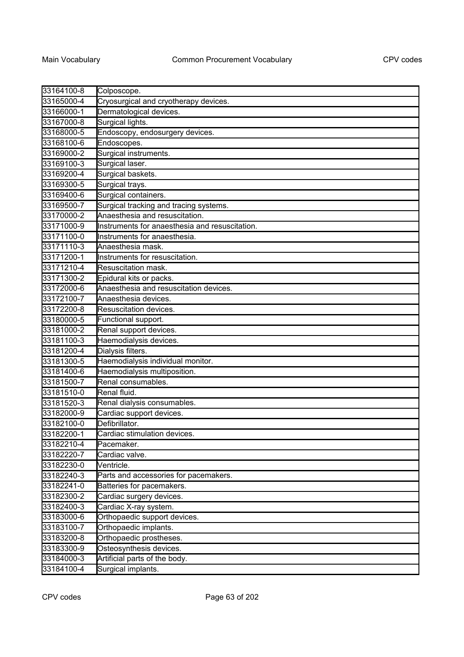| 33164100-8 | Colposcope.                                    |
|------------|------------------------------------------------|
| 33165000-4 | Cryosurgical and cryotherapy devices.          |
| 33166000-1 | Dermatological devices.                        |
| 33167000-8 | Surgical lights.                               |
| 33168000-5 | Endoscopy, endosurgery devices.                |
| 33168100-6 | Endoscopes.                                    |
| 33169000-2 | Surgical instruments.                          |
| 33169100-3 | Surgical laser.                                |
| 33169200-4 | Surgical baskets.                              |
| 33169300-5 | Surgical trays.                                |
| 33169400-6 | Surgical containers.                           |
| 33169500-7 | Surgical tracking and tracing systems.         |
| 33170000-2 | Anaesthesia and resuscitation.                 |
| 33171000-9 | Instruments for anaesthesia and resuscitation. |
| 33171100-0 | Instruments for anaesthesia.                   |
| 33171110-3 | Anaesthesia mask.                              |
| 33171200-1 | Instruments for resuscitation.                 |
| 33171210-4 | Resuscitation mask.                            |
| 33171300-2 | Epidural kits or packs.                        |
| 33172000-6 | Anaesthesia and resuscitation devices.         |
| 33172100-7 | Anaesthesia devices.                           |
| 33172200-8 | Resuscitation devices.                         |
| 33180000-5 | Functional support.                            |
| 33181000-2 | Renal support devices.                         |
| 33181100-3 | Haemodialysis devices.                         |
| 33181200-4 | Dialysis filters.                              |
| 33181300-5 | Haemodialysis individual monitor.              |
| 33181400-6 | Haemodialysis multiposition.                   |
| 33181500-7 | Renal consumables.                             |
| 33181510-0 | Renal fluid.                                   |
| 33181520-3 | Renal dialysis consumables.                    |
| 33182000-9 | Cardiac support devices.                       |
| 33182100-0 | Defibrillator.                                 |
| 33182200-1 | Cardiac stimulation devices.                   |
| 33182210-4 | Pacemaker.                                     |
| 33182220-7 | Cardiac valve.                                 |
| 33182230-0 | Ventricle.                                     |
| 33182240-3 | Parts and accessories for pacemakers.          |
| 33182241-0 | Batteries for pacemakers.                      |
| 33182300-2 | Cardiac surgery devices.                       |
| 33182400-3 | Cardiac X-ray system.                          |
| 33183000-6 | Orthopaedic support devices.                   |
| 33183100-7 | Orthopaedic implants.                          |
| 33183200-8 | Orthopaedic prostheses.                        |
| 33183300-9 | Osteosynthesis devices.                        |
| 33184000-3 | Artificial parts of the body.                  |
| 33184100-4 | Surgical implants.                             |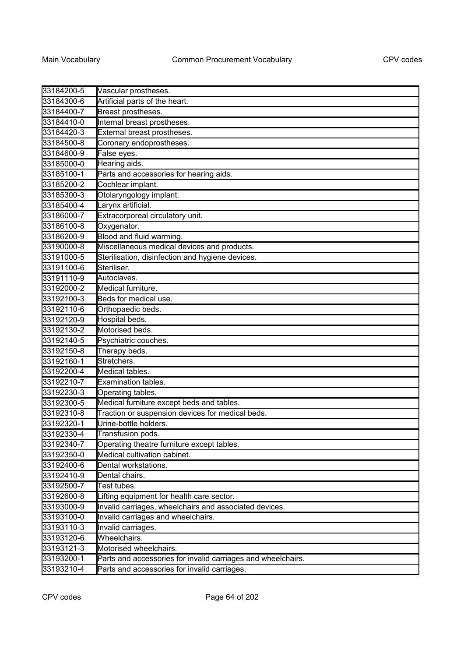| 33184200-5 | Vascular prostheses.                                         |
|------------|--------------------------------------------------------------|
| 33184300-6 | Artificial parts of the heart.                               |
| 33184400-7 | Breast prostheses.                                           |
| 33184410-0 | Internal breast prostheses.                                  |
| 33184420-3 | External breast prostheses.                                  |
| 33184500-8 | Coronary endoprostheses.                                     |
| 33184600-9 | False eyes.                                                  |
| 33185000-0 | Hearing aids.                                                |
| 33185100-1 | Parts and accessories for hearing aids.                      |
| 33185200-2 | Cochlear implant.                                            |
| 33185300-3 | Otolaryngology implant.                                      |
| 33185400-4 | Larynx artificial.                                           |
| 33186000-7 | Extracorporeal circulatory unit.                             |
| 33186100-8 | Oxygenator.                                                  |
| 33186200-9 | <b>Blood and fluid warming.</b>                              |
| 33190000-8 | Miscellaneous medical devices and products.                  |
| 33191000-5 | Sterilisation, disinfection and hygiene devices.             |
| 33191100-6 | Steriliser.                                                  |
| 33191110-9 | Autoclaves.                                                  |
| 33192000-2 | Medical furniture.                                           |
| 33192100-3 | Beds for medical use.                                        |
| 33192110-6 | Orthopaedic beds.                                            |
| 33192120-9 | Hospital beds.                                               |
| 33192130-2 | Motorised beds.                                              |
| 33192140-5 | Psychiatric couches.                                         |
| 33192150-8 | Therapy beds.                                                |
| 33192160-1 | Stretchers.                                                  |
| 33192200-4 | Medical tables.                                              |
| 33192210-7 | Examination tables.                                          |
| 33192230-3 | Operating tables.                                            |
| 33192300-5 | Medical furniture except beds and tables.                    |
| 33192310-8 | Traction or suspension devices for medical beds.             |
| 33192320-1 | Urine-bottle holders.                                        |
| 33192330-4 | Transfusion pods.                                            |
| 33192340-7 | Operating theatre furniture except tables.                   |
| 33192350-0 | Medical cultivation cabinet.                                 |
| 33192400-6 | Dental workstations.                                         |
| 33192410-9 | Dental chairs.                                               |
| 33192500-7 | Test tubes.                                                  |
| 33192600-8 | Lifting equipment for health care sector.                    |
| 33193000-9 | Invalid carriages, wheelchairs and associated devices.       |
| 33193100-0 | Invalid carriages and wheelchairs.                           |
| 33193110-3 | Invalid carriages.                                           |
| 33193120-6 | Wheelchairs.                                                 |
| 33193121-3 | Motorised wheelchairs.                                       |
| 33193200-1 | Parts and accessories for invalid carriages and wheelchairs. |
| 33193210-4 | Parts and accessories for invalid carriages.                 |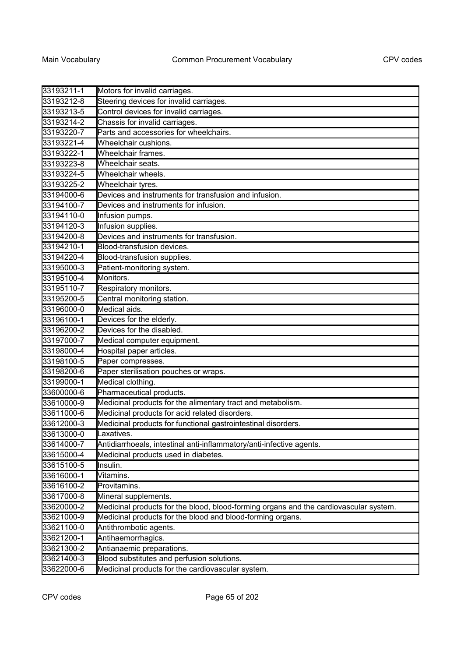| 33193211-1 | Motors for invalid carriages.                                                         |
|------------|---------------------------------------------------------------------------------------|
| 33193212-8 | Steering devices for invalid carriages.                                               |
| 33193213-5 | Control devices for invalid carriages.                                                |
| 33193214-2 | Chassis for invalid carriages.                                                        |
| 33193220-7 | Parts and accessories for wheelchairs.                                                |
| 33193221-4 | Wheelchair cushions.                                                                  |
| 33193222-1 | Wheelchair frames.                                                                    |
| 33193223-8 | Wheelchair seats.                                                                     |
| 33193224-5 | Wheelchair wheels.                                                                    |
| 33193225-2 | Wheelchair tyres.                                                                     |
| 33194000-6 | Devices and instruments for transfusion and infusion.                                 |
| 33194100-7 | Devices and instruments for infusion.                                                 |
| 33194110-0 | Infusion pumps.                                                                       |
| 33194120-3 | Infusion supplies.                                                                    |
| 33194200-8 | Devices and instruments for transfusion.                                              |
| 33194210-1 | Blood-transfusion devices.                                                            |
| 33194220-4 | Blood-transfusion supplies.                                                           |
| 33195000-3 | Patient-monitoring system.                                                            |
| 33195100-4 | Monitors.                                                                             |
| 33195110-7 | Respiratory monitors.                                                                 |
| 33195200-5 | Central monitoring station.                                                           |
| 33196000-0 | Medical aids.                                                                         |
| 33196100-1 | Devices for the elderly.                                                              |
| 33196200-2 | Devices for the disabled.                                                             |
| 33197000-7 | Medical computer equipment.                                                           |
| 33198000-4 | Hospital paper articles.                                                              |
| 33198100-5 | Paper compresses.                                                                     |
| 33198200-6 | Paper sterilisation pouches or wraps.                                                 |
| 33199000-1 | Medical clothing.                                                                     |
| 33600000-6 | Pharmaceutical products.                                                              |
| 33610000-9 | Medicinal products for the alimentary tract and metabolism.                           |
| 33611000-6 | Medicinal products for acid related disorders.                                        |
| 33612000-3 | Medicinal products for functional gastrointestinal disorders.                         |
| 33613000-0 | Laxatives.                                                                            |
| 33614000-7 | Antidiarrhoeals, intestinal anti-inflammatory/anti-infective agents.                  |
| 33615000-4 | Medicinal products used in diabetes.                                                  |
| 33615100-5 | Insulin.                                                                              |
| 33616000-1 | Vitamins.                                                                             |
| 33616100-2 | Provitamins.                                                                          |
| 33617000-8 | Mineral supplements.                                                                  |
| 33620000-2 | Medicinal products for the blood, blood-forming organs and the cardiovascular system. |
| 33621000-9 | Medicinal products for the blood and blood-forming organs.                            |
| 33621100-0 | Antithrombotic agents.                                                                |
| 33621200-1 | Antihaemorrhagics.                                                                    |
| 33621300-2 | Antianaemic preparations.                                                             |
| 33621400-3 | Blood substitutes and perfusion solutions.                                            |
| 33622000-6 | Medicinal products for the cardiovascular system.                                     |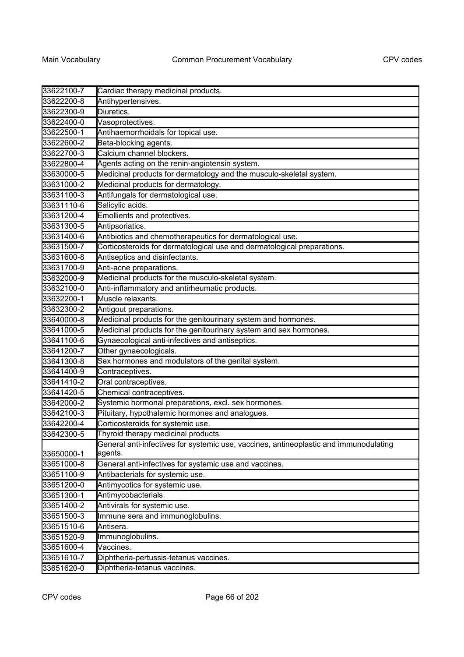| 33622100-7 | Cardiac therapy medicinal products.                                                              |
|------------|--------------------------------------------------------------------------------------------------|
| 33622200-8 | Antihypertensives.                                                                               |
| 33622300-9 | Diuretics.                                                                                       |
| 33622400-0 | Vasoprotectives.                                                                                 |
| 33622500-1 | Antihaemorrhoidals for topical use.                                                              |
| 33622600-2 | Beta-blocking agents.                                                                            |
| 33622700-3 | Calcium channel blockers.                                                                        |
| 33622800-4 | Agents acting on the renin-angiotensin system.                                                   |
| 33630000-5 | Medicinal products for dermatology and the musculo-skeletal system.                              |
| 33631000-2 | Medicinal products for dermatology.                                                              |
| 33631100-3 | Antifungals for dermatological use.                                                              |
| 33631110-6 | Salicylic acids.                                                                                 |
| 33631200-4 | Emollients and protectives.                                                                      |
| 33631300-5 | Antipsoriatics.                                                                                  |
| 33631400-6 | Antibiotics and chemotherapeutics for dermatological use.                                        |
| 33631500-7 | Corticosteroids for dermatological use and dermatological preparations.                          |
| 33631600-8 | Antiseptics and disinfectants.                                                                   |
| 33631700-9 | Anti-acne preparations.                                                                          |
| 33632000-9 | Medicinal products for the musculo-skeletal system.                                              |
| 33632100-0 | Anti-inflammatory and antirheumatic products.                                                    |
| 33632200-1 | Muscle relaxants.                                                                                |
| 33632300-2 | Antigout preparations.                                                                           |
| 33640000-8 | Medicinal products for the genitourinary system and hormones.                                    |
| 33641000-5 | Medicinal products for the genitourinary system and sex hormones.                                |
| 33641100-6 | Gynaecological anti-infectives and antiseptics.                                                  |
| 33641200-7 | Other gynaecologicals.                                                                           |
| 33641300-8 | Sex hormones and modulators of the genital system.                                               |
| 33641400-9 | Contraceptives.                                                                                  |
| 33641410-2 | Oral contraceptives.                                                                             |
| 33641420-5 | Chemical contraceptives.                                                                         |
| 33642000-2 | Systemic hormonal preparations, excl. sex hormones.                                              |
| 33642100-3 | Pituitary, hypothalamic hormones and analogues.                                                  |
| 33642200-4 | Corticosteroids for systemic use.                                                                |
| 33642300-5 | Thyroid therapy medicinal products.                                                              |
| 33650000-1 | General anti-infectives for systemic use, vaccines, antineoplastic and immunodulating<br>agents. |
| 33651000-8 | General anti-infectives for systemic use and vaccines.                                           |
| 33651100-9 | Antibacterials for systemic use.                                                                 |
| 33651200-0 | Antimycotics for systemic use.                                                                   |
| 33651300-1 | Antimycobacterials.                                                                              |
| 33651400-2 | Antivirals for systemic use.                                                                     |
| 33651500-3 | Immune sera and immunoglobulins.                                                                 |
| 33651510-6 | Antisera.                                                                                        |
| 33651520-9 | Immunoglobulins.                                                                                 |
| 33651600-4 | Vaccines.                                                                                        |
| 33651610-7 | Diphtheria-pertussis-tetanus vaccines.                                                           |
| 33651620-0 | Diphtheria-tetanus vaccines.                                                                     |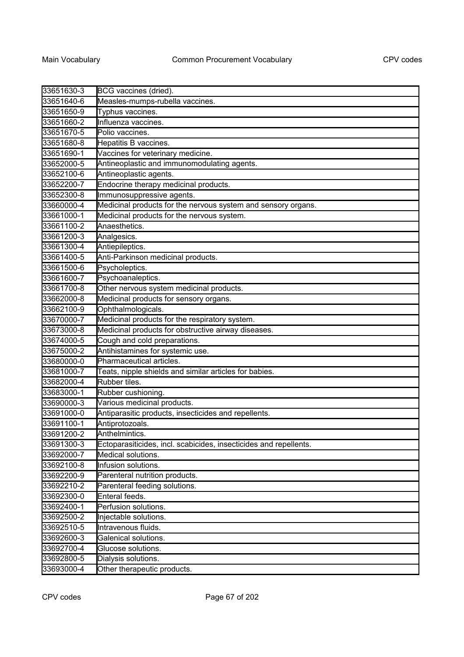| 33651630-3 | BCG vaccines (dried).                                             |
|------------|-------------------------------------------------------------------|
| 33651640-6 | Measles-mumps-rubella vaccines.                                   |
| 33651650-9 | Typhus vaccines.                                                  |
| 33651660-2 | Influenza vaccines.                                               |
| 33651670-5 | Polio vaccines.                                                   |
| 33651680-8 | Hepatitis B vaccines.                                             |
| 33651690-1 | Vaccines for veterinary medicine.                                 |
| 33652000-5 | Antineoplastic and immunomodulating agents.                       |
| 33652100-6 | Antineoplastic agents.                                            |
| 33652200-7 | Endocrine therapy medicinal products.                             |
| 33652300-8 | Immunosuppressive agents.                                         |
| 33660000-4 | Medicinal products for the nervous system and sensory organs.     |
| 33661000-1 | Medicinal products for the nervous system.                        |
| 33661100-2 | Anaesthetics.                                                     |
| 33661200-3 | Analgesics.                                                       |
| 33661300-4 | Antiepileptics.                                                   |
| 33661400-5 | Anti-Parkinson medicinal products.                                |
| 33661500-6 | Psycholeptics.                                                    |
| 33661600-7 | Psychoanaleptics.                                                 |
| 33661700-8 | Other nervous system medicinal products.                          |
| 33662000-8 | Medicinal products for sensory organs.                            |
| 33662100-9 | Ophthalmologicals.                                                |
| 33670000-7 | Medicinal products for the respiratory system.                    |
| 33673000-8 | Medicinal products for obstructive airway diseases.               |
| 33674000-5 | Cough and cold preparations.                                      |
| 33675000-2 | Antihistamines for systemic use.                                  |
| 33680000-0 | Pharmaceutical articles.                                          |
| 33681000-7 | Teats, nipple shields and similar articles for babies.            |
| 33682000-4 | Rubber tiles.                                                     |
| 33683000-1 | Rubber cushioning.                                                |
| 33690000-3 | Various medicinal products.                                       |
| 33691000-0 | Antiparasitic products, insecticides and repellents.              |
| 33691100-1 | Antiprotozoals.                                                   |
| 33691200-2 | Anthelmintics.                                                    |
| 33691300-3 | Ectoparasiticides, incl. scabicides, insecticides and repellents. |
| 33692000-7 | Medical solutions.                                                |
| 33692100-8 | Infusion solutions.                                               |
| 33692200-9 | Parenteral nutrition products.                                    |
| 33692210-2 | Parenteral feeding solutions.                                     |
| 33692300-0 | Enteral feeds.                                                    |
| 33692400-1 | Perfusion solutions.                                              |
| 33692500-2 | Injectable solutions.                                             |
| 33692510-5 | Intravenous fluids.                                               |
| 33692600-3 | Galenical solutions.                                              |
| 33692700-4 | Glucose solutions.                                                |
| 33692800-5 | Dialysis solutions.                                               |
| 33693000-4 | Other therapeutic products.                                       |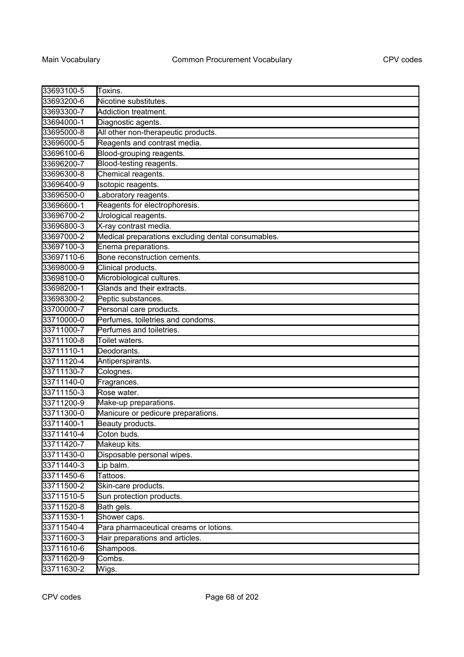| 33693100-5 | Toxins.                                            |
|------------|----------------------------------------------------|
| 33693200-6 | Nicotine substitutes.                              |
| 33693300-7 | Addiction treatment.                               |
| 33694000-1 | Diagnostic agents.                                 |
| 33695000-8 | All other non-therapeutic products.                |
| 33696000-5 | Reagents and contrast media.                       |
| 33696100-6 | Blood-grouping reagents.                           |
| 33696200-7 | Blood-testing reagents.                            |
| 33696300-8 | Chemical reagents.                                 |
| 33696400-9 | Isotopic reagents.                                 |
| 33696500-0 | Laboratory reagents.                               |
| 33696600-1 | Reagents for electrophoresis.                      |
| 33696700-2 | Urological reagents.                               |
| 33696800-3 | X-ray contrast media.                              |
| 33697000-2 | Medical preparations excluding dental consumables. |
| 33697100-3 | Enema preparations.                                |
| 33697110-6 | Bone reconstruction cements.                       |
| 33698000-9 | Clinical products.                                 |
| 33698100-0 | Microbiological cultures.                          |
| 33698200-1 | Glands and their extracts.                         |
| 33698300-2 | Peptic substances.                                 |
| 33700000-7 | Personal care products.                            |
| 33710000-0 | Perfumes, toiletries and condoms.                  |
| 33711000-7 | Perfumes and toiletries.                           |
| 33711100-8 | Toilet waters.                                     |
| 33711110-1 | Deodorants.                                        |
| 33711120-4 | Antiperspirants.                                   |
| 33711130-7 | Colognes.                                          |
| 33711140-0 | Fragrances.                                        |
| 33711150-3 | Rose water.                                        |
| 33711200-9 | Make-up preparations.                              |
| 33711300-0 | Manicure or pedicure preparations.                 |
| 33711400-1 | Beauty products.                                   |
| 33711410-4 | Coton buds.                                        |
| 33711420-7 | Makeup kits.                                       |
| 33711430-0 | Disposable personal wipes.                         |
| 33711440-3 | Lip balm.                                          |
| 33711450-6 | Tattoos.                                           |
| 33711500-2 | Skin-care products.                                |
| 33711510-5 | Sun protection products.                           |
| 33711520-8 | Bath gels.                                         |
| 33711530-1 | Shower caps.                                       |
| 33711540-4 | Para pharmaceutical creams or lotions.             |
| 33711600-3 | Hair preparations and articles.                    |
| 33711610-6 | Shampoos.                                          |
| 33711620-9 | Combs.                                             |
| 33711630-2 | Wigs.                                              |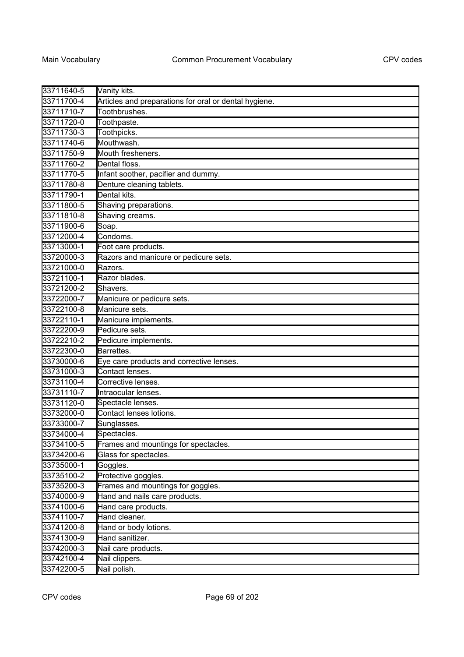| 33711640-5 | Vanity kits.                                          |
|------------|-------------------------------------------------------|
| 33711700-4 | Articles and preparations for oral or dental hygiene. |
| 33711710-7 | Toothbrushes.                                         |
| 33711720-0 | Toothpaste.                                           |
| 33711730-3 | Toothpicks.                                           |
| 33711740-6 | Mouthwash.                                            |
| 33711750-9 | Mouth fresheners.                                     |
| 33711760-2 | Dental floss.                                         |
| 33711770-5 | Infant soother, pacifier and dummy.                   |
| 33711780-8 | Denture cleaning tablets.                             |
| 33711790-1 | Dental kits.                                          |
| 33711800-5 | Shaving preparations.                                 |
| 33711810-8 | Shaving creams.                                       |
| 33711900-6 | Soap.                                                 |
| 33712000-4 | Condoms.                                              |
| 33713000-1 | Foot care products.                                   |
| 33720000-3 | Razors and manicure or pedicure sets.                 |
| 33721000-0 | Razors.                                               |
| 33721100-1 | Razor blades.                                         |
| 33721200-2 | Shavers.                                              |
| 33722000-7 | Manicure or pedicure sets.                            |
| 33722100-8 | Manicure sets.                                        |
| 33722110-1 | Manicure implements.                                  |
| 33722200-9 | Pedicure sets.                                        |
| 33722210-2 | Pedicure implements.                                  |
| 33722300-0 | Barrettes.                                            |
| 33730000-6 | Eye care products and corrective lenses.              |
| 33731000-3 | Contact lenses.                                       |
| 33731100-4 | Corrective lenses.                                    |
| 33731110-7 | Intraocular lenses.                                   |
| 33731120-0 | Spectacle lenses.                                     |
| 33732000-0 | Contact lenses lotions.                               |
| 33733000-7 | Sunglasses.                                           |
| 33734000-4 | Spectacles.                                           |
| 33734100-5 | Frames and mountings for spectacles.                  |
| 33734200-6 | Glass for spectacles.                                 |
| 33735000-1 | Goggles.                                              |
| 33735100-2 | Protective goggles.                                   |
| 33735200-3 | Frames and mountings for goggles.                     |
| 33740000-9 | Hand and nails care products.                         |
| 33741000-6 | Hand care products.                                   |
| 33741100-7 | Hand cleaner.                                         |
| 33741200-8 | Hand or body lotions.                                 |
| 33741300-9 | Hand sanitizer.                                       |
| 33742000-3 | Nail care products.                                   |
| 33742100-4 | Nail clippers.                                        |
| 33742200-5 | Nail polish.                                          |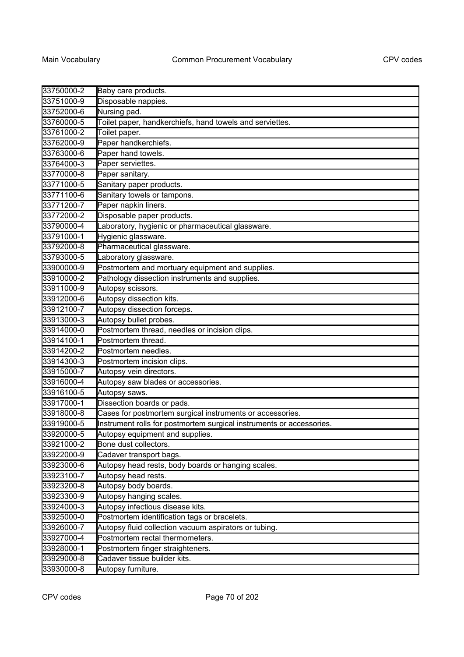| 33750000-2 | Baby care products.                                                  |
|------------|----------------------------------------------------------------------|
| 33751000-9 | Disposable nappies.                                                  |
| 33752000-6 | Nursing pad.                                                         |
| 33760000-5 | Toilet paper, handkerchiefs, hand towels and serviettes.             |
| 33761000-2 | Toilet paper.                                                        |
| 33762000-9 | Paper handkerchiefs.                                                 |
| 33763000-6 | Paper hand towels.                                                   |
| 33764000-3 | Paper serviettes.                                                    |
| 33770000-8 | Paper sanitary.                                                      |
| 33771000-5 | Sanitary paper products.                                             |
| 33771100-6 | Sanitary towels or tampons.                                          |
| 33771200-7 | Paper napkin liners.                                                 |
| 33772000-2 | Disposable paper products.                                           |
| 33790000-4 | Laboratory, hygienic or pharmaceutical glassware.                    |
| 33791000-1 | Hygienic glassware.                                                  |
| 33792000-8 | Pharmaceutical glassware.                                            |
| 33793000-5 | Laboratory glassware.                                                |
| 33900000-9 | Postmortem and mortuary equipment and supplies.                      |
| 33910000-2 | Pathology dissection instruments and supplies.                       |
| 33911000-9 | Autopsy scissors.                                                    |
| 33912000-6 | Autopsy dissection kits.                                             |
| 33912100-7 | Autopsy dissection forceps.                                          |
| 33913000-3 | Autopsy bullet probes.                                               |
| 33914000-0 | Postmortem thread, needles or incision clips.                        |
| 33914100-1 | Postmortem thread.                                                   |
| 33914200-2 | Postmortem needles.                                                  |
| 33914300-3 | Postmortem incision clips.                                           |
| 33915000-7 | Autopsy vein directors.                                              |
| 33916000-4 | Autopsy saw blades or accessories.                                   |
| 33916100-5 | Autopsy saws.                                                        |
| 33917000-1 | Dissection boards or pads.                                           |
| 33918000-8 | Cases for postmortem surgical instruments or accessories.            |
| 33919000-5 | Instrument rolls for postmortem surgical instruments or accessories. |
| 33920000-5 | Autopsy equipment and supplies.                                      |
| 33921000-2 | Bone dust collectors.                                                |
| 33922000-9 | Cadaver transport bags.                                              |
| 33923000-6 | Autopsy head rests, body boards or hanging scales.                   |
| 33923100-7 | Autopsy head rests.                                                  |
| 33923200-8 | Autopsy body boards.                                                 |
| 33923300-9 | Autopsy hanging scales.                                              |
| 33924000-3 | Autopsy infectious disease kits.                                     |
| 33925000-0 | Postmortem identification tags or bracelets.                         |
| 33926000-7 | Autopsy fluid collection vacuum aspirators or tubing.                |
| 33927000-4 | Postmortem rectal thermometers.                                      |
| 33928000-1 | Postmortem finger straighteners.                                     |
| 33929000-8 | Cadaver tissue builder kits.                                         |
| 33930000-8 | Autopsy furniture.                                                   |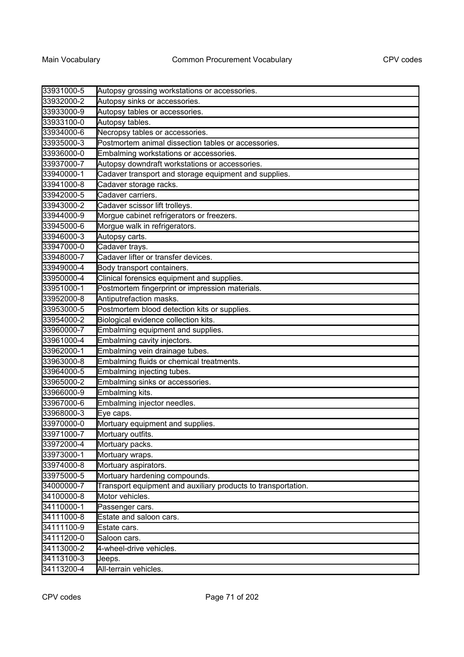| 33931000-5 | Autopsy grossing workstations or accessories.                 |
|------------|---------------------------------------------------------------|
| 33932000-2 | Autopsy sinks or accessories.                                 |
| 33933000-9 | Autopsy tables or accessories.                                |
| 33933100-0 | Autopsy tables.                                               |
| 33934000-6 | Necropsy tables or accessories.                               |
| 33935000-3 | Postmortem animal dissection tables or accessories.           |
| 33936000-0 | Embalming workstations or accessories.                        |
| 33937000-7 | Autopsy downdraft workstations or accessories.                |
| 33940000-1 | Cadaver transport and storage equipment and supplies.         |
| 33941000-8 | Cadaver storage racks.                                        |
| 33942000-5 | Cadaver carriers.                                             |
| 33943000-2 | Cadaver scissor lift trolleys.                                |
| 33944000-9 | Morgue cabinet refrigerators or freezers.                     |
| 33945000-6 | Morgue walk in refrigerators.                                 |
| 33946000-3 | Autopsy carts.                                                |
| 33947000-0 | Cadaver trays.                                                |
| 33948000-7 | Cadaver lifter or transfer devices.                           |
| 33949000-4 | Body transport containers.                                    |
| 33950000-4 | Clinical forensics equipment and supplies.                    |
| 33951000-1 | Postmortem fingerprint or impression materials.               |
| 33952000-8 | Antiputrefaction masks.                                       |
| 33953000-5 | Postmortem blood detection kits or supplies.                  |
| 33954000-2 | Biological evidence collection kits.                          |
| 33960000-7 | Embalming equipment and supplies.                             |
| 33961000-4 | Embalming cavity injectors.                                   |
| 33962000-1 | Embalming vein drainage tubes.                                |
| 33963000-8 | Embalming fluids or chemical treatments.                      |
| 33964000-5 | Embalming injecting tubes.                                    |
| 33965000-2 | Embalming sinks or accessories.                               |
| 33966000-9 | Embalming kits.                                               |
| 33967000-6 | Embalming injector needles.                                   |
| 33968000-3 | Eye caps.                                                     |
| 33970000-0 | Mortuary equipment and supplies.                              |
| 33971000-7 | Mortuary outfits.                                             |
| 33972000-4 | Mortuary packs.                                               |
| 33973000-1 | Mortuary wraps.                                               |
| 33974000-8 | Mortuary aspirators.                                          |
| 33975000-5 | Mortuary hardening compounds.                                 |
| 34000000-7 | Transport equipment and auxiliary products to transportation. |
| 34100000-8 | Motor vehicles.                                               |
| 34110000-1 | Passenger cars.                                               |
| 34111000-8 | Estate and saloon cars.                                       |
| 34111100-9 | Estate cars.                                                  |
| 34111200-0 | Saloon cars.                                                  |
| 34113000-2 | 4-wheel-drive vehicles.                                       |
| 34113100-3 | Jeeps.                                                        |
| 34113200-4 | All-terrain vehicles.                                         |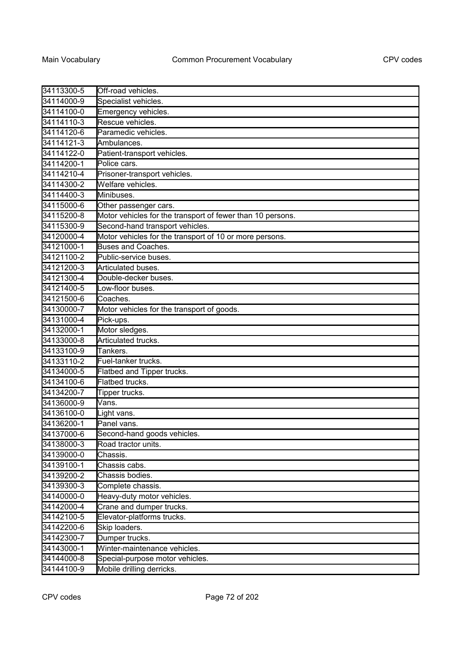| 34113300-5 | Off-road vehicles.                                         |
|------------|------------------------------------------------------------|
| 34114000-9 | Specialist vehicles.                                       |
| 34114100-0 | Emergency vehicles.                                        |
| 34114110-3 | Rescue vehicles.                                           |
| 34114120-6 | Paramedic vehicles.                                        |
| 34114121-3 | Ambulances.                                                |
| 34114122-0 | Patient-transport vehicles.                                |
| 34114200-1 | Police cars.                                               |
| 34114210-4 | Prisoner-transport vehicles.                               |
| 34114300-2 | Welfare vehicles.                                          |
| 34114400-3 | Minibuses.                                                 |
| 34115000-6 | Other passenger cars.                                      |
| 34115200-8 | Motor vehicles for the transport of fewer than 10 persons. |
| 34115300-9 | Second-hand transport vehicles.                            |
| 34120000-4 | Motor vehicles for the transport of 10 or more persons.    |
| 34121000-1 | <b>Buses and Coaches.</b>                                  |
| 34121100-2 | Public-service buses.                                      |
| 34121200-3 | Articulated buses.                                         |
| 34121300-4 | Double-decker buses.                                       |
| 34121400-5 | Low-floor buses.                                           |
| 34121500-6 | Coaches.                                                   |
| 34130000-7 | Motor vehicles for the transport of goods.                 |
| 34131000-4 | Pick-ups.                                                  |
| 34132000-1 | Motor sledges.                                             |
| 34133000-8 | Articulated trucks.                                        |
| 34133100-9 | Tankers.                                                   |
| 34133110-2 | Fuel-tanker trucks.                                        |
| 34134000-5 | Flatbed and Tipper trucks.                                 |
| 34134100-6 | Flatbed trucks.                                            |
| 34134200-7 | Tipper trucks.                                             |
| 34136000-9 | Vans.                                                      |
| 34136100-0 | Light vans.                                                |
| 34136200-1 | Panel vans.                                                |
| 34137000-6 | Second-hand goods vehicles.                                |
| 34138000-3 | Road tractor units.                                        |
| 34139000-0 | Chassis.                                                   |
| 34139100-1 | Chassis cabs.                                              |
| 34139200-2 | Chassis bodies.                                            |
| 34139300-3 | Complete chassis.                                          |
| 34140000-0 | Heavy-duty motor vehicles.                                 |
| 34142000-4 | Crane and dumper trucks.                                   |
| 34142100-5 | Elevator-platforms trucks.                                 |
| 34142200-6 | Skip loaders.                                              |
| 34142300-7 | Dumper trucks.                                             |
| 34143000-1 | Winter-maintenance vehicles.                               |
| 34144000-8 | Special-purpose motor vehicles.                            |
| 34144100-9 | Mobile drilling derricks.                                  |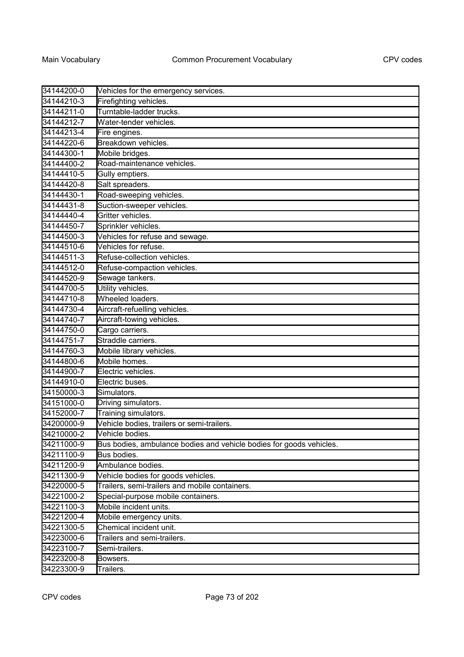| 34144200-0 | Vehicles for the emergency services.                                |
|------------|---------------------------------------------------------------------|
| 34144210-3 | Firefighting vehicles.                                              |
| 34144211-0 | Turntable-ladder trucks.                                            |
| 34144212-7 | Water-tender vehicles.                                              |
| 34144213-4 | Fire engines.                                                       |
| 34144220-6 | Breakdown vehicles.                                                 |
| 34144300-1 | Mobile bridges.                                                     |
| 34144400-2 | Road-maintenance vehicles.                                          |
| 34144410-5 | Gully emptiers.                                                     |
| 34144420-8 | Salt spreaders.                                                     |
| 34144430-1 | Road-sweeping vehicles.                                             |
| 34144431-8 | Suction-sweeper vehicles.                                           |
| 34144440-4 | Gritter vehicles.                                                   |
| 34144450-7 | Sprinkler vehicles.                                                 |
| 34144500-3 | Vehicles for refuse and sewage.                                     |
| 34144510-6 | Vehicles for refuse.                                                |
| 34144511-3 | Refuse-collection vehicles.                                         |
| 34144512-0 | Refuse-compaction vehicles.                                         |
| 34144520-9 | Sewage tankers.                                                     |
| 34144700-5 | Utility vehicles.                                                   |
| 34144710-8 | Wheeled loaders.                                                    |
| 34144730-4 | Aircraft-refuelling vehicles.                                       |
| 34144740-7 | Aircraft-towing vehicles.                                           |
| 34144750-0 | Cargo carriers.                                                     |
| 34144751-7 | Straddle carriers.                                                  |
| 34144760-3 | Mobile library vehicles.                                            |
| 34144800-6 | Mobile homes.                                                       |
| 34144900-7 | Electric vehicles.                                                  |
| 34144910-0 | Electric buses.                                                     |
| 34150000-3 | Simulators.                                                         |
| 34151000-0 | Driving simulators.                                                 |
| 34152000-7 | Training simulators.                                                |
| 34200000-9 | Vehicle bodies, trailers or semi-trailers.                          |
| 34210000-2 | Vehicle bodies.                                                     |
| 34211000-9 | Bus bodies, ambulance bodies and vehicle bodies for goods vehicles. |
| 34211100-9 | Bus bodies.                                                         |
| 34211200-9 | Ambulance bodies.                                                   |
| 34211300-9 | Vehicle bodies for goods vehicles.                                  |
| 34220000-5 | Trailers, semi-trailers and mobile containers.                      |
| 34221000-2 | Special-purpose mobile containers.                                  |
| 34221100-3 | Mobile incident units.                                              |
| 34221200-4 | Mobile emergency units.                                             |
| 34221300-5 | Chemical incident unit.                                             |
| 34223000-6 | Trailers and semi-trailers.                                         |
| 34223100-7 | Semi-trailers.                                                      |
| 34223200-8 | Bowsers.                                                            |
| 34223300-9 | Trailers.                                                           |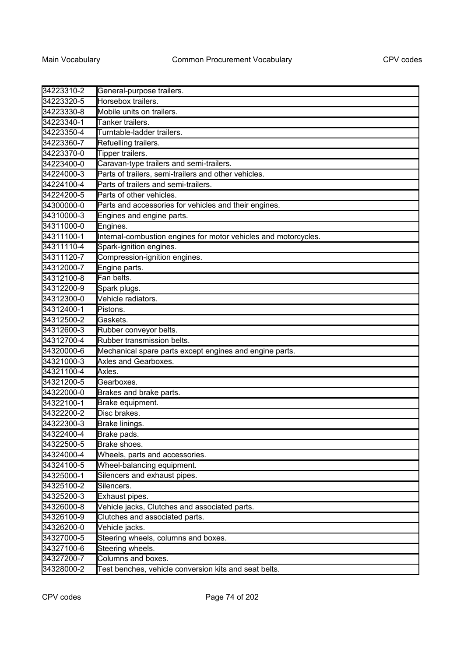| 34223310-2 | General-purpose trailers.                                       |
|------------|-----------------------------------------------------------------|
| 34223320-5 | Horsebox trailers.                                              |
| 34223330-8 | Mobile units on trailers.                                       |
| 34223340-1 | Tanker trailers.                                                |
| 34223350-4 | Turntable-ladder trailers.                                      |
| 34223360-7 | Refuelling trailers.                                            |
| 34223370-0 | Tipper trailers.                                                |
| 34223400-0 | Caravan-type trailers and semi-trailers.                        |
| 34224000-3 | Parts of trailers, semi-trailers and other vehicles.            |
| 34224100-4 | Parts of trailers and semi-trailers.                            |
| 34224200-5 | Parts of other vehicles.                                        |
| 34300000-0 | Parts and accessories for vehicles and their engines.           |
| 34310000-3 | Engines and engine parts.                                       |
| 34311000-0 | Engines.                                                        |
| 34311100-1 | Internal-combustion engines for motor vehicles and motorcycles. |
| 34311110-4 | Spark-ignition engines.                                         |
| 34311120-7 | Compression-ignition engines.                                   |
| 34312000-7 | Engine parts.                                                   |
| 34312100-8 | Fan belts.                                                      |
| 34312200-9 | Spark plugs.                                                    |
| 34312300-0 | Vehicle radiators.                                              |
| 34312400-1 | Pistons.                                                        |
| 34312500-2 | Gaskets.                                                        |
| 34312600-3 | Rubber conveyor belts.                                          |
| 34312700-4 | Rubber transmission belts.                                      |
| 34320000-6 | Mechanical spare parts except engines and engine parts.         |
| 34321000-3 | Axles and Gearboxes.                                            |
| 34321100-4 | Axles.                                                          |
| 34321200-5 | Gearboxes.                                                      |
| 34322000-0 | Brakes and brake parts.                                         |
| 34322100-1 | Brake equipment.                                                |
| 34322200-2 | Disc brakes.                                                    |
| 34322300-3 | Brake linings.                                                  |
| 34322400-4 | Brake pads.                                                     |
| 34322500-5 | Brake shoes.                                                    |
| 34324000-4 | Wheels, parts and accessories.                                  |
| 34324100-5 | Wheel-balancing equipment.                                      |
| 34325000-1 | Silencers and exhaust pipes.                                    |
| 34325100-2 | Silencers.                                                      |
| 34325200-3 | Exhaust pipes.                                                  |
| 34326000-8 | Vehicle jacks, Clutches and associated parts.                   |
| 34326100-9 | Clutches and associated parts.                                  |
| 34326200-0 | Vehicle jacks.                                                  |
| 34327000-5 | Steering wheels, columns and boxes.                             |
| 34327100-6 | Steering wheels.                                                |
| 34327200-7 | Columns and boxes.                                              |
| 34328000-2 | Test benches, vehicle conversion kits and seat belts.           |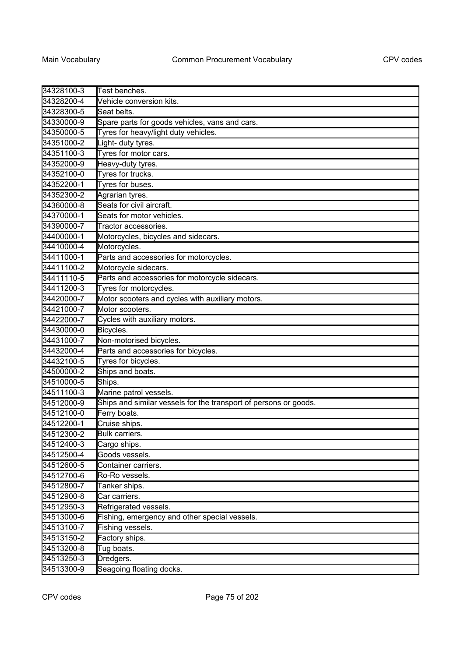| 34328100-3 | Test benches.                                                    |
|------------|------------------------------------------------------------------|
| 34328200-4 | Vehicle conversion kits.                                         |
| 34328300-5 | Seat belts.                                                      |
| 34330000-9 | Spare parts for goods vehicles, vans and cars.                   |
| 34350000-5 | Tyres for heavy/light duty vehicles.                             |
| 34351000-2 | Light- duty tyres.                                               |
| 34351100-3 | Tyres for motor cars.                                            |
| 34352000-9 | Heavy-duty tyres.                                                |
| 34352100-0 | Tyres for trucks.                                                |
| 34352200-1 | Tyres for buses.                                                 |
| 34352300-2 | Agrarian tyres.                                                  |
| 34360000-8 | Seats for civil aircraft.                                        |
| 34370000-1 | Seats for motor vehicles.                                        |
| 34390000-7 | Tractor accessories.                                             |
| 34400000-1 | Motorcycles, bicycles and sidecars.                              |
| 34410000-4 | Motorcycles.                                                     |
| 34411000-1 | Parts and accessories for motorcycles.                           |
| 34411100-2 | Motorcycle sidecars.                                             |
| 34411110-5 | Parts and accessories for motorcycle sidecars.                   |
| 34411200-3 | Tyres for motorcycles.                                           |
| 34420000-7 | Motor scooters and cycles with auxiliary motors.                 |
| 34421000-7 | Motor scooters.                                                  |
| 34422000-7 | Cycles with auxiliary motors.                                    |
| 34430000-0 | Bicycles.                                                        |
| 34431000-7 | Non-motorised bicycles.                                          |
| 34432000-4 | Parts and accessories for bicycles.                              |
| 34432100-5 | Tyres for bicycles.                                              |
| 34500000-2 | Ships and boats.                                                 |
| 34510000-5 | Ships.                                                           |
| 34511100-3 | Marine patrol vessels.                                           |
| 34512000-9 | Ships and similar vessels for the transport of persons or goods. |
| 34512100-0 | Ferry boats.                                                     |
| 34512200-1 | Cruise ships.                                                    |
| 34512300-2 | <b>Bulk carriers</b>                                             |
| 34512400-3 | Cargo ships.                                                     |
| 34512500-4 | Goods vessels.                                                   |
| 34512600-5 | Container carriers.                                              |
| 34512700-6 | Ro-Ro vessels.                                                   |
| 34512800-7 | Tanker ships.                                                    |
| 34512900-8 | Car carriers.                                                    |
| 34512950-3 | Refrigerated vessels.                                            |
| 34513000-6 | Fishing, emergency and other special vessels.                    |
| 34513100-7 | Fishing vessels.                                                 |
| 34513150-2 | Factory ships.                                                   |
| 34513200-8 | Tug boats.                                                       |
| 34513250-3 | Dredgers.                                                        |
| 34513300-9 | Seagoing floating docks.                                         |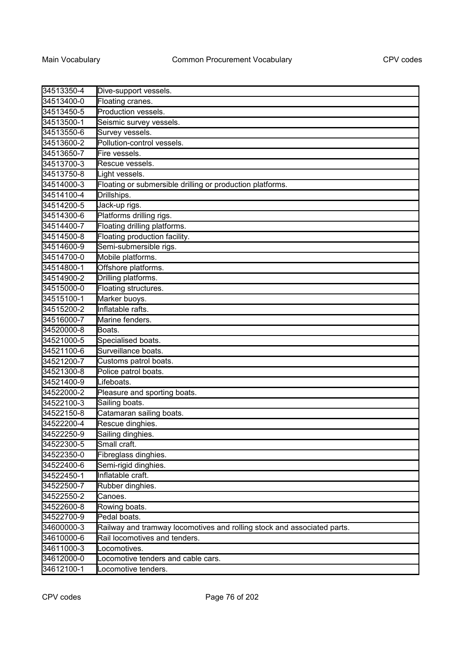| 34513350-4 | Dive-support vessels.                                                   |
|------------|-------------------------------------------------------------------------|
| 34513400-0 | Floating cranes.                                                        |
| 34513450-5 | Production vessels.                                                     |
| 34513500-1 | Seismic survey vessels.                                                 |
| 34513550-6 | Survey vessels.                                                         |
| 34513600-2 | Pollution-control vessels.                                              |
| 34513650-7 | Fire vessels.                                                           |
| 34513700-3 | Rescue vessels.                                                         |
| 34513750-8 | Light vessels.                                                          |
| 34514000-3 | Floating or submersible drilling or production platforms.               |
| 34514100-4 | Drillships.                                                             |
| 34514200-5 | Jack-up rigs.                                                           |
| 34514300-6 | Platforms drilling rigs.                                                |
| 34514400-7 | Floating drilling platforms.                                            |
| 34514500-8 | Floating production facility.                                           |
| 34514600-9 | Semi-submersible rigs.                                                  |
| 34514700-0 | Mobile platforms.                                                       |
| 34514800-1 | Offshore platforms.                                                     |
| 34514900-2 | Drilling platforms.                                                     |
| 34515000-0 | Floating structures.                                                    |
| 34515100-1 | Marker buoys.                                                           |
| 34515200-2 | Inflatable rafts.                                                       |
| 34516000-7 | Marine fenders.                                                         |
| 34520000-8 | Boats.                                                                  |
| 34521000-5 | Specialised boats.                                                      |
| 34521100-6 | Surveillance boats.                                                     |
| 34521200-7 | Customs patrol boats.                                                   |
| 34521300-8 | Police patrol boats.                                                    |
| 34521400-9 | Lifeboats.                                                              |
| 34522000-2 | Pleasure and sporting boats.                                            |
| 34522100-3 | Sailing boats.                                                          |
| 34522150-8 | Catamaran sailing boats.                                                |
| 34522200-4 | Rescue dinghies.                                                        |
| 34522250-9 | Sailing dinghies.                                                       |
| 34522300-5 | Small craft.                                                            |
| 34522350-0 | Fibreglass dinghies.                                                    |
| 34522400-6 | Semi-rigid dinghies.                                                    |
| 34522450-1 | Inflatable craft.                                                       |
| 34522500-7 | Rubber dinghies.                                                        |
| 34522550-2 | Canoes.                                                                 |
| 34522600-8 | Rowing boats.                                                           |
| 34522700-9 | Pedal boats.                                                            |
| 34600000-3 | Railway and tramway locomotives and rolling stock and associated parts. |
| 34610000-6 | Rail locomotives and tenders.                                           |
| 34611000-3 | Locomotives.                                                            |
| 34612000-0 | Locomotive tenders and cable cars.                                      |
| 34612100-1 | Locomotive tenders.                                                     |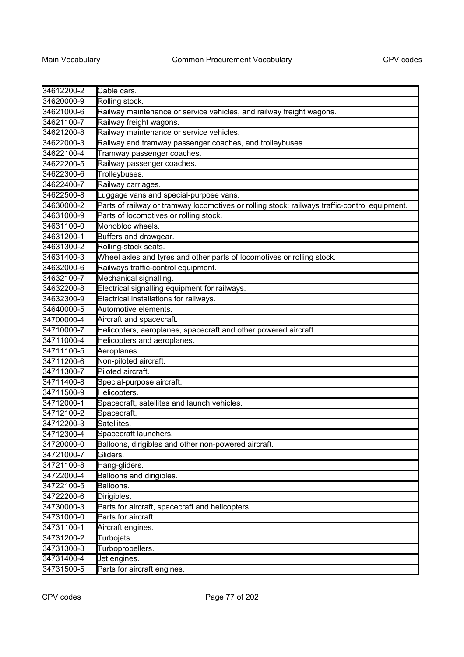| 34612200-2 | Cable cars.                                                                                   |
|------------|-----------------------------------------------------------------------------------------------|
| 34620000-9 | Rolling stock.                                                                                |
| 34621000-6 | Railway maintenance or service vehicles, and railway freight wagons.                          |
| 34621100-7 | Railway freight wagons.                                                                       |
| 34621200-8 | Railway maintenance or service vehicles.                                                      |
| 34622000-3 | Railway and tramway passenger coaches, and trolleybuses.                                      |
| 34622100-4 | Tramway passenger coaches.                                                                    |
| 34622200-5 | Railway passenger coaches.                                                                    |
| 34622300-6 | Trolleybuses.                                                                                 |
| 34622400-7 | Railway carriages.                                                                            |
| 34622500-8 | Luggage vans and special-purpose vans.                                                        |
| 34630000-2 | Parts of railway or tramway locomotives or rolling stock; railways traffic-control equipment. |
| 34631000-9 | Parts of locomotives or rolling stock.                                                        |
| 34631100-0 | Monobloc wheels.                                                                              |
| 34631200-1 | Buffers and drawgear.                                                                         |
| 34631300-2 | Rolling-stock seats.                                                                          |
| 34631400-3 | Wheel axles and tyres and other parts of locomotives or rolling stock.                        |
| 34632000-6 | Railways traffic-control equipment.                                                           |
| 34632100-7 | Mechanical signalling.                                                                        |
| 34632200-8 | Electrical signalling equipment for railways.                                                 |
| 34632300-9 | Electrical installations for railways.                                                        |
| 34640000-5 | Automotive elements.                                                                          |
| 34700000-4 | Aircraft and spacecraft.                                                                      |
| 34710000-7 | Helicopters, aeroplanes, spacecraft and other powered aircraft.                               |
| 34711000-4 | Helicopters and aeroplanes.                                                                   |
| 34711100-5 | Aeroplanes.                                                                                   |
| 34711200-6 | Non-piloted aircraft.                                                                         |
| 34711300-7 | Piloted aircraft.                                                                             |
| 34711400-8 | Special-purpose aircraft.                                                                     |
| 34711500-9 | Helicopters.                                                                                  |
| 34712000-1 | Spacecraft, satellites and launch vehicles.                                                   |
| 34712100-2 | Spacecraft.                                                                                   |
| 34712200-3 | Satellites.                                                                                   |
| 34712300-4 | Spacecraft launchers                                                                          |
| 34720000-0 | Balloons, dirigibles and other non-powered aircraft.                                          |
| 34721000-7 | Gliders.                                                                                      |
| 34721100-8 | Hang-gliders.                                                                                 |
| 34722000-4 | Balloons and dirigibles.                                                                      |
| 34722100-5 | Balloons.                                                                                     |
| 34722200-6 | Dirigibles.                                                                                   |
| 34730000-3 | Parts for aircraft, spacecraft and helicopters.                                               |
| 34731000-0 | Parts for aircraft.                                                                           |
| 34731100-1 | Aircraft engines.                                                                             |
| 34731200-2 | Turbojets.                                                                                    |
| 34731300-3 | Turbopropellers.                                                                              |
| 34731400-4 | Jet engines.                                                                                  |
| 34731500-5 | Parts for aircraft engines.                                                                   |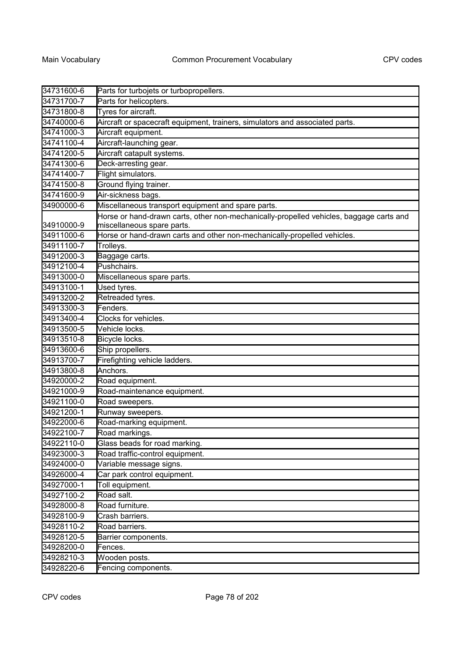| 34731600-6 | Parts for turbojets or turbopropellers.                                                                               |
|------------|-----------------------------------------------------------------------------------------------------------------------|
| 34731700-7 | Parts for helicopters.                                                                                                |
| 34731800-8 | Tyres for aircraft.                                                                                                   |
| 34740000-6 | Aircraft or spacecraft equipment, trainers, simulators and associated parts.                                          |
| 34741000-3 | Aircraft equipment.                                                                                                   |
| 34741100-4 | Aircraft-launching gear.                                                                                              |
| 34741200-5 | Aircraft catapult systems.                                                                                            |
| 34741300-6 | Deck-arresting gear.                                                                                                  |
| 34741400-7 | Flight simulators.                                                                                                    |
| 34741500-8 | Ground flying trainer.                                                                                                |
| 34741600-9 | Air-sickness bags.                                                                                                    |
| 34900000-6 | Miscellaneous transport equipment and spare parts.                                                                    |
| 34910000-9 | Horse or hand-drawn carts, other non-mechanically-propelled vehicles, baggage carts and<br>miscellaneous spare parts. |
| 34911000-6 | Horse or hand-drawn carts and other non-mechanically-propelled vehicles.                                              |
| 34911100-7 | Trolleys.                                                                                                             |
| 34912000-3 | Baggage carts.                                                                                                        |
| 34912100-4 | Pushchairs.                                                                                                           |
| 34913000-0 | Miscellaneous spare parts.                                                                                            |
| 34913100-1 | Used tyres.                                                                                                           |
| 34913200-2 | Retreaded tyres.                                                                                                      |
| 34913300-3 | Fenders.                                                                                                              |
| 34913400-4 | Clocks for vehicles.                                                                                                  |
| 34913500-5 | Vehicle locks.                                                                                                        |
| 34913510-8 | Bicycle locks.                                                                                                        |
| 34913600-6 | Ship propellers.                                                                                                      |
| 34913700-7 | Firefighting vehicle ladders.                                                                                         |
| 34913800-8 | Anchors.                                                                                                              |
| 34920000-2 | Road equipment.                                                                                                       |
| 34921000-9 | Road-maintenance equipment.                                                                                           |
| 34921100-0 | Road sweepers.                                                                                                        |
| 34921200-1 | Runway sweepers.                                                                                                      |
| 34922000-6 | Road-marking equipment.                                                                                               |
| 34922100-7 | Road markings.                                                                                                        |
| 34922110-0 | Glass beads for road marking.                                                                                         |
| 34923000-3 | Road traffic-control equipment.                                                                                       |
| 34924000-0 | Variable message signs.                                                                                               |
| 34926000-4 | Car park control equipment.                                                                                           |
| 34927000-1 | Toll equipment.                                                                                                       |
| 34927100-2 | Road salt.                                                                                                            |
| 34928000-8 | Road furniture.                                                                                                       |
| 34928100-9 | Crash barriers.                                                                                                       |
| 34928110-2 | Road barriers.                                                                                                        |
| 34928120-5 | Barrier components.                                                                                                   |
| 34928200-0 | Fences.                                                                                                               |
| 34928210-3 | Wooden posts.                                                                                                         |
| 34928220-6 | Fencing components.                                                                                                   |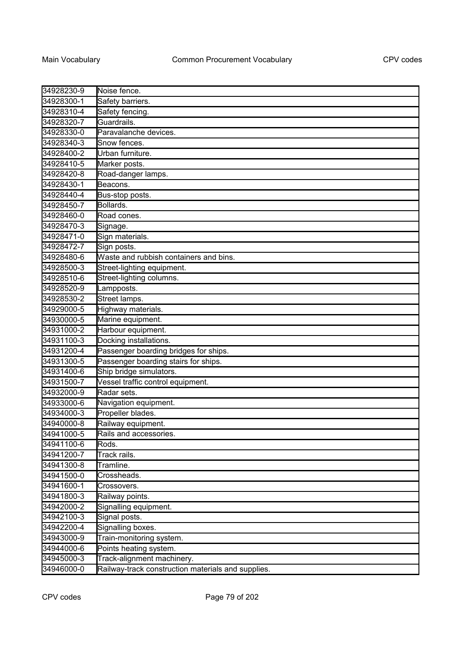| 34928230-9 | Noise fence.                                       |
|------------|----------------------------------------------------|
| 34928300-1 | Safety barriers.                                   |
| 34928310-4 | Safety fencing.                                    |
| 34928320-7 | Guardrails.                                        |
| 34928330-0 | Paravalanche devices.                              |
| 34928340-3 | Snow fences.                                       |
| 34928400-2 | Urban furniture.                                   |
| 34928410-5 | Marker posts.                                      |
| 34928420-8 | Road-danger lamps.                                 |
| 34928430-1 | Beacons.                                           |
| 34928440-4 | Bus-stop posts.                                    |
| 34928450-7 | Bollards.                                          |
| 34928460-0 | Road cones.                                        |
| 34928470-3 | Signage.                                           |
| 34928471-0 | Sign materials.                                    |
| 34928472-7 | Sign posts.                                        |
| 34928480-6 | Waste and rubbish containers and bins.             |
| 34928500-3 | Street-lighting equipment.                         |
| 34928510-6 | Street-lighting columns.                           |
| 34928520-9 | Lampposts.                                         |
| 34928530-2 | Street lamps.                                      |
| 34929000-5 | Highway materials.                                 |
| 34930000-5 | Marine equipment.                                  |
| 34931000-2 | Harbour equipment.                                 |
| 34931100-3 | Docking installations.                             |
| 34931200-4 | Passenger boarding bridges for ships.              |
| 34931300-5 | Passenger boarding stairs for ships.               |
| 34931400-6 | Ship bridge simulators.                            |
| 34931500-7 | Vessel traffic control equipment.                  |
| 34932000-9 | Radar sets.                                        |
| 34933000-6 | Navigation equipment.                              |
| 34934000-3 | Propeller blades.                                  |
| 34940000-8 | Railway equipment.                                 |
| 34941000-5 | Rails and accessories.                             |
| 34941100-6 | Rods.                                              |
| 34941200-7 | Track rails.                                       |
| 34941300-8 | Tramline.                                          |
| 34941500-0 | Crossheads.                                        |
| 34941600-1 | Crossovers.                                        |
| 34941800-3 | Railway points.                                    |
| 34942000-2 | Signalling equipment.                              |
| 34942100-3 | Signal posts.                                      |
| 34942200-4 | Signalling boxes.                                  |
| 34943000-9 | Train-monitoring system.                           |
| 34944000-6 | Points heating system.                             |
| 34945000-3 | Track-alignment machinery.                         |
| 34946000-0 | Railway-track construction materials and supplies. |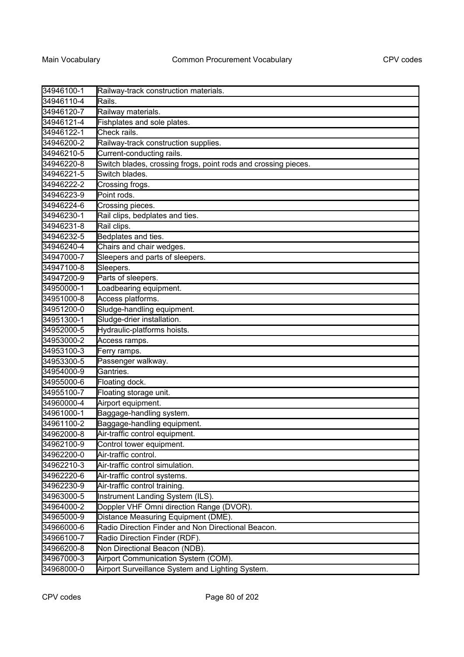| 34946100-1 | Railway-track construction materials.                          |
|------------|----------------------------------------------------------------|
| 34946110-4 | Rails.                                                         |
| 34946120-7 | Railway materials.                                             |
| 34946121-4 | Fishplates and sole plates.                                    |
| 34946122-1 | Check rails.                                                   |
| 34946200-2 | Railway-track construction supplies.                           |
| 34946210-5 | Current-conducting rails.                                      |
| 34946220-8 | Switch blades, crossing frogs, point rods and crossing pieces. |
| 34946221-5 | Switch blades.                                                 |
| 34946222-2 | Crossing frogs.                                                |
| 34946223-9 | Point rods.                                                    |
| 34946224-6 | Crossing pieces.                                               |
| 34946230-1 | Rail clips, bedplates and ties.                                |
| 34946231-8 | Rail clips.                                                    |
| 34946232-5 | Bedplates and ties.                                            |
| 34946240-4 | Chairs and chair wedges.                                       |
| 34947000-7 | Sleepers and parts of sleepers.                                |
| 34947100-8 | Sleepers.                                                      |
| 34947200-9 | Parts of sleepers.                                             |
| 34950000-1 | Loadbearing equipment.                                         |
| 34951000-8 | Access platforms.                                              |
| 34951200-0 | Sludge-handling equipment.                                     |
| 34951300-1 | Sludge-drier installation.                                     |
| 34952000-5 | Hydraulic-platforms hoists.                                    |
| 34953000-2 | Access ramps.                                                  |
| 34953100-3 | Ferry ramps.                                                   |
| 34953300-5 | Passenger walkway.                                             |
| 34954000-9 | Gantries.                                                      |
| 34955000-6 | Floating dock.                                                 |
| 34955100-7 | Floating storage unit.                                         |
| 34960000-4 | Airport equipment.                                             |
| 34961000-1 | Baggage-handling system.                                       |
| 34961100-2 | Baggage-handling equipment.                                    |
| 34962000-8 | Air-traffic control equipment.                                 |
| 34962100-9 | Control tower equipment.                                       |
| 34962200-0 | Air-traffic control.                                           |
| 34962210-3 | Air-traffic control simulation.                                |
| 34962220-6 | Air-traffic control systems.                                   |
| 34962230-9 | Air-traffic control training.                                  |
| 34963000-5 | Instrument Landing System (ILS).                               |
| 34964000-2 | Doppler VHF Omni direction Range (DVOR).                       |
| 34965000-9 | Distance Measuring Equipment (DME).                            |
| 34966000-6 | Radio Direction Finder and Non Directional Beacon.             |
| 34966100-7 | Radio Direction Finder (RDF).                                  |
| 34966200-8 | Non Directional Beacon (NDB).                                  |
| 34967000-3 | Airport Communication System (COM).                            |
| 34968000-0 | Airport Surveillance System and Lighting System.               |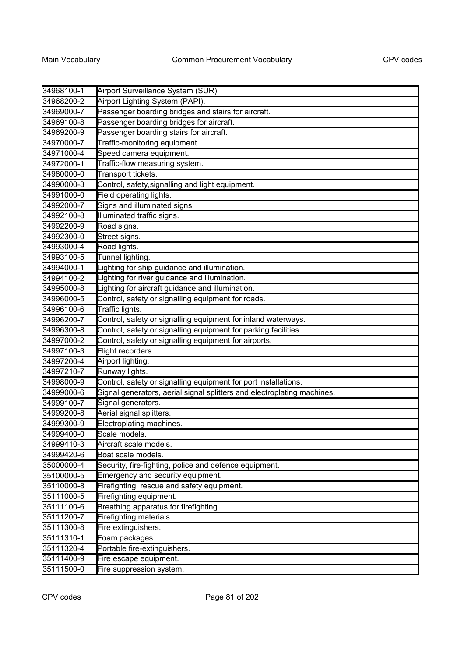| 34968100-1 | Airport Surveillance System (SUR).                                      |
|------------|-------------------------------------------------------------------------|
| 34968200-2 | Airport Lighting System (PAPI).                                         |
| 34969000-7 | Passenger boarding bridges and stairs for aircraft.                     |
| 34969100-8 | Passenger boarding bridges for aircraft.                                |
| 34969200-9 | Passenger boarding stairs for aircraft.                                 |
| 34970000-7 | Traffic-monitoring equipment.                                           |
| 34971000-4 | Speed camera equipment.                                                 |
| 34972000-1 | Traffic-flow measuring system.                                          |
| 34980000-0 | Transport tickets.                                                      |
| 34990000-3 | Control, safety, signalling and light equipment.                        |
| 34991000-0 | Field operating lights.                                                 |
| 34992000-7 | Signs and illuminated signs.                                            |
| 34992100-8 | Illuminated traffic signs.                                              |
| 34992200-9 | Road signs.                                                             |
| 34992300-0 | Street signs.                                                           |
| 34993000-4 | Road lights.                                                            |
| 34993100-5 | Tunnel lighting.                                                        |
| 34994000-1 | Lighting for ship guidance and illumination.                            |
| 34994100-2 | Lighting for river guidance and illumination.                           |
| 34995000-8 | Lighting for aircraft guidance and illumination.                        |
| 34996000-5 | Control, safety or signalling equipment for roads.                      |
| 34996100-6 | Traffic lights.                                                         |
| 34996200-7 | Control, safety or signalling equipment for inland waterways.           |
| 34996300-8 | Control, safety or signalling equipment for parking facilities.         |
| 34997000-2 | Control, safety or signalling equipment for airports.                   |
| 34997100-3 | Flight recorders.                                                       |
| 34997200-4 | Airport lighting.                                                       |
| 34997210-7 | Runway lights.                                                          |
| 34998000-9 | Control, safety or signalling equipment for port installations.         |
| 34999000-6 | Signal generators, aerial signal splitters and electroplating machines. |
| 34999100-7 | Signal generators.                                                      |
| 34999200-8 | Aerial signal splitters.                                                |
| 34999300-9 | Electroplating machines.                                                |
| 34999400-0 | Scale models.                                                           |
| 34999410-3 | Aircraft scale models.                                                  |
| 34999420-6 | Boat scale models.                                                      |
| 35000000-4 | Security, fire-fighting, police and defence equipment.                  |
| 35100000-5 | Emergency and security equipment.                                       |
| 35110000-8 | Firefighting, rescue and safety equipment.                              |
| 35111000-5 | Firefighting equipment.                                                 |
| 35111100-6 | Breathing apparatus for firefighting.                                   |
| 35111200-7 | Firefighting materials.                                                 |
| 35111300-8 | Fire extinguishers.                                                     |
| 35111310-1 | Foam packages.                                                          |
| 35111320-4 | Portable fire-extinguishers.                                            |
| 35111400-9 | Fire escape equipment.                                                  |
| 35111500-0 | Fire suppression system.                                                |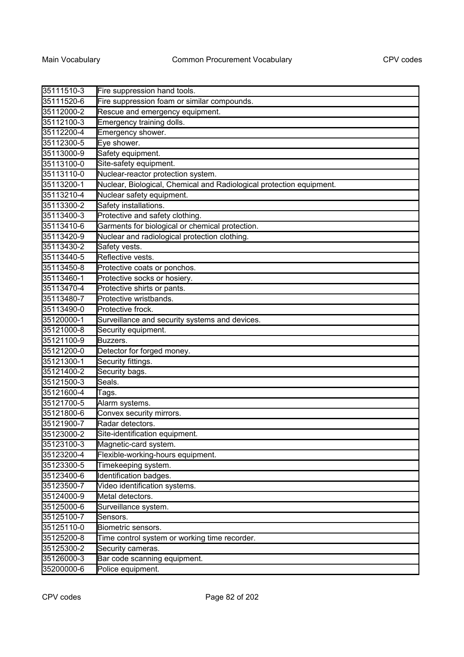| 35111510-3 | Fire suppression hand tools.                                         |
|------------|----------------------------------------------------------------------|
| 35111520-6 | Fire suppression foam or similar compounds.                          |
| 35112000-2 | Rescue and emergency equipment.                                      |
| 35112100-3 | Emergency training dolls.                                            |
| 35112200-4 | Emergency shower.                                                    |
| 35112300-5 | Eye shower.                                                          |
| 35113000-9 | Safety equipment.                                                    |
| 35113100-0 | Site-safety equipment.                                               |
| 35113110-0 | Nuclear-reactor protection system.                                   |
| 35113200-1 | Nuclear, Biological, Chemical and Radiological protection equipment. |
| 35113210-4 | Nuclear safety equipment.                                            |
| 35113300-2 | Safety installations.                                                |
| 35113400-3 | Protective and safety clothing.                                      |
| 35113410-6 | Garments for biological or chemical protection.                      |
| 35113420-9 | Nuclear and radiological protection clothing.                        |
| 35113430-2 | Safety vests.                                                        |
| 35113440-5 | Reflective vests.                                                    |
| 35113450-8 | Protective coats or ponchos.                                         |
| 35113460-1 | Protective socks or hosiery.                                         |
| 35113470-4 | Protective shirts or pants.                                          |
| 35113480-7 | Protective wristbands.                                               |
| 35113490-0 | Protective frock.                                                    |
| 35120000-1 | Surveillance and security systems and devices.                       |
| 35121000-8 | Security equipment.                                                  |
| 35121100-9 | Buzzers.                                                             |
| 35121200-0 | Detector for forged money.                                           |
| 35121300-1 | Security fittings.                                                   |
| 35121400-2 | Security bags.                                                       |
| 35121500-3 | Seals.                                                               |
| 35121600-4 | Tags.                                                                |
| 35121700-5 | Alarm systems.                                                       |
| 35121800-6 | Convex security mirrors.                                             |
| 35121900-7 | Radar detectors.                                                     |
| 35123000-2 | Site-identification equipment.                                       |
| 35123100-3 | Magnetic-card system.                                                |
| 35123200-4 | Flexible-working-hours equipment.                                    |
| 35123300-5 | Timekeeping system.                                                  |
| 35123400-6 | Identification badges.                                               |
| 35123500-7 | Video identification systems.                                        |
| 35124000-9 | Metal detectors.                                                     |
| 35125000-6 | Surveillance system.                                                 |
| 35125100-7 | Sensors.                                                             |
| 35125110-0 | Biometric sensors.                                                   |
| 35125200-8 | Time control system or working time recorder.                        |
| 35125300-2 | Security cameras.                                                    |
| 35126000-3 | Bar code scanning equipment.                                         |
| 35200000-6 | Police equipment.                                                    |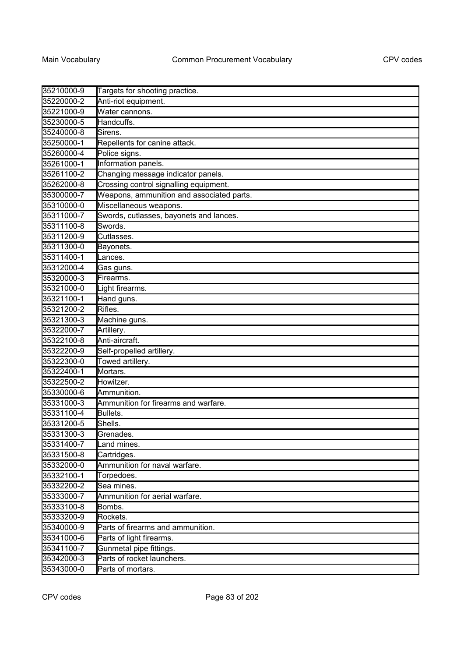| 35210000-9 | Targets for shooting practice.            |
|------------|-------------------------------------------|
| 35220000-2 | Anti-riot equipment.                      |
| 35221000-9 | Water cannons.                            |
| 35230000-5 | Handcuffs.                                |
| 35240000-8 | Sirens.                                   |
| 35250000-1 | Repellents for canine attack.             |
| 35260000-4 | Police signs.                             |
| 35261000-1 | Information panels.                       |
| 35261100-2 | Changing message indicator panels.        |
| 35262000-8 | Crossing control signalling equipment.    |
| 35300000-7 | Weapons, ammunition and associated parts. |
| 35310000-0 | Miscellaneous weapons.                    |
| 35311000-7 | Swords, cutlasses, bayonets and lances.   |
| 35311100-8 | Swords.                                   |
| 35311200-9 | Cutlasses.                                |
| 35311300-0 | Bayonets.                                 |
| 35311400-1 | Lances.                                   |
| 35312000-4 | Gas guns.                                 |
| 35320000-3 | Firearms.                                 |
| 35321000-0 | Light firearms.                           |
| 35321100-1 | Hand guns.                                |
| 35321200-2 | Rifles.                                   |
| 35321300-3 | Machine guns.                             |
| 35322000-7 | Artillery.                                |
| 35322100-8 | Anti-aircraft.                            |
| 35322200-9 | Self-propelled artillery.                 |
| 35322300-0 | Towed artillery.                          |
| 35322400-1 | Mortars.                                  |
| 35322500-2 | Howitzer.                                 |
| 35330000-6 | Ammunition.                               |
| 35331000-3 | Ammunition for firearms and warfare.      |
| 35331100-4 | Bullets.                                  |
| 35331200-5 | Shells.                                   |
| 35331300-3 | Grenades.                                 |
| 35331400-7 | Land mines.                               |
| 35331500-8 | Cartridges.                               |
| 35332000-0 | Ammunition for naval warfare.             |
| 35332100-1 | Torpedoes.                                |
| 35332200-2 | Sea mines.                                |
| 35333000-7 | Ammunition for aerial warfare.            |
| 35333100-8 | Bombs.                                    |
| 35333200-9 | Rockets.                                  |
| 35340000-9 | Parts of firearms and ammunition.         |
| 35341000-6 | Parts of light firearms.                  |
| 35341100-7 | Gunmetal pipe fittings.                   |
| 35342000-3 | Parts of rocket launchers.                |
| 35343000-0 | Parts of mortars.                         |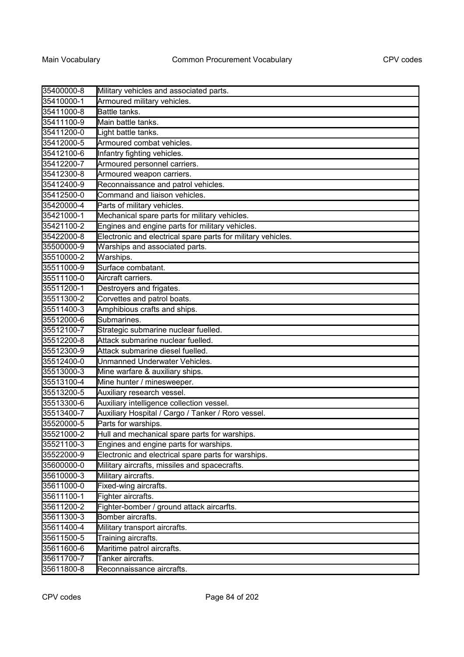| 35400000-8 | Military vehicles and associated parts.                      |
|------------|--------------------------------------------------------------|
| 35410000-1 | Armoured military vehicles.                                  |
| 35411000-8 | Battle tanks.                                                |
| 35411100-9 | Main battle tanks.                                           |
| 35411200-0 | Light battle tanks.                                          |
| 35412000-5 | Armoured combat vehicles.                                    |
| 35412100-6 | Infantry fighting vehicles.                                  |
| 35412200-7 | Armoured personnel carriers.                                 |
| 35412300-8 | Armoured weapon carriers.                                    |
| 35412400-9 | Reconnaissance and patrol vehicles.                          |
| 35412500-0 | Command and liaison vehicles.                                |
| 35420000-4 | Parts of military vehicles.                                  |
| 35421000-1 | Mechanical spare parts for military vehicles.                |
| 35421100-2 | Engines and engine parts for military vehicles.              |
| 35422000-8 | Electronic and electrical spare parts for military vehicles. |
| 35500000-9 | Warships and associated parts.                               |
| 35510000-2 | Warships.                                                    |
| 35511000-9 | Surface combatant.                                           |
| 35511100-0 | Aircraft carriers.                                           |
| 35511200-1 | Destroyers and frigates.                                     |
| 35511300-2 | Corvettes and patrol boats.                                  |
| 35511400-3 | Amphibious crafts and ships.                                 |
| 35512000-6 | Submarines.                                                  |
| 35512100-7 | Strategic submarine nuclear fuelled.                         |
| 35512200-8 | Attack submarine nuclear fuelled.                            |
| 35512300-9 | Attack submarine diesel fuelled.                             |
| 35512400-0 | Unmanned Underwater Vehicles.                                |
| 35513000-3 | Mine warfare & auxiliary ships.                              |
| 35513100-4 | Mine hunter / minesweeper.                                   |
| 35513200-5 | Auxiliary research vessel.                                   |
| 35513300-6 | Auxiliary intelligence collection vessel.                    |
| 35513400-7 | Auxiliary Hospital / Cargo / Tanker / Roro vessel.           |
| 35520000-5 | Parts for warships.                                          |
| 35521000-2 | Hull and mechanical spare parts for warships.                |
| 35521100-3 | Engines and engine parts for warships.                       |
| 35522000-9 | Electronic and electrical spare parts for warships.          |
| 35600000-0 | Military aircrafts, missiles and spacecrafts.                |
| 35610000-3 | Military aircrafts.                                          |
| 35611000-0 | Fixed-wing aircrafts.                                        |
| 35611100-1 | Fighter aircrafts.                                           |
| 35611200-2 | Fighter-bomber / ground attack aircarfts.                    |
| 35611300-3 | Bomber aircrafts.                                            |
| 35611400-4 | Military transport aircrafts.                                |
| 35611500-5 | Training aircrafts.                                          |
| 35611600-6 | Maritime patrol aircrafts.                                   |
| 35611700-7 | Tanker aircrafts.                                            |
| 35611800-8 | Reconnaissance aircrafts.                                    |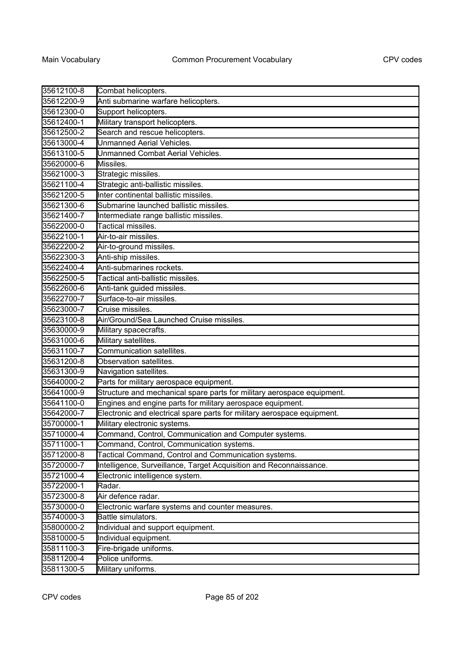| 35612100-8 | Combat helicopters.                                                     |
|------------|-------------------------------------------------------------------------|
| 35612200-9 | Anti submarine warfare helicopters.                                     |
| 35612300-0 | Support helicopters.                                                    |
| 35612400-1 | Military transport helicopters.                                         |
| 35612500-2 | Search and rescue helicopters.                                          |
| 35613000-4 | Unmanned Aerial Vehicles.                                               |
| 35613100-5 | Unmanned Combat Aerial Vehicles.                                        |
| 35620000-6 | Missiles.                                                               |
| 35621000-3 | Strategic missiles.                                                     |
| 35621100-4 | Strategic anti-ballistic missiles.                                      |
| 35621200-5 | Inter continental ballistic missiles.                                   |
| 35621300-6 | Submarine launched ballistic missiles.                                  |
| 35621400-7 | Intermediate range ballistic missiles.                                  |
| 35622000-0 | Tactical missiles.                                                      |
| 35622100-1 | Air-to-air missiles.                                                    |
| 35622200-2 | Air-to-ground missiles.                                                 |
| 35622300-3 | Anti-ship missiles.                                                     |
| 35622400-4 | Anti-submarines rockets.                                                |
| 35622500-5 | Tactical anti-ballistic missiles.                                       |
| 35622600-6 | Anti-tank guided missiles.                                              |
| 35622700-7 | Surface-to-air missiles.                                                |
| 35623000-7 | Cruise missiles.                                                        |
| 35623100-8 | Air/Ground/Sea Launched Cruise missiles.                                |
| 35630000-9 | Military spacecrafts.                                                   |
| 35631000-6 | Military satellites.                                                    |
| 35631100-7 | Communication satellites.                                               |
| 35631200-8 | Observation satellites.                                                 |
| 35631300-9 | Navigation satellites.                                                  |
| 35640000-2 | Parts for military aerospace equipment.                                 |
| 35641000-9 | Structure and mechanical spare parts for military aerospace equipment.  |
| 35641100-0 | Engines and engine parts for military aerospace equipment.              |
| 35642000-7 | Electronic and electrical spare parts for military aerospace equipment. |
| 35700000-1 | Military electronic systems.                                            |
| 35710000-4 | Command, Control, Communication and Computer systems.                   |
| 35711000-1 | Command, Control, Communication systems.                                |
| 35712000-8 | Tactical Command, Control and Communication systems.                    |
| 35720000-7 | Intelligence, Surveillance, Target Acquisition and Reconnaissance.      |
| 35721000-4 | Electronic intelligence system.                                         |
| 35722000-1 | Radar.                                                                  |
| 35723000-8 | Air defence radar.                                                      |
| 35730000-0 | Electronic warfare systems and counter measures.                        |
| 35740000-3 | Battle simulators.                                                      |
| 35800000-2 | Individual and support equipment.                                       |
| 35810000-5 | Individual equipment.                                                   |
| 35811100-3 | Fire-brigade uniforms.                                                  |
| 35811200-4 | Police uniforms.                                                        |
| 35811300-5 | Military uniforms.                                                      |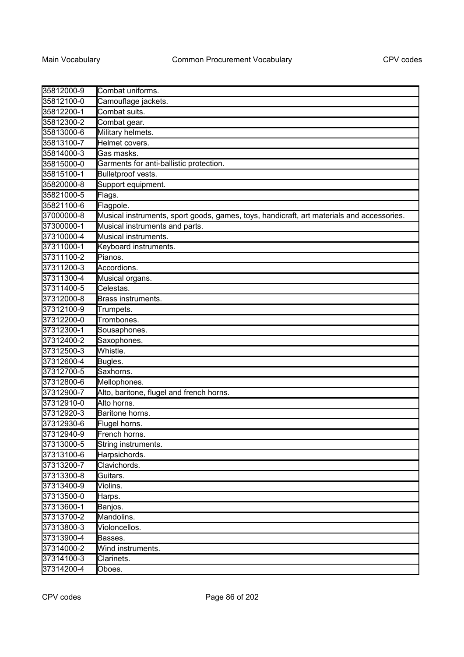| 35812000-9 | Combat uniforms.                                                                          |
|------------|-------------------------------------------------------------------------------------------|
| 35812100-0 | Camouflage jackets.                                                                       |
| 35812200-1 | Combat suits.                                                                             |
| 35812300-2 | Combat gear.                                                                              |
| 35813000-6 | Military helmets.                                                                         |
| 35813100-7 | Helmet covers.                                                                            |
| 35814000-3 | Gas masks.                                                                                |
| 35815000-0 | Garments for anti-ballistic protection.                                                   |
| 35815100-1 | Bulletproof vests.                                                                        |
| 35820000-8 | Support equipment.                                                                        |
| 35821000-5 | Flags.                                                                                    |
| 35821100-6 | Flagpole.                                                                                 |
| 37000000-8 | Musical instruments, sport goods, games, toys, handicraft, art materials and accessories. |
| 37300000-1 | Musical instruments and parts.                                                            |
| 37310000-4 | Musical instruments.                                                                      |
| 37311000-1 | Keyboard instruments.                                                                     |
| 37311100-2 | Pianos.                                                                                   |
| 37311200-3 | Accordions.                                                                               |
| 37311300-4 | Musical organs.                                                                           |
| 37311400-5 | Celestas.                                                                                 |
| 37312000-8 | Brass instruments.                                                                        |
| 37312100-9 | Trumpets.                                                                                 |
| 37312200-0 | Trombones.                                                                                |
| 37312300-1 | Sousaphones.                                                                              |
| 37312400-2 | Saxophones.                                                                               |
| 37312500-3 | Whistle.                                                                                  |
| 37312600-4 | Bugles.                                                                                   |
| 37312700-5 | Saxhorns.                                                                                 |
| 37312800-6 | Mellophones.                                                                              |
| 37312900-7 | Alto, baritone, flugel and french horns.                                                  |
| 37312910-0 | Alto horns.                                                                               |
| 37312920-3 | Baritone horns.                                                                           |
| 37312930-6 | Flugel horns.                                                                             |
| 37312940-9 | French horns.                                                                             |
| 37313000-5 | String instruments.                                                                       |
| 37313100-6 | Harpsichords.                                                                             |
| 37313200-7 | Clavichords.                                                                              |
| 37313300-8 | Guitars.                                                                                  |
| 37313400-9 | Violins.                                                                                  |
| 37313500-0 | Harps.                                                                                    |
| 37313600-1 | Banjos.                                                                                   |
| 37313700-2 | Mandolins.                                                                                |
| 37313800-3 | Violoncellos.                                                                             |
| 37313900-4 | Basses.                                                                                   |
| 37314000-2 | Wind instruments.                                                                         |
| 37314100-3 | Clarinets.                                                                                |
| 37314200-4 | Oboes.                                                                                    |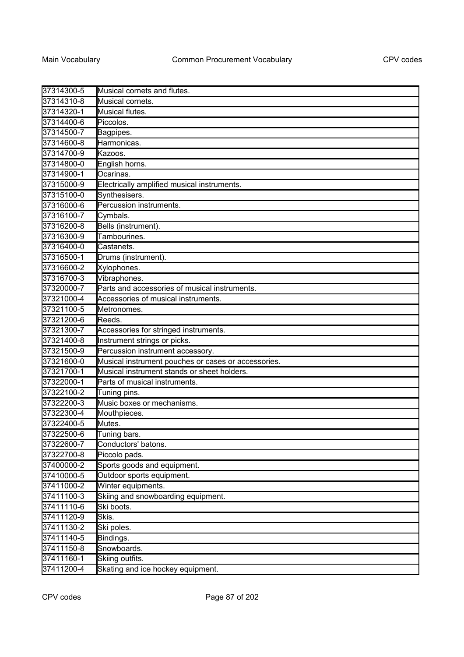| 37314300-5 | Musical cornets and flutes.                         |
|------------|-----------------------------------------------------|
| 37314310-8 | Musical cornets.                                    |
| 37314320-1 | Musical flutes.                                     |
| 37314400-6 | Piccolos.                                           |
| 37314500-7 | Bagpipes.                                           |
| 37314600-8 | Harmonicas.                                         |
| 37314700-9 | Kazoos.                                             |
| 37314800-0 | English horns.                                      |
| 37314900-1 | Ocarinas.                                           |
| 37315000-9 | Electrically amplified musical instruments.         |
| 37315100-0 | Synthesisers.                                       |
| 37316000-6 | Percussion instruments.                             |
| 37316100-7 | Cymbals.                                            |
| 37316200-8 | Bells (instrument).                                 |
| 37316300-9 | Tambourines.                                        |
| 37316400-0 | Castanets.                                          |
| 37316500-1 | Drums (instrument).                                 |
| 37316600-2 | Xylophones.                                         |
| 37316700-3 | Vibraphones.                                        |
| 37320000-7 | Parts and accessories of musical instruments.       |
| 37321000-4 | Accessories of musical instruments.                 |
| 37321100-5 | Metronomes.                                         |
| 37321200-6 | Reeds.                                              |
| 37321300-7 | Accessories for stringed instruments.               |
| 37321400-8 | Instrument strings or picks.                        |
| 37321500-9 | Percussion instrument accessory.                    |
| 37321600-0 | Musical instrument pouches or cases or accessories. |
| 37321700-1 | Musical instrument stands or sheet holders.         |
| 37322000-1 | Parts of musical instruments.                       |
| 37322100-2 | Tuning pins.                                        |
| 37322200-3 | Music boxes or mechanisms.                          |
| 37322300-4 | Mouthpieces.                                        |
| 37322400-5 | Mutes.                                              |
| 37322500-6 | Tuning bars.                                        |
| 37322600-7 | Conductors' batons.                                 |
| 37322700-8 | Piccolo pads.                                       |
| 37400000-2 | Sports goods and equipment.                         |
| 37410000-5 | Outdoor sports equipment.                           |
| 37411000-2 | Winter equipments.                                  |
| 37411100-3 | Skiing and snowboarding equipment.                  |
| 37411110-6 | Ski boots.                                          |
| 37411120-9 | Skis.                                               |
| 37411130-2 | Ski poles.                                          |
| 37411140-5 | Bindings.                                           |
| 37411150-8 | Snowboards.                                         |
| 37411160-1 | Skiing outfits.                                     |
| 37411200-4 | Skating and ice hockey equipment.                   |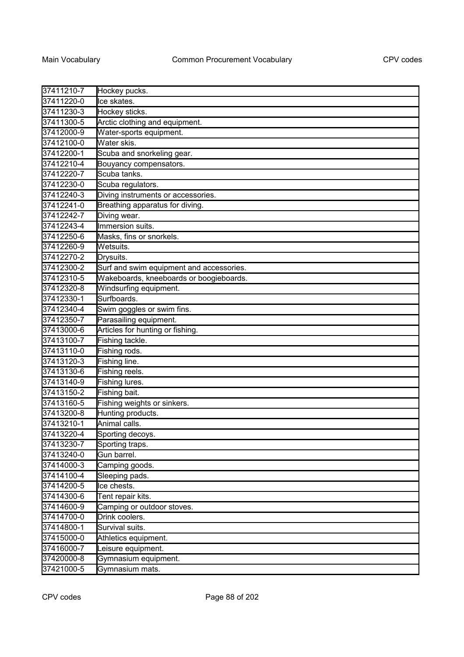| 37411210-7 | Hockey pucks.                            |
|------------|------------------------------------------|
| 37411220-0 | Ice skates.                              |
| 37411230-3 | Hockey sticks.                           |
| 37411300-5 | Arctic clothing and equipment.           |
| 37412000-9 | Water-sports equipment.                  |
| 37412100-0 | Water skis.                              |
| 37412200-1 | Scuba and snorkeling gear.               |
| 37412210-4 | Bouyancy compensators.                   |
| 37412220-7 | Scuba tanks.                             |
| 37412230-0 | Scuba regulators.                        |
| 37412240-3 | Diving instruments or accessories.       |
| 37412241-0 | Breathing apparatus for diving.          |
| 37412242-7 | Diving wear.                             |
| 37412243-4 | Immersion suits.                         |
| 37412250-6 | Masks, fins or snorkels.                 |
| 37412260-9 | Wetsuits.                                |
| 37412270-2 | Drysuits.                                |
| 37412300-2 | Surf and swim equipment and accessories. |
| 37412310-5 | Wakeboards, kneeboards or boogieboards.  |
| 37412320-8 | Windsurfing equipment.                   |
| 37412330-1 | Surfboards.                              |
| 37412340-4 | Swim goggles or swim fins.               |
| 37412350-7 | Parasailing equipment.                   |
| 37413000-6 | Articles for hunting or fishing.         |
| 37413100-7 | Fishing tackle.                          |
| 37413110-0 | Fishing rods.                            |
| 37413120-3 | Fishing line.                            |
| 37413130-6 | Fishing reels.                           |
| 37413140-9 | Fishing lures.                           |
| 37413150-2 | Fishing bait.                            |
| 37413160-5 | Fishing weights or sinkers.              |
| 37413200-8 | Hunting products.                        |
| 37413210-1 | Animal calls.                            |
| 37413220-4 | Sporting decoys.                         |
| 37413230-7 | Sporting traps.                          |
| 37413240-0 | Gun barrel.                              |
| 37414000-3 | Camping goods.                           |
| 37414100-4 | Sleeping pads.                           |
| 37414200-5 | Ice chests.                              |
| 37414300-6 | Tent repair kits.                        |
| 37414600-9 | Camping or outdoor stoves.               |
| 37414700-0 | Drink coolers.                           |
| 37414800-1 | Survival suits.                          |
| 37415000-0 | Athletics equipment.                     |
| 37416000-7 | Leisure equipment.                       |
| 37420000-8 | Gymnasium equipment.                     |
| 37421000-5 | Gymnasium mats.                          |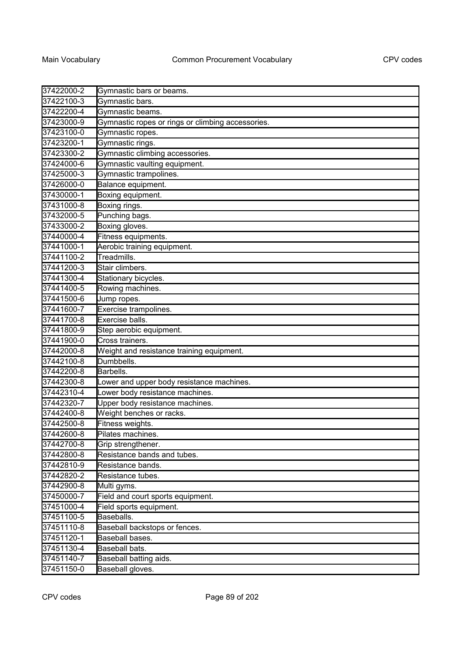| 37422000-2 | Gymnastic bars or beams.                          |
|------------|---------------------------------------------------|
| 37422100-3 | Gymnastic bars.                                   |
| 37422200-4 | Gymnastic beams.                                  |
| 37423000-9 | Gymnastic ropes or rings or climbing accessories. |
| 37423100-0 | Gymnastic ropes.                                  |
| 37423200-1 | Gymnastic rings.                                  |
| 37423300-2 | Gymnastic climbing accessories.                   |
| 37424000-6 | Gymnastic vaulting equipment.                     |
| 37425000-3 | Gymnastic trampolines.                            |
| 37426000-0 | Balance equipment.                                |
| 37430000-1 | Boxing equipment.                                 |
| 37431000-8 | Boxing rings.                                     |
| 37432000-5 | Punching bags.                                    |
| 37433000-2 | Boxing gloves.                                    |
| 37440000-4 | Fitness equipments.                               |
| 37441000-1 | Aerobic training equipment.                       |
| 37441100-2 | Treadmills.                                       |
| 37441200-3 | Stair climbers.                                   |
| 37441300-4 | Stationary bicycles.                              |
| 37441400-5 | Rowing machines.                                  |
| 37441500-6 | Jump ropes.                                       |
| 37441600-7 | Exercise trampolines.                             |
| 37441700-8 | Exercise balls.                                   |
| 37441800-9 | Step aerobic equipment.                           |
| 37441900-0 | Cross trainers.                                   |
| 37442000-8 | Weight and resistance training equipment.         |
| 37442100-8 | Dumbbells.                                        |
| 37442200-8 | Barbells.                                         |
| 37442300-8 | Lower and upper body resistance machines.         |
| 37442310-4 | Lower body resistance machines.                   |
| 37442320-7 | Upper body resistance machines.                   |
| 37442400-8 | Weight benches or racks.                          |
| 37442500-8 | Fitness weights.                                  |
| 37442600-8 | <b>I</b> Pilates machines.                        |
| 37442700-8 | Grip strengthener.                                |
| 37442800-8 | Resistance bands and tubes.                       |
| 37442810-9 | Resistance bands.                                 |
| 37442820-2 | Resistance tubes.                                 |
| 37442900-8 | Multi gyms.                                       |
| 37450000-7 | Field and court sports equipment.                 |
| 37451000-4 | Field sports equipment.                           |
| 37451100-5 | Baseballs.                                        |
| 37451110-8 | Baseball backstops or fences.                     |
| 37451120-1 | Baseball bases.                                   |
| 37451130-4 | Baseball bats.                                    |
| 37451140-7 | Baseball batting aids.                            |
| 37451150-0 | Baseball gloves.                                  |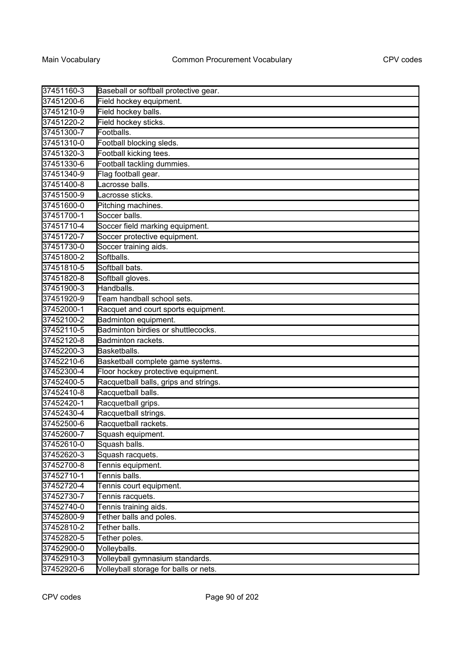| 37451160-3 | Baseball or softball protective gear. |
|------------|---------------------------------------|
| 37451200-6 | Field hockey equipment.               |
| 37451210-9 | Field hockey balls.                   |
| 37451220-2 | Field hockey sticks.                  |
| 37451300-7 | Footballs.                            |
| 37451310-0 | Football blocking sleds.              |
| 37451320-3 | Football kicking tees.                |
| 37451330-6 | Football tackling dummies.            |
| 37451340-9 | Flag football gear.                   |
| 37451400-8 | Lacrosse balls.                       |
| 37451500-9 | Lacrosse sticks.                      |
| 37451600-0 | Pitching machines.                    |
| 37451700-1 | Soccer balls.                         |
| 37451710-4 | Soccer field marking equipment.       |
| 37451720-7 | Soccer protective equipment.          |
| 37451730-0 | Soccer training aids.                 |
| 37451800-2 | Softballs.                            |
| 37451810-5 | Softball bats.                        |
| 37451820-8 | Softball gloves.                      |
| 37451900-3 | Handballs.                            |
| 37451920-9 | Team handball school sets.            |
| 37452000-1 | Racquet and court sports equipment.   |
| 37452100-2 | Badminton equipment.                  |
| 37452110-5 | Badminton birdies or shuttlecocks.    |
| 37452120-8 | Badminton rackets.                    |
| 37452200-3 | Basketballs.                          |
| 37452210-6 | Basketball complete game systems.     |
| 37452300-4 | Floor hockey protective equipment.    |
| 37452400-5 | Racquetball balls, grips and strings. |
| 37452410-8 | Racquetball balls.                    |
| 37452420-1 | Racquetball grips.                    |
| 37452430-4 | Racquetball strings.                  |
| 37452500-6 | Racquetball rackets.                  |
| 37452600-7 | Squash equipment.                     |
| 37452610-0 | Squash balls.                         |
| 37452620-3 | Squash racquets.                      |
| 37452700-8 | Tennis equipment.                     |
| 37452710-1 | Tennis balls.                         |
| 37452720-4 | Tennis court equipment.               |
| 37452730-7 | Tennis racquets.                      |
| 37452740-0 | Tennis training aids.                 |
| 37452800-9 | Tether balls and poles.               |
| 37452810-2 | Tether balls.                         |
| 37452820-5 | Tether poles.                         |
| 37452900-0 | Volleyballs.                          |
| 37452910-3 | Volleyball gymnasium standards.       |
| 37452920-6 | Volleyball storage for balls or nets. |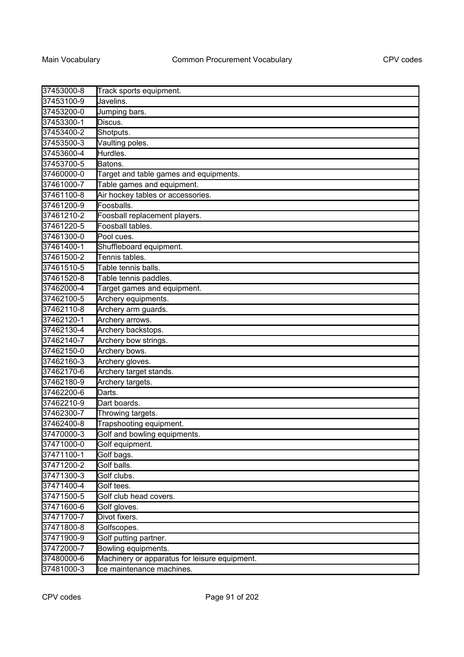| 37453000-8 | Track sports equipment.                       |
|------------|-----------------------------------------------|
| 37453100-9 | Javelins.                                     |
| 37453200-0 | Jumping bars.                                 |
| 37453300-1 | Discus.                                       |
| 37453400-2 | Shotputs.                                     |
| 37453500-3 | Vaulting poles.                               |
| 37453600-4 | Hurdles.                                      |
| 37453700-5 | Batons.                                       |
| 37460000-0 | Target and table games and equipments.        |
| 37461000-7 | Table games and equipment.                    |
| 37461100-8 | Air hockey tables or accessories.             |
| 37461200-9 | Foosballs.                                    |
| 37461210-2 | Foosball replacement players.                 |
| 37461220-5 | Foosball tables.                              |
| 37461300-0 | Pool cues.                                    |
| 37461400-1 | Shuffleboard equipment.                       |
| 37461500-2 | Tennis tables.                                |
| 37461510-5 | Table tennis balls.                           |
| 37461520-8 | Table tennis paddles.                         |
| 37462000-4 | Target games and equipment.                   |
| 37462100-5 | Archery equipments.                           |
| 37462110-8 | Archery arm guards.                           |
| 37462120-1 | Archery arrows.                               |
| 37462130-4 | Archery backstops.                            |
| 37462140-7 | Archery bow strings.                          |
| 37462150-0 | Archery bows.                                 |
| 37462160-3 | Archery gloves.                               |
| 37462170-6 | Archery target stands.                        |
| 37462180-9 | Archery targets.                              |
| 37462200-6 | Darts.                                        |
| 37462210-9 | Dart boards.                                  |
| 37462300-7 | Throwing targets.                             |
| 37462400-8 | Trapshooting equipment.                       |
| 37470000-3 | Golf and bowling equipments.                  |
| 37471000-0 | Golf equipment.                               |
| 37471100-1 | Golf bags.                                    |
| 37471200-2 | Golf balls.                                   |
| 37471300-3 | Golf clubs.                                   |
| 37471400-4 | Golf tees.                                    |
| 37471500-5 | Golf club head covers.                        |
| 37471600-6 | Golf gloves.                                  |
| 37471700-7 | Divot fixers.                                 |
| 37471800-8 | Golfscopes.                                   |
| 37471900-9 | Golf putting partner.                         |
| 37472000-7 | Bowling equipments.                           |
| 37480000-6 | Machinery or apparatus for leisure equipment. |
| 37481000-3 | Ice maintenance machines.                     |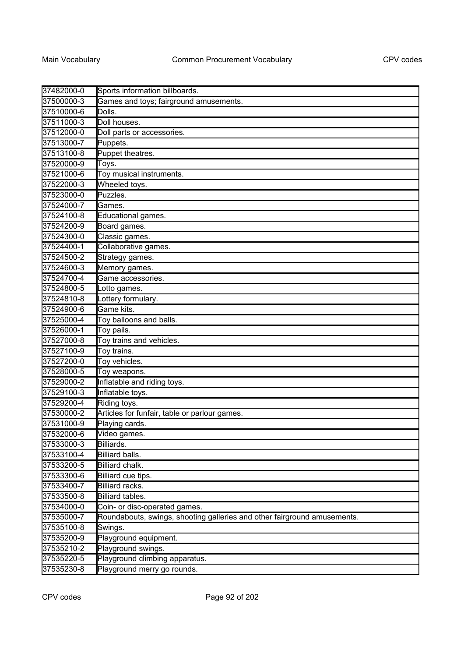| 37482000-0 | Sports information billboards.                                           |
|------------|--------------------------------------------------------------------------|
| 37500000-3 | Games and toys; fairground amusements.                                   |
| 37510000-6 | Dolls.                                                                   |
| 37511000-3 | Doll houses.                                                             |
| 37512000-0 | Doll parts or accessories.                                               |
| 37513000-7 | Puppets.                                                                 |
| 37513100-8 | Puppet theatres.                                                         |
| 37520000-9 | Toys.                                                                    |
| 37521000-6 | Toy musical instruments.                                                 |
| 37522000-3 | Wheeled toys.                                                            |
| 37523000-0 | Puzzles.                                                                 |
| 37524000-7 | Games.                                                                   |
| 37524100-8 | Educational games.                                                       |
| 37524200-9 | Board games.                                                             |
| 37524300-0 | Classic games.                                                           |
| 37524400-1 | Collaborative games.                                                     |
| 37524500-2 | Strategy games.                                                          |
| 37524600-3 | Memory games.                                                            |
| 37524700-4 | Game accessories.                                                        |
| 37524800-5 | Lotto games.                                                             |
| 37524810-8 | Lottery formulary.                                                       |
| 37524900-6 | Game kits.                                                               |
| 37525000-4 | Toy balloons and balls.                                                  |
| 37526000-1 | Toy pails.                                                               |
| 37527000-8 | Toy trains and vehicles.                                                 |
| 37527100-9 | Toy trains.                                                              |
| 37527200-0 | Toy vehicles.                                                            |
| 37528000-5 | Toy weapons.                                                             |
| 37529000-2 | Inflatable and riding toys.                                              |
| 37529100-3 | Inflatable toys.                                                         |
| 37529200-4 | Riding toys.                                                             |
| 37530000-2 | Articles for funfair, table or parlour games.                            |
| 37531000-9 | Playing cards.                                                           |
| 37532000-6 | Video games.                                                             |
| 37533000-3 | Billiards.                                                               |
| 37533100-4 | Billiard balls.                                                          |
| 37533200-5 | Billiard chalk.                                                          |
| 37533300-6 | Billiard cue tips.                                                       |
| 37533400-7 | Billiard racks.                                                          |
| 37533500-8 | Billiard tables.                                                         |
| 37534000-0 | Coin- or disc-operated games.                                            |
| 37535000-7 | Roundabouts, swings, shooting galleries and other fairground amusements. |
| 37535100-8 | Swings.                                                                  |
| 37535200-9 | Playground equipment.                                                    |
| 37535210-2 | Playground swings.                                                       |
| 37535220-5 | Playground climbing apparatus.                                           |
| 37535230-8 | Playground merry go rounds.                                              |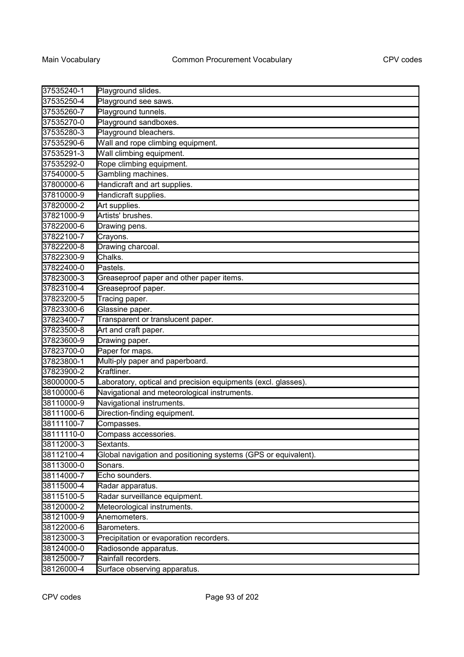| 37535240-1 | Playground slides.                                             |
|------------|----------------------------------------------------------------|
| 37535250-4 | Playground see saws.                                           |
| 37535260-7 | Playground tunnels.                                            |
| 37535270-0 | Playground sandboxes.                                          |
| 37535280-3 | Playground bleachers.                                          |
| 37535290-6 | Wall and rope climbing equipment.                              |
| 37535291-3 | Wall climbing equipment.                                       |
| 37535292-0 | Rope climbing equipment.                                       |
| 37540000-5 | Gambling machines.                                             |
| 37800000-6 | Handicraft and art supplies.                                   |
| 37810000-9 | Handicraft supplies.                                           |
| 37820000-2 | Art supplies.                                                  |
| 37821000-9 | Artists' brushes.                                              |
| 37822000-6 | Drawing pens.                                                  |
| 37822100-7 | Crayons.                                                       |
| 37822200-8 | Drawing charcoal.                                              |
| 37822300-9 | Chalks.                                                        |
| 37822400-0 | Pastels.                                                       |
| 37823000-3 | Greaseproof paper and other paper items.                       |
| 37823100-4 | Greaseproof paper.                                             |
| 37823200-5 | Tracing paper.                                                 |
| 37823300-6 | Glassine paper.                                                |
| 37823400-7 | Transparent or translucent paper.                              |
| 37823500-8 | Art and craft paper.                                           |
| 37823600-9 | Drawing paper.                                                 |
| 37823700-0 | Paper for maps.                                                |
| 37823800-1 | Multi-ply paper and paperboard.                                |
| 37823900-2 | Kraftliner.                                                    |
| 38000000-5 | Laboratory, optical and precision equipments (excl. glasses).  |
| 38100000-6 | Navigational and meteorological instruments.                   |
| 38110000-9 | Navigational instruments.                                      |
| 38111000-6 | Direction-finding equipment.                                   |
| 38111100-7 | Compasses.                                                     |
| 38111110-0 | Compass accessories.                                           |
| 38112000-3 | Sextants.                                                      |
| 38112100-4 | Global navigation and positioning systems (GPS or equivalent). |
| 38113000-0 | Sonars.                                                        |
| 38114000-7 | Echo sounders.                                                 |
| 38115000-4 | Radar apparatus.                                               |
| 38115100-5 | Radar surveillance equipment.                                  |
| 38120000-2 | Meteorological instruments.                                    |
| 38121000-9 | Anemometers.                                                   |
| 38122000-6 | Barometers.                                                    |
| 38123000-3 | Precipitation or evaporation recorders.                        |
| 38124000-0 | Radiosonde apparatus.                                          |
| 38125000-7 | Rainfall recorders.                                            |
| 38126000-4 | Surface observing apparatus.                                   |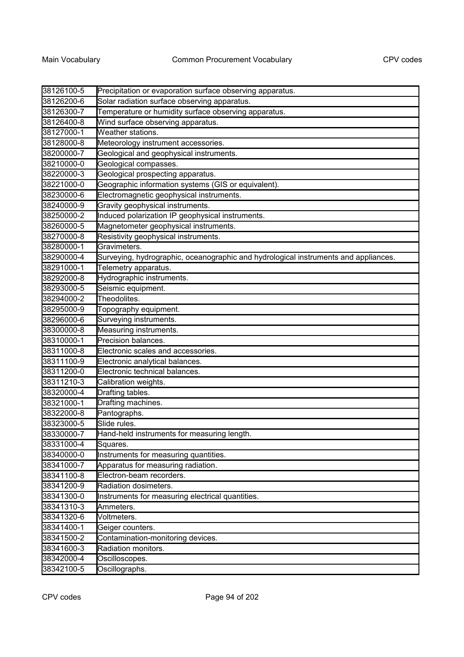| 38126100-5 | Precipitation or evaporation surface observing apparatus.                           |
|------------|-------------------------------------------------------------------------------------|
| 38126200-6 | Solar radiation surface observing apparatus.                                        |
| 38126300-7 | Temperature or humidity surface observing apparatus.                                |
| 38126400-8 | Wind surface observing apparatus.                                                   |
| 38127000-1 | Weather stations.                                                                   |
| 38128000-8 | Meteorology instrument accessories.                                                 |
| 38200000-7 | Geological and geophysical instruments.                                             |
| 38210000-0 | Geological compasses.                                                               |
| 38220000-3 | Geological prospecting apparatus.                                                   |
| 38221000-0 | Geographic information systems (GIS or equivalent).                                 |
| 38230000-6 | Electromagnetic geophysical instruments.                                            |
| 38240000-9 | Gravity geophysical instruments.                                                    |
| 38250000-2 | Induced polarization IP geophysical instruments.                                    |
| 38260000-5 | Magnetometer geophysical instruments.                                               |
| 38270000-8 | Resistivity geophysical instruments.                                                |
| 38280000-1 | Gravimeters.                                                                        |
| 38290000-4 | Surveying, hydrographic, oceanographic and hydrological instruments and appliances. |
| 38291000-1 | Telemetry apparatus.                                                                |
| 38292000-8 | Hydrographic instruments.                                                           |
| 38293000-5 | Seismic equipment.                                                                  |
| 38294000-2 | Theodolites.                                                                        |
| 38295000-9 | Topography equipment.                                                               |
| 38296000-6 | Surveying instruments.                                                              |
| 38300000-8 | Measuring instruments.                                                              |
| 38310000-1 | Precision balances.                                                                 |
| 38311000-8 | Electronic scales and accessories.                                                  |
| 38311100-9 | Electronic analytical balances.                                                     |
| 38311200-0 | Electronic technical balances.                                                      |
| 38311210-3 | Calibration weights.                                                                |
| 38320000-4 | Drafting tables.                                                                    |
| 38321000-1 | Drafting machines.                                                                  |
| 38322000-8 | Pantographs.                                                                        |
| 38323000-5 | Slide rules.                                                                        |
| 38330000-7 | Hand-held instruments for measuring length.                                         |
| 38331000-4 | Squares.                                                                            |
| 38340000-0 | Instruments for measuring quantities.                                               |
| 38341000-7 | Apparatus for measuring radiation.                                                  |
| 38341100-8 | Electron-beam recorders.                                                            |
| 38341200-9 | Radiation dosimeters.                                                               |
| 38341300-0 | Instruments for measuring electrical quantities.                                    |
| 38341310-3 | Ammeters.                                                                           |
| 38341320-6 | Voltmeters.                                                                         |
| 38341400-1 | Geiger counters.                                                                    |
| 38341500-2 | Contamination-monitoring devices.                                                   |
| 38341600-3 | Radiation monitors.                                                                 |
| 38342000-4 | Oscilloscopes.                                                                      |
| 38342100-5 | Oscillographs.                                                                      |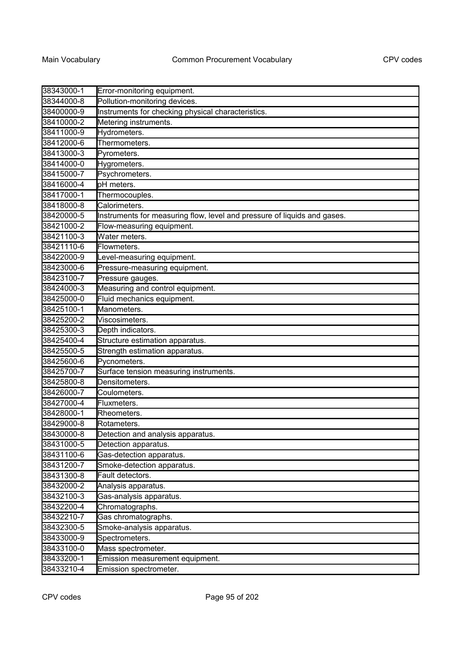| 38343000-1 | Error-monitoring equipment.                                              |
|------------|--------------------------------------------------------------------------|
| 38344000-8 | Pollution-monitoring devices.                                            |
| 38400000-9 | Instruments for checking physical characteristics.                       |
| 38410000-2 | Metering instruments.                                                    |
| 38411000-9 | Hydrometers.                                                             |
| 38412000-6 | Thermometers.                                                            |
| 38413000-3 | Pyrometers.                                                              |
| 38414000-0 | Hygrometers.                                                             |
| 38415000-7 | Psychrometers.                                                           |
| 38416000-4 | pH meters.                                                               |
| 38417000-1 | Thermocouples.                                                           |
| 38418000-8 | Calorimeters.                                                            |
| 38420000-5 | Instruments for measuring flow, level and pressure of liquids and gases. |
| 38421000-2 | Flow-measuring equipment.                                                |
| 38421100-3 | Water meters.                                                            |
| 38421110-6 | Flowmeters.                                                              |
| 38422000-9 | Level-measuring equipment.                                               |
| 38423000-6 | Pressure-measuring equipment.                                            |
| 38423100-7 | Pressure gauges.                                                         |
| 38424000-3 | Measuring and control equipment.                                         |
| 38425000-0 | Fluid mechanics equipment.                                               |
| 38425100-1 | Manometers.                                                              |
| 38425200-2 | Viscosimeters.                                                           |
| 38425300-3 | Depth indicators.                                                        |
| 38425400-4 | Structure estimation apparatus.                                          |
| 38425500-5 | Strength estimation apparatus.                                           |
| 38425600-6 | Pycnometers.                                                             |
| 38425700-7 | Surface tension measuring instruments.                                   |
| 38425800-8 | Densitometers.                                                           |
| 38426000-7 | Coulometers.                                                             |
| 38427000-4 | Fluxmeters.                                                              |
| 38428000-1 | Rheometers.                                                              |
| 38429000-8 | Rotameters.                                                              |
| 38430000-8 | Detection and analysis apparatus.                                        |
| 38431000-5 | Detection apparatus.                                                     |
| 38431100-6 | Gas-detection apparatus.                                                 |
| 38431200-7 | Smoke-detection apparatus.                                               |
| 38431300-8 | Fault detectors.                                                         |
| 38432000-2 | Analysis apparatus.                                                      |
| 38432100-3 | Gas-analysis apparatus.                                                  |
| 38432200-4 | Chromatographs.                                                          |
| 38432210-7 | Gas chromatographs.                                                      |
| 38432300-5 | Smoke-analysis apparatus.                                                |
| 38433000-9 | Spectrometers.                                                           |
| 38433100-0 | Mass spectrometer.                                                       |
| 38433200-1 | Emission measurement equipment.                                          |
| 38433210-4 | Emission spectrometer.                                                   |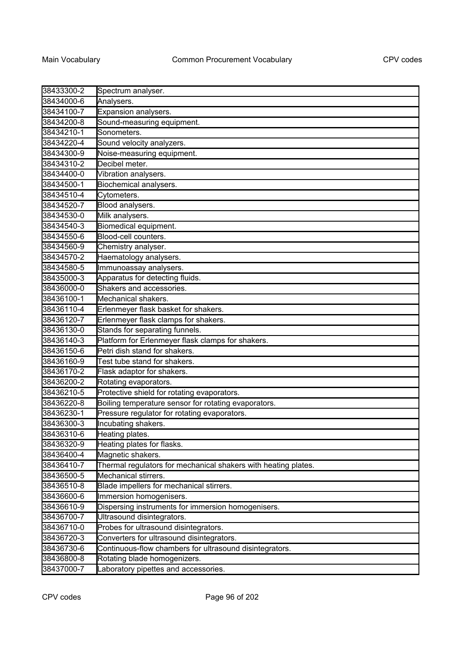| 38433300-2 | Spectrum analyser.                                             |
|------------|----------------------------------------------------------------|
| 38434000-6 | Analysers.                                                     |
| 38434100-7 | Expansion analysers.                                           |
| 38434200-8 | Sound-measuring equipment.                                     |
| 38434210-1 | Sonometers.                                                    |
| 38434220-4 | Sound velocity analyzers.                                      |
| 38434300-9 | Noise-measuring equipment.                                     |
| 38434310-2 | Decibel meter.                                                 |
| 38434400-0 | Vibration analysers.                                           |
| 38434500-1 | Biochemical analysers.                                         |
| 38434510-4 | Cytometers.                                                    |
| 38434520-7 | Blood analysers.                                               |
| 38434530-0 | Milk analysers.                                                |
| 38434540-3 | Biomedical equipment.                                          |
| 38434550-6 | Blood-cell counters.                                           |
| 38434560-9 | Chemistry analyser.                                            |
| 38434570-2 | Haematology analysers.                                         |
| 38434580-5 | Immunoassay analysers.                                         |
| 38435000-3 | Apparatus for detecting fluids.                                |
| 38436000-0 | Shakers and accessories.                                       |
| 38436100-1 | Mechanical shakers.                                            |
| 38436110-4 | Erlenmeyer flask basket for shakers.                           |
| 38436120-7 | Erlenmeyer flask clamps for shakers.                           |
| 38436130-0 | Stands for separating funnels.                                 |
| 38436140-3 | Platform for Erlenmeyer flask clamps for shakers.              |
| 38436150-6 | Petri dish stand for shakers.                                  |
| 38436160-9 | Test tube stand for shakers.                                   |
| 38436170-2 | Flask adaptor for shakers.                                     |
| 38436200-2 | Rotating evaporators.                                          |
| 38436210-5 | Protective shield for rotating evaporators.                    |
| 38436220-8 | Boiling temperature sensor for rotating evaporators.           |
| 38436230-1 | Pressure regulator for rotating evaporators.                   |
| 38436300-3 | Incubating shakers.                                            |
| 38436310-6 | Heating plates.                                                |
| 38436320-9 | Heating plates for flasks.                                     |
| 38436400-4 | Magnetic shakers.                                              |
| 38436410-7 | Thermal regulators for mechanical shakers with heating plates. |
| 38436500-5 | Mechanical stirrers.                                           |
| 38436510-8 | Blade impellers for mechanical stirrers.                       |
| 38436600-6 | Immersion homogenisers.                                        |
| 38436610-9 | Dispersing instruments for immersion homogenisers.             |
| 38436700-7 | Ultrasound disintegrators.                                     |
| 38436710-0 | Probes for ultrasound disintegrators.                          |
| 38436720-3 | Converters for ultrasound disintegrators.                      |
| 38436730-6 | Continuous-flow chambers for ultrasound disintegrators.        |
| 38436800-8 | Rotating blade homogenizers.                                   |
| 38437000-7 | Laboratory pipettes and accessories.                           |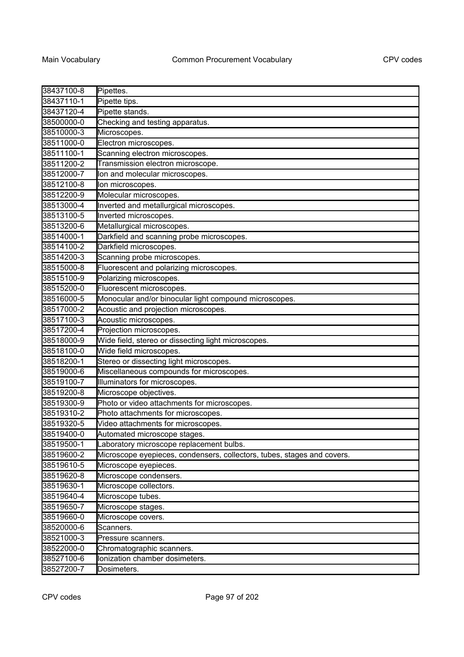| 38437100-8 | Pipettes.                                                               |
|------------|-------------------------------------------------------------------------|
| 38437110-1 | Pipette tips.                                                           |
| 38437120-4 | Pipette stands.                                                         |
| 38500000-0 | Checking and testing apparatus.                                         |
| 38510000-3 | Microscopes.                                                            |
| 38511000-0 | Electron microscopes.                                                   |
| 38511100-1 | Scanning electron microscopes.                                          |
| 38511200-2 | Transmission electron microscope.                                       |
| 38512000-7 | lon and molecular microscopes.                                          |
| 38512100-8 | Ion microscopes.                                                        |
| 38512200-9 | Molecular microscopes.                                                  |
| 38513000-4 | Inverted and metallurgical microscopes.                                 |
| 38513100-5 | Inverted microscopes.                                                   |
| 38513200-6 | Metallurgical microscopes.                                              |
| 38514000-1 | Darkfield and scanning probe microscopes.                               |
| 38514100-2 | Darkfield microscopes.                                                  |
| 38514200-3 | Scanning probe microscopes.                                             |
| 38515000-8 | Fluorescent and polarizing microscopes.                                 |
| 38515100-9 | Polarizing microscopes.                                                 |
| 38515200-0 | Fluorescent microscopes.                                                |
| 38516000-5 | Monocular and/or binocular light compound microscopes.                  |
| 38517000-2 | Acoustic and projection microscopes.                                    |
| 38517100-3 | Acoustic microscopes.                                                   |
| 38517200-4 | Projection microscopes.                                                 |
| 38518000-9 | Wide field, stereo or dissecting light microscopes.                     |
| 38518100-0 | Wide field microscopes.                                                 |
| 38518200-1 | Stereo or dissecting light microscopes.                                 |
| 38519000-6 | Miscellaneous compounds for microscopes.                                |
| 38519100-7 | Illuminators for microscopes.                                           |
| 38519200-8 | Microscope objectives.                                                  |
| 38519300-9 | Photo or video attachments for microscopes.                             |
| 38519310-2 | Photo attachments for microscopes.                                      |
| 38519320-5 | Video attachments for microscopes.                                      |
| 38519400-0 | Automated microscope stages                                             |
| 38519500-1 | Laboratory microscope replacement bulbs.                                |
| 38519600-2 | Microscope eyepieces, condensers, collectors, tubes, stages and covers. |
| 38519610-5 | Microscope eyepieces.                                                   |
| 38519620-8 | Microscope condensers.                                                  |
| 38519630-1 | Microscope collectors.                                                  |
| 38519640-4 | Microscope tubes.                                                       |
| 38519650-7 | Microscope stages.                                                      |
| 38519660-0 | Microscope covers.                                                      |
| 38520000-6 | Scanners.                                                               |
| 38521000-3 | Pressure scanners.                                                      |
| 38522000-0 | Chromatographic scanners.                                               |
| 38527100-6 | Ionization chamber dosimeters.                                          |
| 38527200-7 | Dosimeters.                                                             |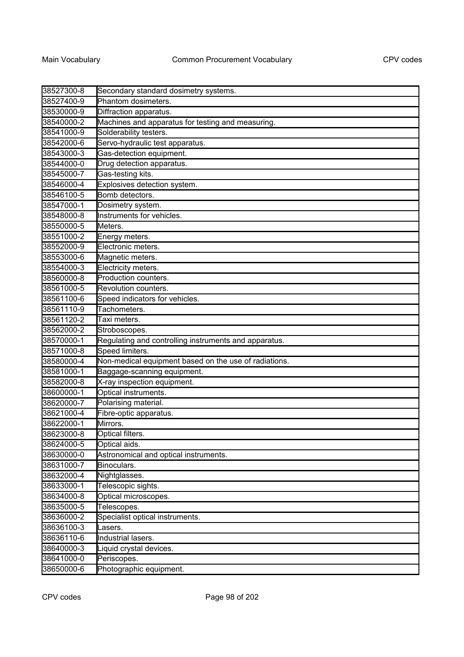| 38527300-8 | Secondary standard dosimetry systems.                 |
|------------|-------------------------------------------------------|
| 38527400-9 | Phantom dosimeters.                                   |
| 38530000-9 | Diffraction apparatus.                                |
| 38540000-2 | Machines and apparatus for testing and measuring.     |
| 38541000-9 | Solderability testers.                                |
| 38542000-6 | Servo-hydraulic test apparatus.                       |
| 38543000-3 | Gas-detection equipment.                              |
| 38544000-0 | Drug detection apparatus.                             |
| 38545000-7 | Gas-testing kits.                                     |
| 38546000-4 | Explosives detection system.                          |
| 38546100-5 | Bomb detectors.                                       |
| 38547000-1 | Dosimetry system.                                     |
| 38548000-8 | Instruments for vehicles.                             |
| 38550000-5 | Meters.                                               |
| 38551000-2 | Energy meters.                                        |
| 38552000-9 | Electronic meters.                                    |
| 38553000-6 | Magnetic meters.                                      |
| 38554000-3 | Electricity meters.                                   |
| 38560000-8 | Production counters.                                  |
| 38561000-5 | Revolution counters.                                  |
| 38561100-6 | Speed indicators for vehicles.                        |
| 38561110-9 | Tachometers.                                          |
| 38561120-2 | Taxi meters.                                          |
| 38562000-2 | Stroboscopes.                                         |
| 38570000-1 | Regulating and controlling instruments and apparatus. |
| 38571000-8 | Speed limiters.                                       |
| 38580000-4 | Non-medical equipment based on the use of radiations. |
| 38581000-1 | Baggage-scanning equipment.                           |
| 38582000-8 | X-ray inspection equipment.                           |
| 38600000-1 | Optical instruments.                                  |
| 38620000-7 | Polarising material.                                  |
| 38621000-4 | Fibre-optic apparatus.                                |
| 38622000-1 | Mirrors.                                              |
| 38623000-8 | Optical filters.                                      |
| 38624000-5 | Optical aids.                                         |
| 38630000-0 | Astronomical and optical instruments.                 |
| 38631000-7 | Binoculars.                                           |
| 38632000-4 | Nightglasses.                                         |
| 38633000-1 | Telescopic sights.                                    |
| 38634000-8 | Optical microscopes.                                  |
| 38635000-5 | Telescopes.                                           |
| 38636000-2 | Specialist optical instruments.                       |
| 38636100-3 | Lasers.                                               |
| 38636110-6 | Industrial lasers.                                    |
| 38640000-3 | Liquid crystal devices.                               |
| 38641000-0 | Periscopes.                                           |
| 38650000-6 | Photographic equipment.                               |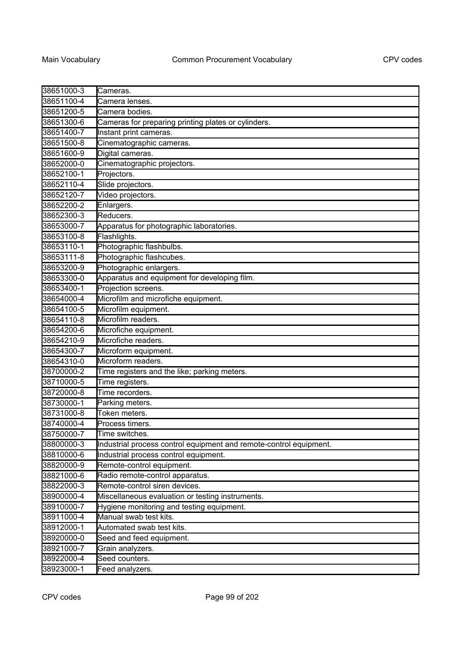| 38651000-3 | Cameras.                                                           |
|------------|--------------------------------------------------------------------|
| 38651100-4 | Camera lenses.                                                     |
| 38651200-5 | Camera bodies.                                                     |
| 38651300-6 | Cameras for preparing printing plates or cylinders.                |
| 38651400-7 | Instant print cameras.                                             |
| 38651500-8 | Cinematographic cameras.                                           |
| 38651600-9 | Digital cameras.                                                   |
| 38652000-0 | Cinematographic projectors.                                        |
| 38652100-1 | Projectors.                                                        |
| 38652110-4 | Slide projectors.                                                  |
| 38652120-7 | Video projectors.                                                  |
| 38652200-2 | Enlargers.                                                         |
| 38652300-3 | Reducers.                                                          |
| 38653000-7 | Apparatus for photographic laboratories.                           |
| 38653100-8 | Flashlights.                                                       |
| 38653110-1 | Photographic flashbulbs.                                           |
| 38653111-8 | Photographic flashcubes.                                           |
| 38653200-9 | Photographic enlargers.                                            |
| 38653300-0 | Apparatus and equipment for developing film.                       |
| 38653400-1 | Projection screens.                                                |
| 38654000-4 | Microfilm and microfiche equipment.                                |
| 38654100-5 | Microfilm equipment.                                               |
| 38654110-8 | Microfilm readers.                                                 |
| 38654200-6 | Microfiche equipment.                                              |
| 38654210-9 | Microfiche readers.                                                |
| 38654300-7 | Microform equipment.                                               |
| 38654310-0 | Microform readers.                                                 |
| 38700000-2 | Time registers and the like; parking meters.                       |
| 38710000-5 | Time registers.                                                    |
| 38720000-8 | Time recorders.                                                    |
| 38730000-1 | Parking meters.                                                    |
| 38731000-8 | Token meters.                                                      |
| 38740000-4 | Process timers.                                                    |
| 38750000-7 | Time switches                                                      |
| 38800000-3 | Industrial process control equipment and remote-control equipment. |
| 38810000-6 | Industrial process control equipment.                              |
| 38820000-9 | Remote-control equipment.                                          |
| 38821000-6 | Radio remote-control apparatus.                                    |
| 38822000-3 | Remote-control siren devices.                                      |
| 38900000-4 | Miscellaneous evaluation or testing instruments.                   |
| 38910000-7 | Hygiene monitoring and testing equipment.                          |
| 38911000-4 | Manual swab test kits.                                             |
| 38912000-1 | Automated swab test kits.                                          |
| 38920000-0 | Seed and feed equipment.                                           |
| 38921000-7 | Grain analyzers.                                                   |
| 38922000-4 | Seed counters.                                                     |
| 38923000-1 | Feed analyzers.                                                    |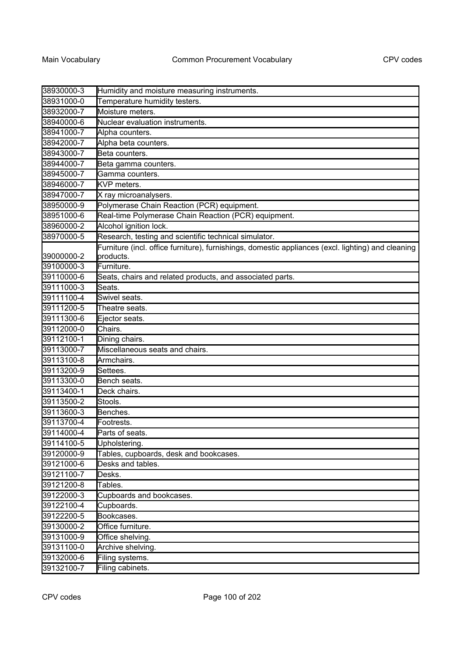| 38930000-3 | Humidity and moisture measuring instruments.                                                       |
|------------|----------------------------------------------------------------------------------------------------|
| 38931000-0 | Temperature humidity testers.                                                                      |
| 38932000-7 | Moisture meters.                                                                                   |
| 38940000-6 | Nuclear evaluation instruments.                                                                    |
| 38941000-7 | Alpha counters.                                                                                    |
| 38942000-7 | Alpha beta counters.                                                                               |
| 38943000-7 | Beta counters.                                                                                     |
| 38944000-7 | Beta gamma counters.                                                                               |
| 38945000-7 | Gamma counters.                                                                                    |
| 38946000-7 | KVP meters.                                                                                        |
| 38947000-7 | X ray microanalysers.                                                                              |
| 38950000-9 | Polymerase Chain Reaction (PCR) equipment.                                                         |
| 38951000-6 | Real-time Polymerase Chain Reaction (PCR) equipment.                                               |
| 38960000-2 | Alcohol ignition lock.                                                                             |
| 38970000-5 | Research, testing and scientific technical simulator.                                              |
|            | Furniture (incl. office furniture), furnishings, domestic appliances (excl. lighting) and cleaning |
| 39000000-2 | products.                                                                                          |
| 39100000-3 | Furniture.                                                                                         |
| 39110000-6 | Seats, chairs and related products, and associated parts.                                          |
| 39111000-3 | Seats.                                                                                             |
| 39111100-4 | Swivel seats.                                                                                      |
| 39111200-5 | Theatre seats.                                                                                     |
| 39111300-6 | Ejector seats.                                                                                     |
| 39112000-0 | Chairs.                                                                                            |
| 39112100-1 | Dining chairs.                                                                                     |
| 39113000-7 | Miscellaneous seats and chairs.                                                                    |
| 39113100-8 | Armchairs.                                                                                         |
| 39113200-9 | Settees.                                                                                           |
| 39113300-0 | Bench seats.                                                                                       |
| 39113400-1 | Deck chairs.                                                                                       |
| 39113500-2 | Stools.                                                                                            |
| 39113600-3 | Benches.                                                                                           |
| 39113700-4 | Footrests.                                                                                         |
| 39114000-4 | Parts of seats.                                                                                    |
| 39114100-5 | Upholstering.                                                                                      |
| 39120000-9 | Tables, cupboards, desk and bookcases.                                                             |
| 39121000-6 | Desks and tables.                                                                                  |
| 39121100-7 | Desks.                                                                                             |
| 39121200-8 | Tables.                                                                                            |
| 39122000-3 | Cupboards and bookcases.                                                                           |
| 39122100-4 | Cupboards.                                                                                         |
| 39122200-5 | Bookcases.                                                                                         |
| 39130000-2 | Office furniture.                                                                                  |
| 39131000-9 | Office shelving.                                                                                   |
| 39131100-0 | Archive shelving.                                                                                  |
| 39132000-6 | Filing systems.                                                                                    |
| 39132100-7 | Filing cabinets.                                                                                   |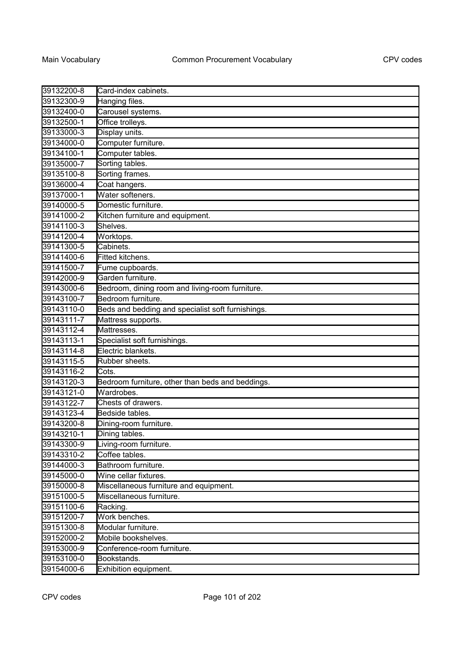| 39132200-8 | Card-index cabinets.                              |
|------------|---------------------------------------------------|
| 39132300-9 | Hanging files.                                    |
| 39132400-0 | Carousel systems.                                 |
| 39132500-1 | Office trolleys.                                  |
| 39133000-3 | Display units.                                    |
| 39134000-0 | Computer furniture.                               |
| 39134100-1 | Computer tables.                                  |
| 39135000-7 | Sorting tables.                                   |
| 39135100-8 | Sorting frames.                                   |
| 39136000-4 | Coat hangers.                                     |
| 39137000-1 | Water softeners.                                  |
| 39140000-5 | Domestic furniture.                               |
| 39141000-2 | Kitchen furniture and equipment.                  |
| 39141100-3 | Shelves.                                          |
| 39141200-4 | Worktops.                                         |
| 39141300-5 | Cabinets.                                         |
| 39141400-6 | Fitted kitchens.                                  |
| 39141500-7 | Fume cupboards.                                   |
| 39142000-9 | Garden furniture.                                 |
| 39143000-6 | Bedroom, dining room and living-room furniture.   |
| 39143100-7 | Bedroom furniture.                                |
| 39143110-0 | Beds and bedding and specialist soft furnishings. |
| 39143111-7 | Mattress supports.                                |
| 39143112-4 | Mattresses.                                       |
| 39143113-1 | Specialist soft furnishings.                      |
| 39143114-8 | Electric blankets.                                |
| 39143115-5 | Rubber sheets.                                    |
| 39143116-2 | Cots.                                             |
| 39143120-3 | Bedroom furniture, other than beds and beddings.  |
| 39143121-0 | Wardrobes.                                        |
| 39143122-7 | Chests of drawers.                                |
| 39143123-4 | Bedside tables.                                   |
| 39143200-8 | Dining-room furniture.                            |
| 39143210-1 | Dining tables.                                    |
| 39143300-9 | Living-room furniture.                            |
| 39143310-2 | Coffee tables.                                    |
| 39144000-3 | Bathroom furniture.                               |
| 39145000-0 | Wine cellar fixtures.                             |
| 39150000-8 | Miscellaneous furniture and equipment.            |
| 39151000-5 | Miscellaneous furniture.                          |
| 39151100-6 | Racking.                                          |
| 39151200-7 | Work benches.                                     |
| 39151300-8 | Modular furniture.                                |
| 39152000-2 | Mobile bookshelves.                               |
| 39153000-9 | Conference-room furniture.                        |
| 39153100-0 | Bookstands.                                       |
| 39154000-6 | Exhibition equipment.                             |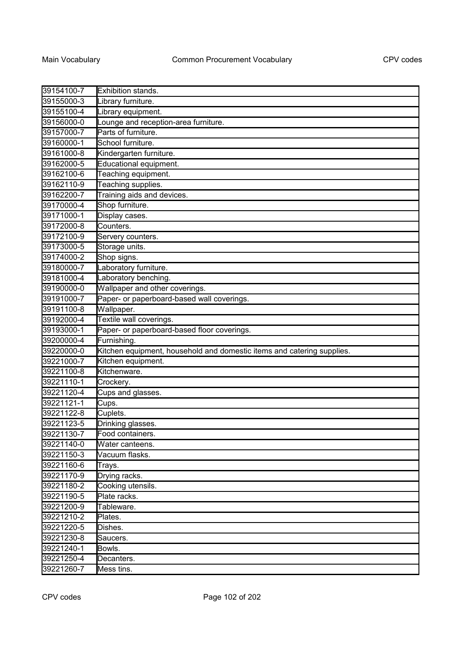| 39154100-7 | Exhibition stands.                                                     |
|------------|------------------------------------------------------------------------|
| 39155000-3 | Library furniture.                                                     |
| 39155100-4 | Library equipment.                                                     |
| 39156000-0 | Lounge and reception-area furniture.                                   |
| 39157000-7 | Parts of furniture.                                                    |
| 39160000-1 | School furniture.                                                      |
| 39161000-8 | Kindergarten furniture.                                                |
| 39162000-5 | Educational equipment.                                                 |
| 39162100-6 | Teaching equipment.                                                    |
| 39162110-9 | Teaching supplies.                                                     |
| 39162200-7 | Training aids and devices.                                             |
| 39170000-4 | Shop furniture.                                                        |
| 39171000-1 | Display cases.                                                         |
| 39172000-8 | Counters.                                                              |
| 39172100-9 | Servery counters.                                                      |
| 39173000-5 | Storage units.                                                         |
| 39174000-2 | Shop signs.                                                            |
| 39180000-7 | Laboratory furniture.                                                  |
| 39181000-4 | Laboratory benching.                                                   |
| 39190000-0 | Wallpaper and other coverings.                                         |
| 39191000-7 | Paper- or paperboard-based wall coverings.                             |
| 39191100-8 | Wallpaper.                                                             |
| 39192000-4 | Textile wall coverings.                                                |
| 39193000-1 | Paper- or paperboard-based floor coverings.                            |
| 39200000-4 | Furnishing.                                                            |
| 39220000-0 | Kitchen equipment, household and domestic items and catering supplies. |
| 39221000-7 | Kitchen equipment.                                                     |
| 39221100-8 | Kitchenware.                                                           |
| 39221110-1 | Crockery.                                                              |
| 39221120-4 | Cups and glasses.                                                      |
| 39221121-1 | Cups.                                                                  |
| 39221122-8 | Cuplets.                                                               |
| 39221123-5 | Drinking glasses.                                                      |
| 39221130-7 | Food containers.                                                       |
| 39221140-0 | Water canteens.                                                        |
| 39221150-3 | Vacuum flasks.                                                         |
| 39221160-6 | Trays.                                                                 |
| 39221170-9 | Drying racks.                                                          |
| 39221180-2 | Cooking utensils.                                                      |
| 39221190-5 | Plate racks.                                                           |
| 39221200-9 | Tableware.                                                             |
| 39221210-2 | Plates.                                                                |
| 39221220-5 | Dishes.                                                                |
| 39221230-8 | Saucers.                                                               |
| 39221240-1 | Bowls.                                                                 |
| 39221250-4 | Decanters.                                                             |
| 39221260-7 | Mess tins.                                                             |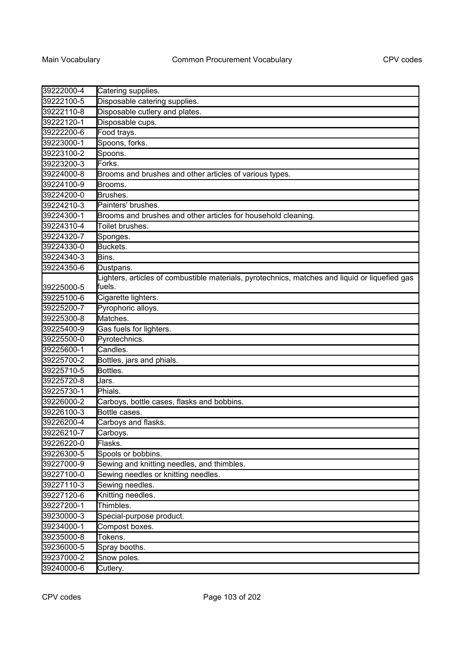| 39222000-4 | Catering supplies.                                                                                       |
|------------|----------------------------------------------------------------------------------------------------------|
| 39222100-5 | Disposable catering supplies.                                                                            |
| 39222110-8 | Disposable cutlery and plates.                                                                           |
| 39222120-1 | Disposable cups.                                                                                         |
| 39222200-6 | Food trays.                                                                                              |
| 39223000-1 | Spoons, forks.                                                                                           |
| 39223100-2 | Spoons.                                                                                                  |
| 39223200-3 | Forks.                                                                                                   |
| 39224000-8 | Brooms and brushes and other articles of various types.                                                  |
| 39224100-9 | Brooms.                                                                                                  |
| 39224200-0 | Brushes.                                                                                                 |
| 39224210-3 | Painters' brushes.                                                                                       |
| 39224300-1 | Brooms and brushes and other articles for household cleaning.                                            |
| 39224310-4 | Toilet brushes.                                                                                          |
| 39224320-7 | Sponges.                                                                                                 |
| 39224330-0 | Buckets.                                                                                                 |
| 39224340-3 | Bins.                                                                                                    |
| 39224350-6 | Dustpans.                                                                                                |
| 39225000-5 | Lighters, articles of combustible materials, pyrotechnics, matches and liquid or liquefied gas<br>fuels. |
| 39225100-6 | Cigarette lighters.                                                                                      |
| 39225200-7 | Pyrophoric alloys.                                                                                       |
| 39225300-8 | Matches.                                                                                                 |
| 39225400-9 | Gas fuels for lighters.                                                                                  |
| 39225500-0 | Pyrotechnics.                                                                                            |
| 39225600-1 | Candles.                                                                                                 |
| 39225700-2 | Bottles, jars and phials.                                                                                |
| 39225710-5 | Bottles.                                                                                                 |
| 39225720-8 | Jars.                                                                                                    |
| 39225730-1 | Phials.                                                                                                  |
| 39226000-2 | Carboys, bottle cases, flasks and bobbins.                                                               |
| 39226100-3 | Bottle cases.                                                                                            |
| 39226200-4 | Carboys and flasks.                                                                                      |
| 39226210-7 | Carboys.                                                                                                 |
| 39226220-0 | lFlasks.                                                                                                 |
| 39226300-5 | Spools or bobbins.                                                                                       |
| 39227000-9 | Sewing and knitting needles, and thimbles.                                                               |
| 39227100-0 | Sewing needles or knitting needles.                                                                      |
| 39227110-3 | Sewing needles.                                                                                          |
| 39227120-6 | Knitting needles.                                                                                        |
| 39227200-1 | Thimbles.                                                                                                |
| 39230000-3 | Special-purpose product.                                                                                 |
| 39234000-1 | Compost boxes.                                                                                           |
| 39235000-8 | Tokens.                                                                                                  |
| 39236000-5 | Spray booths.                                                                                            |
| 39237000-2 | Snow poles.                                                                                              |
| 39240000-6 | Cutlery.                                                                                                 |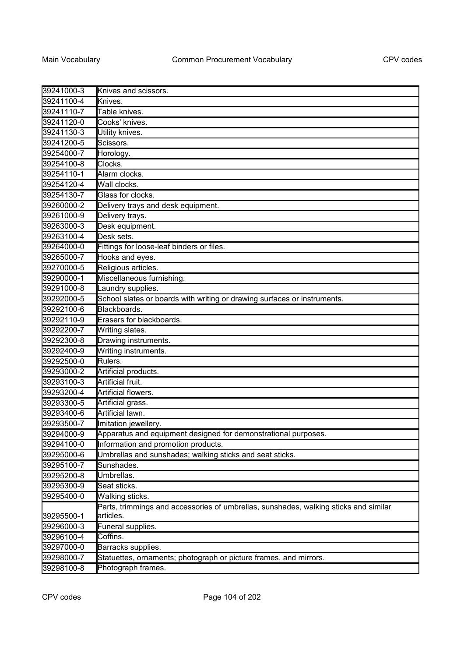| 39241000-3 | Knives and scissors.                                                                 |
|------------|--------------------------------------------------------------------------------------|
| 39241100-4 | Knives.                                                                              |
| 39241110-7 | Table knives.                                                                        |
| 39241120-0 | Cooks' knives.                                                                       |
| 39241130-3 | Utility knives.                                                                      |
| 39241200-5 | Scissors.                                                                            |
| 39254000-7 | Horology.                                                                            |
| 39254100-8 | Clocks.                                                                              |
| 39254110-1 | Alarm clocks.                                                                        |
| 39254120-4 | Wall clocks.                                                                         |
| 39254130-7 | Glass for clocks.                                                                    |
| 39260000-2 | Delivery trays and desk equipment.                                                   |
| 39261000-9 | Delivery trays.                                                                      |
| 39263000-3 | Desk equipment.                                                                      |
| 39263100-4 | Desk sets.                                                                           |
| 39264000-0 | Fittings for loose-leaf binders or files.                                            |
| 39265000-7 | Hooks and eyes.                                                                      |
| 39270000-5 | Religious articles.                                                                  |
| 39290000-1 | Miscellaneous furnishing.                                                            |
| 39291000-8 | Laundry supplies.                                                                    |
| 39292000-5 | School slates or boards with writing or drawing surfaces or instruments.             |
| 39292100-6 | Blackboards.                                                                         |
| 39292110-9 | Erasers for blackboards.                                                             |
| 39292200-7 | Writing slates.                                                                      |
| 39292300-8 | Drawing instruments.                                                                 |
| 39292400-9 | Writing instruments.                                                                 |
| 39292500-0 | Rulers.                                                                              |
| 39293000-2 | Artificial products.                                                                 |
| 39293100-3 | Artificial fruit.                                                                    |
| 39293200-4 | Artificial flowers.                                                                  |
| 39293300-5 | Artificial grass.                                                                    |
| 39293400-6 | Artificial lawn.                                                                     |
| 39293500-7 | Imitation jewellery.                                                                 |
| 39294000-9 | Apparatus and equipment designed for demonstrational purposes.                       |
| 39294100-0 | Information and promotion products.                                                  |
| 39295000-6 | Umbrellas and sunshades; walking sticks and seat sticks.                             |
| 39295100-7 | Sunshades.                                                                           |
| 39295200-8 | Umbrellas.                                                                           |
| 39295300-9 | Seat sticks.                                                                         |
| 39295400-0 | Walking sticks.                                                                      |
|            | Parts, trimmings and accessories of umbrellas, sunshades, walking sticks and similar |
| 39295500-1 | articles.                                                                            |
| 39296000-3 | Funeral supplies.                                                                    |
| 39296100-4 | Coffins.                                                                             |
| 39297000-0 | Barracks supplies.                                                                   |
| 39298000-7 | Statuettes, ornaments; photograph or picture frames, and mirrors.                    |
| 39298100-8 | Photograph frames.                                                                   |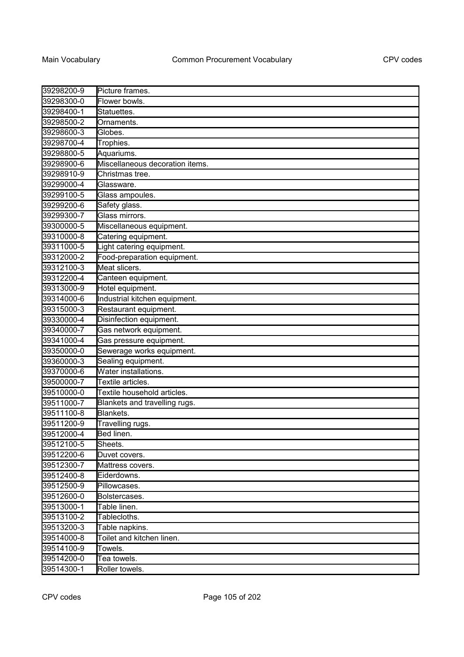| 39298200-9 | Picture frames.                 |
|------------|---------------------------------|
| 39298300-0 | Flower bowls.                   |
| 39298400-1 | Statuettes.                     |
| 39298500-2 | Ornaments.                      |
| 39298600-3 | Globes.                         |
| 39298700-4 | Trophies.                       |
| 39298800-5 | Aquariums.                      |
| 39298900-6 | Miscellaneous decoration items. |
| 39298910-9 | Christmas tree.                 |
| 39299000-4 | Glassware.                      |
| 39299100-5 | Glass ampoules.                 |
| 39299200-6 | Safety glass.                   |
| 39299300-7 | Glass mirrors.                  |
| 39300000-5 | Miscellaneous equipment.        |
| 39310000-8 | Catering equipment.             |
| 39311000-5 | Light catering equipment.       |
| 39312000-2 | Food-preparation equipment.     |
| 39312100-3 | Meat slicers.                   |
| 39312200-4 | Canteen equipment.              |
| 39313000-9 | Hotel equipment.                |
| 39314000-6 | Industrial kitchen equipment.   |
| 39315000-3 | Restaurant equipment.           |
| 39330000-4 | Disinfection equipment.         |
| 39340000-7 | Gas network equipment.          |
| 39341000-4 | Gas pressure equipment.         |
| 39350000-0 | Sewerage works equipment.       |
| 39360000-3 | Sealing equipment.              |
| 39370000-6 | Water installations.            |
| 39500000-7 | Textile articles.               |
| 39510000-0 | Textile household articles.     |
| 39511000-7 | Blankets and travelling rugs.   |
| 39511100-8 | Blankets.                       |
| 39511200-9 | Travelling rugs.                |
| 39512000-4 | Bed linen.                      |
| 39512100-5 | Sheets.                         |
| 39512200-6 | Duvet covers.                   |
| 39512300-7 | Mattress covers.                |
| 39512400-8 | Eiderdowns.                     |
| 39512500-9 | Pillowcases.                    |
| 39512600-0 | Bolstercases.                   |
| 39513000-1 | Table linen.                    |
| 39513100-2 | Tablecloths.                    |
| 39513200-3 | Table napkins.                  |
| 39514000-8 | Toilet and kitchen linen.       |
| 39514100-9 | Towels.                         |
| 39514200-0 | Tea towels.                     |
| 39514300-1 | Roller towels.                  |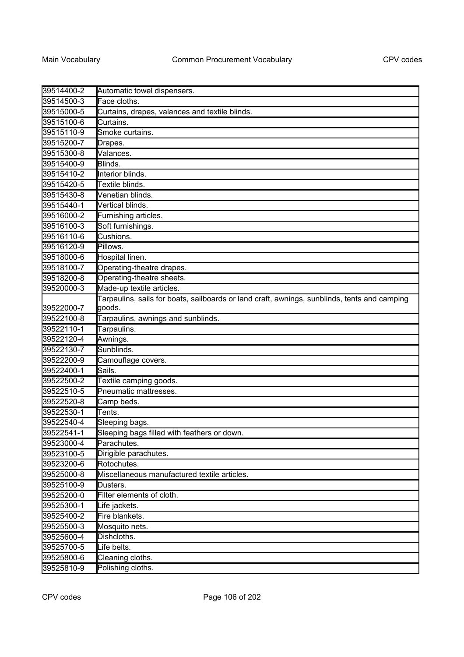| 39514400-2 | Automatic towel dispensers.                                                                            |
|------------|--------------------------------------------------------------------------------------------------------|
| 39514500-3 | Face cloths.                                                                                           |
| 39515000-5 | Curtains, drapes, valances and textile blinds.                                                         |
| 39515100-6 | Curtains.                                                                                              |
| 39515110-9 | Smoke curtains.                                                                                        |
| 39515200-7 | Drapes.                                                                                                |
| 39515300-8 | Valances.                                                                                              |
| 39515400-9 | Blinds.                                                                                                |
| 39515410-2 | Interior blinds.                                                                                       |
| 39515420-5 | Textile blinds.                                                                                        |
| 39515430-8 | Venetian blinds.                                                                                       |
| 39515440-1 | Vertical blinds.                                                                                       |
| 39516000-2 | Furnishing articles.                                                                                   |
| 39516100-3 | Soft furnishings.                                                                                      |
| 39516110-6 | Cushions.                                                                                              |
| 39516120-9 | Pillows.                                                                                               |
| 39518000-6 | Hospital linen.                                                                                        |
| 39518100-7 | Operating-theatre drapes.                                                                              |
| 39518200-8 | Operating-theatre sheets.                                                                              |
| 39520000-3 | Made-up textile articles.                                                                              |
| 39522000-7 | Tarpaulins, sails for boats, sailboards or land craft, awnings, sunblinds, tents and camping<br>goods. |
| 39522100-8 | Tarpaulins, awnings and sunblinds.                                                                     |
| 39522110-1 | Tarpaulins.                                                                                            |
| 39522120-4 | Awnings.                                                                                               |
| 39522130-7 | Sunblinds.                                                                                             |
| 39522200-9 | Camouflage covers.                                                                                     |
| 39522400-1 | Sails.                                                                                                 |
| 39522500-2 | Textile camping goods.                                                                                 |
| 39522510-5 | Pneumatic mattresses.                                                                                  |
| 39522520-8 | Camp beds.                                                                                             |
| 39522530-1 | Tents.                                                                                                 |
| 39522540-4 | Sleeping bags.                                                                                         |
| 39522541-1 | Sleeping bags filled with feathers or down.                                                            |
| 39523000-4 | Parachutes.                                                                                            |
| 39523100-5 | Dirigible parachutes.                                                                                  |
| 39523200-6 | Rotochutes.                                                                                            |
| 39525000-8 | Miscellaneous manufactured textile articles.                                                           |
| 39525100-9 | Dusters.                                                                                               |
| 39525200-0 | Filter elements of cloth.                                                                              |
| 39525300-1 | Life jackets.                                                                                          |
| 39525400-2 | Fire blankets.                                                                                         |
| 39525500-3 | Mosquito nets.                                                                                         |
| 39525600-4 | Dishcloths.                                                                                            |
| 39525700-5 | Life belts.                                                                                            |
| 39525800-6 | Cleaning cloths.                                                                                       |
| 39525810-9 | Polishing cloths.                                                                                      |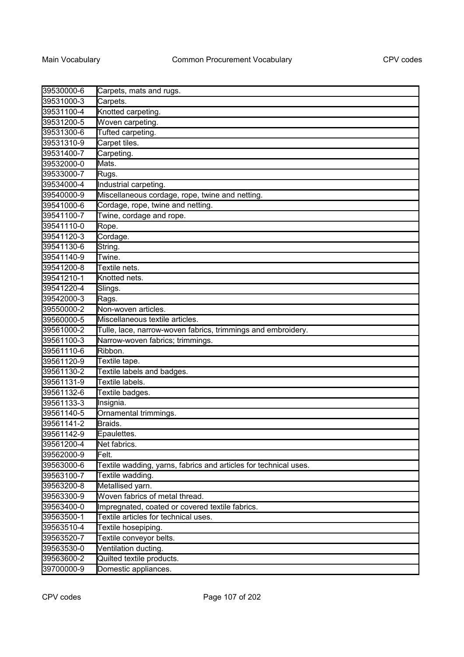| 39530000-6 | Carpets, mats and rugs.                                          |
|------------|------------------------------------------------------------------|
| 39531000-3 | Carpets.                                                         |
| 39531100-4 | Knotted carpeting.                                               |
| 39531200-5 | Woven carpeting.                                                 |
| 39531300-6 | Tufted carpeting.                                                |
| 39531310-9 | Carpet tiles.                                                    |
| 39531400-7 | Carpeting.                                                       |
| 39532000-0 | Mats.                                                            |
| 39533000-7 | Rugs.                                                            |
| 39534000-4 | Industrial carpeting.                                            |
| 39540000-9 | Miscellaneous cordage, rope, twine and netting.                  |
| 39541000-6 | Cordage, rope, twine and netting.                                |
| 39541100-7 | Twine, cordage and rope.                                         |
| 39541110-0 | Rope.                                                            |
| 39541120-3 | Cordage.                                                         |
| 39541130-6 | String.                                                          |
| 39541140-9 | Twine.                                                           |
| 39541200-8 | Textile nets.                                                    |
| 39541210-1 | Knotted nets.                                                    |
| 39541220-4 | Slings.                                                          |
| 39542000-3 | Rags.                                                            |
| 39550000-2 | Non-woven articles.                                              |
| 39560000-5 | Miscellaneous textile articles.                                  |
| 39561000-2 | Tulle, lace, narrow-woven fabrics, trimmings and embroidery.     |
| 39561100-3 | Narrow-woven fabrics; trimmings.                                 |
| 39561110-6 | Ribbon.                                                          |
| 39561120-9 | Textile tape.                                                    |
| 39561130-2 | Textile labels and badges.                                       |
| 39561131-9 | Textile labels.                                                  |
| 39561132-6 | Textile badges.                                                  |
| 39561133-3 | Insignia.                                                        |
| 39561140-5 | Ornamental trimmings.                                            |
| 39561141-2 | Braids.                                                          |
| 39561142-9 | Epaulettes.                                                      |
| 39561200-4 | Net fabrics.                                                     |
| 39562000-9 | Felt.                                                            |
| 39563000-6 | Textile wadding, yarns, fabrics and articles for technical uses. |
| 39563100-7 | Textile wadding.                                                 |
| 39563200-8 | Metallised yarn.                                                 |
| 39563300-9 | Woven fabrics of metal thread.                                   |
| 39563400-0 | Impregnated, coated or covered textile fabrics.                  |
| 39563500-1 | Textile articles for technical uses.                             |
| 39563510-4 | Textile hosepiping.                                              |
| 39563520-7 | Textile conveyor belts.                                          |
| 39563530-0 | Ventilation ducting.                                             |
| 39563600-2 | Quilted textile products.                                        |
| 39700000-9 | Domestic appliances.                                             |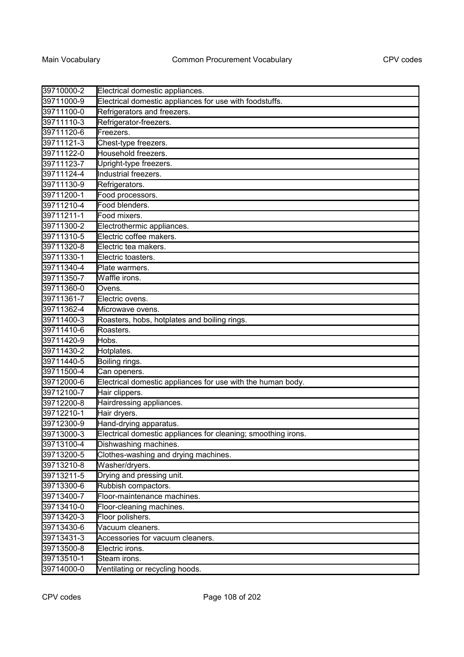| 39710000-2 | Electrical domestic appliances.                               |
|------------|---------------------------------------------------------------|
| 39711000-9 | Electrical domestic appliances for use with foodstuffs.       |
| 39711100-0 | Refrigerators and freezers.                                   |
| 39711110-3 | Refrigerator-freezers.                                        |
| 39711120-6 | Freezers.                                                     |
| 39711121-3 | Chest-type freezers.                                          |
| 39711122-0 | Household freezers.                                           |
| 39711123-7 | Upright-type freezers.                                        |
| 39711124-4 | Industrial freezers.                                          |
| 39711130-9 | Refrigerators.                                                |
| 39711200-1 | Food processors.                                              |
| 39711210-4 | Food blenders.                                                |
| 39711211-1 | Food mixers.                                                  |
| 39711300-2 | Electrothermic appliances.                                    |
| 39711310-5 | Electric coffee makers.                                       |
| 39711320-8 | Electric tea makers.                                          |
| 39711330-1 | Electric toasters.                                            |
| 39711340-4 | Plate warmers.                                                |
| 39711350-7 | Waffle irons.                                                 |
| 39711360-0 | Ovens.                                                        |
| 39711361-7 | Electric ovens.                                               |
| 39711362-4 | Microwave ovens.                                              |
| 39711400-3 | Roasters, hobs, hotplates and boiling rings.                  |
| 39711410-6 | Roasters.                                                     |
| 39711420-9 | Hobs.                                                         |
| 39711430-2 | Hotplates.                                                    |
| 39711440-5 | Boiling rings.                                                |
| 39711500-4 | Can openers.                                                  |
| 39712000-6 | Electrical domestic appliances for use with the human body.   |
| 39712100-7 | Hair clippers.                                                |
| 39712200-8 | Hairdressing appliances.                                      |
| 39712210-1 | Hair dryers.                                                  |
| 39712300-9 | Hand-drying apparatus.                                        |
| 39713000-3 | Electrical domestic appliances for cleaning; smoothing irons. |
| 39713100-4 | Dishwashing machines.                                         |
| 39713200-5 | Clothes-washing and drying machines.                          |
| 39713210-8 | Washer/dryers.                                                |
| 39713211-5 | Drying and pressing unit.                                     |
| 39713300-6 | Rubbish compactors.                                           |
| 39713400-7 | Floor-maintenance machines.                                   |
| 39713410-0 | Floor-cleaning machines.                                      |
| 39713420-3 | Floor polishers.                                              |
| 39713430-6 | Vacuum cleaners.                                              |
| 39713431-3 | Accessories for vacuum cleaners.                              |
| 39713500-8 | Electric irons.                                               |
| 39713510-1 | Steam irons.                                                  |
| 39714000-0 | Ventilating or recycling hoods.                               |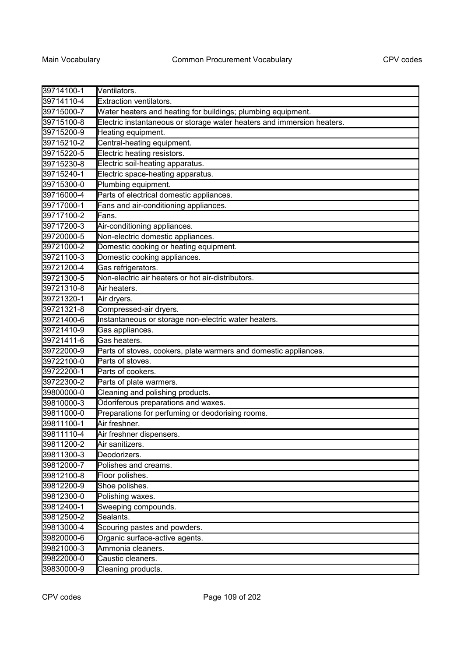| 39714100-1 | Ventilators.                                                           |
|------------|------------------------------------------------------------------------|
| 39714110-4 | Extraction ventilators.                                                |
| 39715000-7 | Water heaters and heating for buildings; plumbing equipment.           |
| 39715100-8 | Electric instantaneous or storage water heaters and immersion heaters. |
| 39715200-9 | Heating equipment.                                                     |
| 39715210-2 | Central-heating equipment.                                             |
| 39715220-5 | Electric heating resistors.                                            |
| 39715230-8 | Electric soil-heating apparatus.                                       |
| 39715240-1 | Electric space-heating apparatus.                                      |
| 39715300-0 | Plumbing equipment.                                                    |
| 39716000-4 | Parts of electrical domestic appliances.                               |
| 39717000-1 | Fans and air-conditioning appliances.                                  |
| 39717100-2 | Fans.                                                                  |
| 39717200-3 | Air-conditioning appliances.                                           |
| 39720000-5 | Non-electric domestic appliances.                                      |
| 39721000-2 | Domestic cooking or heating equipment.                                 |
| 39721100-3 | Domestic cooking appliances.                                           |
| 39721200-4 | Gas refrigerators.                                                     |
| 39721300-5 | Non-electric air heaters or hot air-distributors.                      |
| 39721310-8 | Air heaters.                                                           |
| 39721320-1 | Air dryers.                                                            |
| 39721321-8 | Compressed-air dryers.                                                 |
| 39721400-6 | Instantaneous or storage non-electric water heaters.                   |
| 39721410-9 | Gas appliances.                                                        |
| 39721411-6 | Gas heaters.                                                           |
| 39722000-9 | Parts of stoves, cookers, plate warmers and domestic appliances.       |
| 39722100-0 | Parts of stoves.                                                       |
| 39722200-1 | Parts of cookers.                                                      |
| 39722300-2 | Parts of plate warmers.                                                |
| 39800000-0 | Cleaning and polishing products.                                       |
| 39810000-3 | Odoriferous preparations and waxes.                                    |
| 39811000-0 | Preparations for perfuming or deodorising rooms.                       |
| 39811100-1 | Air freshner.                                                          |
| 39811110-4 | Air freshner dispensers.                                               |
| 39811200-2 | Air sanitizers.                                                        |
| 39811300-3 | Deodorizers.                                                           |
| 39812000-7 | Polishes and creams.                                                   |
| 39812100-8 | Floor polishes.                                                        |
| 39812200-9 | Shoe polishes.                                                         |
| 39812300-0 | Polishing waxes.                                                       |
| 39812400-1 | Sweeping compounds.                                                    |
| 39812500-2 | Sealants.                                                              |
| 39813000-4 | Scouring pastes and powders.                                           |
| 39820000-6 | Organic surface-active agents.                                         |
| 39821000-3 | Ammonia cleaners.                                                      |
| 39822000-0 | Caustic cleaners.                                                      |
| 39830000-9 | Cleaning products.                                                     |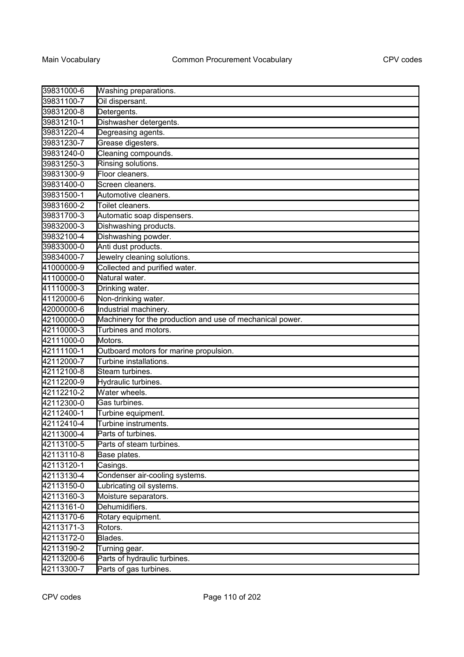| 39831000-6 | Washing preparations.                                     |
|------------|-----------------------------------------------------------|
| 39831100-7 | Oil dispersant.                                           |
| 39831200-8 | Detergents.                                               |
| 39831210-1 | Dishwasher detergents.                                    |
| 39831220-4 | Degreasing agents.                                        |
| 39831230-7 | Grease digesters.                                         |
| 39831240-0 | Cleaning compounds.                                       |
| 39831250-3 | Rinsing solutions.                                        |
| 39831300-9 | Floor cleaners.                                           |
| 39831400-0 | Screen cleaners.                                          |
| 39831500-1 | Automotive cleaners.                                      |
| 39831600-2 | Toilet cleaners.                                          |
| 39831700-3 | Automatic soap dispensers.                                |
| 39832000-3 | Dishwashing products.                                     |
| 39832100-4 | Dishwashing powder.                                       |
| 39833000-0 | Anti dust products.                                       |
| 39834000-7 | Jewelry cleaning solutions.                               |
| 41000000-9 | Collected and purified water.                             |
| 41100000-0 | Natural water.                                            |
| 41110000-3 | Drinking water.                                           |
| 41120000-6 | Non-drinking water.                                       |
| 42000000-6 | Industrial machinery.                                     |
| 42100000-0 | Machinery for the production and use of mechanical power. |
| 42110000-3 | Turbines and motors.                                      |
| 42111000-0 | Motors.                                                   |
| 42111100-1 | Outboard motors for marine propulsion.                    |
| 42112000-7 | Turbine installations.                                    |
| 42112100-8 | Steam turbines.                                           |
| 42112200-9 | Hydraulic turbines.                                       |
| 42112210-2 | Water wheels.                                             |
| 42112300-0 | Gas turbines.                                             |
| 42112400-1 | Turbine equipment.                                        |
| 42112410-4 | Turbine instruments.                                      |
| 42113000-4 | Parts of turbines.                                        |
| 42113100-5 | Parts of steam turbines.                                  |
| 42113110-8 | Base plates.                                              |
| 42113120-1 | Casings.                                                  |
| 42113130-4 | Condenser air-cooling systems.                            |
| 42113150-0 | Lubricating oil systems.                                  |
| 42113160-3 | Moisture separators.                                      |
| 42113161-0 | Dehumidifiers.                                            |
| 42113170-6 | Rotary equipment.                                         |
| 42113171-3 | Rotors.                                                   |
| 42113172-0 | Blades.                                                   |
| 42113190-2 | Turning gear.                                             |
| 42113200-6 | Parts of hydraulic turbines.                              |
| 42113300-7 | Parts of gas turbines.                                    |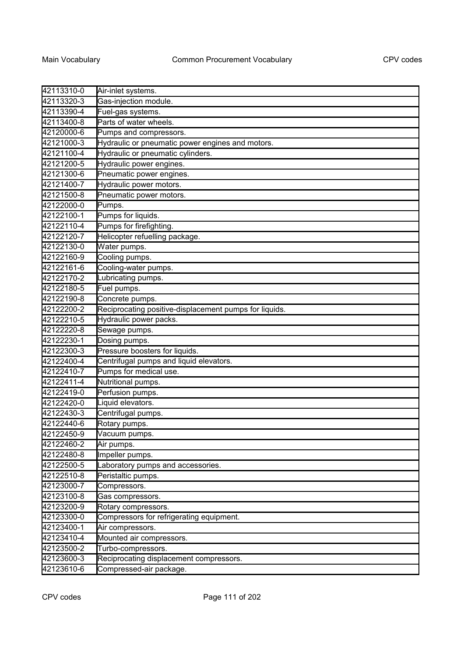| 42113310-0 | Air-inlet systems.                                     |
|------------|--------------------------------------------------------|
| 42113320-3 | Gas-injection module.                                  |
| 42113390-4 | Fuel-gas systems.                                      |
| 42113400-8 | Parts of water wheels.                                 |
| 42120000-6 | Pumps and compressors.                                 |
| 42121000-3 | Hydraulic or pneumatic power engines and motors.       |
| 42121100-4 | Hydraulic or pneumatic cylinders.                      |
| 42121200-5 | Hydraulic power engines.                               |
| 42121300-6 | Pneumatic power engines.                               |
| 42121400-7 | Hydraulic power motors.                                |
| 42121500-8 | Pneumatic power motors.                                |
| 42122000-0 | Pumps.                                                 |
| 42122100-1 | Pumps for liquids.                                     |
| 42122110-4 | Pumps for firefighting.                                |
| 42122120-7 | Helicopter refuelling package.                         |
| 42122130-0 | Water pumps.                                           |
| 42122160-9 | Cooling pumps.                                         |
| 42122161-6 | Cooling-water pumps.                                   |
| 42122170-2 | Lubricating pumps.                                     |
| 42122180-5 | Fuel pumps.                                            |
| 42122190-8 | Concrete pumps.                                        |
| 42122200-2 | Reciprocating positive-displacement pumps for liquids. |
| 42122210-5 | Hydraulic power packs.                                 |
| 42122220-8 | Sewage pumps.                                          |
| 42122230-1 | Dosing pumps.                                          |
| 42122300-3 | Pressure boosters for liquids.                         |
| 42122400-4 | Centrifugal pumps and liquid elevators.                |
| 42122410-7 | Pumps for medical use.                                 |
| 42122411-4 | Nutritional pumps.                                     |
| 42122419-0 | Perfusion pumps.                                       |
| 42122420-0 | Liquid elevators.                                      |
| 42122430-3 | Centrifugal pumps.                                     |
| 42122440-6 | Rotary pumps.                                          |
| 42122450-9 | Vacuum pumps.                                          |
| 42122460-2 | Air pumps.                                             |
| 42122480-8 | Impeller pumps.                                        |
| 42122500-5 | Laboratory pumps and accessories.                      |
| 42122510-8 | Peristaltic pumps.                                     |
| 42123000-7 | Compressors.                                           |
| 42123100-8 | Gas compressors.                                       |
| 42123200-9 | Rotary compressors.                                    |
| 42123300-0 | Compressors for refrigerating equipment.               |
| 42123400-1 | Air compressors.                                       |
| 42123410-4 | Mounted air compressors.                               |
| 42123500-2 | Turbo-compressors.                                     |
| 42123600-3 | Reciprocating displacement compressors.                |
| 42123610-6 | Compressed-air package.                                |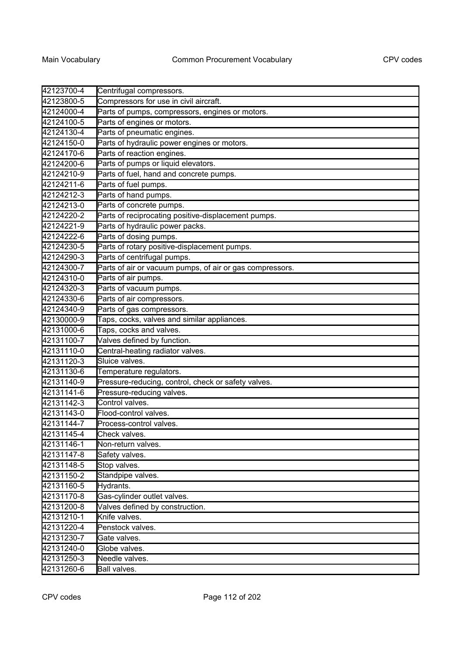| 42123700-4 | Centrifugal compressors.                                 |
|------------|----------------------------------------------------------|
| 42123800-5 | Compressors for use in civil aircraft.                   |
| 42124000-4 | Parts of pumps, compressors, engines or motors.          |
| 42124100-5 | Parts of engines or motors.                              |
| 42124130-4 | Parts of pneumatic engines.                              |
| 42124150-0 | Parts of hydraulic power engines or motors.              |
| 42124170-6 | Parts of reaction engines.                               |
| 42124200-6 | Parts of pumps or liquid elevators.                      |
| 42124210-9 | Parts of fuel, hand and concrete pumps.                  |
| 42124211-6 | Parts of fuel pumps.                                     |
| 42124212-3 | Parts of hand pumps.                                     |
| 42124213-0 | Parts of concrete pumps.                                 |
| 42124220-2 | Parts of reciprocating positive-displacement pumps.      |
| 42124221-9 | Parts of hydraulic power packs.                          |
| 42124222-6 | Parts of dosing pumps.                                   |
| 42124230-5 | Parts of rotary positive-displacement pumps.             |
| 42124290-3 | Parts of centrifugal pumps.                              |
| 42124300-7 | Parts of air or vacuum pumps, of air or gas compressors. |
| 42124310-0 | Parts of air pumps.                                      |
| 42124320-3 | Parts of vacuum pumps.                                   |
| 42124330-6 | Parts of air compressors.                                |
| 42124340-9 | Parts of gas compressors.                                |
| 42130000-9 | Taps, cocks, valves and similar appliances.              |
| 42131000-6 | Taps, cocks and valves.                                  |
| 42131100-7 | Valves defined by function.                              |
| 42131110-0 | Central-heating radiator valves.                         |
| 42131120-3 | Sluice valves.                                           |
| 42131130-6 | Temperature regulators.                                  |
| 42131140-9 | Pressure-reducing, control, check or safety valves.      |
| 42131141-6 | Pressure-reducing valves.                                |
| 42131142-3 | Control valves.                                          |
| 42131143-0 | Flood-control valves.                                    |
| 42131144-7 | Process-control valves.                                  |
| 42131145-4 | Check valves.                                            |
| 42131146-1 | Non-return valves.                                       |
| 42131147-8 | Safety valves.                                           |
| 42131148-5 | Stop valves.                                             |
| 42131150-2 | Standpipe valves.                                        |
| 42131160-5 | Hydrants.                                                |
| 42131170-8 | Gas-cylinder outlet valves.                              |
| 42131200-8 | Valves defined by construction.                          |
| 42131210-1 | Knife valves.                                            |
| 42131220-4 | Penstock valves.                                         |
| 42131230-7 | Gate valves.                                             |
| 42131240-0 | Globe valves.                                            |
| 42131250-3 | Needle valves.                                           |
| 42131260-6 | Ball valves.                                             |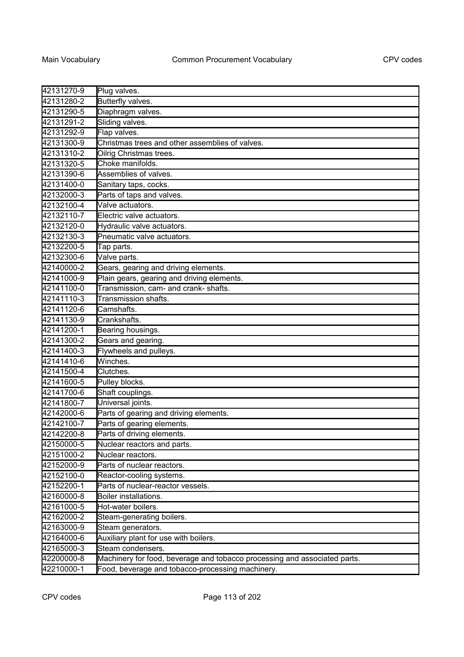| 42131270-9 | Plug valves.                                                              |
|------------|---------------------------------------------------------------------------|
| 42131280-2 | <b>Butterfly valves.</b>                                                  |
| 42131290-5 | Diaphragm valves.                                                         |
| 42131291-2 | Sliding valves.                                                           |
| 42131292-9 | Flap valves.                                                              |
| 42131300-9 | Christmas trees and other assemblies of valves.                           |
| 42131310-2 | Oilrig Christmas trees.                                                   |
| 42131320-5 | Choke manifolds.                                                          |
| 42131390-6 | Assemblies of valves.                                                     |
| 42131400-0 | Sanitary taps, cocks.                                                     |
| 42132000-3 | Parts of taps and valves.                                                 |
| 42132100-4 | Valve actuators.                                                          |
| 42132110-7 | Electric valve actuators.                                                 |
| 42132120-0 | Hydraulic valve actuators.                                                |
| 42132130-3 | Pneumatic valve actuators.                                                |
| 42132200-5 | Tap parts.                                                                |
| 42132300-6 | Valve parts.                                                              |
| 42140000-2 | Gears, gearing and driving elements.                                      |
| 42141000-9 | Plain gears, gearing and driving elements.                                |
| 42141100-0 | Transmission, cam- and crank- shafts.                                     |
| 42141110-3 | Transmission shafts.                                                      |
| 42141120-6 | Camshafts.                                                                |
| 42141130-9 | Crankshafts.                                                              |
| 42141200-1 | Bearing housings.                                                         |
| 42141300-2 | Gears and gearing.                                                        |
| 42141400-3 | Flywheels and pulleys.                                                    |
| 42141410-6 | Winches.                                                                  |
| 42141500-4 | Clutches.                                                                 |
| 42141600-5 | Pulley blocks.                                                            |
| 42141700-6 | Shaft couplings.                                                          |
| 42141800-7 | Universal joints.                                                         |
| 42142000-6 | Parts of gearing and driving elements.                                    |
| 42142100-7 | Parts of gearing elements.                                                |
| 42142200-8 | Parts of driving elements.                                                |
| 42150000-5 | Nuclear reactors and parts.                                               |
| 42151000-2 | Nuclear reactors.                                                         |
| 42152000-9 | Parts of nuclear reactors.                                                |
| 42152100-0 | Reactor-cooling systems.                                                  |
| 42152200-1 | Parts of nuclear-reactor vessels.                                         |
| 42160000-8 | Boiler installations.                                                     |
| 42161000-5 | Hot-water boilers.                                                        |
| 42162000-2 | Steam-generating boilers.                                                 |
| 42163000-9 | Steam generators.                                                         |
| 42164000-6 | Auxiliary plant for use with boilers.                                     |
| 42165000-3 | Steam condensers.                                                         |
| 42200000-8 | Machinery for food, beverage and tobacco processing and associated parts. |
| 42210000-1 | Food, beverage and tobacco-processing machinery.                          |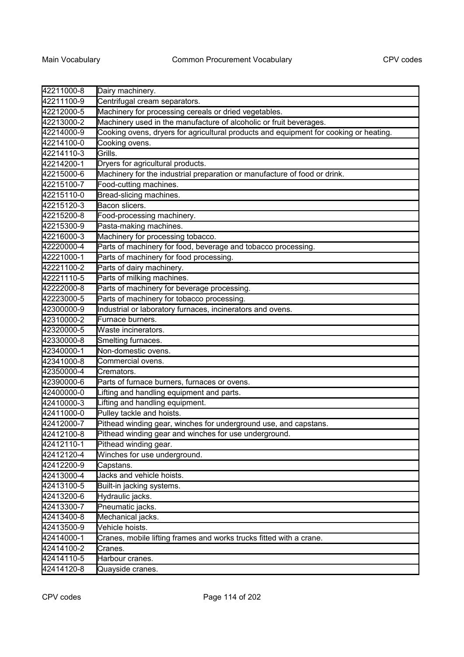| 42211000-8 | Dairy machinery.                                                                      |
|------------|---------------------------------------------------------------------------------------|
| 42211100-9 | Centrifugal cream separators.                                                         |
| 42212000-5 | Machinery for processing cereals or dried vegetables.                                 |
| 42213000-2 | Machinery used in the manufacture of alcoholic or fruit beverages.                    |
| 42214000-9 | Cooking ovens, dryers for agricultural products and equipment for cooking or heating. |
| 42214100-0 | Cooking ovens.                                                                        |
| 42214110-3 | Grills.                                                                               |
| 42214200-1 | Dryers for agricultural products.                                                     |
| 42215000-6 | Machinery for the industrial preparation or manufacture of food or drink.             |
| 42215100-7 | Food-cutting machines.                                                                |
| 42215110-0 | Bread-slicing machines.                                                               |
| 42215120-3 | Bacon slicers.                                                                        |
| 42215200-8 | Food-processing machinery.                                                            |
| 42215300-9 | Pasta-making machines.                                                                |
| 42216000-3 | Machinery for processing tobacco.                                                     |
| 42220000-4 | Parts of machinery for food, beverage and tobacco processing.                         |
| 42221000-1 | Parts of machinery for food processing.                                               |
| 42221100-2 | Parts of dairy machinery.                                                             |
| 42221110-5 | Parts of milking machines.                                                            |
| 42222000-8 | Parts of machinery for beverage processing.                                           |
| 42223000-5 | Parts of machinery for tobacco processing.                                            |
| 42300000-9 | Industrial or laboratory furnaces, incinerators and ovens.                            |
| 42310000-2 | Furnace burners.                                                                      |
| 42320000-5 | Waste incinerators.                                                                   |
| 42330000-8 | Smelting furnaces.                                                                    |
| 42340000-1 | Non-domestic ovens.                                                                   |
| 42341000-8 | Commercial ovens.                                                                     |
| 42350000-4 | Cremators.                                                                            |
| 42390000-6 | Parts of furnace burners, furnaces or ovens.                                          |
| 42400000-0 | Lifting and handling equipment and parts.                                             |
| 42410000-3 | Lifting and handling equipment.                                                       |
| 42411000-0 | Pulley tackle and hoists.                                                             |
| 42412000-7 | Pithead winding gear, winches for underground use, and capstans.                      |
| 42412100-8 | Pithead winding gear and winches for use underground.                                 |
| 42412110-1 | Pithead winding gear.                                                                 |
| 42412120-4 | Winches for use underground.                                                          |
| 42412200-9 | Capstans.                                                                             |
| 42413000-4 | Jacks and vehicle hoists.                                                             |
| 42413100-5 | Built-in jacking systems.                                                             |
| 42413200-6 | Hydraulic jacks.                                                                      |
| 42413300-7 | Pneumatic jacks.                                                                      |
| 42413400-8 | Mechanical jacks.                                                                     |
| 42413500-9 | Vehicle hoists.                                                                       |
| 42414000-1 | Cranes, mobile lifting frames and works trucks fitted with a crane.                   |
| 42414100-2 | Cranes.                                                                               |
| 42414110-5 | Harbour cranes.                                                                       |
| 42414120-8 | Quayside cranes.                                                                      |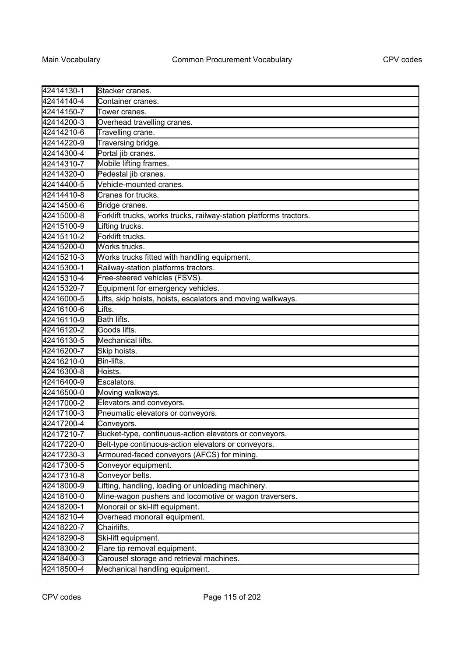| 42414130-1 | Stacker cranes.                                                    |
|------------|--------------------------------------------------------------------|
| 42414140-4 | Container cranes.                                                  |
| 42414150-7 | Tower cranes.                                                      |
| 42414200-3 | Overhead travelling cranes.                                        |
| 42414210-6 | Travelling crane.                                                  |
| 42414220-9 | Traversing bridge.                                                 |
| 42414300-4 | Portal jib cranes.                                                 |
| 42414310-7 | Mobile lifting frames.                                             |
| 42414320-0 | Pedestal jib cranes.                                               |
| 42414400-5 | Vehicle-mounted cranes.                                            |
| 42414410-8 | Cranes for trucks.                                                 |
| 42414500-6 | Bridge cranes.                                                     |
| 42415000-8 | Forklift trucks, works trucks, railway-station platforms tractors. |
| 42415100-9 | Lifting trucks.                                                    |
| 42415110-2 | Forklift trucks.                                                   |
| 42415200-0 | Works trucks.                                                      |
| 42415210-3 | Works trucks fitted with handling equipment.                       |
| 42415300-1 | Railway-station platforms tractors.                                |
| 42415310-4 | Free-steered vehicles (FSVS).                                      |
| 42415320-7 | Equipment for emergency vehicles.                                  |
| 42416000-5 | Lifts, skip hoists, hoists, escalators and moving walkways.        |
| 42416100-6 | Lifts.                                                             |
| 42416110-9 | Bath lifts.                                                        |
| 42416120-2 | Goods lifts.                                                       |
| 42416130-5 | Mechanical lifts.                                                  |
| 42416200-7 | Skip hoists.                                                       |
| 42416210-0 | Bin-lifts.                                                         |
| 42416300-8 | Hoists.                                                            |
| 42416400-9 | Escalators.                                                        |
| 42416500-0 | Moving walkways.                                                   |
| 42417000-2 | Elevators and conveyors.                                           |
| 42417100-3 | Pneumatic elevators or conveyors.                                  |
| 42417200-4 | Conveyors.                                                         |
| 42417210-7 | Bucket-type, continuous-action elevators or conveyors.             |
| 42417220-0 | Belt-type continuous-action elevators or conveyors.                |
| 42417230-3 | Armoured-faced conveyors (AFCS) for mining.                        |
| 42417300-5 | Conveyor equipment.                                                |
| 42417310-8 | Conveyor belts.                                                    |
| 42418000-9 | Lifting, handling, loading or unloading machinery.                 |
| 42418100-0 | Mine-wagon pushers and locomotive or wagon traversers.             |
| 42418200-1 | Monorail or ski-lift equipment.                                    |
| 42418210-4 | Overhead monorail equipment.                                       |
| 42418220-7 | Chairlifts.                                                        |
| 42418290-8 | Ski-lift equipment.                                                |
| 42418300-2 | Flare tip removal equipment.                                       |
| 42418400-3 | Carousel storage and retrieval machines.                           |
| 42418500-4 | Mechanical handling equipment.                                     |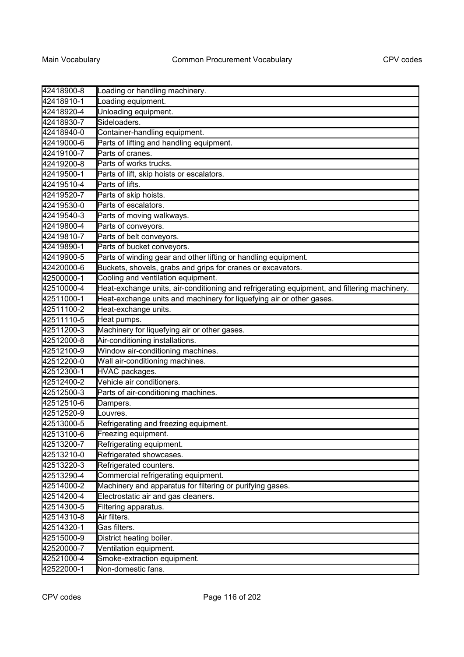| 42418900-8 | Loading or handling machinery.                                                              |
|------------|---------------------------------------------------------------------------------------------|
| 42418910-1 | Loading equipment.                                                                          |
| 42418920-4 | Unloading equipment.                                                                        |
| 42418930-7 | Sideloaders.                                                                                |
| 42418940-0 | Container-handling equipment.                                                               |
| 42419000-6 | Parts of lifting and handling equipment.                                                    |
| 42419100-7 | Parts of cranes.                                                                            |
| 42419200-8 | Parts of works trucks.                                                                      |
| 42419500-1 | Parts of lift, skip hoists or escalators.                                                   |
| 42419510-4 | Parts of lifts.                                                                             |
| 42419520-7 | Parts of skip hoists.                                                                       |
| 42419530-0 | Parts of escalators.                                                                        |
| 42419540-3 | Parts of moving walkways.                                                                   |
| 42419800-4 | Parts of conveyors.                                                                         |
| 42419810-7 | Parts of belt conveyors.                                                                    |
| 42419890-1 | Parts of bucket conveyors.                                                                  |
| 42419900-5 | Parts of winding gear and other lifting or handling equipment.                              |
| 42420000-6 | Buckets, shovels, grabs and grips for cranes or excavators.                                 |
| 42500000-1 | Cooling and ventilation equipment.                                                          |
| 42510000-4 | Heat-exchange units, air-conditioning and refrigerating equipment, and filtering machinery. |
| 42511000-1 | Heat-exchange units and machinery for liquefying air or other gases.                        |
| 42511100-2 | Heat-exchange units.                                                                        |
| 42511110-5 | Heat pumps.                                                                                 |
| 42511200-3 | Machinery for liquefying air or other gases.                                                |
| 42512000-8 | Air-conditioning installations.                                                             |
| 42512100-9 | Window air-conditioning machines.                                                           |
| 42512200-0 | Wall air-conditioning machines.                                                             |
| 42512300-1 | HVAC packages.                                                                              |
| 42512400-2 | Vehicle air conditioners.                                                                   |
| 42512500-3 | Parts of air-conditioning machines.                                                         |
| 42512510-6 | Dampers.                                                                                    |
| 42512520-9 | Louvres.                                                                                    |
| 42513000-5 | Refrigerating and freezing equipment.                                                       |
| 42513100-6 | Freezing equipment.                                                                         |
| 42513200-7 | Refrigerating equipment.                                                                    |
| 42513210-0 | Refrigerated showcases.                                                                     |
| 42513220-3 | Refrigerated counters.                                                                      |
| 42513290-4 | Commercial refrigerating equipment.                                                         |
| 42514000-2 | Machinery and apparatus for filtering or purifying gases.                                   |
| 42514200-4 | Electrostatic air and gas cleaners.                                                         |
| 42514300-5 | Filtering apparatus.                                                                        |
| 42514310-8 | Air filters.                                                                                |
| 42514320-1 | Gas filters.                                                                                |
| 42515000-9 | District heating boiler.                                                                    |
| 42520000-7 | Ventilation equipment.                                                                      |
| 42521000-4 | Smoke-extraction equipment.                                                                 |
| 42522000-1 | Non-domestic fans.                                                                          |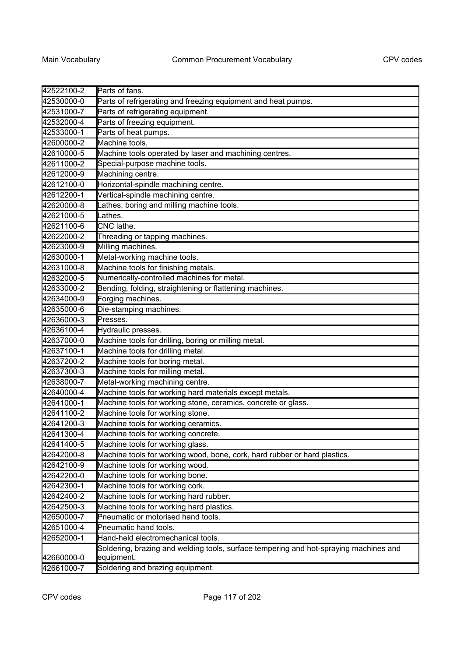| 42522100-2<br>Parts of fans.<br>Parts of refrigerating and freezing equipment and heat pumps.<br>42530000-0<br>Parts of refrigerating equipment.<br>42531000-7<br>Parts of freezing equipment.<br>42532000-4<br>Parts of heat pumps.<br>42533000-1<br>Machine tools.<br>42600000-2<br>42610000-5<br>Machine tools operated by laser and machining centres.<br>Special-purpose machine tools.<br>42611000-2<br>Machining centre.<br>42612000-9 |
|-----------------------------------------------------------------------------------------------------------------------------------------------------------------------------------------------------------------------------------------------------------------------------------------------------------------------------------------------------------------------------------------------------------------------------------------------|
|                                                                                                                                                                                                                                                                                                                                                                                                                                               |
|                                                                                                                                                                                                                                                                                                                                                                                                                                               |
|                                                                                                                                                                                                                                                                                                                                                                                                                                               |
|                                                                                                                                                                                                                                                                                                                                                                                                                                               |
|                                                                                                                                                                                                                                                                                                                                                                                                                                               |
|                                                                                                                                                                                                                                                                                                                                                                                                                                               |
|                                                                                                                                                                                                                                                                                                                                                                                                                                               |
|                                                                                                                                                                                                                                                                                                                                                                                                                                               |
| Horizontal-spindle machining centre.<br>42612100-0                                                                                                                                                                                                                                                                                                                                                                                            |
| Vertical-spindle machining centre.<br>42612200-1                                                                                                                                                                                                                                                                                                                                                                                              |
| Lathes, boring and milling machine tools.<br>42620000-8                                                                                                                                                                                                                                                                                                                                                                                       |
| 42621000-5<br>Lathes.                                                                                                                                                                                                                                                                                                                                                                                                                         |
| CNC lathe.<br>42621100-6                                                                                                                                                                                                                                                                                                                                                                                                                      |
| 42622000-2<br>Threading or tapping machines.                                                                                                                                                                                                                                                                                                                                                                                                  |
| Milling machines.<br>42623000-9                                                                                                                                                                                                                                                                                                                                                                                                               |
| Metal-working machine tools.<br>42630000-1                                                                                                                                                                                                                                                                                                                                                                                                    |
| Machine tools for finishing metals.<br>42631000-8                                                                                                                                                                                                                                                                                                                                                                                             |
| Numerically-controlled machines for metal.<br>42632000-5                                                                                                                                                                                                                                                                                                                                                                                      |
| Bending, folding, straightening or flattening machines.<br>42633000-2                                                                                                                                                                                                                                                                                                                                                                         |
| Forging machines.<br>42634000-9                                                                                                                                                                                                                                                                                                                                                                                                               |
| Die-stamping machines.<br>42635000-6                                                                                                                                                                                                                                                                                                                                                                                                          |
| Presses.<br>42636000-3                                                                                                                                                                                                                                                                                                                                                                                                                        |
| Hydraulic presses.<br>42636100-4                                                                                                                                                                                                                                                                                                                                                                                                              |
| Machine tools for drilling, boring or milling metal.<br>42637000-0                                                                                                                                                                                                                                                                                                                                                                            |
| Machine tools for drilling metal.<br>42637100-1                                                                                                                                                                                                                                                                                                                                                                                               |
| Machine tools for boring metal.<br>42637200-2                                                                                                                                                                                                                                                                                                                                                                                                 |
| Machine tools for milling metal.<br>42637300-3                                                                                                                                                                                                                                                                                                                                                                                                |
| Metal-working machining centre.<br>42638000-7                                                                                                                                                                                                                                                                                                                                                                                                 |
| Machine tools for working hard materials except metals.<br>42640000-4                                                                                                                                                                                                                                                                                                                                                                         |
| Machine tools for working stone, ceramics, concrete or glass.<br>42641000-1                                                                                                                                                                                                                                                                                                                                                                   |
| Machine tools for working stone.<br>42641100-2                                                                                                                                                                                                                                                                                                                                                                                                |
| 42641200-3<br>Machine tools for working ceramics.                                                                                                                                                                                                                                                                                                                                                                                             |
| 42641300-4<br>Machine tools for working concrete.                                                                                                                                                                                                                                                                                                                                                                                             |
| Machine tools for working glass.<br>42641400-5                                                                                                                                                                                                                                                                                                                                                                                                |
| Machine tools for working wood, bone, cork, hard rubber or hard plastics.<br>42642000-8                                                                                                                                                                                                                                                                                                                                                       |
| Machine tools for working wood.<br>42642100-9                                                                                                                                                                                                                                                                                                                                                                                                 |
| Machine tools for working bone.<br>42642200-0                                                                                                                                                                                                                                                                                                                                                                                                 |
| Machine tools for working cork.<br>42642300-1                                                                                                                                                                                                                                                                                                                                                                                                 |
| Machine tools for working hard rubber.<br>42642400-2                                                                                                                                                                                                                                                                                                                                                                                          |
| Machine tools for working hard plastics.<br>42642500-3                                                                                                                                                                                                                                                                                                                                                                                        |
| 42650000-7<br>Pneumatic or motorised hand tools.                                                                                                                                                                                                                                                                                                                                                                                              |
| 42651000-4<br>Pneumatic hand tools.                                                                                                                                                                                                                                                                                                                                                                                                           |
| 42652000-1<br>Hand-held electromechanical tools.                                                                                                                                                                                                                                                                                                                                                                                              |
| Soldering, brazing and welding tools, surface tempering and hot-spraying machines and<br>42660000-0<br>equipment.                                                                                                                                                                                                                                                                                                                             |
| 42661000-7<br>Soldering and brazing equipment.                                                                                                                                                                                                                                                                                                                                                                                                |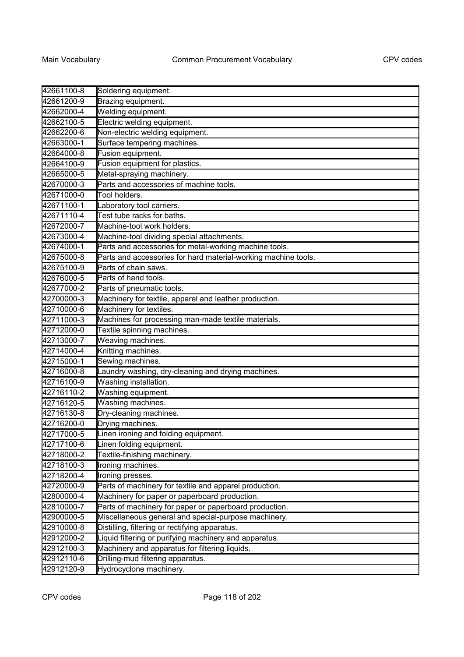| 42661100-8 | Soldering equipment.                                           |
|------------|----------------------------------------------------------------|
| 42661200-9 | Brazing equipment.                                             |
| 42662000-4 | Welding equipment.                                             |
| 42662100-5 | Electric welding equipment.                                    |
| 42662200-6 | Non-electric welding equipment.                                |
| 42663000-1 | Surface tempering machines.                                    |
| 42664000-8 | Fusion equipment.                                              |
| 42664100-9 | Fusion equipment for plastics.                                 |
| 42665000-5 | Metal-spraying machinery.                                      |
| 42670000-3 | Parts and accessories of machine tools.                        |
| 42671000-0 | Tool holders.                                                  |
| 42671100-1 | Laboratory tool carriers.                                      |
| 42671110-4 | Test tube racks for baths.                                     |
| 42672000-7 | Machine-tool work holders.                                     |
| 42673000-4 | Machine-tool dividing special attachments.                     |
| 42674000-1 | Parts and accessories for metal-working machine tools.         |
| 42675000-8 | Parts and accessories for hard material-working machine tools. |
| 42675100-9 | Parts of chain saws.                                           |
| 42676000-5 | Parts of hand tools.                                           |
| 42677000-2 | Parts of pneumatic tools.                                      |
| 42700000-3 | Machinery for textile, apparel and leather production.         |
| 42710000-6 | Machinery for textiles.                                        |
| 42711000-3 | Machines for processing man-made textile materials.            |
| 42712000-0 | Textile spinning machines.                                     |
| 42713000-7 | Weaving machines.                                              |
| 42714000-4 | Knitting machines.                                             |
| 42715000-1 | Sewing machines.                                               |
| 42716000-8 | Laundry washing, dry-cleaning and drying machines.             |
| 42716100-9 | Washing installation.                                          |
| 42716110-2 | Washing equipment.                                             |
| 42716120-5 | Washing machines.                                              |
| 42716130-8 | Dry-cleaning machines.                                         |
| 42716200-0 | Drying machines.                                               |
| 42717000-5 | Linen ironing and folding equipment.                           |
| 42717100-6 | Linen folding equipment.                                       |
| 42718000-2 | Textile-finishing machinery.                                   |
| 42718100-3 | Ironing machines.                                              |
| 42718200-4 | Ironing presses.                                               |
| 42720000-9 | Parts of machinery for textile and apparel production.         |
| 42800000-4 | Machinery for paper or paperboard production.                  |
| 42810000-7 | Parts of machinery for paper or paperboard production.         |
| 42900000-5 | Miscellaneous general and special-purpose machinery.           |
| 42910000-8 | Distilling, filtering or rectifying apparatus.                 |
| 42912000-2 | Liquid filtering or purifying machinery and apparatus.         |
| 42912100-3 | Machinery and apparatus for filtering liquids.                 |
| 42912110-6 | Drilling-mud filtering apparatus.                              |
| 42912120-9 | Hydrocyclone machinery.                                        |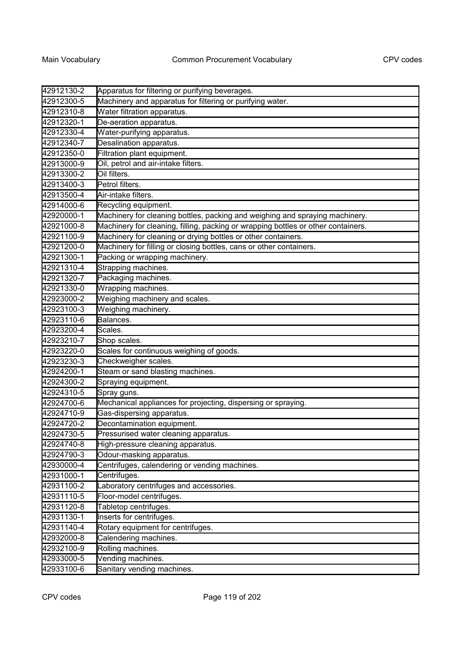| 42912130-2 | Apparatus for filtering or purifying beverages.                                   |
|------------|-----------------------------------------------------------------------------------|
| 42912300-5 | Machinery and apparatus for filtering or purifying water.                         |
| 42912310-8 | Water filtration apparatus.                                                       |
| 42912320-1 | De-aeration apparatus.                                                            |
| 42912330-4 | Water-purifying apparatus.                                                        |
| 42912340-7 | Desalination apparatus.                                                           |
| 42912350-0 | Filtration plant equipment.                                                       |
| 42913000-9 | Oil, petrol and air-intake filters.                                               |
| 42913300-2 | Oil filters.                                                                      |
| 42913400-3 | Petrol filters.                                                                   |
| 42913500-4 | Air-intake filters.                                                               |
| 42914000-6 | Recycling equipment.                                                              |
| 42920000-1 | Machinery for cleaning bottles, packing and weighing and spraying machinery.      |
| 42921000-8 | Machinery for cleaning, filling, packing or wrapping bottles or other containers. |
| 42921100-9 | Machinery for cleaning or drying bottles or other containers.                     |
| 42921200-0 | Machinery for filling or closing bottles, cans or other containers.               |
| 42921300-1 | Packing or wrapping machinery.                                                    |
| 42921310-4 | Strapping machines.                                                               |
| 42921320-7 | Packaging machines.                                                               |
| 42921330-0 | Wrapping machines.                                                                |
| 42923000-2 | Weighing machinery and scales.                                                    |
| 42923100-3 | Weighing machinery.                                                               |
| 42923110-6 | Balances.                                                                         |
| 42923200-4 | Scales.                                                                           |
| 42923210-7 | Shop scales.                                                                      |
| 42923220-0 | Scales for continuous weighing of goods.                                          |
| 42923230-3 | Checkweigher scales.                                                              |
| 42924200-1 | Steam or sand blasting machines.                                                  |
| 42924300-2 | Spraying equipment.                                                               |
| 42924310-5 | Spray guns.                                                                       |
| 42924700-6 | Mechanical appliances for projecting, dispersing or spraying.                     |
| 42924710-9 | Gas-dispersing apparatus.                                                         |
| 42924720-2 | Decontamination equipment.                                                        |
| 42924730-5 | Pressurised water cleaning apparatus.                                             |
| 42924740-8 | High-pressure cleaning apparatus.                                                 |
| 42924790-3 | Odour-masking apparatus.                                                          |
| 42930000-4 | Centrifuges, calendering or vending machines.                                     |
| 42931000-1 | Centrifuges.                                                                      |
| 42931100-2 | Laboratory centrifuges and accessories.                                           |
| 42931110-5 | Floor-model centrifuges.                                                          |
| 42931120-8 | Tabletop centrifuges.                                                             |
| 42931130-1 | Inserts for centrifuges.                                                          |
| 42931140-4 | Rotary equipment for centrifuges.                                                 |
| 42932000-8 | Calendering machines.                                                             |
| 42932100-9 | Rolling machines.                                                                 |
| 42933000-5 | Vending machines.                                                                 |
| 42933100-6 | Sanitary vending machines.                                                        |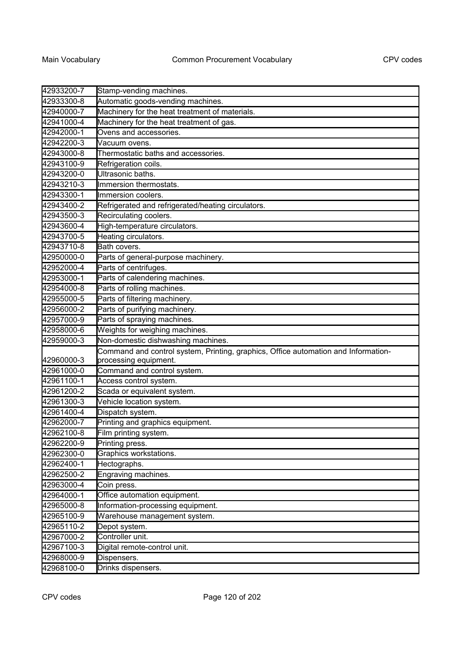| 42933200-7 | Stamp-vending machines.                                                            |
|------------|------------------------------------------------------------------------------------|
| 42933300-8 | Automatic goods-vending machines.                                                  |
| 42940000-7 | Machinery for the heat treatment of materials.                                     |
| 42941000-4 | Machinery for the heat treatment of gas.                                           |
| 42942000-1 | Ovens and accessories.                                                             |
| 42942200-3 | Vacuum ovens.                                                                      |
| 42943000-8 | Thermostatic baths and accessories.                                                |
| 42943100-9 | Refrigeration coils.                                                               |
| 42943200-0 | Ultrasonic baths.                                                                  |
| 42943210-3 | Immersion thermostats.                                                             |
| 42943300-1 | Immersion coolers.                                                                 |
| 42943400-2 | Refrigerated and refrigerated/heating circulators.                                 |
| 42943500-3 | Recirculating coolers.                                                             |
| 42943600-4 | High-temperature circulators.                                                      |
| 42943700-5 | Heating circulators.                                                               |
| 42943710-8 | Bath covers.                                                                       |
| 42950000-0 | Parts of general-purpose machinery.                                                |
| 42952000-4 | Parts of centrifuges.                                                              |
| 42953000-1 | Parts of calendering machines.                                                     |
| 42954000-8 | Parts of rolling machines.                                                         |
| 42955000-5 | Parts of filtering machinery.                                                      |
| 42956000-2 | Parts of purifying machinery.                                                      |
| 42957000-9 | Parts of spraying machines.                                                        |
| 42958000-6 | Weights for weighing machines.                                                     |
| 42959000-3 | Non-domestic dishwashing machines.                                                 |
|            | Command and control system, Printing, graphics, Office automation and Information- |
| 42960000-3 | processing equipment.                                                              |
| 42961000-0 | Command and control system.                                                        |
| 42961100-1 | Access control system.                                                             |
| 42961200-2 | Scada or equivalent system.                                                        |
| 42961300-3 | Vehicle location system.                                                           |
| 42961400-4 | Dispatch system.                                                                   |
| 42962000-7 | Printing and graphics equipment.                                                   |
| 42962100-8 | Film printing system.                                                              |
| 42962200-9 | Printing press.                                                                    |
| 42962300-0 | Graphics workstations.                                                             |
| 42962400-1 | Hectographs.                                                                       |
| 42962500-2 | Engraving machines.                                                                |
| 42963000-4 | Coin press.                                                                        |
| 42964000-1 | Office automation equipment.                                                       |
| 42965000-8 | Information-processing equipment.                                                  |
| 42965100-9 | Warehouse management system.                                                       |
| 42965110-2 | Depot system.                                                                      |
| 42967000-2 | Controller unit.                                                                   |
| 42967100-3 | Digital remote-control unit.                                                       |
| 42968000-9 | Dispensers.                                                                        |
| 42968100-0 | Drinks dispensers.                                                                 |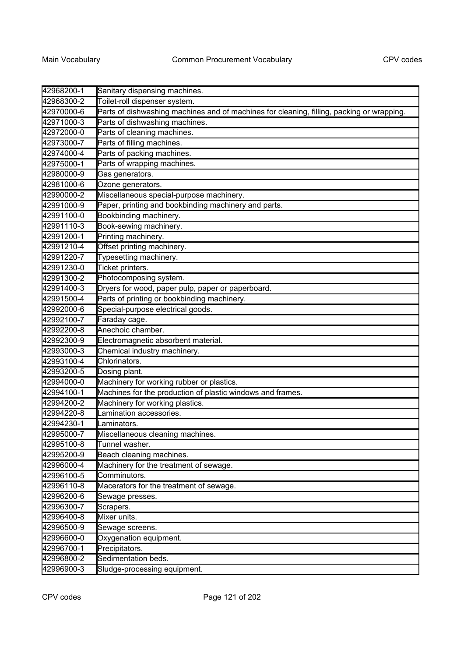| 42968200-1 | Sanitary dispensing machines.                                                             |
|------------|-------------------------------------------------------------------------------------------|
| 42968300-2 | Toilet-roll dispenser system.                                                             |
| 42970000-6 | Parts of dishwashing machines and of machines for cleaning, filling, packing or wrapping. |
| 42971000-3 | Parts of dishwashing machines.                                                            |
| 42972000-0 | Parts of cleaning machines.                                                               |
| 42973000-7 | Parts of filling machines.                                                                |
| 42974000-4 | Parts of packing machines.                                                                |
| 42975000-1 | Parts of wrapping machines.                                                               |
| 42980000-9 | Gas generators.                                                                           |
| 42981000-6 | Ozone generators.                                                                         |
| 42990000-2 | Miscellaneous special-purpose machinery.                                                  |
| 42991000-9 | Paper, printing and bookbinding machinery and parts.                                      |
| 42991100-0 | Bookbinding machinery.                                                                    |
| 42991110-3 | Book-sewing machinery.                                                                    |
| 42991200-1 | Printing machinery.                                                                       |
| 42991210-4 | Offset printing machinery.                                                                |
| 42991220-7 | Typesetting machinery.                                                                    |
| 42991230-0 | Ticket printers.                                                                          |
| 42991300-2 | Photocomposing system.                                                                    |
| 42991400-3 | Dryers for wood, paper pulp, paper or paperboard.                                         |
| 42991500-4 | Parts of printing or bookbinding machinery.                                               |
| 42992000-6 | Special-purpose electrical goods.                                                         |
| 42992100-7 | Faraday cage.                                                                             |
| 42992200-8 | Anechoic chamber.                                                                         |
| 42992300-9 | Electromagnetic absorbent material.                                                       |
| 42993000-3 | Chemical industry machinery.                                                              |
| 42993100-4 | Chlorinators.                                                                             |
| 42993200-5 | Dosing plant.                                                                             |
| 42994000-0 | Machinery for working rubber or plastics.                                                 |
| 42994100-1 | Machines for the production of plastic windows and frames.                                |
| 42994200-2 | Machinery for working plastics.                                                           |
| 42994220-8 | Lamination accessories.                                                                   |
| 42994230-1 | Laminators.                                                                               |
| 42995000-7 | Miscellaneous cleaning machines                                                           |
| 42995100-8 | Tunnel washer.                                                                            |
| 42995200-9 | Beach cleaning machines.                                                                  |
| 42996000-4 | Machinery for the treatment of sewage.                                                    |
| 42996100-5 | Comminutors.                                                                              |
| 42996110-8 | Macerators for the treatment of sewage.                                                   |
| 42996200-6 | Sewage presses.                                                                           |
| 42996300-7 | Scrapers.                                                                                 |
| 42996400-8 | Mixer units.                                                                              |
| 42996500-9 | Sewage screens.                                                                           |
| 42996600-0 | Oxygenation equipment.                                                                    |
| 42996700-1 | Precipitators.                                                                            |
| 42996800-2 | Sedimentation beds.                                                                       |
| 42996900-3 | Sludge-processing equipment.                                                              |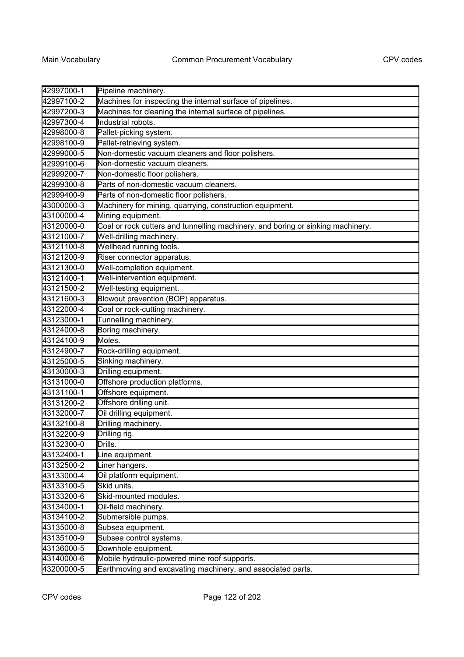| 42997000-1 | Pipeline machinery.                                                             |
|------------|---------------------------------------------------------------------------------|
| 42997100-2 | Machines for inspecting the internal surface of pipelines.                      |
| 42997200-3 | Machines for cleaning the internal surface of pipelines.                        |
| 42997300-4 | Industrial robots.                                                              |
| 42998000-8 | Pallet-picking system.                                                          |
| 42998100-9 | Pallet-retrieving system.                                                       |
| 42999000-5 | Non-domestic vacuum cleaners and floor polishers.                               |
| 42999100-6 | Non-domestic vacuum cleaners.                                                   |
| 42999200-7 | Non-domestic floor polishers.                                                   |
| 42999300-8 | Parts of non-domestic vacuum cleaners.                                          |
| 42999400-9 | Parts of non-domestic floor polishers.                                          |
| 43000000-3 | Machinery for mining, quarrying, construction equipment.                        |
| 43100000-4 | Mining equipment.                                                               |
| 43120000-0 | Coal or rock cutters and tunnelling machinery, and boring or sinking machinery. |
| 43121000-7 | Well-drilling machinery.                                                        |
| 43121100-8 | Wellhead running tools.                                                         |
| 43121200-9 | Riser connector apparatus.                                                      |
| 43121300-0 | Well-completion equipment.                                                      |
| 43121400-1 | Well-intervention equipment.                                                    |
| 43121500-2 | Well-testing equipment.                                                         |
| 43121600-3 | Blowout prevention (BOP) apparatus.                                             |
| 43122000-4 | Coal or rock-cutting machinery.                                                 |
| 43123000-1 | Tunnelling machinery.                                                           |
| 43124000-8 | Boring machinery.                                                               |
| 43124100-9 | Moles.                                                                          |
| 43124900-7 | Rock-drilling equipment.                                                        |
| 43125000-5 | Sinking machinery.                                                              |
| 43130000-3 | Drilling equipment.                                                             |
| 43131000-0 | Offshore production platforms.                                                  |
| 43131100-1 | Offshore equipment.                                                             |
| 43131200-2 | Offshore drilling unit.                                                         |
| 43132000-7 | Oil drilling equipment.                                                         |
| 43132100-8 | Drilling machinery.                                                             |
| 43132200-9 | Drilling rig.                                                                   |
| 43132300-0 | Drills.                                                                         |
| 43132400-1 | Line equipment.                                                                 |
| 43132500-2 | Liner hangers.                                                                  |
| 43133000-4 | Oil platform equipment.                                                         |
| 43133100-5 | Skid units.                                                                     |
| 43133200-6 | Skid-mounted modules.                                                           |
| 43134000-1 | Oil-field machinery.                                                            |
| 43134100-2 | Submersible pumps.                                                              |
| 43135000-8 | Subsea equipment.                                                               |
| 43135100-9 | Subsea control systems.                                                         |
| 43136000-5 | Downhole equipment.                                                             |
| 43140000-6 | Mobile hydraulic-powered mine roof supports.                                    |
| 43200000-5 | Earthmoving and excavating machinery, and associated parts.                     |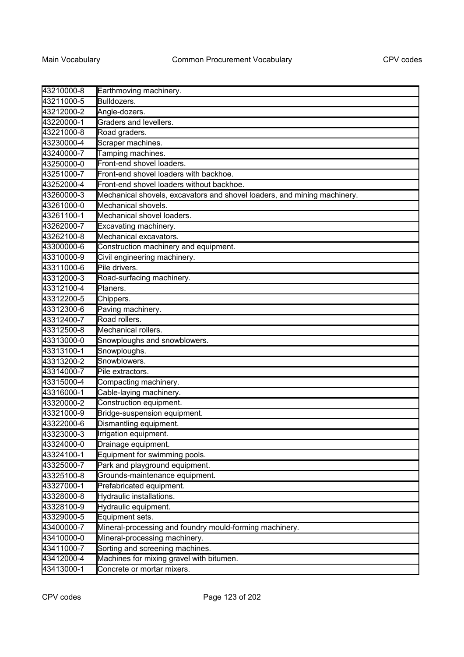| 43210000-8 | Earthmoving machinery.                                                   |
|------------|--------------------------------------------------------------------------|
| 43211000-5 | Bulldozers.                                                              |
| 43212000-2 | Angle-dozers.                                                            |
| 43220000-1 | Graders and levellers.                                                   |
| 43221000-8 | Road graders.                                                            |
| 43230000-4 | Scraper machines.                                                        |
| 43240000-7 | Tamping machines.                                                        |
| 43250000-0 | Front-end shovel loaders.                                                |
| 43251000-7 | Front-end shovel loaders with backhoe.                                   |
| 43252000-4 | Front-end shovel loaders without backhoe.                                |
| 43260000-3 | Mechanical shovels, excavators and shovel loaders, and mining machinery. |
| 43261000-0 | Mechanical shovels.                                                      |
| 43261100-1 | Mechanical shovel loaders.                                               |
| 43262000-7 | Excavating machinery.                                                    |
| 43262100-8 | Mechanical excavators.                                                   |
| 43300000-6 | Construction machinery and equipment.                                    |
| 43310000-9 | Civil engineering machinery.                                             |
| 43311000-6 | Pile drivers.                                                            |
| 43312000-3 | Road-surfacing machinery.                                                |
| 43312100-4 | Planers.                                                                 |
| 43312200-5 | Chippers.                                                                |
| 43312300-6 | Paving machinery.                                                        |
| 43312400-7 | Road rollers.                                                            |
| 43312500-8 | Mechanical rollers.                                                      |
| 43313000-0 | Snowploughs and snowblowers.                                             |
| 43313100-1 | Snowploughs.                                                             |
| 43313200-2 | Snowblowers.                                                             |
| 43314000-7 | Pile extractors.                                                         |
| 43315000-4 | Compacting machinery.                                                    |
| 43316000-1 | Cable-laying machinery.                                                  |
| 43320000-2 | Construction equipment.                                                  |
| 43321000-9 | Bridge-suspension equipment.                                             |
| 43322000-6 | Dismantling equipment.                                                   |
| 43323000-3 | Irrigation equipment.                                                    |
| 43324000-0 | Drainage equipment.                                                      |
| 43324100-1 | Equipment for swimming pools.                                            |
| 43325000-7 | Park and playground equipment.                                           |
| 43325100-8 | Grounds-maintenance equipment.                                           |
| 43327000-1 | Prefabricated equipment.                                                 |
| 43328000-8 | Hydraulic installations.                                                 |
| 43328100-9 | Hydraulic equipment.                                                     |
| 43329000-5 | Equipment sets.                                                          |
| 43400000-7 | Mineral-processing and foundry mould-forming machinery.                  |
| 43410000-0 | Mineral-processing machinery.                                            |
| 43411000-7 | Sorting and screening machines.                                          |
| 43412000-4 | Machines for mixing gravel with bitumen.                                 |
| 43413000-1 | Concrete or mortar mixers.                                               |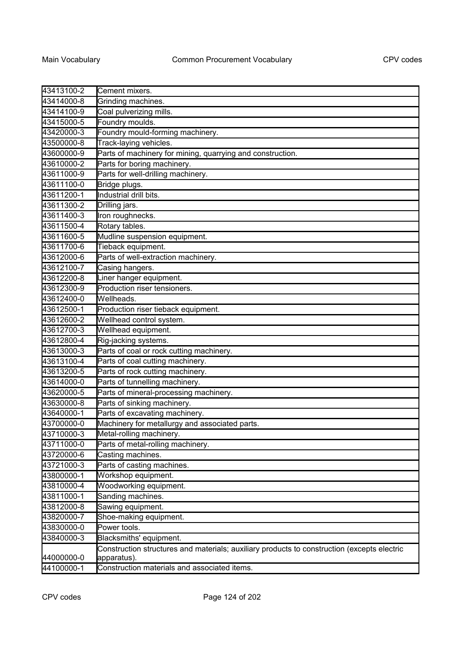| 43413100-2 | Cement mixers.                                                                              |
|------------|---------------------------------------------------------------------------------------------|
| 43414000-8 | Grinding machines.                                                                          |
| 43414100-9 | Coal pulverizing mills.                                                                     |
| 43415000-5 | Foundry moulds.                                                                             |
| 43420000-3 | Foundry mould-forming machinery.                                                            |
| 43500000-8 | Track-laying vehicles.                                                                      |
| 43600000-9 | Parts of machinery for mining, quarrying and construction.                                  |
| 43610000-2 | Parts for boring machinery.                                                                 |
| 43611000-9 | Parts for well-drilling machinery.                                                          |
| 43611100-0 | Bridge plugs.                                                                               |
| 43611200-1 | Industrial drill bits.                                                                      |
| 43611300-2 | Drilling jars.                                                                              |
| 43611400-3 | Iron roughnecks.                                                                            |
| 43611500-4 | Rotary tables.                                                                              |
| 43611600-5 | Mudline suspension equipment.                                                               |
| 43611700-6 | Tieback equipment.                                                                          |
| 43612000-6 | Parts of well-extraction machinery.                                                         |
| 43612100-7 | Casing hangers.                                                                             |
| 43612200-8 | Liner hanger equipment.                                                                     |
| 43612300-9 | Production riser tensioners.                                                                |
| 43612400-0 | Wellheads.                                                                                  |
| 43612500-1 | Production riser tieback equipment.                                                         |
| 43612600-2 | Wellhead control system.                                                                    |
| 43612700-3 | Wellhead equipment.                                                                         |
| 43612800-4 | Rig-jacking systems.                                                                        |
| 43613000-3 | Parts of coal or rock cutting machinery.                                                    |
| 43613100-4 | Parts of coal cutting machinery.                                                            |
| 43613200-5 | Parts of rock cutting machinery.                                                            |
| 43614000-0 | Parts of tunnelling machinery.                                                              |
| 43620000-5 | Parts of mineral-processing machinery.                                                      |
| 43630000-8 | Parts of sinking machinery.                                                                 |
| 43640000-1 | Parts of excavating machinery.                                                              |
| 43700000-0 | Machinery for metallurgy and associated parts.                                              |
| 43710000-3 | Metal-rolling machinery.                                                                    |
| 43711000-0 | Parts of metal-rolling machinery.                                                           |
| 43720000-6 | Casting machines.                                                                           |
| 43721000-3 | Parts of casting machines.                                                                  |
| 43800000-1 | Workshop equipment.                                                                         |
| 43810000-4 | Woodworking equipment.                                                                      |
| 43811000-1 | Sanding machines.                                                                           |
| 43812000-8 | Sawing equipment.                                                                           |
| 43820000-7 | Shoe-making equipment.                                                                      |
| 43830000-0 | Power tools.                                                                                |
| 43840000-3 | Blacksmiths' equipment.                                                                     |
| 44000000-0 | Construction structures and materials; auxiliary products to construction (excepts electric |
| 44100000-1 | apparatus).<br>Construction materials and associated items.                                 |
|            |                                                                                             |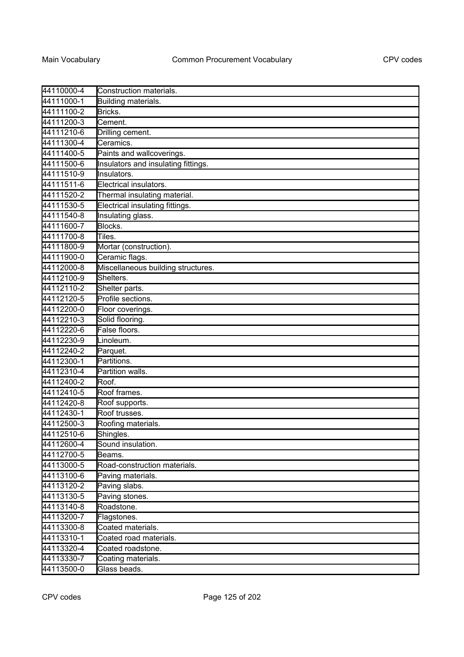| 44110000-4 | Construction materials.             |
|------------|-------------------------------------|
| 44111000-1 | Building materials.                 |
| 44111100-2 | Bricks.                             |
| 44111200-3 | Cement.                             |
| 44111210-6 | Drilling cement.                    |
| 44111300-4 | Ceramics.                           |
| 44111400-5 | Paints and wallcoverings.           |
| 44111500-6 | Insulators and insulating fittings. |
| 44111510-9 | Insulators.                         |
| 44111511-6 | Electrical insulators.              |
| 44111520-2 | Thermal insulating material.        |
| 44111530-5 | Electrical insulating fittings.     |
| 44111540-8 | Insulating glass.                   |
| 44111600-7 | Blocks.                             |
| 44111700-8 | Tiles.                              |
| 44111800-9 | Mortar (construction).              |
| 44111900-0 | Ceramic flags.                      |
| 44112000-8 | Miscellaneous building structures.  |
| 44112100-9 | Shelters.                           |
| 44112110-2 | Shelter parts.                      |
| 44112120-5 | Profile sections.                   |
| 44112200-0 | Floor coverings.                    |
| 44112210-3 | Solid flooring.                     |
| 44112220-6 | False floors.                       |
| 44112230-9 | Linoleum.                           |
| 44112240-2 | Parquet.                            |
| 44112300-1 | Partitions.                         |
| 44112310-4 | Partition walls.                    |
| 44112400-2 | Roof.                               |
| 44112410-5 | Roof frames.                        |
| 44112420-8 | Roof supports.                      |
| 44112430-1 | Roof trusses.                       |
| 44112500-3 | Roofing materials.                  |
| 44112510-6 | Shingles.                           |
| 44112600-4 | Sound insulation.                   |
| 44112700-5 | Beams.                              |
| 44113000-5 | Road-construction materials.        |
| 44113100-6 | Paving materials.                   |
| 44113120-2 | Paving slabs.                       |
| 44113130-5 | Paving stones.                      |
| 44113140-8 | Roadstone.                          |
| 44113200-7 | Flagstones.                         |
| 44113300-8 | Coated materials.                   |
| 44113310-1 | Coated road materials.              |
| 44113320-4 | Coated roadstone.                   |
| 44113330-7 | Coating materials.                  |
| 44113500-0 | Glass beads.                        |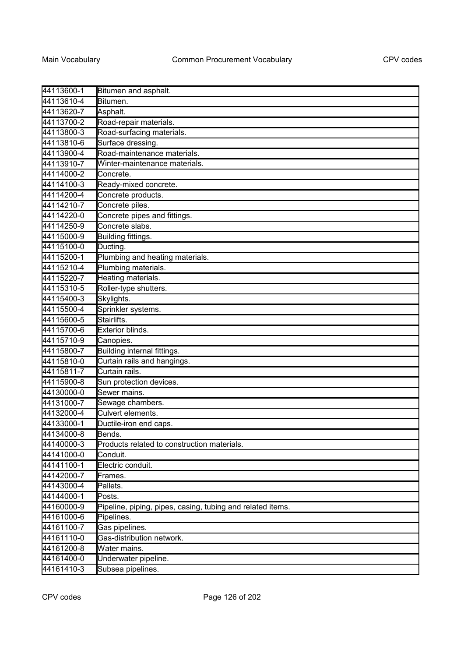| 44113600-1 | Bitumen and asphalt.                                       |
|------------|------------------------------------------------------------|
| 44113610-4 | Bitumen.                                                   |
| 44113620-7 | Asphalt.                                                   |
| 44113700-2 | Road-repair materials.                                     |
| 44113800-3 | Road-surfacing materials.                                  |
| 44113810-6 | Surface dressing.                                          |
| 44113900-4 | Road-maintenance materials.                                |
| 44113910-7 | Winter-maintenance materials.                              |
| 44114000-2 | Concrete.                                                  |
| 44114100-3 | Ready-mixed concrete.                                      |
| 44114200-4 | Concrete products.                                         |
| 44114210-7 | Concrete piles.                                            |
| 44114220-0 | Concrete pipes and fittings.                               |
| 44114250-9 | Concrete slabs.                                            |
| 44115000-9 | Building fittings.                                         |
| 44115100-0 | Ducting.                                                   |
| 44115200-1 | Plumbing and heating materials.                            |
| 44115210-4 | Plumbing materials.                                        |
| 44115220-7 | Heating materials.                                         |
| 44115310-5 | Roller-type shutters.                                      |
| 44115400-3 | Skylights.                                                 |
| 44115500-4 | Sprinkler systems.                                         |
| 44115600-5 | Stairlifts.                                                |
| 44115700-6 | Exterior blinds.                                           |
| 44115710-9 | Canopies.                                                  |
| 44115800-7 | Building internal fittings.                                |
| 44115810-0 | Curtain rails and hangings.                                |
| 44115811-7 | Curtain rails.                                             |
| 44115900-8 | Sun protection devices.                                    |
| 44130000-0 | Sewer mains.                                               |
| 44131000-7 | Sewage chambers.                                           |
| 44132000-4 | Culvert elements.                                          |
| 44133000-1 | Ductile-iron end caps.                                     |
| 44134000-8 | Bends.                                                     |
| 44140000-3 | Products related to construction materials.                |
| 44141000-0 | Conduit.                                                   |
| 44141100-1 | Electric conduit.                                          |
| 44142000-7 | Frames.                                                    |
| 44143000-4 | Pallets.                                                   |
| 44144000-1 | Posts.                                                     |
| 44160000-9 | Pipeline, piping, pipes, casing, tubing and related items. |
| 44161000-6 | Pipelines.                                                 |
| 44161100-7 | Gas pipelines.                                             |
| 44161110-0 | Gas-distribution network.                                  |
| 44161200-8 | Water mains.                                               |
| 44161400-0 | Underwater pipeline.                                       |
| 44161410-3 | Subsea pipelines.                                          |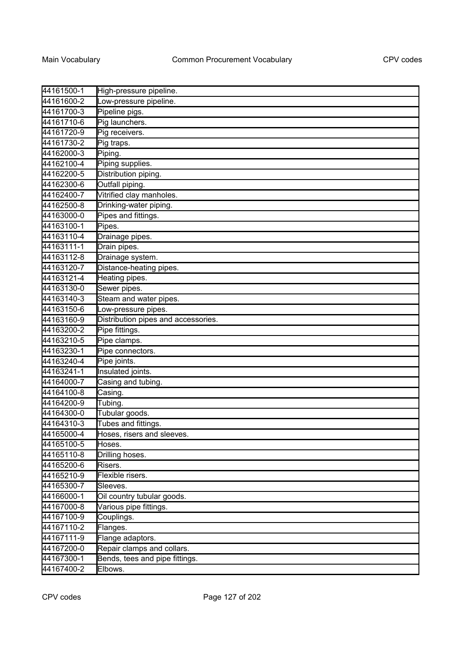| 44161500-1 | High-pressure pipeline.             |
|------------|-------------------------------------|
| 44161600-2 | Low-pressure pipeline.              |
| 44161700-3 | Pipeline pigs.                      |
| 44161710-6 | Pig launchers.                      |
| 44161720-9 | Pig receivers.                      |
| 44161730-2 | Pig traps.                          |
| 44162000-3 | Piping.                             |
| 44162100-4 | Piping supplies.                    |
| 44162200-5 | Distribution piping.                |
| 44162300-6 | Outfall piping.                     |
| 44162400-7 | Vitrified clay manholes.            |
| 44162500-8 | Drinking-water piping.              |
| 44163000-0 | Pipes and fittings.                 |
| 44163100-1 | Pipes.                              |
| 44163110-4 | Drainage pipes.                     |
| 44163111-1 | Drain pipes.                        |
| 44163112-8 | Drainage system.                    |
| 44163120-7 | Distance-heating pipes.             |
| 44163121-4 | Heating pipes.                      |
| 44163130-0 | Sewer pipes.                        |
| 44163140-3 | Steam and water pipes.              |
| 44163150-6 | Low-pressure pipes.                 |
| 44163160-9 | Distribution pipes and accessories. |
| 44163200-2 | Pipe fittings.                      |
| 44163210-5 | Pipe clamps.                        |
| 44163230-1 | Pipe connectors.                    |
| 44163240-4 | Pipe joints.                        |
| 44163241-1 | Insulated joints.                   |
| 44164000-7 | Casing and tubing.                  |
| 44164100-8 | Casing.                             |
| 44164200-9 | Tubing.                             |
| 44164300-0 | Tubular goods.                      |
| 44164310-3 | Tubes and fittings.                 |
| 44165000-4 | Hoses, risers and sleeves.          |
| 44165100-5 | Hoses.                              |
| 44165110-8 | Drilling hoses.                     |
| 44165200-6 | Risers.                             |
| 44165210-9 | Flexible risers.                    |
| 44165300-7 | Sleeves.                            |
| 44166000-1 | Oil country tubular goods.          |
| 44167000-8 | Various pipe fittings.              |
| 44167100-9 | Couplings.                          |
| 44167110-2 | Flanges.                            |
| 44167111-9 | Flange adaptors.                    |
| 44167200-0 | Repair clamps and collars.          |
| 44167300-1 | Bends, tees and pipe fittings.      |
| 44167400-2 | Elbows.                             |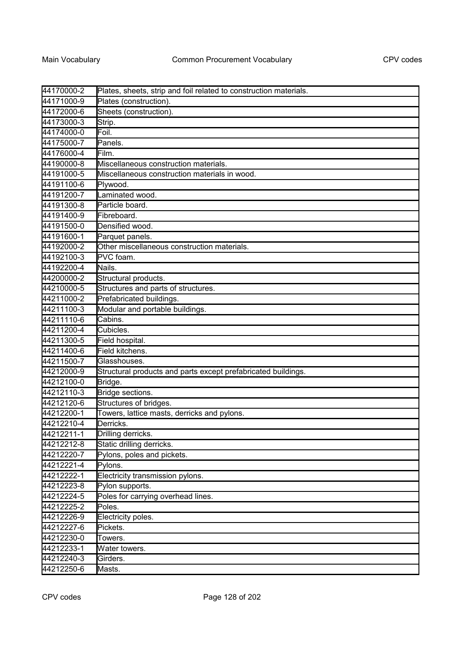| 44170000-2 | Plates, sheets, strip and foil related to construction materials. |
|------------|-------------------------------------------------------------------|
| 44171000-9 | Plates (construction).                                            |
| 44172000-6 | Sheets (construction).                                            |
| 44173000-3 | Strip.                                                            |
| 44174000-0 | Foil.                                                             |
| 44175000-7 | Panels.                                                           |
| 44176000-4 | Film.                                                             |
| 44190000-8 | Miscellaneous construction materials.                             |
| 44191000-5 | Miscellaneous construction materials in wood.                     |
| 44191100-6 | Plywood.                                                          |
| 44191200-7 | Laminated wood.                                                   |
| 44191300-8 | Particle board.                                                   |
| 44191400-9 | Fibreboard.                                                       |
| 44191500-0 | Densified wood.                                                   |
| 44191600-1 | Parquet panels.                                                   |
| 44192000-2 | Other miscellaneous construction materials.                       |
| 44192100-3 | PVC foam.                                                         |
| 44192200-4 | Nails.                                                            |
| 44200000-2 | Structural products.                                              |
| 44210000-5 | Structures and parts of structures.                               |
| 44211000-2 | Prefabricated buildings.                                          |
| 44211100-3 | Modular and portable buildings.                                   |
| 44211110-6 | Cabins.                                                           |
| 44211200-4 | Cubicles.                                                         |
| 44211300-5 | Field hospital.                                                   |
| 44211400-6 | Field kitchens.                                                   |
| 44211500-7 | Glasshouses.                                                      |
| 44212000-9 | Structural products and parts except prefabricated buildings.     |
| 44212100-0 | Bridge.                                                           |
| 44212110-3 | Bridge sections.                                                  |
| 44212120-6 | Structures of bridges.                                            |
| 44212200-1 | Towers, lattice masts, derricks and pylons.                       |
| 44212210-4 | Derricks.                                                         |
| 44212211-1 | Drilling derricks.                                                |
| 44212212-8 | Static drilling derricks.                                         |
| 44212220-7 | Pylons, poles and pickets.                                        |
| 44212221-4 | Pylons.                                                           |
| 44212222-1 | Electricity transmission pylons.                                  |
| 44212223-8 | Pylon supports.                                                   |
| 44212224-5 | Poles for carrying overhead lines.                                |
| 44212225-2 | Poles.                                                            |
| 44212226-9 | Electricity poles.                                                |
| 44212227-6 | Pickets.                                                          |
| 44212230-0 | Towers.                                                           |
| 44212233-1 | Water towers.                                                     |
| 44212240-3 | Girders.                                                          |
| 44212250-6 | Masts.                                                            |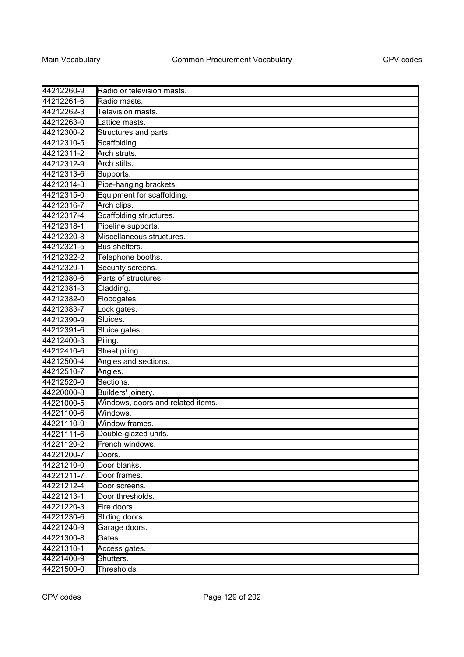| 44212260-9 | Radio or television masts.        |
|------------|-----------------------------------|
| 44212261-6 | Radio masts.                      |
| 44212262-3 | Television masts.                 |
| 44212263-0 | Lattice masts.                    |
| 44212300-2 | Structures and parts.             |
| 44212310-5 | Scaffolding.                      |
| 44212311-2 | Arch struts.                      |
| 44212312-9 | Arch stilts.                      |
| 44212313-6 | Supports.                         |
| 44212314-3 | Pipe-hanging brackets.            |
| 44212315-0 | Equipment for scaffolding.        |
| 44212316-7 | Arch clips.                       |
| 44212317-4 | Scaffolding structures.           |
| 44212318-1 | Pipeline supports.                |
| 44212320-8 | Miscellaneous structures.         |
| 44212321-5 | Bus shelters.                     |
| 44212322-2 | Telephone booths.                 |
| 44212329-1 | Security screens.                 |
| 44212380-6 | Parts of structures.              |
| 44212381-3 | Cladding.                         |
| 44212382-0 | Floodgates.                       |
| 44212383-7 | Lock gates.                       |
| 44212390-9 | Sluices.                          |
| 44212391-6 | Sluice gates.                     |
| 44212400-3 | Piling.                           |
| 44212410-6 | Sheet piling.                     |
| 44212500-4 | Angles and sections.              |
| 44212510-7 | Angles.                           |
| 44212520-0 | Sections.                         |
| 44220000-8 | Builders' joinery.                |
| 44221000-5 | Windows, doors and related items. |
| 44221100-6 | Windows.                          |
| 44221110-9 | Window frames.                    |
| 44221111-6 | Double-glazed units.              |
| 44221120-2 | French windows.                   |
| 44221200-7 | Doors.                            |
| 44221210-0 | Door blanks.                      |
| 44221211-7 | Door frames.                      |
| 44221212-4 | Door screens.                     |
| 44221213-1 | Door thresholds.                  |
| 44221220-3 | Fire doors.                       |
| 44221230-6 | Sliding doors.                    |
| 44221240-9 | Garage doors.                     |
| 44221300-8 | Gates.                            |
| 44221310-1 | Access gates.                     |
| 44221400-9 | Shutters.                         |
| 44221500-0 | Thresholds.                       |
|            |                                   |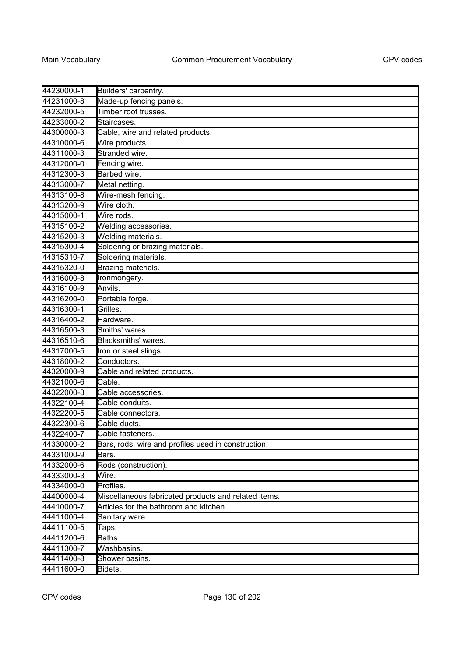| 44230000-1 | Builders' carpentry.                                 |
|------------|------------------------------------------------------|
| 44231000-8 | Made-up fencing panels.                              |
| 44232000-5 | Timber roof trusses.                                 |
| 44233000-2 | Staircases.                                          |
| 44300000-3 | Cable, wire and related products.                    |
| 44310000-6 | Wire products.                                       |
| 44311000-3 | Stranded wire.                                       |
| 44312000-0 | Fencing wire.                                        |
| 44312300-3 | Barbed wire.                                         |
| 44313000-7 | Metal netting.                                       |
| 44313100-8 | Wire-mesh fencing.                                   |
| 44313200-9 | Wire cloth.                                          |
| 44315000-1 | Wire rods.                                           |
| 44315100-2 | Welding accessories.                                 |
| 44315200-3 | Welding materials.                                   |
| 44315300-4 | Soldering or brazing materials.                      |
| 44315310-7 | Soldering materials.                                 |
| 44315320-0 | Brazing materials.                                   |
| 44316000-8 | Ironmongery.                                         |
| 44316100-9 | Anvils.                                              |
| 44316200-0 | Portable forge.                                      |
| 44316300-1 | Grilles.                                             |
| 44316400-2 | Hardware.                                            |
| 44316500-3 | Smiths' wares.                                       |
| 44316510-6 | Blacksmiths' wares.                                  |
| 44317000-5 | Iron or steel slings.                                |
| 44318000-2 | Conductors.                                          |
| 44320000-9 | Cable and related products.                          |
| 44321000-6 | Cable.                                               |
| 44322000-3 | Cable accessories.                                   |
| 44322100-4 | Cable conduits.                                      |
| 44322200-5 | Cable connectors.                                    |
| 44322300-6 | Cable ducts.                                         |
| 44322400-7 | Cable fasteners.                                     |
| 44330000-2 | Bars, rods, wire and profiles used in construction.  |
| 44331000-9 | Bars.                                                |
| 44332000-6 | Rods (construction).                                 |
| 44333000-3 | Wire.                                                |
| 44334000-0 | Profiles.                                            |
| 44400000-4 | Miscellaneous fabricated products and related items. |
| 44410000-7 | Articles for the bathroom and kitchen.               |
| 44411000-4 | Sanitary ware.                                       |
| 44411100-5 | Taps.                                                |
| 44411200-6 | Baths.                                               |
| 44411300-7 | Washbasins.                                          |
| 44411400-8 | Shower basins.                                       |
| 44411600-0 | Bidets.                                              |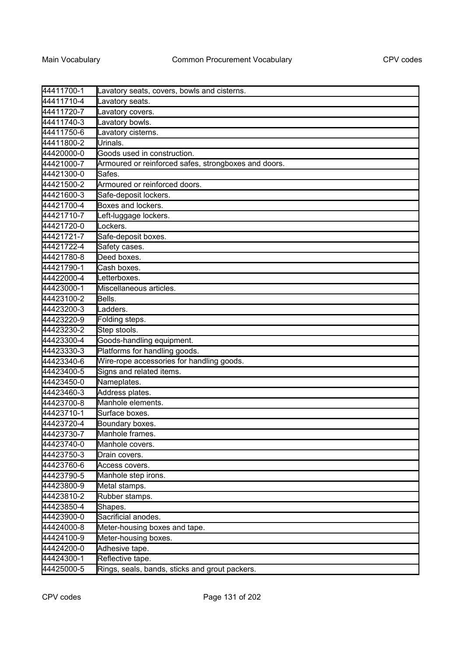| 44411700-1 | Lavatory seats, covers, bowls and cisterns.          |
|------------|------------------------------------------------------|
| 44411710-4 | Lavatory seats.                                      |
| 44411720-7 | Lavatory covers.                                     |
| 44411740-3 | Lavatory bowls.                                      |
| 44411750-6 | Lavatory cisterns.                                   |
| 44411800-2 | Urinals.                                             |
| 44420000-0 | Goods used in construction.                          |
| 44421000-7 | Armoured or reinforced safes, strongboxes and doors. |
| 44421300-0 | Safes.                                               |
| 44421500-2 | Armoured or reinforced doors.                        |
| 44421600-3 | Safe-deposit lockers.                                |
| 44421700-4 | Boxes and lockers.                                   |
| 44421710-7 | Left-luggage lockers.                                |
| 44421720-0 | Lockers.                                             |
| 44421721-7 | Safe-deposit boxes.                                  |
| 44421722-4 | Safety cases.                                        |
| 44421780-8 | Deed boxes.                                          |
| 44421790-1 | Cash boxes.                                          |
| 44422000-4 | Letterboxes.                                         |
| 44423000-1 | Miscellaneous articles.                              |
| 44423100-2 | Bells.                                               |
| 44423200-3 | Ladders.                                             |
| 44423220-9 | Folding steps.                                       |
| 44423230-2 | Step stools.                                         |
| 44423300-4 | Goods-handling equipment.                            |
| 44423330-3 | Platforms for handling goods.                        |
| 44423340-6 | Wire-rope accessories for handling goods.            |
| 44423400-5 | Signs and related items.                             |
| 44423450-0 | Nameplates.                                          |
| 44423460-3 | Address plates.                                      |
| 44423700-8 | Manhole elements.                                    |
| 44423710-1 | Surface boxes.                                       |
| 44423720-4 | Boundary boxes.                                      |
| 44423730-7 | Manhole frames.                                      |
| 44423740-0 | Manhole covers.                                      |
| 44423750-3 | Drain covers.                                        |
| 44423760-6 | Access covers.                                       |
| 44423790-5 | Manhole step irons.                                  |
| 44423800-9 | Metal stamps.                                        |
| 44423810-2 | Rubber stamps.                                       |
| 44423850-4 | Shapes.                                              |
| 44423900-0 | Sacrificial anodes.                                  |
| 44424000-8 | Meter-housing boxes and tape.                        |
| 44424100-9 | Meter-housing boxes.                                 |
| 44424200-0 | Adhesive tape.                                       |
| 44424300-1 | Reflective tape.                                     |
| 44425000-5 | Rings, seals, bands, sticks and grout packers.       |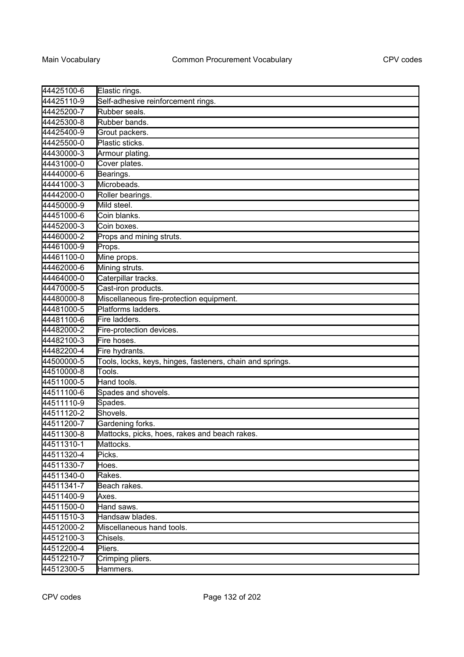| 44425100-6 | Elastic rings.                                            |
|------------|-----------------------------------------------------------|
| 44425110-9 | Self-adhesive reinforcement rings.                        |
| 44425200-7 | Rubber seals.                                             |
| 44425300-8 | Rubber bands.                                             |
| 44425400-9 | Grout packers.                                            |
| 44425500-0 | Plastic sticks.                                           |
| 44430000-3 | Armour plating.                                           |
| 44431000-0 | Cover plates.                                             |
| 44440000-6 | Bearings.                                                 |
| 44441000-3 | Microbeads.                                               |
| 44442000-0 | Roller bearings.                                          |
| 44450000-9 | Mild steel.                                               |
| 44451000-6 | Coin blanks.                                              |
| 44452000-3 | Coin boxes.                                               |
| 44460000-2 | Props and mining struts.                                  |
| 44461000-9 | Props.                                                    |
| 44461100-0 | Mine props.                                               |
| 44462000-6 | Mining struts.                                            |
| 44464000-0 | Caterpillar tracks.                                       |
| 44470000-5 | Cast-iron products.                                       |
| 44480000-8 | Miscellaneous fire-protection equipment.                  |
| 44481000-5 | Platforms ladders.                                        |
| 44481100-6 | Fire ladders.                                             |
| 44482000-2 | Fire-protection devices.                                  |
| 44482100-3 | Fire hoses.                                               |
| 44482200-4 | Fire hydrants.                                            |
| 44500000-5 | Tools, locks, keys, hinges, fasteners, chain and springs. |
| 44510000-8 | Tools.                                                    |
| 44511000-5 | Hand tools.                                               |
| 44511100-6 | Spades and shovels.                                       |
| 44511110-9 | Spades.                                                   |
| 44511120-2 | Shovels.                                                  |
| 44511200-7 | Gardening forks.                                          |
| 44511300-8 | Mattocks, picks, hoes, rakes and beach rakes.             |
| 44511310-1 | Mattocks.                                                 |
| 44511320-4 | Picks.                                                    |
| 44511330-7 | Hoes.                                                     |
| 44511340-0 | Rakes.                                                    |
| 44511341-7 | Beach rakes.                                              |
| 44511400-9 | Axes.                                                     |
| 44511500-0 | Hand saws.                                                |
| 44511510-3 | Handsaw blades.                                           |
| 44512000-2 | Miscellaneous hand tools.                                 |
| 44512100-3 | Chisels.                                                  |
| 44512200-4 | Pliers.                                                   |
| 44512210-7 | Crimping pliers.                                          |
| 44512300-5 | Hammers.                                                  |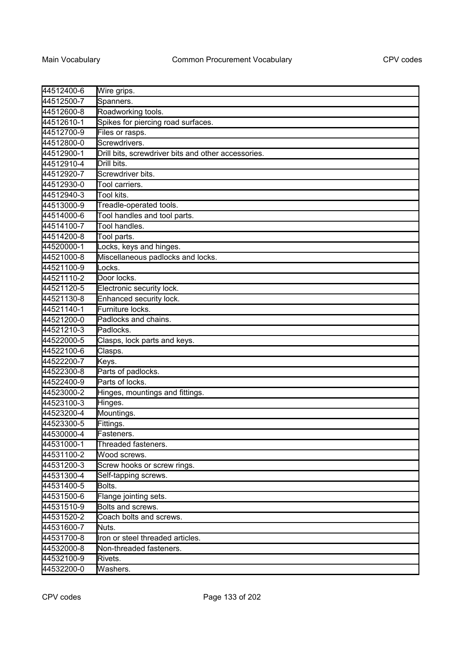| 44512400-6 | Wire grips.                                         |
|------------|-----------------------------------------------------|
| 44512500-7 | Spanners.                                           |
| 44512600-8 | Roadworking tools.                                  |
| 44512610-1 | Spikes for piercing road surfaces.                  |
| 44512700-9 | Files or rasps.                                     |
| 44512800-0 | Screwdrivers.                                       |
| 44512900-1 | Drill bits, screwdriver bits and other accessories. |
| 44512910-4 | Drill bits.                                         |
| 44512920-7 | Screwdriver bits.                                   |
| 44512930-0 | Tool carriers.                                      |
| 44512940-3 | Tool kits.                                          |
| 44513000-9 | Treadle-operated tools.                             |
| 44514000-6 | Tool handles and tool parts.                        |
| 44514100-7 | Tool handles.                                       |
| 44514200-8 | Tool parts.                                         |
| 44520000-1 | Locks, keys and hinges.                             |
| 44521000-8 | Miscellaneous padlocks and locks.                   |
| 44521100-9 | Locks.                                              |
| 44521110-2 | Door locks.                                         |
| 44521120-5 | Electronic security lock.                           |
| 44521130-8 | Enhanced security lock.                             |
| 44521140-1 | Furniture locks.                                    |
| 44521200-0 | Padlocks and chains.                                |
| 44521210-3 | Padlocks.                                           |
| 44522000-5 | Clasps, lock parts and keys.                        |
| 44522100-6 | Clasps.                                             |
| 44522200-7 | Keys.                                               |
| 44522300-8 | Parts of padlocks.                                  |
| 44522400-9 | Parts of locks.                                     |
| 44523000-2 | Hinges, mountings and fittings.                     |
| 44523100-3 | Hinges.                                             |
| 44523200-4 | Mountings.                                          |
| 44523300-5 | Fittings.                                           |
| 44530000-4 | Fasteners.                                          |
| 44531000-1 | Threaded fasteners.                                 |
| 44531100-2 | Wood screws.                                        |
| 44531200-3 | Screw hooks or screw rings.                         |
| 44531300-4 | Self-tapping screws.                                |
| 44531400-5 | Bolts.                                              |
| 44531500-6 | Flange jointing sets.                               |
| 44531510-9 | Bolts and screws.                                   |
| 44531520-2 | Coach bolts and screws.                             |
| 44531600-7 | Nuts.                                               |
| 44531700-8 | Iron or steel threaded articles.                    |
| 44532000-8 | Non-threaded fasteners.                             |
| 44532100-9 | Rivets.                                             |
| 44532200-0 | Washers.                                            |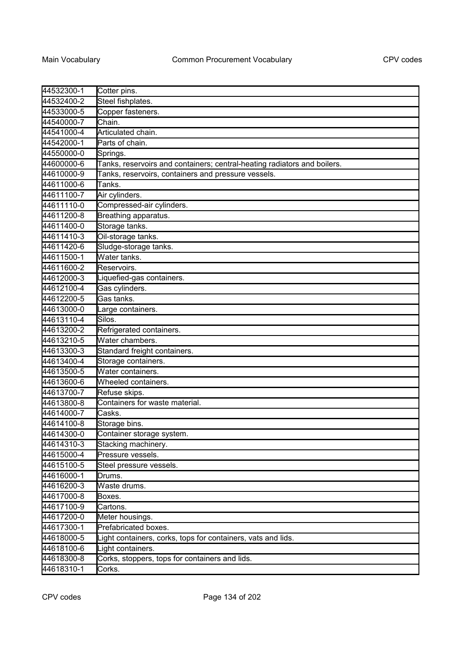| 44532300-1 | Cotter pins.                                                             |
|------------|--------------------------------------------------------------------------|
| 44532400-2 | Steel fishplates.                                                        |
| 44533000-5 | Copper fasteners.                                                        |
| 44540000-7 | Chain.                                                                   |
| 44541000-4 | Articulated chain.                                                       |
| 44542000-1 | Parts of chain.                                                          |
| 44550000-0 | Springs.                                                                 |
| 44600000-6 | Tanks, reservoirs and containers; central-heating radiators and boilers. |
| 44610000-9 | Tanks, reservoirs, containers and pressure vessels.                      |
| 44611000-6 | Tanks.                                                                   |
| 44611100-7 | Air cylinders.                                                           |
| 44611110-0 | Compressed-air cylinders.                                                |
| 44611200-8 | Breathing apparatus.                                                     |
| 44611400-0 | Storage tanks.                                                           |
| 44611410-3 | Oil-storage tanks.                                                       |
| 44611420-6 | Sludge-storage tanks.                                                    |
| 44611500-1 | Water tanks.                                                             |
| 44611600-2 | Reservoirs.                                                              |
| 44612000-3 | Liquefied-gas containers.                                                |
| 44612100-4 | Gas cylinders.                                                           |
| 44612200-5 | Gas tanks.                                                               |
| 44613000-0 | Large containers.                                                        |
| 44613110-4 | Silos.                                                                   |
| 44613200-2 | Refrigerated containers.                                                 |
| 44613210-5 | Water chambers.                                                          |
| 44613300-3 | Standard freight containers.                                             |
| 44613400-4 | Storage containers.                                                      |
| 44613500-5 | Water containers.                                                        |
| 44613600-6 | Wheeled containers.                                                      |
| 44613700-7 | Refuse skips.                                                            |
| 44613800-8 | Containers for waste material.                                           |
| 44614000-7 | Casks.                                                                   |
| 44614100-8 | Storage bins.                                                            |
| 44614300-0 | Container storage system.                                                |
| 44614310-3 | Stacking machinery.                                                      |
| 44615000-4 | Pressure vessels.                                                        |
| 44615100-5 | Steel pressure vessels.                                                  |
| 44616000-1 | Drums.                                                                   |
| 44616200-3 | Waste drums.                                                             |
| 44617000-8 | Boxes.                                                                   |
| 44617100-9 | Cartons.                                                                 |
| 44617200-0 | Meter housings.                                                          |
| 44617300-1 | Prefabricated boxes.                                                     |
| 44618000-5 | Light containers, corks, tops for containers, vats and lids.             |
| 44618100-6 | Light containers.                                                        |
| 44618300-8 | Corks, stoppers, tops for containers and lids.                           |
| 44618310-1 | Corks.                                                                   |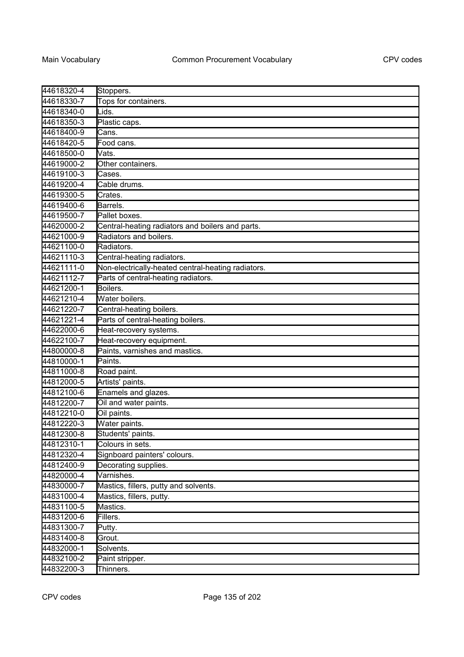| 44618320-4 | Stoppers.                                          |
|------------|----------------------------------------------------|
| 44618330-7 | Tops for containers.                               |
| 44618340-0 | Lids.                                              |
| 44618350-3 | Plastic caps.                                      |
| 44618400-9 | Cans.                                              |
| 44618420-5 | Food cans.                                         |
| 44618500-0 | Vats.                                              |
| 44619000-2 | Other containers.                                  |
| 44619100-3 | Cases.                                             |
| 44619200-4 | Cable drums.                                       |
| 44619300-5 | Crates.                                            |
| 44619400-6 | Barrels.                                           |
| 44619500-7 | Pallet boxes.                                      |
| 44620000-2 | Central-heating radiators and boilers and parts.   |
| 44621000-9 | Radiators and boilers.                             |
| 44621100-0 | Radiators.                                         |
| 44621110-3 | Central-heating radiators.                         |
| 44621111-0 | Non-electrically-heated central-heating radiators. |
| 44621112-7 | Parts of central-heating radiators.                |
| 44621200-1 | Boilers.                                           |
| 44621210-4 | Water boilers.                                     |
| 44621220-7 | Central-heating boilers.                           |
| 44621221-4 | Parts of central-heating boilers.                  |
| 44622000-6 | Heat-recovery systems.                             |
| 44622100-7 | Heat-recovery equipment.                           |
| 44800000-8 | Paints, varnishes and mastics.                     |
| 44810000-1 | Paints.                                            |
| 44811000-8 | Road paint.                                        |
| 44812000-5 | Artists' paints.                                   |
| 44812100-6 | Enamels and glazes.                                |
| 44812200-7 | Oil and water paints.                              |
| 44812210-0 | Oil paints.                                        |
| 44812220-3 | Water paints.                                      |
| 44812300-8 | Students' paints.                                  |
| 44812310-1 | Colours in sets.                                   |
| 44812320-4 | Signboard painters' colours.                       |
| 44812400-9 | Decorating supplies.                               |
| 44820000-4 | Varnishes.                                         |
| 44830000-7 | Mastics, fillers, putty and solvents.              |
| 44831000-4 | Mastics, fillers, putty.                           |
| 44831100-5 | Mastics.                                           |
| 44831200-6 | Fillers.                                           |
| 44831300-7 | Putty.                                             |
| 44831400-8 | Grout.                                             |
| 44832000-1 | Solvents.                                          |
| 44832100-2 | Paint stripper.                                    |
| 44832200-3 | Thinners.                                          |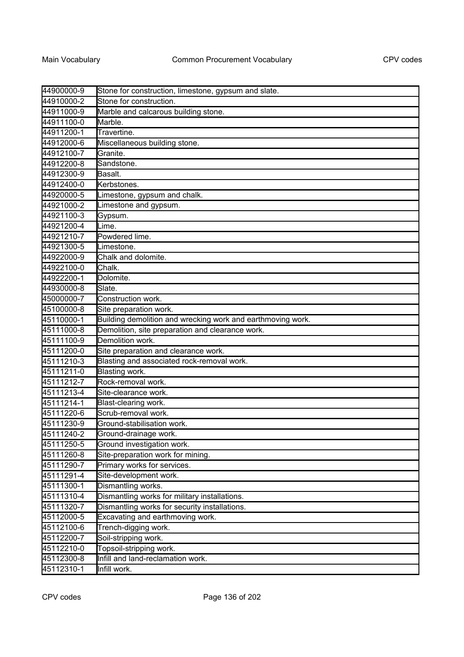| 44900000-9 | Stone for construction, limestone, gypsum and slate.        |
|------------|-------------------------------------------------------------|
| 44910000-2 | Stone for construction.                                     |
| 44911000-9 | Marble and calcarous building stone.                        |
| 44911100-0 | Marble.                                                     |
| 44911200-1 | Travertine.                                                 |
| 44912000-6 | Miscellaneous building stone.                               |
| 44912100-7 | Granite.                                                    |
| 44912200-8 | Sandstone.                                                  |
| 44912300-9 | Basalt.                                                     |
| 44912400-0 | Kerbstones.                                                 |
| 44920000-5 | Limestone, gypsum and chalk.                                |
| 44921000-2 | Limestone and gypsum.                                       |
| 44921100-3 | Gypsum.                                                     |
| 44921200-4 | Lime.                                                       |
| 44921210-7 | Powdered lime.                                              |
| 44921300-5 | Limestone.                                                  |
| 44922000-9 | Chalk and dolomite.                                         |
| 44922100-0 | Chalk.                                                      |
| 44922200-1 | Dolomite.                                                   |
| 44930000-8 | Slate.                                                      |
| 45000000-7 | Construction work.                                          |
| 45100000-8 | Site preparation work.                                      |
| 45110000-1 | Building demolition and wrecking work and earthmoving work. |
| 45111000-8 | Demolition, site preparation and clearance work.            |
| 45111100-9 | Demolition work.                                            |
| 45111200-0 | Site preparation and clearance work.                        |
| 45111210-3 | Blasting and associated rock-removal work.                  |
| 45111211-0 | Blasting work.                                              |
| 45111212-7 | Rock-removal work.                                          |
| 45111213-4 | Site-clearance work.                                        |
| 45111214-1 | Blast-clearing work.                                        |
| 45111220-6 | Scrub-removal work.                                         |
| 45111230-9 | Ground-stabilisation work.                                  |
| 45111240-2 | Ground-drainage work.                                       |
| 45111250-5 | Ground investigation work.                                  |
| 45111260-8 | Site-preparation work for mining.                           |
| 45111290-7 | Primary works for services.                                 |
| 45111291-4 | Site-development work.                                      |
| 45111300-1 | Dismantling works.                                          |
| 45111310-4 | Dismantling works for military installations.               |
| 45111320-7 | Dismantling works for security installations.               |
| 45112000-5 | Excavating and earthmoving work.                            |
| 45112100-6 | Trench-digging work.                                        |
| 45112200-7 | Soil-stripping work.                                        |
| 45112210-0 | Topsoil-stripping work.                                     |
| 45112300-8 | Infill and land-reclamation work.                           |
| 45112310-1 | Infill work.                                                |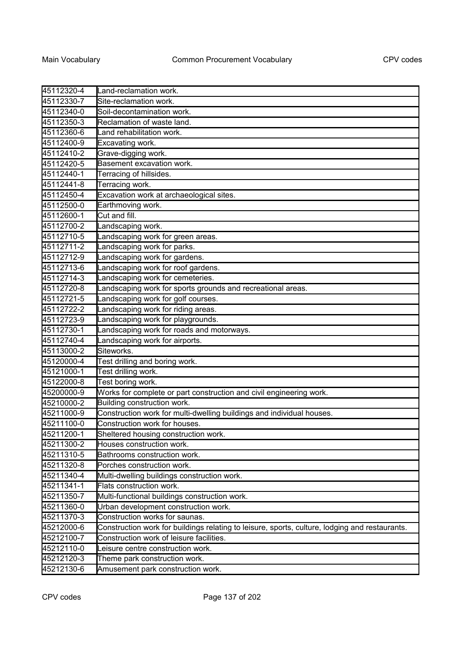| 45112320-4 | Land-reclamation work.                                                                         |
|------------|------------------------------------------------------------------------------------------------|
| 45112330-7 | Site-reclamation work.                                                                         |
| 45112340-0 | Soil-decontamination work.                                                                     |
| 45112350-3 | Reclamation of waste land.                                                                     |
| 45112360-6 | Land rehabilitation work.                                                                      |
| 45112400-9 | Excavating work.                                                                               |
| 45112410-2 | Grave-digging work.                                                                            |
| 45112420-5 | Basement excavation work.                                                                      |
| 45112440-1 | Terracing of hillsides.                                                                        |
| 45112441-8 | Terracing work.                                                                                |
| 45112450-4 | Excavation work at archaeological sites.                                                       |
| 45112500-0 | Earthmoving work.                                                                              |
| 45112600-1 | Cut and fill.                                                                                  |
| 45112700-2 | Landscaping work.                                                                              |
| 45112710-5 | Landscaping work for green areas.                                                              |
| 45112711-2 | Landscaping work for parks.                                                                    |
| 45112712-9 | andscaping work for gardens.                                                                   |
| 45112713-6 | andscaping work for roof gardens.                                                              |
| 45112714-3 | Landscaping work for cemeteries.                                                               |
| 45112720-8 | andscaping work for sports grounds and recreational areas.                                     |
| 45112721-5 | Landscaping work for golf courses.                                                             |
| 45112722-2 | andscaping work for riding areas.                                                              |
| 45112723-9 | andscaping work for playgrounds.                                                               |
| 45112730-1 | Landscaping work for roads and motorways.                                                      |
| 45112740-4 | Landscaping work for airports.                                                                 |
| 45113000-2 | Siteworks.                                                                                     |
| 45120000-4 | Test drilling and boring work.                                                                 |
| 45121000-1 | Test drilling work.                                                                            |
| 45122000-8 | Test boring work.                                                                              |
| 45200000-9 | Works for complete or part construction and civil engineering work.                            |
| 45210000-2 | Building construction work.                                                                    |
| 45211000-9 | Construction work for multi-dwelling buildings and individual houses.                          |
| 45211100-0 | Construction work for houses.                                                                  |
| 45211200-1 | Sheltered housing construction work.                                                           |
| 45211300-2 | Houses construction work.                                                                      |
| 45211310-5 | Bathrooms construction work.                                                                   |
| 45211320-8 | Porches construction work.                                                                     |
| 45211340-4 | Multi-dwelling buildings construction work.                                                    |
| 45211341-1 | Flats construction work.                                                                       |
| 45211350-7 | Multi-functional buildings construction work.                                                  |
| 45211360-0 | Urban development construction work.                                                           |
| 45211370-3 | Construction works for saunas.                                                                 |
| 45212000-6 | Construction work for buildings relating to leisure, sports, culture, lodging and restaurants. |
| 45212100-7 | Construction work of leisure facilities.                                                       |
| 45212110-0 | eisure centre construction work.                                                               |
| 45212120-3 | Theme park construction work.                                                                  |
| 45212130-6 | Amusement park construction work.                                                              |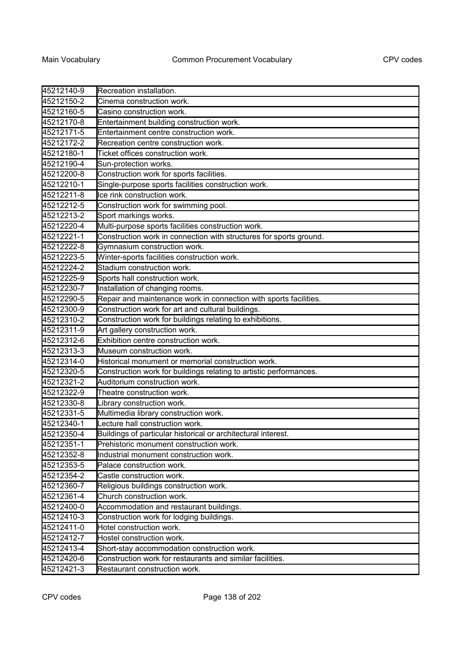| 45212140-9 |                                                                    |
|------------|--------------------------------------------------------------------|
|            | Recreation installation.                                           |
| 45212150-2 | Cinema construction work.                                          |
| 45212160-5 | Casino construction work.                                          |
| 45212170-8 | Entertainment building construction work.                          |
| 45212171-5 | Entertainment centre construction work.                            |
| 45212172-2 | Recreation centre construction work.                               |
| 45212180-1 | Ticket offices construction work.                                  |
| 45212190-4 | Sun-protection works.                                              |
| 45212200-8 | Construction work for sports facilities.                           |
| 45212210-1 | Single-purpose sports facilities construction work.                |
| 45212211-8 | Ice rink construction work.                                        |
| 45212212-5 | Construction work for swimming pool.                               |
| 45212213-2 | Sport markings works.                                              |
| 45212220-4 | Multi-purpose sports facilities construction work.                 |
| 45212221-1 | Construction work in connection with structures for sports ground. |
| 45212222-8 | Gymnasium construction work.                                       |
| 45212223-5 | Winter-sports facilities construction work.                        |
| 45212224-2 | Stadium construction work.                                         |
| 45212225-9 | Sports hall construction work.                                     |
| 45212230-7 | Installation of changing rooms.                                    |
| 45212290-5 | Repair and maintenance work in connection with sports facilities.  |
| 45212300-9 | Construction work for art and cultural buildings.                  |
| 45212310-2 | Construction work for buildings relating to exhibitions.           |
| 45212311-9 | Art gallery construction work.                                     |
| 45212312-6 | Exhibition centre construction work.                               |
| 45212313-3 | Museum construction work.                                          |
| 45212314-0 | Historical monument or memorial construction work.                 |
| 45212320-5 | Construction work for buildings relating to artistic performances. |
| 45212321-2 | Auditorium construction work.                                      |
| 45212322-9 | Theatre construction work.                                         |
| 45212330-8 | Library construction work.                                         |
| 45212331-5 | Multimedia library construction work.                              |
| 45212340-1 | ecture hall construction work.                                     |
| 45212350-4 | Buildings of particular historical or architectural interest.      |
| 45212351-1 | Prehistoric monument construction work.                            |
| 45212352-8 | Industrial monument construction work.                             |
| 45212353-5 | Palace construction work.                                          |
| 45212354-2 | Castle construction work.                                          |
| 45212360-7 | Religious buildings construction work.                             |
| 45212361-4 | Church construction work.                                          |
| 45212400-0 | Accommodation and restaurant buildings.                            |
| 45212410-3 | Construction work for lodging buildings.                           |
| 45212411-0 | Hotel construction work.                                           |
| 45212412-7 | Hostel construction work.                                          |
| 45212413-4 | Short-stay accommodation construction work.                        |
| 45212420-6 | Construction work for restaurants and similar facilities.          |
| 45212421-3 | Restaurant construction work.                                      |
|            |                                                                    |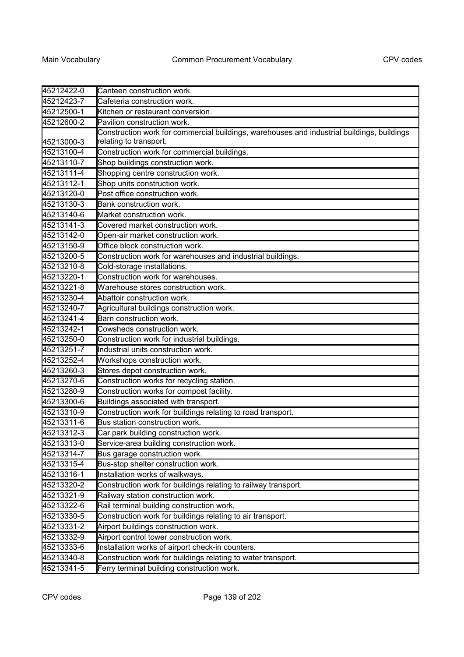| 45212422-0 | Canteen construction work.                                                                 |
|------------|--------------------------------------------------------------------------------------------|
| 45212423-7 | Cafeteria construction work.                                                               |
| 45212500-1 | Kitchen or restaurant conversion.                                                          |
| 45212600-2 | Pavilion construction work.                                                                |
|            | Construction work for commercial buildings, warehouses and industrial buildings, buildings |
| 45213000-3 | relating to transport.                                                                     |
| 45213100-4 | Construction work for commercial buildings.                                                |
| 45213110-7 | Shop buildings construction work.                                                          |
| 45213111-4 | Shopping centre construction work.                                                         |
| 45213112-1 | Shop units construction work.                                                              |
| 45213120-0 | Post office construction work.                                                             |
| 45213130-3 | Bank construction work.                                                                    |
| 45213140-6 | Market construction work.                                                                  |
| 45213141-3 | Covered market construction work.                                                          |
| 45213142-0 | Open-air market construction work.                                                         |
| 45213150-9 | Office block construction work.                                                            |
| 45213200-5 | Construction work for warehouses and industrial buildings.                                 |
| 45213210-8 | Cold-storage installations.                                                                |
| 45213220-1 | Construction work for warehouses.                                                          |
| 45213221-8 | Warehouse stores construction work.                                                        |
| 45213230-4 | Abattoir construction work.                                                                |
| 45213240-7 | Agricultural buildings construction work.                                                  |
| 45213241-4 | Barn construction work.                                                                    |
| 45213242-1 | Cowsheds construction work.                                                                |
| 45213250-0 | Construction work for industrial buildings.                                                |
| 45213251-7 | Industrial units construction work.                                                        |
| 45213252-4 | Workshops construction work.                                                               |
| 45213260-3 | Stores depot construction work.                                                            |
| 45213270-6 | Construction works for recycling station.                                                  |
| 45213280-9 | Construction works for compost facility.                                                   |
| 45213300-6 | Buildings associated with transport.                                                       |
| 45213310-9 | Construction work for buildings relating to road transport.                                |
| 45213311-6 | Bus station construction work.                                                             |
| 45213312-3 | Car park building construction work.                                                       |
| 45213313-0 | Service-area building construction work.                                                   |
| 45213314-7 | Bus garage construction work.                                                              |
| 45213315-4 | Bus-stop shelter construction work.                                                        |
| 45213316-1 | Installation works of walkways.                                                            |
| 45213320-2 | Construction work for buildings relating to railway transport.                             |
| 45213321-9 | Railway station construction work.                                                         |
| 45213322-6 | Rail terminal building construction work.                                                  |
| 45213330-5 | Construction work for buildings relating to air transport.                                 |
| 45213331-2 | Airport buildings construction work.                                                       |
| 45213332-9 | Airport control tower construction work.                                                   |
| 45213333-6 | Installation works of airport check-in counters.                                           |
| 45213340-8 | Construction work for buildings relating to water transport.                               |
| 45213341-5 | Ferry terminal building construction work.                                                 |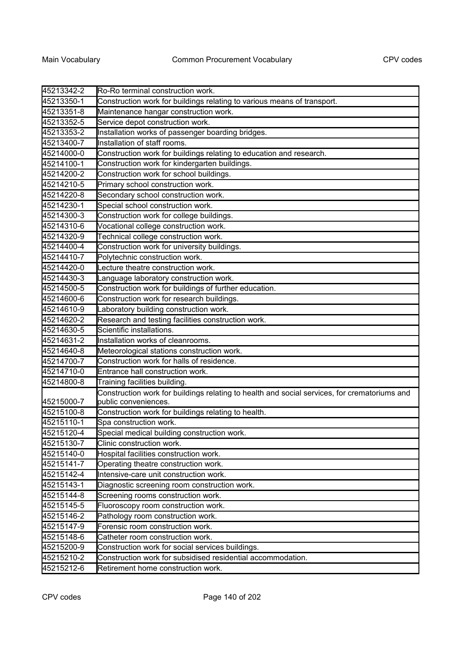| 45213342-2 | Ro-Ro terminal construction work.                                                            |
|------------|----------------------------------------------------------------------------------------------|
| 45213350-1 | Construction work for buildings relating to various means of transport.                      |
| 45213351-8 | Maintenance hangar construction work.                                                        |
| 45213352-5 | Service depot construction work.                                                             |
| 45213353-2 | Installation works of passenger boarding bridges.                                            |
| 45213400-7 | Installation of staff rooms.                                                                 |
| 45214000-0 | Construction work for buildings relating to education and research.                          |
| 45214100-1 | Construction work for kindergarten buildings.                                                |
| 45214200-2 | Construction work for school buildings.                                                      |
| 45214210-5 | Primary school construction work.                                                            |
| 45214220-8 | Secondary school construction work.                                                          |
| 45214230-1 | Special school construction work.                                                            |
| 45214300-3 | Construction work for college buildings.                                                     |
| 45214310-6 | Vocational college construction work.                                                        |
| 45214320-9 | Technical college construction work.                                                         |
| 45214400-4 | Construction work for university buildings.                                                  |
| 45214410-7 | Polytechnic construction work.                                                               |
| 45214420-0 | Lecture theatre construction work.                                                           |
| 45214430-3 | Language laboratory construction work.                                                       |
| 45214500-5 | Construction work for buildings of further education.                                        |
| 45214600-6 | Construction work for research buildings.                                                    |
| 45214610-9 | Laboratory building construction work.                                                       |
| 45214620-2 | Research and testing facilities construction work.                                           |
| 45214630-5 | Scientific installations.                                                                    |
| 45214631-2 | Installation works of cleanrooms.                                                            |
| 45214640-8 | Meteorological stations construction work.                                                   |
| 45214700-7 | Construction work for halls of residence.                                                    |
| 45214710-0 | Entrance hall construction work.                                                             |
| 45214800-8 | Training facilities building.                                                                |
|            | Construction work for buildings relating to health and social services, for crematoriums and |
| 45215000-7 | public conveniences.                                                                         |
| 45215100-8 | Construction work for buildings relating to health.                                          |
| 45215110-1 | Spa construction work.                                                                       |
| 45215120-4 | Special medical building construction work.                                                  |
| 45215130-7 | Clinic construction work.                                                                    |
| 45215140-0 | Hospital facilities construction work.                                                       |
| 45215141-7 | Operating theatre construction work.                                                         |
| 45215142-4 | Intensive-care unit construction work.                                                       |
| 45215143-1 | Diagnostic screening room construction work.                                                 |
| 45215144-8 | Screening rooms construction work.                                                           |
| 45215145-5 | Fluoroscopy room construction work.                                                          |
| 45215146-2 | Pathology room construction work.                                                            |
| 45215147-9 | Forensic room construction work.                                                             |
| 45215148-6 | Catheter room construction work.                                                             |
| 45215200-9 | Construction work for social services buildings.                                             |
| 45215210-2 | Construction work for subsidised residential accommodation.                                  |
| 45215212-6 | Retirement home construction work.                                                           |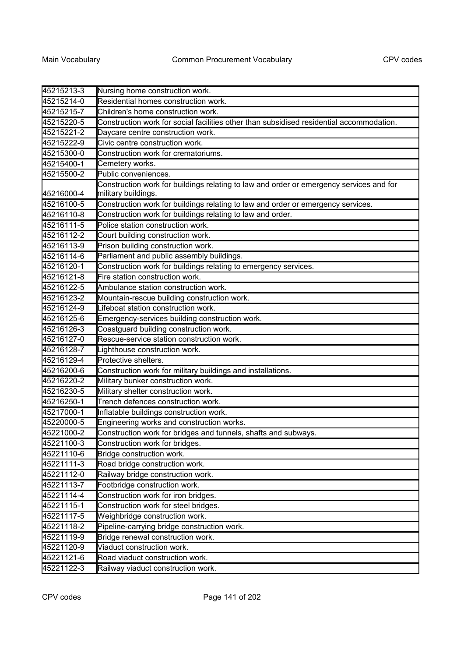| 45215213-3 | Nursing home construction work.                                                                                |
|------------|----------------------------------------------------------------------------------------------------------------|
| 45215214-0 | Residential homes construction work.                                                                           |
| 45215215-7 | Children's home construction work.                                                                             |
| 45215220-5 | Construction work for social facilities other than subsidised residential accommodation.                       |
| 45215221-2 | Daycare centre construction work.                                                                              |
| 45215222-9 | Civic centre construction work.                                                                                |
| 45215300-0 | Construction work for crematoriums.                                                                            |
| 45215400-1 | Cemetery works.                                                                                                |
| 45215500-2 | Public conveniences                                                                                            |
| 45216000-4 | Construction work for buildings relating to law and order or emergency services and for<br>military buildings. |
| 45216100-5 | Construction work for buildings relating to law and order or emergency services.                               |
| 45216110-8 | Construction work for buildings relating to law and order.                                                     |
| 45216111-5 | Police station construction work.                                                                              |
| 45216112-2 | Court building construction work.                                                                              |
| 45216113-9 | Prison building construction work.                                                                             |
| 45216114-6 | Parliament and public assembly buildings.                                                                      |
| 45216120-1 | Construction work for buildings relating to emergency services.                                                |
| 45216121-8 | Fire station construction work.                                                                                |
| 45216122-5 | Ambulance station construction work.                                                                           |
| 45216123-2 | Mountain-rescue building construction work.                                                                    |
| 45216124-9 | Lifeboat station construction work.                                                                            |
| 45216125-6 | Emergency-services building construction work.                                                                 |
| 45216126-3 | Coastguard building construction work.                                                                         |
| 45216127-0 | Rescue-service station construction work.                                                                      |
| 45216128-7 | Lighthouse construction work.                                                                                  |
| 45216129-4 | Protective shelters.                                                                                           |
| 45216200-6 | Construction work for military buildings and installations.                                                    |
| 45216220-2 | Military bunker construction work.                                                                             |
| 45216230-5 | Military shelter construction work.                                                                            |
| 45216250-1 | Trench defences construction work.                                                                             |
| 45217000-1 | Inflatable buildings construction work.                                                                        |
| 45220000-5 | Engineering works and construction works.                                                                      |
| 45221000-2 | Construction work for bridges and tunnels, shafts and subways.                                                 |
| 45221100-3 | Construction work for bridges.                                                                                 |
| 45221110-6 | Bridge construction work.                                                                                      |
| 45221111-3 | Road bridge construction work.                                                                                 |
| 45221112-0 | Railway bridge construction work.                                                                              |
| 45221113-7 | Footbridge construction work.                                                                                  |
| 45221114-4 | Construction work for iron bridges.                                                                            |
| 45221115-1 | Construction work for steel bridges.                                                                           |
| 45221117-5 | Weighbridge construction work.                                                                                 |
| 45221118-2 | Pipeline-carrying bridge construction work.                                                                    |
| 45221119-9 | Bridge renewal construction work.                                                                              |
| 45221120-9 | Viaduct construction work.                                                                                     |
| 45221121-6 | Road viaduct construction work.                                                                                |
| 45221122-3 | Railway viaduct construction work.                                                                             |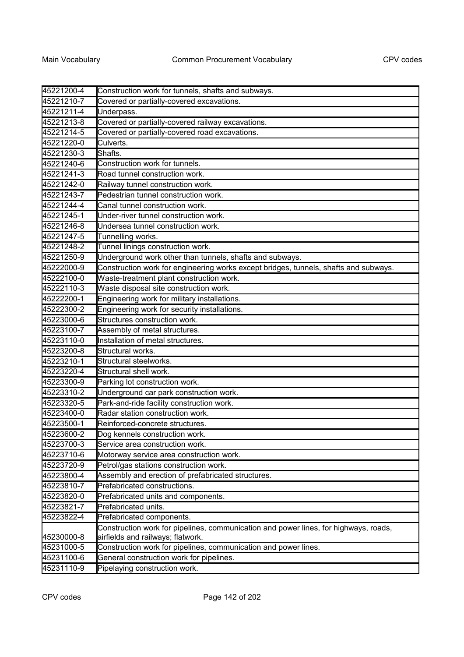| 45221200-4 | Construction work for tunnels, shafts and subways.                                   |
|------------|--------------------------------------------------------------------------------------|
| 45221210-7 | Covered or partially-covered excavations.                                            |
| 45221211-4 | Underpass.                                                                           |
| 45221213-8 | Covered or partially-covered railway excavations.                                    |
| 45221214-5 | Covered or partially-covered road excavations.                                       |
| 45221220-0 | Culverts.                                                                            |
| 45221230-3 | Shafts.                                                                              |
| 45221240-6 | Construction work for tunnels.                                                       |
| 45221241-3 | Road tunnel construction work.                                                       |
| 45221242-0 | Railway tunnel construction work.                                                    |
| 45221243-7 | Pedestrian tunnel construction work.                                                 |
| 45221244-4 | Canal tunnel construction work.                                                      |
| 45221245-1 | Under-river tunnel construction work.                                                |
| 45221246-8 | Undersea tunnel construction work.                                                   |
| 45221247-5 | Tunnelling works.                                                                    |
| 45221248-2 | Tunnel linings construction work.                                                    |
| 45221250-9 | Underground work other than tunnels, shafts and subways.                             |
| 45222000-9 | Construction work for engineering works except bridges, tunnels, shafts and subways. |
| 45222100-0 | Waste-treatment plant construction work.                                             |
| 45222110-3 | Waste disposal site construction work.                                               |
| 45222200-1 | Engineering work for military installations.                                         |
| 45222300-2 | Engineering work for security installations.                                         |
| 45223000-6 | Structures construction work.                                                        |
| 45223100-7 | Assembly of metal structures.                                                        |
| 45223110-0 | Installation of metal structures.                                                    |
| 45223200-8 | Structural works.                                                                    |
| 45223210-1 | Structural steelworks.                                                               |
| 45223220-4 | Structural shell work.                                                               |
| 45223300-9 | Parking lot construction work.                                                       |
| 45223310-2 | Underground car park construction work.                                              |
| 45223320-5 | Park-and-ride facility construction work.                                            |
| 45223400-0 | Radar station construction work.                                                     |
| 45223500-1 | Reinforced-concrete structures.                                                      |
| 45223600-2 | Dog kennels construction work.                                                       |
| 45223700-3 | Service area construction work.                                                      |
| 45223710-6 | Motorway service area construction work.                                             |
| 45223720-9 | Petrol/gas stations construction work.                                               |
| 45223800-4 | Assembly and erection of prefabricated structures.                                   |
| 45223810-7 | Prefabricated constructions.                                                         |
| 45223820-0 | Prefabricated units and components.                                                  |
| 45223821-7 | Prefabricated units.                                                                 |
| 45223822-4 | Prefabricated components.                                                            |
|            | Construction work for pipelines, communication and power lines, for highways, roads, |
| 45230000-8 | airfields and railways; flatwork.                                                    |
| 45231000-5 | Construction work for pipelines, communication and power lines.                      |
| 45231100-6 | General construction work for pipelines.                                             |
| 45231110-9 | Pipelaying construction work.                                                        |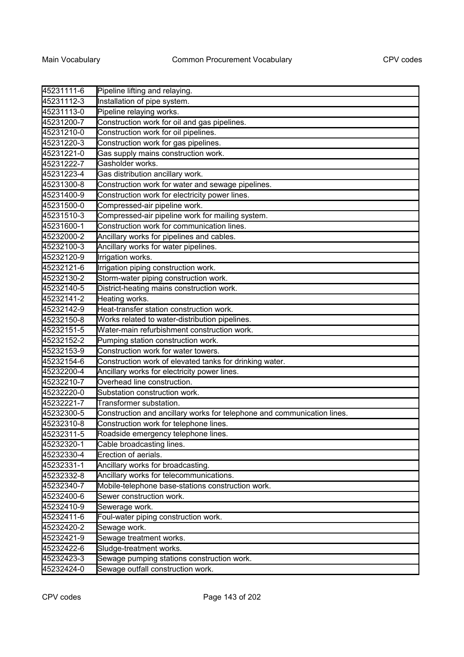| 45231111-6 | Pipeline lifting and relaying.                                          |
|------------|-------------------------------------------------------------------------|
| 45231112-3 | Installation of pipe system.                                            |
| 45231113-0 | Pipeline relaying works.                                                |
| 45231200-7 | Construction work for oil and gas pipelines.                            |
| 45231210-0 | Construction work for oil pipelines.                                    |
| 45231220-3 | Construction work for gas pipelines.                                    |
| 45231221-0 | Gas supply mains construction work.                                     |
| 45231222-7 | Gasholder works.                                                        |
| 45231223-4 | Gas distribution ancillary work.                                        |
| 45231300-8 | Construction work for water and sewage pipelines.                       |
| 45231400-9 | Construction work for electricity power lines.                          |
| 45231500-0 | Compressed-air pipeline work.                                           |
| 45231510-3 | Compressed-air pipeline work for mailing system.                        |
| 45231600-1 | Construction work for communication lines.                              |
| 45232000-2 | Ancillary works for pipelines and cables.                               |
| 45232100-3 | Ancillary works for water pipelines.                                    |
| 45232120-9 | Irrigation works.                                                       |
| 45232121-6 | Irrigation piping construction work.                                    |
| 45232130-2 | Storm-water piping construction work.                                   |
| 45232140-5 | District-heating mains construction work.                               |
| 45232141-2 | Heating works.                                                          |
| 45232142-9 | Heat-transfer station construction work.                                |
| 45232150-8 | Works related to water-distribution pipelines.                          |
| 45232151-5 | Water-main refurbishment construction work.                             |
| 45232152-2 | Pumping station construction work.                                      |
| 45232153-9 | Construction work for water towers.                                     |
| 45232154-6 | Construction work of elevated tanks for drinking water.                 |
| 45232200-4 | Ancillary works for electricity power lines.                            |
| 45232210-7 | Overhead line construction.                                             |
| 45232220-0 | Substation construction work.                                           |
| 45232221-7 | Transformer substation.                                                 |
| 45232300-5 | Construction and ancillary works for telephone and communication lines. |
| 45232310-8 | Construction work for telephone lines.                                  |
| 45232311-5 | Roadside emergency telephone lines.                                     |
| 45232320-1 | Cable broadcasting lines.                                               |
| 45232330-4 | Erection of aerials.                                                    |
| 45232331-1 | Ancillary works for broadcasting.                                       |
| 45232332-8 | Ancillary works for telecommunications.                                 |
| 45232340-7 | Mobile-telephone base-stations construction work.                       |
| 45232400-6 | Sewer construction work.                                                |
| 45232410-9 | Sewerage work.                                                          |
| 45232411-6 | Foul-water piping construction work.                                    |
| 45232420-2 | Sewage work.                                                            |
| 45232421-9 | Sewage treatment works.                                                 |
| 45232422-6 | Sludge-treatment works.                                                 |
| 45232423-3 | Sewage pumping stations construction work.                              |
| 45232424-0 | Sewage outfall construction work.                                       |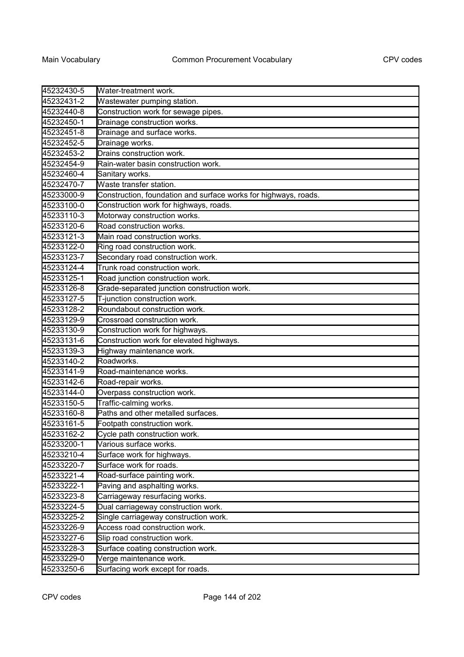| 45232430-5 | Water-treatment work.                                           |
|------------|-----------------------------------------------------------------|
| 45232431-2 | Wastewater pumping station.                                     |
| 45232440-8 | Construction work for sewage pipes.                             |
| 45232450-1 | Drainage construction works.                                    |
| 45232451-8 | Drainage and surface works.                                     |
| 45232452-5 | Drainage works.                                                 |
| 45232453-2 | Drains construction work.                                       |
| 45232454-9 | Rain-water basin construction work.                             |
| 45232460-4 | Sanitary works.                                                 |
| 45232470-7 | Waste transfer station.                                         |
| 45233000-9 | Construction, foundation and surface works for highways, roads. |
| 45233100-0 | Construction work for highways, roads.                          |
| 45233110-3 | Motorway construction works.                                    |
| 45233120-6 | Road construction works.                                        |
| 45233121-3 | Main road construction works.                                   |
| 45233122-0 | Ring road construction work.                                    |
| 45233123-7 | Secondary road construction work.                               |
| 45233124-4 | Trunk road construction work.                                   |
| 45233125-1 | Road junction construction work.                                |
| 45233126-8 | Grade-separated junction construction work.                     |
| 45233127-5 | T-junction construction work.                                   |
| 45233128-2 | Roundabout construction work.                                   |
| 45233129-9 | Crossroad construction work.                                    |
| 45233130-9 | Construction work for highways.                                 |
| 45233131-6 | Construction work for elevated highways.                        |
| 45233139-3 | Highway maintenance work.                                       |
| 45233140-2 | Roadworks.                                                      |
| 45233141-9 | Road-maintenance works.                                         |
| 45233142-6 | Road-repair works.                                              |
| 45233144-0 | Overpass construction work.                                     |
| 45233150-5 | Traffic-calming works.                                          |
| 45233160-8 | Paths and other metalled surfaces.                              |
| 45233161-5 | Footpath construction work.                                     |
| 45233162-2 | Cycle path construction work.                                   |
| 45233200-1 | Various surface works.                                          |
| 45233210-4 | Surface work for highways.                                      |
| 45233220-7 | Surface work for roads.                                         |
| 45233221-4 | Road-surface painting work.                                     |
| 45233222-1 | Paving and asphalting works.                                    |
| 45233223-8 | Carriageway resurfacing works.                                  |
| 45233224-5 | Dual carriageway construction work.                             |
| 45233225-2 | Single carriageway construction work.                           |
| 45233226-9 | Access road construction work.                                  |
| 45233227-6 | Slip road construction work.                                    |
| 45233228-3 | Surface coating construction work.                              |
| 45233229-0 | Verge maintenance work.                                         |
| 45233250-6 | Surfacing work except for roads.                                |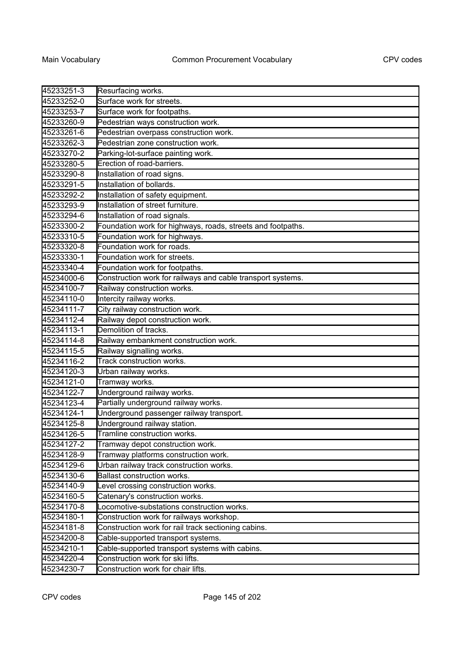| 45233251-3               | Resurfacing works.                                                           |
|--------------------------|------------------------------------------------------------------------------|
| 45233252-0               | Surface work for streets.                                                    |
| 45233253-7               | Surface work for footpaths.                                                  |
|                          |                                                                              |
| 45233260-9<br>45233261-6 | Pedestrian ways construction work.                                           |
|                          | Pedestrian overpass construction work.<br>Pedestrian zone construction work. |
| 45233262-3               |                                                                              |
| 45233270-2               | Parking-lot-surface painting work.                                           |
| 45233280-5               | Erection of road-barriers.                                                   |
| 45233290-8               | Installation of road signs.                                                  |
| 45233291-5               | Installation of bollards.                                                    |
| 45233292-2               | Installation of safety equipment.                                            |
| 45233293-9               | Installation of street furniture.                                            |
| 45233294-6               | Installation of road signals.                                                |
| 45233300-2               | Foundation work for highways, roads, streets and footpaths.                  |
| 45233310-5               | Foundation work for highways.                                                |
| 45233320-8               | Foundation work for roads.                                                   |
| 45233330-1               | Foundation work for streets.                                                 |
| 45233340-4               | Foundation work for footpaths.                                               |
| 45234000-6               | Construction work for railways and cable transport systems.                  |
| 45234100-7               | Railway construction works.                                                  |
| 45234110-0               | Intercity railway works.                                                     |
| 45234111-7               | City railway construction work.                                              |
| 45234112-4               | Railway depot construction work.                                             |
| 45234113-1               | Demolition of tracks.                                                        |
| 45234114-8               | Railway embankment construction work.                                        |
| 45234115-5               | Railway signalling works.                                                    |
| 45234116-2               | Track construction works.                                                    |
| 45234120-3               | Urban railway works.                                                         |
| 45234121-0               | Tramway works.                                                               |
| 45234122-7               | Underground railway works.                                                   |
| 45234123-4               | Partially underground railway works.                                         |
| 45234124-1               | Underground passenger railway transport.                                     |
| 45234125-8               | Underground railway station.                                                 |
| 45234126-5               | Tramline construction works.                                                 |
| 45234127-2               | Tramway depot construction work.                                             |
| 45234128-9               | Tramway platforms construction work.                                         |
| 45234129-6               | Urban railway track construction works.                                      |
| 45234130-6               | <b>Ballast construction works.</b>                                           |
| 45234140-9               | Level crossing construction works.                                           |
| 45234160-5               | Catenary's construction works.                                               |
| 45234170-8               | Locomotive-substations construction works.                                   |
| 45234180-1               | Construction work for railways workshop.                                     |
| 45234181-8               | Construction work for rail track sectioning cabins.                          |
| 45234200-8               | Cable-supported transport systems.                                           |
| 45234210-1               | Cable-supported transport systems with cabins.                               |
| 45234220-4               | Construction work for ski lifts.                                             |
| 45234230-7               | Construction work for chair lifts.                                           |
|                          |                                                                              |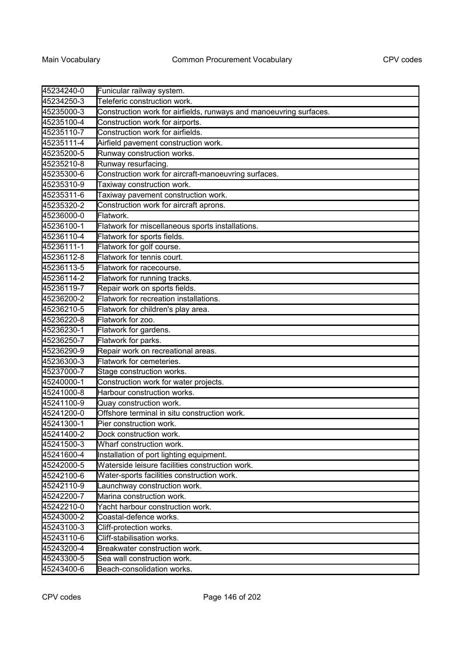| 45234240-0 | Funicular railway system.                                          |
|------------|--------------------------------------------------------------------|
| 45234250-3 | Teleferic construction work.                                       |
| 45235000-3 | Construction work for airfields, runways and manoeuvring surfaces. |
| 45235100-4 | Construction work for airports.                                    |
| 45235110-7 | Construction work for airfields.                                   |
| 45235111-4 | Airfield pavement construction work.                               |
| 45235200-5 | Runway construction works.                                         |
| 45235210-8 | Runway resurfacing.                                                |
| 45235300-6 | Construction work for aircraft-manoeuvring surfaces.               |
| 45235310-9 | Taxiway construction work.                                         |
| 45235311-6 | Taxiway pavement construction work.                                |
| 45235320-2 | Construction work for aircraft aprons.                             |
| 45236000-0 | Flatwork.                                                          |
| 45236100-1 | Flatwork for miscellaneous sports installations.                   |
| 45236110-4 | Flatwork for sports fields.                                        |
| 45236111-1 | Flatwork for golf course.                                          |
| 45236112-8 | Flatwork for tennis court.                                         |
| 45236113-5 | Flatwork for racecourse.                                           |
| 45236114-2 | Flatwork for running tracks.                                       |
| 45236119-7 | Repair work on sports fields.                                      |
| 45236200-2 | Flatwork for recreation installations.                             |
| 45236210-5 | Flatwork for children's play area.                                 |
| 45236220-8 | Flatwork for zoo.                                                  |
| 45236230-1 | Flatwork for gardens.                                              |
| 45236250-7 | Flatwork for parks.                                                |
| 45236290-9 | Repair work on recreational areas.                                 |
| 45236300-3 | Flatwork for cemeteries.                                           |
| 45237000-7 | Stage construction works.                                          |
| 45240000-1 | Construction work for water projects.                              |
| 45241000-8 | Harbour construction works.                                        |
| 45241100-9 | Quay construction work.                                            |
| 45241200-0 | Offshore terminal in situ construction work.                       |
| 45241300-1 | Pier construction work.                                            |
| 45241400-2 | Dock construction work                                             |
| 45241500-3 | Wharf construction work.                                           |
| 45241600-4 | Installation of port lighting equipment.                           |
| 45242000-5 | Waterside leisure facilities construction work.                    |
| 45242100-6 | Water-sports facilities construction work.                         |
| 45242110-9 | Launchway construction work.                                       |
| 45242200-7 | Marina construction work.                                          |
| 45242210-0 | Yacht harbour construction work.                                   |
| 45243000-2 | Coastal-defence works.                                             |
| 45243100-3 | Cliff-protection works.                                            |
| 45243110-6 | Cliff-stabilisation works.                                         |
| 45243200-4 | Breakwater construction work.                                      |
| 45243300-5 | Sea wall construction work.                                        |
| 45243400-6 | Beach-consolidation works.                                         |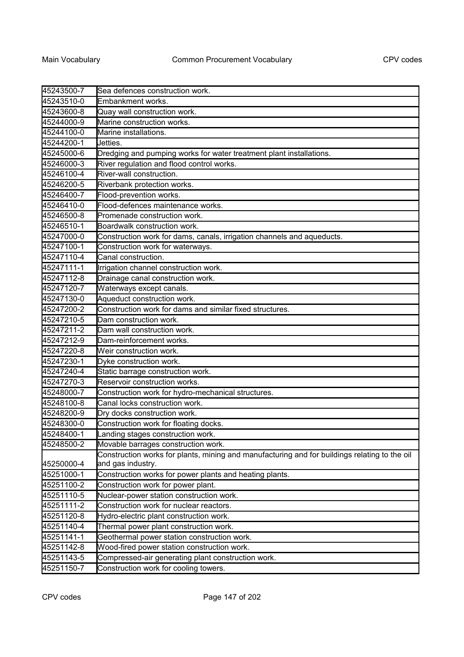| 45243500-7 | Sea defences construction work.                                                               |
|------------|-----------------------------------------------------------------------------------------------|
| 45243510-0 | Embankment works.                                                                             |
| 45243600-8 | Quay wall construction work.                                                                  |
| 45244000-9 | Marine construction works.                                                                    |
| 45244100-0 | Marine installations.                                                                         |
| 45244200-1 | Jetties.                                                                                      |
| 45245000-6 | Dredging and pumping works for water treatment plant installations.                           |
| 45246000-3 | River regulation and flood control works.                                                     |
| 45246100-4 | River-wall construction.                                                                      |
| 45246200-5 | Riverbank protection works.                                                                   |
| 45246400-7 | Flood-prevention works.                                                                       |
| 45246410-0 | Flood-defences maintenance works.                                                             |
| 45246500-8 | Promenade construction work.                                                                  |
| 45246510-1 | Boardwalk construction work.                                                                  |
| 45247000-0 | Construction work for dams, canals, irrigation channels and aqueducts.                        |
| 45247100-1 | Construction work for waterways.                                                              |
| 45247110-4 | Canal construction.                                                                           |
| 45247111-1 | Irrigation channel construction work.                                                         |
| 45247112-8 | Drainage canal construction work.                                                             |
| 45247120-7 | Waterways except canals.                                                                      |
| 45247130-0 | Aqueduct construction work.                                                                   |
| 45247200-2 | Construction work for dams and similar fixed structures.                                      |
| 45247210-5 | Dam construction work.                                                                        |
| 45247211-2 | Dam wall construction work.                                                                   |
| 45247212-9 | Dam-reinforcement works.                                                                      |
| 45247220-8 | Weir construction work.                                                                       |
| 45247230-1 | Dyke construction work.                                                                       |
| 45247240-4 | Static barrage construction work.                                                             |
| 45247270-3 | Reservoir construction works.                                                                 |
| 45248000-7 | Construction work for hydro-mechanical structures.                                            |
| 45248100-8 | Canal locks construction work.                                                                |
| 45248200-9 | Dry docks construction work.                                                                  |
| 45248300-0 | Construction work for floating docks.                                                         |
| 45248400-1 | Landing stages construction work.                                                             |
| 45248500-2 | Movable barrages construction work.                                                           |
|            | Construction works for plants, mining and manufacturing and for buildings relating to the oil |
| 45250000-4 | and gas industry.                                                                             |
| 45251000-1 | Construction works for power plants and heating plants.                                       |
| 45251100-2 | Construction work for power plant.                                                            |
| 45251110-5 | Nuclear-power station construction work.                                                      |
| 45251111-2 | Construction work for nuclear reactors.                                                       |
| 45251120-8 | Hydro-electric plant construction work.                                                       |
| 45251140-4 | Thermal power plant construction work.                                                        |
| 45251141-1 | Geothermal power station construction work.                                                   |
| 45251142-8 | Wood-fired power station construction work.                                                   |
| 45251143-5 | Compressed-air generating plant construction work.                                            |
| 45251150-7 | Construction work for cooling towers.                                                         |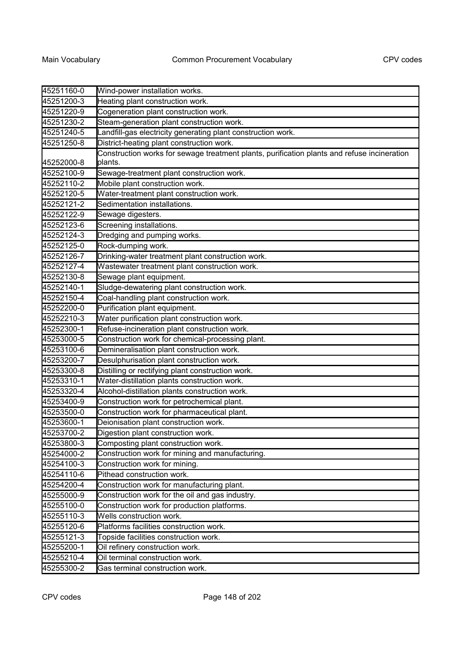| 45251160-0 | Wind-power installation works.                                                                         |
|------------|--------------------------------------------------------------------------------------------------------|
| 45251200-3 | Heating plant construction work.                                                                       |
| 45251220-9 | Cogeneration plant construction work.                                                                  |
| 45251230-2 | Steam-generation plant construction work.                                                              |
| 45251240-5 | Landfill-gas electricity generating plant construction work.                                           |
| 45251250-8 | District-heating plant construction work.                                                              |
| 45252000-8 | Construction works for sewage treatment plants, purification plants and refuse incineration<br>plants. |
| 45252100-9 | Sewage-treatment plant construction work.                                                              |
| 45252110-2 | Mobile plant construction work.                                                                        |
| 45252120-5 | Water-treatment plant construction work.                                                               |
| 45252121-2 | Sedimentation installations.                                                                           |
| 45252122-9 | Sewage digesters.                                                                                      |
| 45252123-6 | Screening installations.                                                                               |
| 45252124-3 | Dredging and pumping works.                                                                            |
| 45252125-0 | Rock-dumping work.                                                                                     |
| 45252126-7 | Drinking-water treatment plant construction work.                                                      |
| 45252127-4 | Wastewater treatment plant construction work.                                                          |
| 45252130-8 | Sewage plant equipment.                                                                                |
| 45252140-1 | Sludge-dewatering plant construction work.                                                             |
| 45252150-4 | Coal-handling plant construction work.                                                                 |
| 45252200-0 | Purification plant equipment.                                                                          |
| 45252210-3 | Water purification plant construction work.                                                            |
| 45252300-1 | Refuse-incineration plant construction work.                                                           |
| 45253000-5 | Construction work for chemical-processing plant.                                                       |
| 45253100-6 | Demineralisation plant construction work.                                                              |
| 45253200-7 | Desulphurisation plant construction work.                                                              |
| 45253300-8 | Distilling or rectifying plant construction work.                                                      |
| 45253310-1 | Water-distillation plants construction work.                                                           |
| 45253320-4 | Alcohol-distillation plants construction work.                                                         |
| 45253400-9 | Construction work for petrochemical plant.                                                             |
| 45253500-0 | Construction work for pharmaceutical plant.                                                            |
| 45253600-1 | Deionisation plant construction work.                                                                  |
| 45253700-2 | Digestion plant construction work.                                                                     |
| 45253800-3 | Composting plant construction work.                                                                    |
| 45254000-2 | Construction work for mining and manufacturing.                                                        |
| 45254100-3 | Construction work for mining.                                                                          |
| 45254110-6 | Pithead construction work.                                                                             |
| 45254200-4 | Construction work for manufacturing plant.                                                             |
| 45255000-9 | Construction work for the oil and gas industry.                                                        |
| 45255100-0 | Construction work for production platforms.                                                            |
| 45255110-3 | Wells construction work.                                                                               |
| 45255120-6 | Platforms facilities construction work.                                                                |
| 45255121-3 | Topside facilities construction work.                                                                  |
| 45255200-1 | Oil refinery construction work.                                                                        |
| 45255210-4 | Oil terminal construction work.                                                                        |
| 45255300-2 | Gas terminal construction work.                                                                        |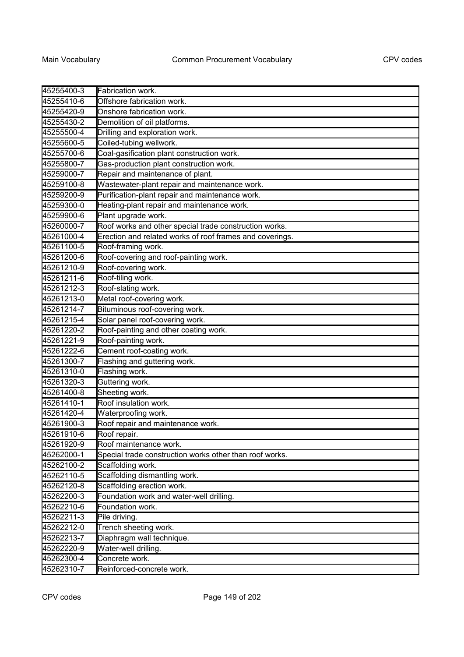| 45255410-6<br>Offshore fabrication work.<br>45255420-9<br>Onshore fabrication work.<br>Demolition of oil platforms.<br>45255430-2<br>Drilling and exploration work.<br>Coiled-tubing wellwork.<br>Coal-gasification plant construction work.<br>Gas-production plant construction work.<br>Repair and maintenance of plant.<br>Wastewater-plant repair and maintenance work.<br>Purification-plant repair and maintenance work.<br>Heating-plant repair and maintenance work.<br>Plant upgrade work.<br>Roof works and other special trade construction works.<br>Erection and related works of roof frames and coverings.<br>Roof-framing work.<br>Roof-covering and roof-painting work.<br>Roof-covering work.<br>Roof-tiling work.<br>Roof-slating work.<br>Metal roof-covering work.<br>Bituminous roof-covering work.<br>Solar panel roof-covering work.<br>Roof-painting and other coating work.<br>Roof-painting work.<br>Cement roof-coating work.<br>45261222-6<br>Flashing and guttering work.<br>Flashing work.<br>Guttering work.<br>Sheeting work.<br>Roof insulation work.<br>45261410-1<br>Waterproofing work.<br>Roof repair and maintenance work.<br>45261910-6<br>Roof repair.<br>45261920-9<br>Roof maintenance work.<br>45262000-1<br>Special trade construction works other than roof works.<br>45262100-2<br>Scaffolding work.<br>45262110-5<br>Scaffolding dismantling work.<br>Scaffolding erection work.<br>45262120-8<br>Foundation work and water-well drilling.<br>45262200-3<br>Foundation work.<br>45262210-6<br>45262211-3<br>Pile driving.<br>45262212-0<br>Trench sheeting work.<br>Diaphragm wall technique.<br>45262213-7<br>Water-well drilling.<br>45262220-9<br>Concrete work.<br>45262300-4<br>45262310-7<br>Reinforced-concrete work. |            |                   |
|-------------------------------------------------------------------------------------------------------------------------------------------------------------------------------------------------------------------------------------------------------------------------------------------------------------------------------------------------------------------------------------------------------------------------------------------------------------------------------------------------------------------------------------------------------------------------------------------------------------------------------------------------------------------------------------------------------------------------------------------------------------------------------------------------------------------------------------------------------------------------------------------------------------------------------------------------------------------------------------------------------------------------------------------------------------------------------------------------------------------------------------------------------------------------------------------------------------------------------------------------------------------------------------------------------------------------------------------------------------------------------------------------------------------------------------------------------------------------------------------------------------------------------------------------------------------------------------------------------------------------------------------------------------------------------------------------------------------------------------------------------------------------------|------------|-------------------|
|                                                                                                                                                                                                                                                                                                                                                                                                                                                                                                                                                                                                                                                                                                                                                                                                                                                                                                                                                                                                                                                                                                                                                                                                                                                                                                                                                                                                                                                                                                                                                                                                                                                                                                                                                                               | 45255400-3 | Fabrication work. |
|                                                                                                                                                                                                                                                                                                                                                                                                                                                                                                                                                                                                                                                                                                                                                                                                                                                                                                                                                                                                                                                                                                                                                                                                                                                                                                                                                                                                                                                                                                                                                                                                                                                                                                                                                                               |            |                   |
|                                                                                                                                                                                                                                                                                                                                                                                                                                                                                                                                                                                                                                                                                                                                                                                                                                                                                                                                                                                                                                                                                                                                                                                                                                                                                                                                                                                                                                                                                                                                                                                                                                                                                                                                                                               |            |                   |
|                                                                                                                                                                                                                                                                                                                                                                                                                                                                                                                                                                                                                                                                                                                                                                                                                                                                                                                                                                                                                                                                                                                                                                                                                                                                                                                                                                                                                                                                                                                                                                                                                                                                                                                                                                               |            |                   |
|                                                                                                                                                                                                                                                                                                                                                                                                                                                                                                                                                                                                                                                                                                                                                                                                                                                                                                                                                                                                                                                                                                                                                                                                                                                                                                                                                                                                                                                                                                                                                                                                                                                                                                                                                                               | 45255500-4 |                   |
|                                                                                                                                                                                                                                                                                                                                                                                                                                                                                                                                                                                                                                                                                                                                                                                                                                                                                                                                                                                                                                                                                                                                                                                                                                                                                                                                                                                                                                                                                                                                                                                                                                                                                                                                                                               | 45255600-5 |                   |
|                                                                                                                                                                                                                                                                                                                                                                                                                                                                                                                                                                                                                                                                                                                                                                                                                                                                                                                                                                                                                                                                                                                                                                                                                                                                                                                                                                                                                                                                                                                                                                                                                                                                                                                                                                               | 45255700-6 |                   |
|                                                                                                                                                                                                                                                                                                                                                                                                                                                                                                                                                                                                                                                                                                                                                                                                                                                                                                                                                                                                                                                                                                                                                                                                                                                                                                                                                                                                                                                                                                                                                                                                                                                                                                                                                                               | 45255800-7 |                   |
|                                                                                                                                                                                                                                                                                                                                                                                                                                                                                                                                                                                                                                                                                                                                                                                                                                                                                                                                                                                                                                                                                                                                                                                                                                                                                                                                                                                                                                                                                                                                                                                                                                                                                                                                                                               | 45259000-7 |                   |
|                                                                                                                                                                                                                                                                                                                                                                                                                                                                                                                                                                                                                                                                                                                                                                                                                                                                                                                                                                                                                                                                                                                                                                                                                                                                                                                                                                                                                                                                                                                                                                                                                                                                                                                                                                               | 45259100-8 |                   |
|                                                                                                                                                                                                                                                                                                                                                                                                                                                                                                                                                                                                                                                                                                                                                                                                                                                                                                                                                                                                                                                                                                                                                                                                                                                                                                                                                                                                                                                                                                                                                                                                                                                                                                                                                                               | 45259200-9 |                   |
|                                                                                                                                                                                                                                                                                                                                                                                                                                                                                                                                                                                                                                                                                                                                                                                                                                                                                                                                                                                                                                                                                                                                                                                                                                                                                                                                                                                                                                                                                                                                                                                                                                                                                                                                                                               | 45259300-0 |                   |
|                                                                                                                                                                                                                                                                                                                                                                                                                                                                                                                                                                                                                                                                                                                                                                                                                                                                                                                                                                                                                                                                                                                                                                                                                                                                                                                                                                                                                                                                                                                                                                                                                                                                                                                                                                               | 45259900-6 |                   |
|                                                                                                                                                                                                                                                                                                                                                                                                                                                                                                                                                                                                                                                                                                                                                                                                                                                                                                                                                                                                                                                                                                                                                                                                                                                                                                                                                                                                                                                                                                                                                                                                                                                                                                                                                                               | 45260000-7 |                   |
|                                                                                                                                                                                                                                                                                                                                                                                                                                                                                                                                                                                                                                                                                                                                                                                                                                                                                                                                                                                                                                                                                                                                                                                                                                                                                                                                                                                                                                                                                                                                                                                                                                                                                                                                                                               | 45261000-4 |                   |
|                                                                                                                                                                                                                                                                                                                                                                                                                                                                                                                                                                                                                                                                                                                                                                                                                                                                                                                                                                                                                                                                                                                                                                                                                                                                                                                                                                                                                                                                                                                                                                                                                                                                                                                                                                               | 45261100-5 |                   |
|                                                                                                                                                                                                                                                                                                                                                                                                                                                                                                                                                                                                                                                                                                                                                                                                                                                                                                                                                                                                                                                                                                                                                                                                                                                                                                                                                                                                                                                                                                                                                                                                                                                                                                                                                                               | 45261200-6 |                   |
|                                                                                                                                                                                                                                                                                                                                                                                                                                                                                                                                                                                                                                                                                                                                                                                                                                                                                                                                                                                                                                                                                                                                                                                                                                                                                                                                                                                                                                                                                                                                                                                                                                                                                                                                                                               | 45261210-9 |                   |
|                                                                                                                                                                                                                                                                                                                                                                                                                                                                                                                                                                                                                                                                                                                                                                                                                                                                                                                                                                                                                                                                                                                                                                                                                                                                                                                                                                                                                                                                                                                                                                                                                                                                                                                                                                               | 45261211-6 |                   |
|                                                                                                                                                                                                                                                                                                                                                                                                                                                                                                                                                                                                                                                                                                                                                                                                                                                                                                                                                                                                                                                                                                                                                                                                                                                                                                                                                                                                                                                                                                                                                                                                                                                                                                                                                                               | 45261212-3 |                   |
|                                                                                                                                                                                                                                                                                                                                                                                                                                                                                                                                                                                                                                                                                                                                                                                                                                                                                                                                                                                                                                                                                                                                                                                                                                                                                                                                                                                                                                                                                                                                                                                                                                                                                                                                                                               | 45261213-0 |                   |
|                                                                                                                                                                                                                                                                                                                                                                                                                                                                                                                                                                                                                                                                                                                                                                                                                                                                                                                                                                                                                                                                                                                                                                                                                                                                                                                                                                                                                                                                                                                                                                                                                                                                                                                                                                               | 45261214-7 |                   |
|                                                                                                                                                                                                                                                                                                                                                                                                                                                                                                                                                                                                                                                                                                                                                                                                                                                                                                                                                                                                                                                                                                                                                                                                                                                                                                                                                                                                                                                                                                                                                                                                                                                                                                                                                                               | 45261215-4 |                   |
|                                                                                                                                                                                                                                                                                                                                                                                                                                                                                                                                                                                                                                                                                                                                                                                                                                                                                                                                                                                                                                                                                                                                                                                                                                                                                                                                                                                                                                                                                                                                                                                                                                                                                                                                                                               | 45261220-2 |                   |
|                                                                                                                                                                                                                                                                                                                                                                                                                                                                                                                                                                                                                                                                                                                                                                                                                                                                                                                                                                                                                                                                                                                                                                                                                                                                                                                                                                                                                                                                                                                                                                                                                                                                                                                                                                               | 45261221-9 |                   |
|                                                                                                                                                                                                                                                                                                                                                                                                                                                                                                                                                                                                                                                                                                                                                                                                                                                                                                                                                                                                                                                                                                                                                                                                                                                                                                                                                                                                                                                                                                                                                                                                                                                                                                                                                                               |            |                   |
|                                                                                                                                                                                                                                                                                                                                                                                                                                                                                                                                                                                                                                                                                                                                                                                                                                                                                                                                                                                                                                                                                                                                                                                                                                                                                                                                                                                                                                                                                                                                                                                                                                                                                                                                                                               | 45261300-7 |                   |
|                                                                                                                                                                                                                                                                                                                                                                                                                                                                                                                                                                                                                                                                                                                                                                                                                                                                                                                                                                                                                                                                                                                                                                                                                                                                                                                                                                                                                                                                                                                                                                                                                                                                                                                                                                               | 45261310-0 |                   |
|                                                                                                                                                                                                                                                                                                                                                                                                                                                                                                                                                                                                                                                                                                                                                                                                                                                                                                                                                                                                                                                                                                                                                                                                                                                                                                                                                                                                                                                                                                                                                                                                                                                                                                                                                                               | 45261320-3 |                   |
|                                                                                                                                                                                                                                                                                                                                                                                                                                                                                                                                                                                                                                                                                                                                                                                                                                                                                                                                                                                                                                                                                                                                                                                                                                                                                                                                                                                                                                                                                                                                                                                                                                                                                                                                                                               | 45261400-8 |                   |
|                                                                                                                                                                                                                                                                                                                                                                                                                                                                                                                                                                                                                                                                                                                                                                                                                                                                                                                                                                                                                                                                                                                                                                                                                                                                                                                                                                                                                                                                                                                                                                                                                                                                                                                                                                               |            |                   |
|                                                                                                                                                                                                                                                                                                                                                                                                                                                                                                                                                                                                                                                                                                                                                                                                                                                                                                                                                                                                                                                                                                                                                                                                                                                                                                                                                                                                                                                                                                                                                                                                                                                                                                                                                                               | 45261420-4 |                   |
|                                                                                                                                                                                                                                                                                                                                                                                                                                                                                                                                                                                                                                                                                                                                                                                                                                                                                                                                                                                                                                                                                                                                                                                                                                                                                                                                                                                                                                                                                                                                                                                                                                                                                                                                                                               | 45261900-3 |                   |
|                                                                                                                                                                                                                                                                                                                                                                                                                                                                                                                                                                                                                                                                                                                                                                                                                                                                                                                                                                                                                                                                                                                                                                                                                                                                                                                                                                                                                                                                                                                                                                                                                                                                                                                                                                               |            |                   |
|                                                                                                                                                                                                                                                                                                                                                                                                                                                                                                                                                                                                                                                                                                                                                                                                                                                                                                                                                                                                                                                                                                                                                                                                                                                                                                                                                                                                                                                                                                                                                                                                                                                                                                                                                                               |            |                   |
|                                                                                                                                                                                                                                                                                                                                                                                                                                                                                                                                                                                                                                                                                                                                                                                                                                                                                                                                                                                                                                                                                                                                                                                                                                                                                                                                                                                                                                                                                                                                                                                                                                                                                                                                                                               |            |                   |
|                                                                                                                                                                                                                                                                                                                                                                                                                                                                                                                                                                                                                                                                                                                                                                                                                                                                                                                                                                                                                                                                                                                                                                                                                                                                                                                                                                                                                                                                                                                                                                                                                                                                                                                                                                               |            |                   |
|                                                                                                                                                                                                                                                                                                                                                                                                                                                                                                                                                                                                                                                                                                                                                                                                                                                                                                                                                                                                                                                                                                                                                                                                                                                                                                                                                                                                                                                                                                                                                                                                                                                                                                                                                                               |            |                   |
|                                                                                                                                                                                                                                                                                                                                                                                                                                                                                                                                                                                                                                                                                                                                                                                                                                                                                                                                                                                                                                                                                                                                                                                                                                                                                                                                                                                                                                                                                                                                                                                                                                                                                                                                                                               |            |                   |
|                                                                                                                                                                                                                                                                                                                                                                                                                                                                                                                                                                                                                                                                                                                                                                                                                                                                                                                                                                                                                                                                                                                                                                                                                                                                                                                                                                                                                                                                                                                                                                                                                                                                                                                                                                               |            |                   |
|                                                                                                                                                                                                                                                                                                                                                                                                                                                                                                                                                                                                                                                                                                                                                                                                                                                                                                                                                                                                                                                                                                                                                                                                                                                                                                                                                                                                                                                                                                                                                                                                                                                                                                                                                                               |            |                   |
|                                                                                                                                                                                                                                                                                                                                                                                                                                                                                                                                                                                                                                                                                                                                                                                                                                                                                                                                                                                                                                                                                                                                                                                                                                                                                                                                                                                                                                                                                                                                                                                                                                                                                                                                                                               |            |                   |
|                                                                                                                                                                                                                                                                                                                                                                                                                                                                                                                                                                                                                                                                                                                                                                                                                                                                                                                                                                                                                                                                                                                                                                                                                                                                                                                                                                                                                                                                                                                                                                                                                                                                                                                                                                               |            |                   |
|                                                                                                                                                                                                                                                                                                                                                                                                                                                                                                                                                                                                                                                                                                                                                                                                                                                                                                                                                                                                                                                                                                                                                                                                                                                                                                                                                                                                                                                                                                                                                                                                                                                                                                                                                                               |            |                   |
|                                                                                                                                                                                                                                                                                                                                                                                                                                                                                                                                                                                                                                                                                                                                                                                                                                                                                                                                                                                                                                                                                                                                                                                                                                                                                                                                                                                                                                                                                                                                                                                                                                                                                                                                                                               |            |                   |
|                                                                                                                                                                                                                                                                                                                                                                                                                                                                                                                                                                                                                                                                                                                                                                                                                                                                                                                                                                                                                                                                                                                                                                                                                                                                                                                                                                                                                                                                                                                                                                                                                                                                                                                                                                               |            |                   |
|                                                                                                                                                                                                                                                                                                                                                                                                                                                                                                                                                                                                                                                                                                                                                                                                                                                                                                                                                                                                                                                                                                                                                                                                                                                                                                                                                                                                                                                                                                                                                                                                                                                                                                                                                                               |            |                   |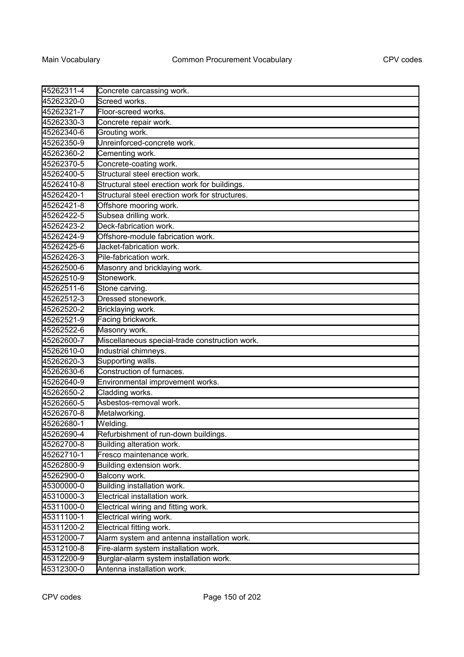| 45262311-4 | Concrete carcassing work.                      |
|------------|------------------------------------------------|
| 45262320-0 | Screed works.                                  |
| 45262321-7 | Floor-screed works.                            |
| 45262330-3 | Concrete repair work.                          |
| 45262340-6 | Grouting work.                                 |
| 45262350-9 | Unreinforced-concrete work.                    |
| 45262360-2 | Cementing work.                                |
| 45262370-5 | Concrete-coating work.                         |
| 45262400-5 | Structural steel erection work.                |
| 45262410-8 | Structural steel erection work for buildings.  |
| 45262420-1 | Structural steel erection work for structures. |
| 45262421-8 | Offshore mooring work.                         |
| 45262422-5 | Subsea drilling work.                          |
| 45262423-2 | Deck-fabrication work.                         |
| 45262424-9 | Offshore-module fabrication work.              |
| 45262425-6 | Jacket-fabrication work.                       |
| 45262426-3 | Pile-fabrication work.                         |
| 45262500-6 | Masonry and bricklaying work.                  |
| 45262510-9 | Stonework.                                     |
| 45262511-6 | Stone carving.                                 |
| 45262512-3 | Dressed stonework.                             |
| 45262520-2 | Bricklaying work.                              |
| 45262521-9 | Facing brickwork.                              |
| 45262522-6 | Masonry work.                                  |
| 45262600-7 | Miscellaneous special-trade construction work. |
| 45262610-0 | Industrial chimneys.                           |
| 45262620-3 | Supporting walls.                              |
| 45262630-6 | Construction of furnaces.                      |
| 45262640-9 | Environmental improvement works.               |
| 45262650-2 | Cladding works.                                |
| 45262660-5 | Asbestos-removal work.                         |
| 45262670-8 | Metalworking.                                  |
| 45262680-1 | Welding.                                       |
| 45262690-4 | Refurbishment of run-down buildings.           |
| 45262700-8 | Building alteration work.                      |
| 45262710-1 | Fresco maintenance work.                       |
| 45262800-9 | Building extension work.                       |
| 45262900-0 | Balcony work.                                  |
| 45300000-0 | Building installation work.                    |
| 45310000-3 | Electrical installation work.                  |
| 45311000-0 | Electrical wiring and fitting work.            |
| 45311100-1 | Electrical wiring work.                        |
| 45311200-2 | Electrical fitting work.                       |
| 45312000-7 | Alarm system and antenna installation work.    |
| 45312100-8 | Fire-alarm system installation work.           |
| 45312200-9 | Burglar-alarm system installation work.        |
| 45312300-0 | Antenna installation work.                     |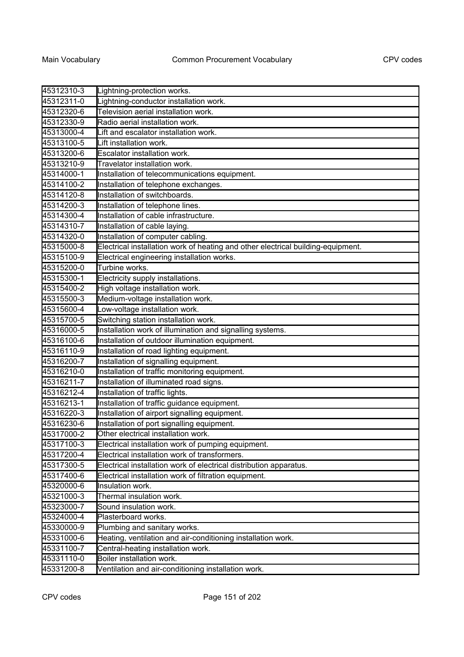| 45312310-3 | Lightning-protection works.                                                      |
|------------|----------------------------------------------------------------------------------|
| 45312311-0 | Lightning-conductor installation work.                                           |
| 45312320-6 | Television aerial installation work.                                             |
| 45312330-9 | Radio aerial installation work.                                                  |
| 45313000-4 | Lift and escalator installation work.                                            |
| 45313100-5 | Lift installation work.                                                          |
| 45313200-6 | Escalator installation work.                                                     |
| 45313210-9 | Travelator installation work.                                                    |
| 45314000-1 | Installation of telecommunications equipment.                                    |
| 45314100-2 | Installation of telephone exchanges.                                             |
| 45314120-8 | Installation of switchboards.                                                    |
| 45314200-3 | Installation of telephone lines.                                                 |
| 45314300-4 | Installation of cable infrastructure.                                            |
| 45314310-7 | Installation of cable laying.                                                    |
| 45314320-0 | Installation of computer cabling.                                                |
| 45315000-8 | Electrical installation work of heating and other electrical building-equipment. |
| 45315100-9 | Electrical engineering installation works.                                       |
| 45315200-0 | Turbine works.                                                                   |
| 45315300-1 | Electricity supply installations.                                                |
| 45315400-2 | High voltage installation work.                                                  |
| 45315500-3 | Medium-voltage installation work.                                                |
| 45315600-4 | Low-voltage installation work.                                                   |
| 45315700-5 | Switching station installation work.                                             |
| 45316000-5 | Installation work of illumination and signalling systems.                        |
| 45316100-6 | Installation of outdoor illumination equipment.                                  |
| 45316110-9 | Installation of road lighting equipment.                                         |
| 45316200-7 | Installation of signalling equipment.                                            |
| 45316210-0 | Installation of traffic monitoring equipment.                                    |
| 45316211-7 | Installation of illuminated road signs.                                          |
| 45316212-4 | Installation of traffic lights.                                                  |
| 45316213-1 | Installation of traffic guidance equipment.                                      |
| 45316220-3 | Installation of airport signalling equipment.                                    |
| 45316230-6 | Installation of port signalling equipment.                                       |
| 45317000-2 | Other electrical installation work.                                              |
| 45317100-3 | Electrical installation work of pumping equipment.                               |
| 45317200-4 | Electrical installation work of transformers.                                    |
| 45317300-5 | Electrical installation work of electrical distribution apparatus.               |
| 45317400-6 | Electrical installation work of filtration equipment.                            |
| 45320000-6 | Insulation work.                                                                 |
| 45321000-3 | Thermal insulation work.                                                         |
| 45323000-7 | Sound insulation work.                                                           |
| 45324000-4 | Plasterboard works.                                                              |
| 45330000-9 | Plumbing and sanitary works.                                                     |
| 45331000-6 | Heating, ventilation and air-conditioning installation work.                     |
| 45331100-7 | Central-heating installation work.                                               |
| 45331110-0 | Boiler installation work.                                                        |
| 45331200-8 | Ventilation and air-conditioning installation work.                              |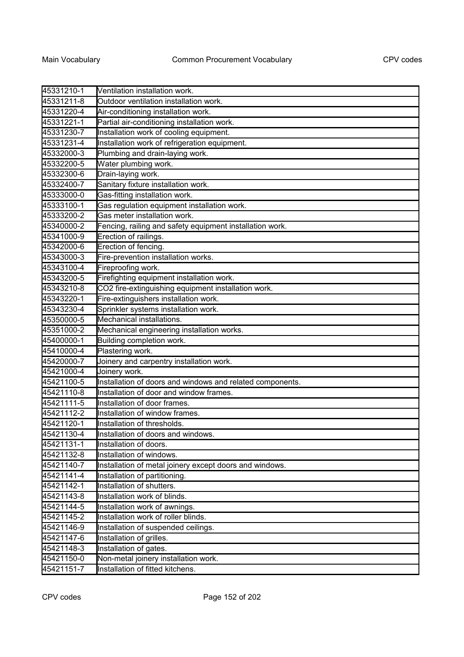| 45331210-1 | Ventilation installation work.                            |
|------------|-----------------------------------------------------------|
| 45331211-8 | Outdoor ventilation installation work.                    |
| 45331220-4 | Air-conditioning installation work.                       |
| 45331221-1 | Partial air-conditioning installation work.               |
| 45331230-7 | Installation work of cooling equipment.                   |
| 45331231-4 | Installation work of refrigeration equipment.             |
| 45332000-3 | Plumbing and drain-laying work.                           |
| 45332200-5 | Water plumbing work.                                      |
| 45332300-6 | Drain-laying work.                                        |
| 45332400-7 | Sanitary fixture installation work.                       |
| 45333000-0 | Gas-fitting installation work.                            |
| 45333100-1 | Gas regulation equipment installation work.               |
| 45333200-2 | Gas meter installation work.                              |
| 45340000-2 | Fencing, railing and safety equipment installation work.  |
| 45341000-9 | Erection of railings.                                     |
| 45342000-6 | Erection of fencing.                                      |
| 45343000-3 | Fire-prevention installation works.                       |
| 45343100-4 | Fireproofing work.                                        |
| 45343200-5 | Firefighting equipment installation work.                 |
| 45343210-8 | CO2 fire-extinguishing equipment installation work.       |
| 45343220-1 | Fire-extinguishers installation work.                     |
| 45343230-4 | Sprinkler systems installation work.                      |
| 45350000-5 | Mechanical installations.                                 |
| 45351000-2 | Mechanical engineering installation works.                |
| 45400000-1 | Building completion work.                                 |
| 45410000-4 | Plastering work.                                          |
| 45420000-7 | Joinery and carpentry installation work.                  |
| 45421000-4 | Joinery work.                                             |
| 45421100-5 | Installation of doors and windows and related components. |
| 45421110-8 | Installation of door and window frames.                   |
| 45421111-5 | Installation of door frames.                              |
| 45421112-2 | Installation of window frames.                            |
| 45421120-1 | Installation of thresholds.                               |
| 45421130-4 | Installation of doors and windows                         |
| 45421131-1 | Installation of doors.                                    |
| 45421132-8 | Installation of windows.                                  |
| 45421140-7 | Installation of metal joinery except doors and windows.   |
| 45421141-4 | Installation of partitioning.                             |
| 45421142-1 | Installation of shutters.                                 |
| 45421143-8 | Installation work of blinds.                              |
| 45421144-5 | Installation work of awnings.                             |
| 45421145-2 | Installation work of roller blinds.                       |
| 45421146-9 | Installation of suspended ceilings.                       |
| 45421147-6 | Installation of grilles.                                  |
| 45421148-3 | Installation of gates.                                    |
| 45421150-0 | Non-metal joinery installation work.                      |
| 45421151-7 | Installation of fitted kitchens.                          |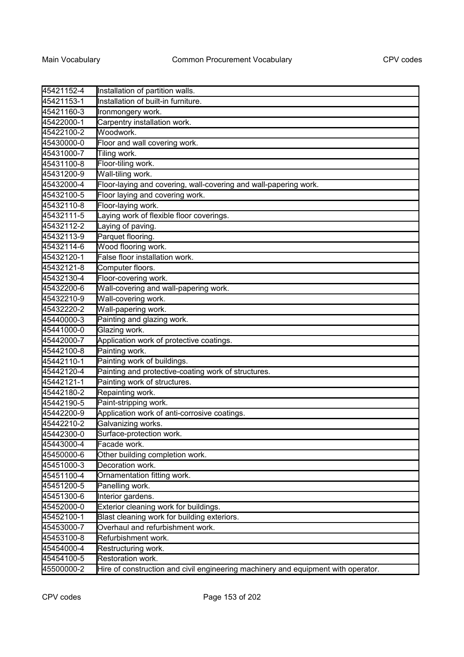| 45421152-4 | Installation of partition walls.                                                  |
|------------|-----------------------------------------------------------------------------------|
| 45421153-1 | Installation of built-in furniture.                                               |
| 45421160-3 | Ironmongery work.                                                                 |
| 45422000-1 | Carpentry installation work.                                                      |
| 45422100-2 | Woodwork.                                                                         |
| 45430000-0 | Floor and wall covering work.                                                     |
| 45431000-7 | Tiling work.                                                                      |
| 45431100-8 | Floor-tiling work.                                                                |
| 45431200-9 | Wall-tiling work.                                                                 |
| 45432000-4 | Floor-laying and covering, wall-covering and wall-papering work.                  |
| 45432100-5 | Floor laying and covering work.                                                   |
| 45432110-8 | Floor-laying work.                                                                |
| 45432111-5 | Laying work of flexible floor coverings.                                          |
| 45432112-2 | Laying of paving.                                                                 |
| 45432113-9 | Parquet flooring.                                                                 |
| 45432114-6 | Wood flooring work.                                                               |
| 45432120-1 | False floor installation work.                                                    |
| 45432121-8 | Computer floors.                                                                  |
| 45432130-4 | Floor-covering work.                                                              |
| 45432200-6 | Wall-covering and wall-papering work.                                             |
| 45432210-9 | Wall-covering work.                                                               |
| 45432220-2 | Wall-papering work.                                                               |
| 45440000-3 | Painting and glazing work.                                                        |
| 45441000-0 | Glazing work.                                                                     |
| 45442000-7 | Application work of protective coatings.                                          |
| 45442100-8 | Painting work.                                                                    |
| 45442110-1 | Painting work of buildings.                                                       |
| 45442120-4 | Painting and protective-coating work of structures.                               |
| 45442121-1 | Painting work of structures.                                                      |
| 45442180-2 | Repainting work.                                                                  |
| 45442190-5 | Paint-stripping work.                                                             |
| 45442200-9 | Application work of anti-corrosive coatings.                                      |
| 45442210-2 | Galvanizing works.                                                                |
| 45442300-0 | Surface-protection work.                                                          |
| 45443000-4 | Facade work.                                                                      |
| 45450000-6 | Other building completion work.                                                   |
| 45451000-3 | Decoration work.                                                                  |
| 45451100-4 | Ornamentation fitting work.                                                       |
| 45451200-5 | Panelling work.                                                                   |
| 45451300-6 | Interior gardens.                                                                 |
| 45452000-0 | Exterior cleaning work for buildings.                                             |
| 45452100-1 | Blast cleaning work for building exteriors.                                       |
| 45453000-7 | Overhaul and refurbishment work.                                                  |
| 45453100-8 | Refurbishment work.                                                               |
| 45454000-4 | Restructuring work.                                                               |
| 45454100-5 | Restoration work.                                                                 |
| 45500000-2 | Hire of construction and civil engineering machinery and equipment with operator. |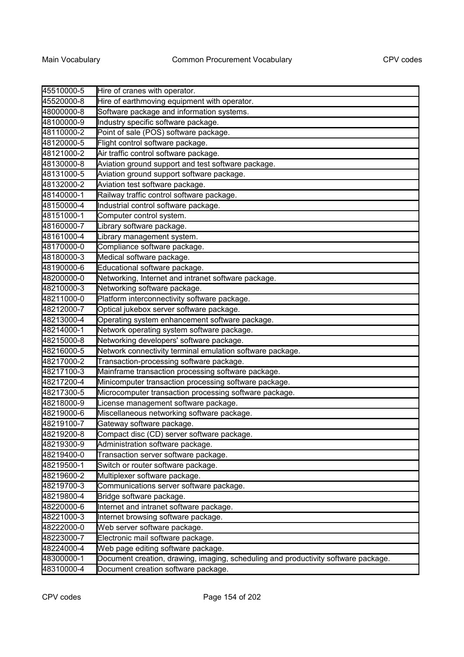| 45510000-5 | Hire of cranes with operator.                                                      |
|------------|------------------------------------------------------------------------------------|
| 45520000-8 | Hire of earthmoving equipment with operator.                                       |
| 48000000-8 | Software package and information systems.                                          |
| 48100000-9 | Industry specific software package.                                                |
| 48110000-2 | Point of sale (POS) software package.                                              |
| 48120000-5 | Flight control software package.                                                   |
| 48121000-2 | Air traffic control software package.                                              |
| 48130000-8 | Aviation ground support and test software package.                                 |
| 48131000-5 | Aviation ground support software package.                                          |
| 48132000-2 | Aviation test software package.                                                    |
| 48140000-1 | Railway traffic control software package.                                          |
| 48150000-4 | Industrial control software package.                                               |
| 48151000-1 | Computer control system.                                                           |
| 48160000-7 | Library software package.                                                          |
| 48161000-4 | Library management system.                                                         |
| 48170000-0 | Compliance software package.                                                       |
| 48180000-3 | Medical software package.                                                          |
| 48190000-6 | Educational software package.                                                      |
| 48200000-0 | Networking, Internet and intranet software package.                                |
| 48210000-3 | Networking software package.                                                       |
| 48211000-0 | Platform interconnectivity software package.                                       |
| 48212000-7 | Optical jukebox server software package.                                           |
| 48213000-4 | Operating system enhancement software package.                                     |
| 48214000-1 | Network operating system software package.                                         |
| 48215000-8 | Networking developers' software package.                                           |
| 48216000-5 | Network connectivity terminal emulation software package.                          |
| 48217000-2 | Transaction-processing software package.                                           |
| 48217100-3 | Mainframe transaction processing software package.                                 |
| 48217200-4 | Minicomputer transaction processing software package.                              |
| 48217300-5 | Microcomputer transaction processing software package.                             |
| 48218000-9 | License management software package.                                               |
| 48219000-6 | Miscellaneous networking software package.                                         |
| 48219100-7 | Gateway software package.                                                          |
| 48219200-8 | Compact disc (CD) server software package.                                         |
| 48219300-9 | Administration software package.                                                   |
| 48219400-0 | Transaction server software package.                                               |
| 48219500-1 | Switch or router software package.                                                 |
| 48219600-2 | Multiplexer software package.                                                      |
| 48219700-3 | Communications server software package.                                            |
| 48219800-4 | Bridge software package.                                                           |
| 48220000-6 | Internet and intranet software package.                                            |
| 48221000-3 | Internet browsing software package.                                                |
| 48222000-0 | Web server software package.                                                       |
| 48223000-7 | Electronic mail software package.                                                  |
| 48224000-4 | Web page editing software package.                                                 |
| 48300000-1 | Document creation, drawing, imaging, scheduling and productivity software package. |
| 48310000-4 | Document creation software package.                                                |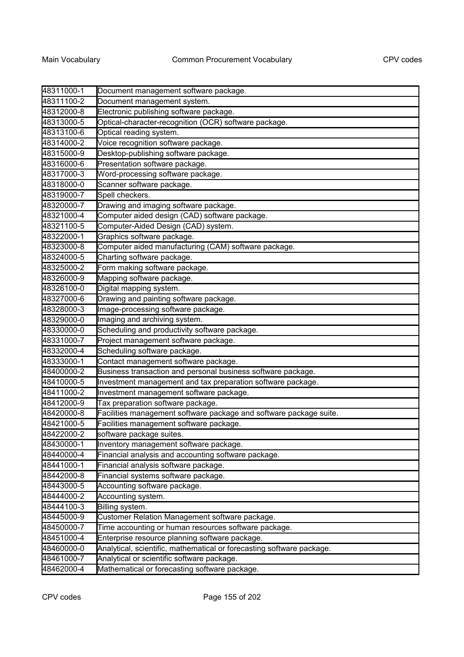| 48311000-1 | Document management software package.                                 |
|------------|-----------------------------------------------------------------------|
| 48311100-2 | Document management system.                                           |
| 48312000-8 | Electronic publishing software package.                               |
| 48313000-5 | Optical-character-recognition (OCR) software package.                 |
| 48313100-6 | Optical reading system.                                               |
| 48314000-2 | Voice recognition software package.                                   |
| 48315000-9 | Desktop-publishing software package.                                  |
| 48316000-6 | Presentation software package.                                        |
| 48317000-3 | Word-processing software package.                                     |
| 48318000-0 | Scanner software package.                                             |
| 48319000-7 | Spell checkers.                                                       |
| 48320000-7 | Drawing and imaging software package.                                 |
| 48321000-4 | Computer aided design (CAD) software package.                         |
| 48321100-5 | Computer-Aided Design (CAD) system.                                   |
| 48322000-1 | Graphics software package.                                            |
| 48323000-8 | Computer aided manufacturing (CAM) software package.                  |
| 48324000-5 | Charting software package.                                            |
| 48325000-2 | Form making software package.                                         |
| 48326000-9 | Mapping software package.                                             |
| 48326100-0 | Digital mapping system.                                               |
| 48327000-6 | Drawing and painting software package.                                |
| 48328000-3 | Image-processing software package.                                    |
| 48329000-0 | Imaging and archiving system.                                         |
| 48330000-0 | Scheduling and productivity software package.                         |
| 48331000-7 | Project management software package.                                  |
| 48332000-4 | Scheduling software package.                                          |
| 48333000-1 | Contact management software package.                                  |
| 48400000-2 | Business transaction and personal business software package.          |
| 48410000-5 | Investment management and tax preparation software package.           |
| 48411000-2 | Investment management software package.                               |
| 48412000-9 | Tax preparation software package.                                     |
| 48420000-8 | Facilities management software package and software package suite.    |
| 48421000-5 | Facilities management software package.                               |
| 48422000-2 | software package suites.                                              |
| 48430000-1 | Inventory management software package.                                |
| 48440000-4 | Financial analysis and accounting software package.                   |
| 48441000-1 | Financial analysis software package.                                  |
| 48442000-8 | Financial systems software package.                                   |
| 48443000-5 | Accounting software package.                                          |
| 48444000-2 | Accounting system.                                                    |
| 48444100-3 | Billing system.                                                       |
| 48445000-9 | Customer Relation Management software package.                        |
| 48450000-7 | Time accounting or human resources software package.                  |
| 48451000-4 | Enterprise resource planning software package.                        |
| 48460000-0 | Analytical, scientific, mathematical or forecasting software package. |
| 48461000-7 | Analytical or scientific software package.                            |
| 48462000-4 | Mathematical or forecasting software package.                         |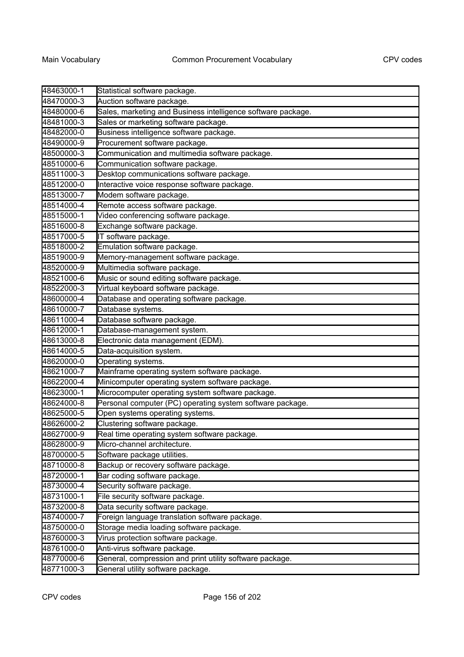| 48463000-1 | Statistical software package.                                |
|------------|--------------------------------------------------------------|
| 48470000-3 | Auction software package.                                    |
| 48480000-6 | Sales, marketing and Business intelligence software package. |
| 48481000-3 | Sales or marketing software package.                         |
| 48482000-0 | Business intelligence software package.                      |
| 48490000-9 | Procurement software package.                                |
| 48500000-3 | Communication and multimedia software package.               |
| 48510000-6 | Communication software package.                              |
| 48511000-3 | Desktop communications software package.                     |
| 48512000-0 | Interactive voice response software package.                 |
| 48513000-7 | Modem software package.                                      |
| 48514000-4 | Remote access software package.                              |
| 48515000-1 | Video conferencing software package.                         |
| 48516000-8 | Exchange software package.                                   |
| 48517000-5 | IT software package.                                         |
| 48518000-2 | Emulation software package.                                  |
| 48519000-9 | Memory-management software package.                          |
| 48520000-9 | Multimedia software package.                                 |
| 48521000-6 | Music or sound editing software package.                     |
| 48522000-3 | Virtual keyboard software package.                           |
| 48600000-4 | Database and operating software package.                     |
| 48610000-7 | Database systems.                                            |
| 48611000-4 | Database software package.                                   |
| 48612000-1 | Database-management system.                                  |
| 48613000-8 | Electronic data management (EDM).                            |
| 48614000-5 | Data-acquisition system.                                     |
| 48620000-0 | Operating systems.                                           |
| 48621000-7 | Mainframe operating system software package.                 |
| 48622000-4 | Minicomputer operating system software package.              |
| 48623000-1 | Microcomputer operating system software package.             |
| 48624000-8 | Personal computer (PC) operating system software package.    |
| 48625000-5 | Open systems operating systems.                              |
| 48626000-2 | Clustering software package.                                 |
| 48627000-9 | Real time operating system software package.                 |
| 48628000-9 | Micro-channel architecture.                                  |
| 48700000-5 | Software package utilities.                                  |
| 48710000-8 | Backup or recovery software package.                         |
| 48720000-1 | Bar coding software package.                                 |
| 48730000-4 | Security software package.                                   |
| 48731000-1 | File security software package.                              |
| 48732000-8 | Data security software package.                              |
| 48740000-7 | Foreign language translation software package.               |
| 48750000-0 | Storage media loading software package.                      |
| 48760000-3 | Virus protection software package.                           |
| 48761000-0 | Anti-virus software package.                                 |
| 48770000-6 | General, compression and print utility software package.     |
| 48771000-3 | General utility software package.                            |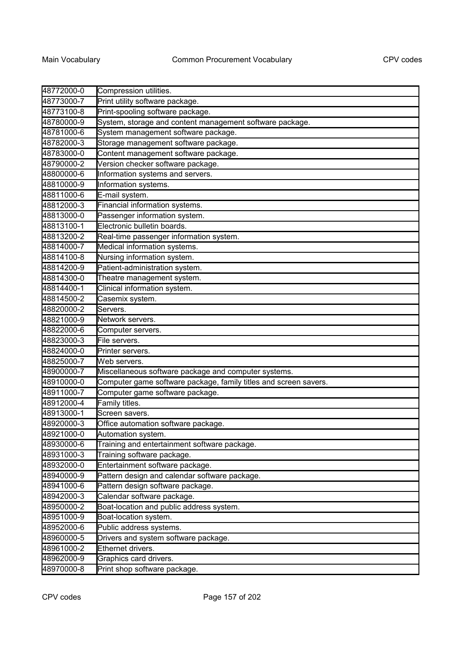| 48772000-0 | Compression utilities.                                           |
|------------|------------------------------------------------------------------|
| 48773000-7 | Print utility software package.                                  |
| 48773100-8 | Print-spooling software package.                                 |
| 48780000-9 | System, storage and content management software package.         |
| 48781000-6 | System management software package.                              |
| 48782000-3 | Storage management software package.                             |
| 48783000-0 | Content management software package.                             |
| 48790000-2 | Version checker software package.                                |
| 48800000-6 | Information systems and servers.                                 |
| 48810000-9 | Information systems.                                             |
| 48811000-6 | E-mail system.                                                   |
| 48812000-3 | Financial information systems.                                   |
| 48813000-0 | Passenger information system.                                    |
| 48813100-1 | Electronic bulletin boards.                                      |
| 48813200-2 | Real-time passenger information system.                          |
| 48814000-7 | Medical information systems.                                     |
| 48814100-8 | Nursing information system.                                      |
| 48814200-9 | Patient-administration system.                                   |
| 48814300-0 | Theatre management system.                                       |
| 48814400-1 | Clinical information system.                                     |
| 48814500-2 | Casemix system.                                                  |
| 48820000-2 | Servers.                                                         |
| 48821000-9 | Network servers.                                                 |
| 48822000-6 | Computer servers.                                                |
| 48823000-3 | File servers.                                                    |
| 48824000-0 | Printer servers.                                                 |
| 48825000-7 | Web servers.                                                     |
| 48900000-7 | Miscellaneous software package and computer systems.             |
| 48910000-0 | Computer game software package, family titles and screen savers. |
| 48911000-7 | Computer game software package.                                  |
| 48912000-4 | Family titles.                                                   |
| 48913000-1 | Screen savers.                                                   |
| 48920000-3 | Office automation software package.                              |
| 48921000-0 | Automation system.                                               |
| 48930000-6 | Training and entertainment software package.                     |
| 48931000-3 | Training software package.                                       |
| 48932000-0 | Entertainment software package.                                  |
| 48940000-9 | Pattern design and calendar software package.                    |
| 48941000-6 | Pattern design software package.                                 |
| 48942000-3 | Calendar software package.                                       |
| 48950000-2 | Boat-location and public address system.                         |
| 48951000-9 | Boat-location system.                                            |
| 48952000-6 | Public address systems.                                          |
| 48960000-5 | Drivers and system software package.                             |
| 48961000-2 | Ethernet drivers.                                                |
| 48962000-9 | Graphics card drivers.                                           |
| 48970000-8 | Print shop software package.                                     |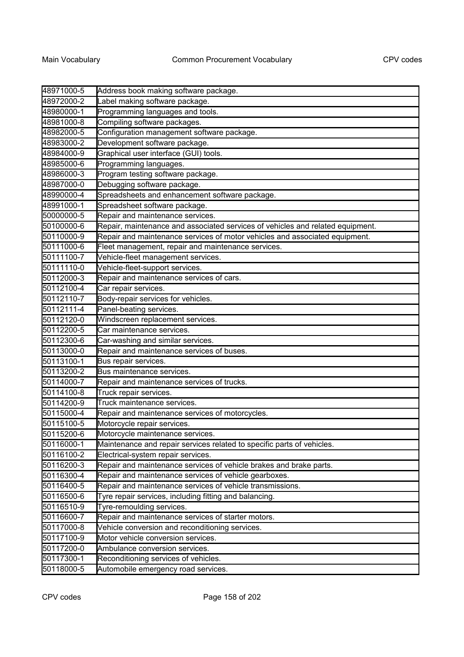| 48971000-5                     | Address book making software package.                                          |
|--------------------------------|--------------------------------------------------------------------------------|
| 48972000-2                     | Label making software package.                                                 |
| 48980000-1                     | Programming languages and tools.                                               |
| 48981000-8                     | Compiling software packages.                                                   |
| 48982000-5                     | Configuration management software package.                                     |
| 48983000-2                     | Development software package.                                                  |
| 48984000-9                     | Graphical user interface (GUI) tools.                                          |
| 48985000-6                     | Programming languages.                                                         |
| 48986000-3                     | Program testing software package.                                              |
| 48987000-0                     | Debugging software package.                                                    |
| 48990000-4                     | Spreadsheets and enhancement software package.                                 |
| 48991000-1                     | Spreadsheet software package.                                                  |
| 50000000-5                     | Repair and maintenance services.                                               |
| 50100000-6                     | Repair, maintenance and associated services of vehicles and related equipment. |
| 50110000-9                     | Repair and maintenance services of motor vehicles and associated equipment.    |
| 50111000-6                     | Fleet management, repair and maintenance services.                             |
| 50111100-7                     | Vehicle-fleet management services.                                             |
| 50111110-0                     | Vehicle-fleet-support services.                                                |
| 50112000-3                     | Repair and maintenance services of cars.                                       |
| 50112100-4                     | Car repair services.                                                           |
| 50112110-7                     | Body-repair services for vehicles.                                             |
| 50112111-4                     | Panel-beating services.                                                        |
| 50112120-0                     | Windscreen replacement services.                                               |
| 50112200-5                     | Car maintenance services.                                                      |
| 50112300-6                     | Car-washing and similar services.                                              |
| 50113000-0                     | Repair and maintenance services of buses.                                      |
| 50113100-1                     | Bus repair services.                                                           |
| 50113200-2                     | Bus maintenance services.                                                      |
| 50114000-7                     | Repair and maintenance services of trucks.                                     |
| 50114100-8                     | Truck repair services.                                                         |
| 50114200-9                     | Truck maintenance services.                                                    |
| 50115000-4                     | Repair and maintenance services of motorcycles.                                |
| 50115100-5                     | Motorcycle repair services.                                                    |
| 50115200-6                     | Motorcycle maintenance services.                                               |
| $\frac{501152222}{50116000-1}$ | Maintenance and repair services related to specific parts of vehicles.         |
| 50116100-2                     | Electrical-system repair services.                                             |
| 50116200-3                     | Repair and maintenance services of vehicle brakes and brake parts.             |
| 50116300-4                     | Repair and maintenance services of vehicle gearboxes.                          |
| 50116400-5                     | Repair and maintenance services of vehicle transmissions.                      |
| 50116500-6                     | Tyre repair services, including fitting and balancing.                         |
| 50116510-9                     | Tyre-remoulding services.                                                      |
| 50116600-7                     | Repair and maintenance services of starter motors.                             |
| 50117000-8                     | Vehicle conversion and reconditioning services.                                |
| 50117100-9                     | Motor vehicle conversion services.                                             |
| 50117200-0                     | Ambulance conversion services.                                                 |
| 50117300-1                     | Reconditioning services of vehicles.                                           |
| 50118000-5                     | Automobile emergency road services.                                            |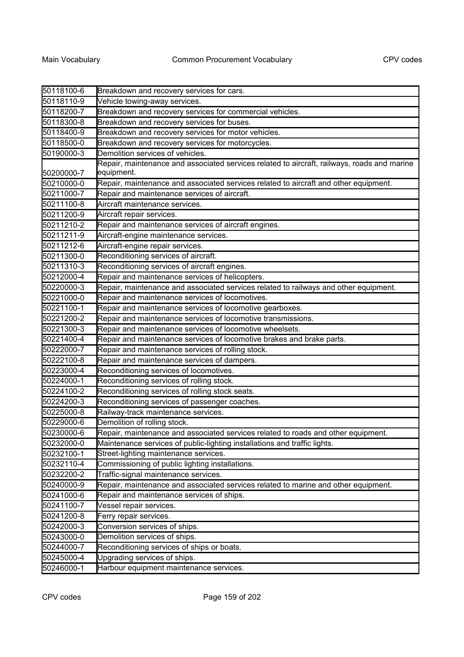| 50118100-6 | Breakdown and recovery services for cars.                                                   |
|------------|---------------------------------------------------------------------------------------------|
| 50118110-9 | Vehicle towing-away services.                                                               |
| 50118200-7 | Breakdown and recovery services for commercial vehicles.                                    |
| 50118300-8 | Breakdown and recovery services for buses.                                                  |
| 50118400-9 | Breakdown and recovery services for motor vehicles.                                         |
| 50118500-0 | Breakdown and recovery services for motorcycles.                                            |
| 50190000-3 | Demolition services of vehicles.                                                            |
|            | Repair, maintenance and associated services related to aircraft, railways, roads and marine |
| 50200000-7 | equipment.                                                                                  |
| 50210000-0 | Repair, maintenance and associated services related to aircraft and other equipment.        |
| 50211000-7 | Repair and maintenance services of aircraft.                                                |
| 50211100-8 | Aircraft maintenance services.                                                              |
| 50211200-9 | Aircraft repair services.                                                                   |
| 50211210-2 | Repair and maintenance services of aircraft engines.                                        |
| 50211211-9 | Aircraft-engine maintenance services.                                                       |
| 50211212-6 | Aircraft-engine repair services.                                                            |
| 50211300-0 | Reconditioning services of aircraft.                                                        |
| 50211310-3 | Reconditioning services of aircraft engines.                                                |
| 50212000-4 | Repair and maintenance services of helicopters.                                             |
| 50220000-3 | Repair, maintenance and associated services related to railways and other equipment.        |
| 50221000-0 | Repair and maintenance services of locomotives.                                             |
| 50221100-1 | Repair and maintenance services of locomotive gearboxes.                                    |
| 50221200-2 | Repair and maintenance services of locomotive transmissions.                                |
| 50221300-3 | Repair and maintenance services of locomotive wheelsets.                                    |
| 50221400-4 | Repair and maintenance services of locomotive brakes and brake parts.                       |
| 50222000-7 | Repair and maintenance services of rolling stock.                                           |
| 50222100-8 | Repair and maintenance services of dampers.                                                 |
| 50223000-4 | Reconditioning services of locomotives.                                                     |
| 50224000-1 | Reconditioning services of rolling stock.                                                   |
| 50224100-2 | Reconditioning services of rolling stock seats.                                             |
| 50224200-3 | Reconditioning services of passenger coaches.                                               |
| 50225000-8 | Railway-track maintenance services.                                                         |
| 50229000-6 | Demolition of rolling stock.                                                                |
| 50230000-6 | Repair, maintenance and associated services related to roads and other equipment.           |
| 50232000-0 | Maintenance services of public-lighting installations and traffic lights.                   |
| 50232100-1 | Street-lighting maintenance services.                                                       |
| 50232110-4 | Commissioning of public lighting installations.                                             |
| 50232200-2 | Traffic-signal maintenance services.                                                        |
| 50240000-9 | Repair, maintenance and associated services related to marine and other equipment.          |
| 50241000-6 | Repair and maintenance services of ships.                                                   |
| 50241100-7 | Vessel repair services.                                                                     |
| 50241200-8 | Ferry repair services.                                                                      |
| 50242000-3 | Conversion services of ships.                                                               |
| 50243000-0 | Demolition services of ships.                                                               |
| 50244000-7 | Reconditioning services of ships or boats.                                                  |
| 50245000-4 | Upgrading services of ships.                                                                |
| 50246000-1 | Harbour equipment maintenance services.                                                     |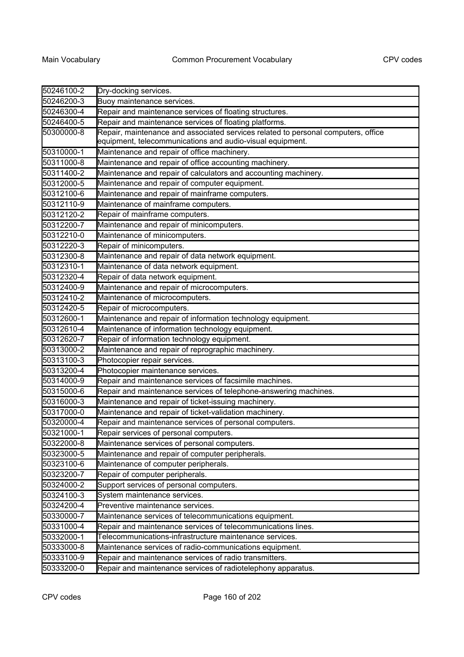| 50246100-2 | Dry-docking services.                                                             |
|------------|-----------------------------------------------------------------------------------|
| 50246200-3 | Buoy maintenance services.                                                        |
| 50246300-4 | Repair and maintenance services of floating structures.                           |
| 50246400-5 | Repair and maintenance services of floating platforms.                            |
| 50300000-8 | Repair, maintenance and associated services related to personal computers, office |
|            | equipment, telecommunications and audio-visual equipment.                         |
| 50310000-1 | Maintenance and repair of office machinery.                                       |
| 50311000-8 | Maintenance and repair of office accounting machinery.                            |
| 50311400-2 | Maintenance and repair of calculators and accounting machinery.                   |
| 50312000-5 | Maintenance and repair of computer equipment.                                     |
| 50312100-6 | Maintenance and repair of mainframe computers.                                    |
| 50312110-9 | Maintenance of mainframe computers.                                               |
| 50312120-2 | Repair of mainframe computers.                                                    |
| 50312200-7 | Maintenance and repair of minicomputers.                                          |
| 50312210-0 | Maintenance of minicomputers.                                                     |
| 50312220-3 | Repair of minicomputers.                                                          |
| 50312300-8 | Maintenance and repair of data network equipment.                                 |
| 50312310-1 | Maintenance of data network equipment.                                            |
| 50312320-4 | Repair of data network equipment.                                                 |
| 50312400-9 | Maintenance and repair of microcomputers.                                         |
| 50312410-2 | Maintenance of microcomputers.                                                    |
| 50312420-5 | Repair of microcomputers.                                                         |
| 50312600-1 | Maintenance and repair of information technology equipment.                       |
| 50312610-4 | Maintenance of information technology equipment.                                  |
| 50312620-7 | Repair of information technology equipment.                                       |
| 50313000-2 | Maintenance and repair of reprographic machinery.                                 |
| 50313100-3 | Photocopier repair services.                                                      |
| 50313200-4 | Photocopier maintenance services.                                                 |
| 50314000-9 | Repair and maintenance services of facsimile machines.                            |
| 50315000-6 | Repair and maintenance services of telephone-answering machines.                  |
| 50316000-3 | Maintenance and repair of ticket-issuing machinery.                               |
| 50317000-0 | Maintenance and repair of ticket-validation machinery.                            |
| 50320000-4 | Repair and maintenance services of personal computers.                            |
| 50321000-1 | Repair services of personal computers.                                            |
| 50322000-8 | Maintenance services of personal computers.                                       |
| 50323000-5 | Maintenance and repair of computer peripherals.                                   |
| 50323100-6 | Maintenance of computer peripherals.                                              |
| 50323200-7 | Repair of computer peripherals.                                                   |
| 50324000-2 | Support services of personal computers.                                           |
| 50324100-3 | System maintenance services.                                                      |
| 50324200-4 | Preventive maintenance services.                                                  |
| 50330000-7 | Maintenance services of telecommunications equipment.                             |
| 50331000-4 | Repair and maintenance services of telecommunications lines.                      |
| 50332000-1 | Telecommunications-infrastructure maintenance services.                           |
| 50333000-8 | Maintenance services of radio-communications equipment.                           |
| 50333100-9 | Repair and maintenance services of radio transmitters.                            |
| 50333200-0 | Repair and maintenance services of radiotelephony apparatus.                      |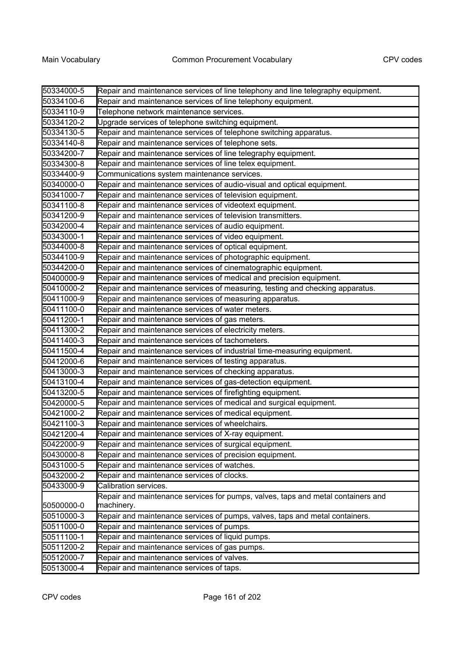| 50334000-5 | Repair and maintenance services of line telephony and line telegraphy equipment. |
|------------|----------------------------------------------------------------------------------|
| 50334100-6 | Repair and maintenance services of line telephony equipment.                     |
| 50334110-9 | Telephone network maintenance services.                                          |
| 50334120-2 | Upgrade services of telephone switching equipment.                               |
| 50334130-5 | Repair and maintenance services of telephone switching apparatus.                |
| 50334140-8 | Repair and maintenance services of telephone sets.                               |
| 50334200-7 | Repair and maintenance services of line telegraphy equipment.                    |
| 50334300-8 | Repair and maintenance services of line telex equipment.                         |
| 50334400-9 | Communications system maintenance services.                                      |
| 50340000-0 | Repair and maintenance services of audio-visual and optical equipment.           |
| 50341000-7 | Repair and maintenance services of television equipment.                         |
| 50341100-8 | Repair and maintenance services of videotext equipment.                          |
| 50341200-9 | Repair and maintenance services of television transmitters.                      |
| 50342000-4 | Repair and maintenance services of audio equipment.                              |
| 50343000-1 | Repair and maintenance services of video equipment.                              |
| 50344000-8 | Repair and maintenance services of optical equipment.                            |
| 50344100-9 | Repair and maintenance services of photographic equipment.                       |
| 50344200-0 | Repair and maintenance services of cinematographic equipment.                    |
| 50400000-9 | Repair and maintenance services of medical and precision equipment.              |
| 50410000-2 | Repair and maintenance services of measuring, testing and checking apparatus.    |
| 50411000-9 | Repair and maintenance services of measuring apparatus.                          |
| 50411100-0 | Repair and maintenance services of water meters.                                 |
| 50411200-1 | Repair and maintenance services of gas meters.                                   |
| 50411300-2 | Repair and maintenance services of electricity meters.                           |
| 50411400-3 | Repair and maintenance services of tachometers.                                  |
| 50411500-4 | Repair and maintenance services of industrial time-measuring equipment.          |
| 50412000-6 | Repair and maintenance services of testing apparatus.                            |
| 50413000-3 | Repair and maintenance services of checking apparatus.                           |
| 50413100-4 | Repair and maintenance services of gas-detection equipment.                      |
| 50413200-5 | Repair and maintenance services of firefighting equipment.                       |
| 50420000-5 | Repair and maintenance services of medical and surgical equipment.               |
| 50421000-2 | Repair and maintenance services of medical equipment.                            |
| 50421100-3 | Repair and maintenance services of wheelchairs.                                  |
| 50421200-4 | Repair and maintenance services of X-ray equipment.                              |
| 50422000-9 | Repair and maintenance services of surgical equipment.                           |
| 50430000-8 | Repair and maintenance services of precision equipment.                          |
| 50431000-5 | Repair and maintenance services of watches.                                      |
| 50432000-2 | Repair and maintenance services of clocks.                                       |
| 50433000-9 | Calibration services.                                                            |
|            | Repair and maintenance services for pumps, valves, taps and metal containers and |
| 50500000-0 | machinery.                                                                       |
| 50510000-3 | Repair and maintenance services of pumps, valves, taps and metal containers.     |
| 50511000-0 | Repair and maintenance services of pumps.                                        |
| 50511100-1 | Repair and maintenance services of liquid pumps.                                 |
| 50511200-2 | Repair and maintenance services of gas pumps.                                    |
| 50512000-7 | Repair and maintenance services of valves.                                       |
| 50513000-4 | Repair and maintenance services of taps.                                         |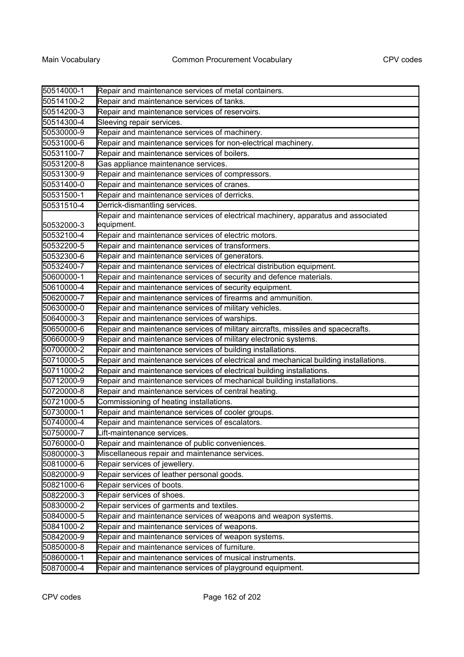| 50514000-1 | Repair and maintenance services of metal containers.                                            |
|------------|-------------------------------------------------------------------------------------------------|
| 50514100-2 | Repair and maintenance services of tanks.                                                       |
| 50514200-3 | Repair and maintenance services of reservoirs.                                                  |
| 50514300-4 | Sleeving repair services.                                                                       |
| 50530000-9 | Repair and maintenance services of machinery.                                                   |
| 50531000-6 | Repair and maintenance services for non-electrical machinery.                                   |
| 50531100-7 | Repair and maintenance services of boilers.                                                     |
| 50531200-8 | Gas appliance maintenance services.                                                             |
| 50531300-9 | Repair and maintenance services of compressors.                                                 |
| 50531400-0 | Repair and maintenance services of cranes.                                                      |
| 50531500-1 | Repair and maintenance services of derricks.                                                    |
| 50531510-4 | Derrick-dismantling services.                                                                   |
| 50532000-3 | Repair and maintenance services of electrical machinery, apparatus and associated<br>equipment. |
| 50532100-4 | Repair and maintenance services of electric motors.                                             |
| 50532200-5 | Repair and maintenance services of transformers.                                                |
| 50532300-6 | Repair and maintenance services of generators.                                                  |
| 50532400-7 | Repair and maintenance services of electrical distribution equipment.                           |
| 50600000-1 | Repair and maintenance services of security and defence materials.                              |
| 50610000-4 | Repair and maintenance services of security equipment.                                          |
| 50620000-7 | Repair and maintenance services of firearms and ammunition.                                     |
| 50630000-0 | Repair and maintenance services of military vehicles.                                           |
| 50640000-3 | Repair and maintenance services of warships.                                                    |
| 50650000-6 | Repair and maintenance services of military aircrafts, missiles and spacecrafts.                |
| 50660000-9 | Repair and maintenance services of military electronic systems.                                 |
| 50700000-2 | Repair and maintenance services of building installations.                                      |
| 50710000-5 | Repair and maintenance services of electrical and mechanical building installations.            |
| 50711000-2 | Repair and maintenance services of electrical building installations.                           |
| 50712000-9 | Repair and maintenance services of mechanical building installations.                           |
| 50720000-8 | Repair and maintenance services of central heating.                                             |
| 50721000-5 | Commissioning of heating installations.                                                         |
| 50730000-1 | Repair and maintenance services of cooler groups.                                               |
| 50740000-4 | Repair and maintenance services of escalators.                                                  |
| 50750000-7 | Lift-maintenance services.                                                                      |
| 50760000-0 | Repair and maintenance of public conveniences.                                                  |
| 50800000-3 | Miscellaneous repair and maintenance services.                                                  |
| 50810000-6 | Repair services of jewellery.                                                                   |
| 50820000-9 | Repair services of leather personal goods.                                                      |
| 50821000-6 | Repair services of boots.                                                                       |
| 50822000-3 | Repair services of shoes.                                                                       |
| 50830000-2 | Repair services of garments and textiles.                                                       |
| 50840000-5 | Repair and maintenance services of weapons and weapon systems.                                  |
| 50841000-2 | Repair and maintenance services of weapons.                                                     |
| 50842000-9 | Repair and maintenance services of weapon systems.                                              |
| 50850000-8 | Repair and maintenance services of furniture.                                                   |
| 50860000-1 | Repair and maintenance services of musical instruments.                                         |
| 50870000-4 | Repair and maintenance services of playground equipment.                                        |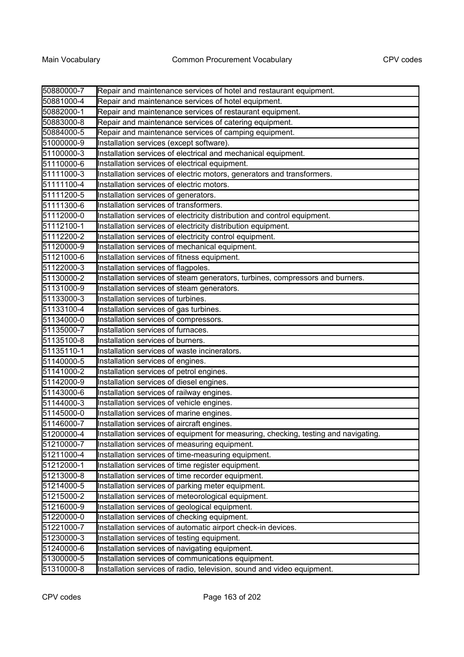| 50880000-7 | Repair and maintenance services of hotel and restaurant equipment.                  |
|------------|-------------------------------------------------------------------------------------|
| 50881000-4 | Repair and maintenance services of hotel equipment.                                 |
| 50882000-1 | Repair and maintenance services of restaurant equipment.                            |
| 50883000-8 | Repair and maintenance services of catering equipment.                              |
| 50884000-5 | Repair and maintenance services of camping equipment.                               |
| 51000000-9 | Installation services (except software).                                            |
| 51100000-3 | Installation services of electrical and mechanical equipment.                       |
| 51110000-6 | Installation services of electrical equipment.                                      |
| 51111000-3 | Installation services of electric motors, generators and transformers.              |
| 51111100-4 | Installation services of electric motors.                                           |
| 51111200-5 | Installation services of generators.                                                |
| 51111300-6 | Installation services of transformers.                                              |
| 51112000-0 | Installation services of electricity distribution and control equipment.            |
| 51112100-1 | Installation services of electricity distribution equipment.                        |
| 51112200-2 | Installation services of electricity control equipment.                             |
| 51120000-9 | Installation services of mechanical equipment.                                      |
| 51121000-6 | Installation services of fitness equipment.                                         |
| 51122000-3 | Installation services of flagpoles.                                                 |
| 51130000-2 | Installation services of steam generators, turbines, compressors and burners.       |
| 51131000-9 | Installation services of steam generators.                                          |
| 51133000-3 | Installation services of turbines.                                                  |
| 51133100-4 | Installation services of gas turbines.                                              |
| 51134000-0 | Installation services of compressors.                                               |
| 51135000-7 | Installation services of furnaces.                                                  |
| 51135100-8 | Installation services of burners.                                                   |
| 51135110-1 | Installation services of waste incinerators.                                        |
| 51140000-5 | Installation services of engines.                                                   |
| 51141000-2 | Installation services of petrol engines.                                            |
| 51142000-9 | Installation services of diesel engines.                                            |
| 51143000-6 | Installation services of railway engines.                                           |
| 51144000-3 | Installation services of vehicle engines.                                           |
| 51145000-0 | Installation services of marine engines.                                            |
| 51146000-7 | Installation services of aircraft engines.                                          |
| 51200000-4 | Installation services of equipment for measuring, checking, testing and navigating. |
| 51210000-7 | Installation services of measuring equipment.                                       |
| 51211000-4 | Installation services of time-measuring equipment.                                  |
| 51212000-1 | Installation services of time register equipment.                                   |
| 51213000-8 | Installation services of time recorder equipment.                                   |
| 51214000-5 | Installation services of parking meter equipment.                                   |
| 51215000-2 | Installation services of meteorological equipment.                                  |
| 51216000-9 | Installation services of geological equipment.                                      |
| 51220000-0 | Installation services of checking equipment.                                        |
| 51221000-7 | Installation services of automatic airport check-in devices.                        |
| 51230000-3 | Installation services of testing equipment.                                         |
| 51240000-6 | Installation services of navigating equipment.                                      |
| 51300000-5 | Installation services of communications equipment.                                  |
| 51310000-8 | Installation services of radio, television, sound and video equipment.              |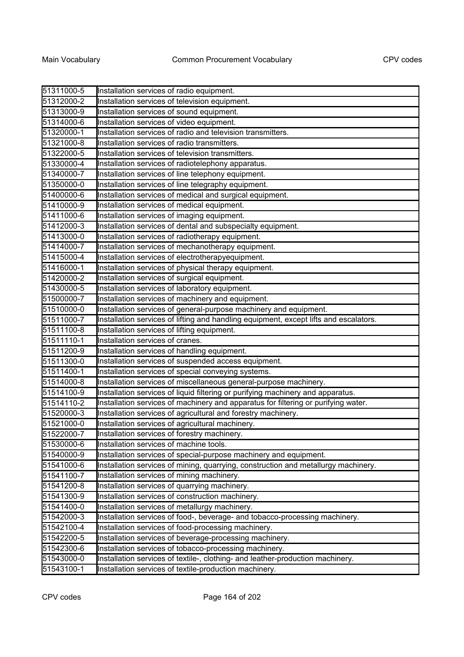| 51311000-5 | Installation services of radio equipment.                                             |
|------------|---------------------------------------------------------------------------------------|
| 51312000-2 | Installation services of television equipment.                                        |
| 51313000-9 | Installation services of sound equipment.                                             |
| 51314000-6 | Installation services of video equipment.                                             |
| 51320000-1 | Installation services of radio and television transmitters.                           |
| 51321000-8 | Installation services of radio transmitters.                                          |
| 51322000-5 | Installation services of television transmitters.                                     |
| 51330000-4 | Installation services of radiotelephony apparatus.                                    |
| 51340000-7 | Installation services of line telephony equipment.                                    |
| 51350000-0 | Installation services of line telegraphy equipment.                                   |
| 51400000-6 | Installation services of medical and surgical equipment.                              |
| 51410000-9 | Installation services of medical equipment.                                           |
| 51411000-6 | Installation services of imaging equipment.                                           |
| 51412000-3 | Installation services of dental and subspecialty equipment.                           |
| 51413000-0 | Installation services of radiotherapy equipment.                                      |
| 51414000-7 | Installation services of mechanotherapy equipment.                                    |
| 51415000-4 | Installation services of electrotherapyequipment.                                     |
| 51416000-1 | Installation services of physical therapy equipment.                                  |
| 51420000-2 | Installation services of surgical equipment.                                          |
| 51430000-5 | Installation services of laboratory equipment.                                        |
| 51500000-7 | Installation services of machinery and equipment.                                     |
| 51510000-0 | Installation services of general-purpose machinery and equipment.                     |
| 51511000-7 | Installation services of lifting and handling equipment, except lifts and escalators. |
| 51511100-8 | Installation services of lifting equipment.                                           |
| 51511110-1 | Installation services of cranes.                                                      |
| 51511200-9 | Installation services of handling equipment.                                          |
| 51511300-0 | Installation services of suspended access equipment.                                  |
| 51511400-1 | Installation services of special conveying systems.                                   |
| 51514000-8 | Installation services of miscellaneous general-purpose machinery.                     |
| 51514100-9 | Installation services of liquid filtering or purifying machinery and apparatus.       |
| 51514110-2 | Installation services of machinery and apparatus for filtering or purifying water.    |
| 51520000-3 | Installation services of agricultural and forestry machinery.                         |
| 51521000-0 | Installation services of agricultural machinery.                                      |
| 51522000-7 | Installation services of forestry machinery.                                          |
| 51530000-6 | Installation services of machine tools.                                               |
| 51540000-9 | Installation services of special-purpose machinery and equipment.                     |
| 51541000-6 | Installation services of mining, quarrying, construction and metallurgy machinery.    |
| 51541100-7 | Installation services of mining machinery.                                            |
| 51541200-8 | Installation services of quarrying machinery.                                         |
| 51541300-9 | Installation services of construction machinery.                                      |
| 51541400-0 | Installation services of metallurgy machinery.                                        |
| 51542000-3 | Installation services of food-, beverage- and tobacco-processing machinery.           |
| 51542100-4 | Installation services of food-processing machinery.                                   |
| 51542200-5 | Installation services of beverage-processing machinery.                               |
| 51542300-6 | Installation services of tobacco-processing machinery.                                |
| 51543000-0 | Installation services of textile-, clothing- and leather-production machinery.        |
| 51543100-1 | Installation services of textile-production machinery.                                |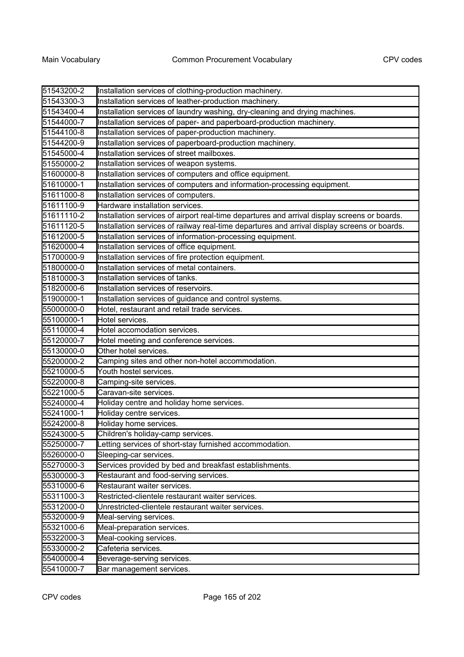| 51543200-2 | Installation services of clothing-production machinery.                                      |
|------------|----------------------------------------------------------------------------------------------|
| 51543300-3 | Installation services of leather-production machinery.                                       |
| 51543400-4 | Installation services of laundry washing, dry-cleaning and drying machines.                  |
| 51544000-7 | Installation services of paper- and paperboard-production machinery.                         |
| 51544100-8 | Installation services of paper-production machinery.                                         |
| 51544200-9 | Installation services of paperboard-production machinery.                                    |
| 51545000-4 | Installation services of street mailboxes.                                                   |
| 51550000-2 | Installation services of weapon systems.                                                     |
| 51600000-8 | Installation services of computers and office equipment.                                     |
| 51610000-1 | Installation services of computers and information-processing equipment.                     |
| 51611000-8 | Installation services of computers.                                                          |
| 51611100-9 | Hardware installation services.                                                              |
| 51611110-2 | Installation services of airport real-time departures and arrival display screens or boards. |
| 51611120-5 | Installation services of railway real-time departures and arrival display screens or boards. |
| 51612000-5 | Installation services of information-processing equipment.                                   |
| 51620000-4 | Installation services of office equipment.                                                   |
| 51700000-9 | Installation services of fire protection equipment.                                          |
| 51800000-0 | Installation services of metal containers.                                                   |
| 51810000-3 | Installation services of tanks.                                                              |
| 51820000-6 | Installation services of reservoirs.                                                         |
| 51900000-1 | Installation services of guidance and control systems.                                       |
| 55000000-0 | Hotel, restaurant and retail trade services.                                                 |
| 55100000-1 | Hotel services.                                                                              |
| 55110000-4 | Hotel accomodation services.                                                                 |
| 55120000-7 | Hotel meeting and conference services.                                                       |
| 55130000-0 | Other hotel services.                                                                        |
| 55200000-2 | Camping sites and other non-hotel accommodation.                                             |
| 55210000-5 | Youth hostel services.                                                                       |
| 55220000-8 | Camping-site services.                                                                       |
| 55221000-5 | Caravan-site services.                                                                       |
| 55240000-4 | Holiday centre and holiday home services.                                                    |
| 55241000-1 | Holiday centre services.                                                                     |
| 55242000-8 | Holiday home services.                                                                       |
| 55243000-5 | Children's holiday-camp services.                                                            |
| 55250000-7 | Letting services of short-stay furnished accommodation.                                      |
| 55260000-0 | Sleeping-car services.                                                                       |
| 55270000-3 | Services provided by bed and breakfast establishments.                                       |
| 55300000-3 | Restaurant and food-serving services.                                                        |
| 55310000-6 | Restaurant waiter services.                                                                  |
| 55311000-3 | Restricted-clientele restaurant waiter services.                                             |
| 55312000-0 | Unrestricted-clientele restaurant waiter services.                                           |
| 55320000-9 | Meal-serving services.                                                                       |
| 55321000-6 | Meal-preparation services.                                                                   |
| 55322000-3 | Meal-cooking services.                                                                       |
| 55330000-2 | Cafeteria services.                                                                          |
| 55400000-4 | Beverage-serving services.                                                                   |
| 55410000-7 | Bar management services.                                                                     |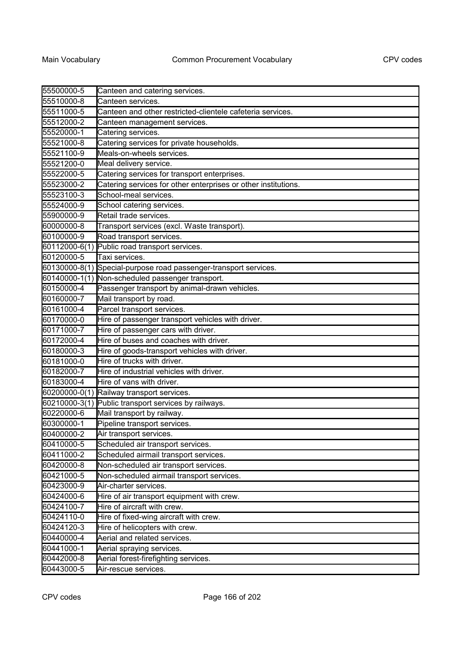| 55500000-5    | Canteen and catering services.                                 |
|---------------|----------------------------------------------------------------|
| 55510000-8    | Canteen services.                                              |
| 55511000-5    | Canteen and other restricted-clientele cafeteria services.     |
| 55512000-2    | Canteen management services.                                   |
| 55520000-1    | Catering services.                                             |
| 55521000-8    | Catering services for private households.                      |
| 55521100-9    | Meals-on-wheels services.                                      |
| 55521200-0    | Meal delivery service.                                         |
| 55522000-5    | Catering services for transport enterprises.                   |
| 55523000-2    | Catering services for other enterprises or other institutions. |
| 55523100-3    | School-meal services.                                          |
| 55524000-9    | School catering services.                                      |
| 55900000-9    | Retail trade services.                                         |
| 60000000-8    | Transport services (excl. Waste transport).                    |
| 60100000-9    | Road transport services.                                       |
| 60112000-6(1) | Public road transport services.                                |
| 60120000-5    | Taxi services.                                                 |
| 60130000-8(1) | Special-purpose road passenger-transport services.             |
| 60140000-1(1) | Non-scheduled passenger transport.                             |
| 60150000-4    | Passenger transport by animal-drawn vehicles.                  |
| 60160000-7    | Mail transport by road.                                        |
| 60161000-4    | Parcel transport services.                                     |
| 60170000-0    | Hire of passenger transport vehicles with driver.              |
| 60171000-7    | Hire of passenger cars with driver.                            |
| 60172000-4    | Hire of buses and coaches with driver.                         |
| 60180000-3    | Hire of goods-transport vehicles with driver.                  |
| 60181000-0    | Hire of trucks with driver.                                    |
| 60182000-7    | Hire of industrial vehicles with driver.                       |
| 60183000-4    | Hire of vans with driver.                                      |
| 60200000-0(1) | Railway transport services.                                    |
| 60210000-3(1) | Public transport services by railways.                         |
| 60220000-6    | Mail transport by railway.                                     |
| 60300000-1    | Pipeline transport services.                                   |
| 60400000-2    | Air transport services                                         |
| 60410000-5    | Scheduled air transport services.                              |
| 60411000-2    | Scheduled airmail transport services.                          |
| 60420000-8    | Non-scheduled air transport services.                          |
| 60421000-5    | Non-scheduled airmail transport services.                      |
| 60423000-9    | Air-charter services.                                          |
| 60424000-6    | Hire of air transport equipment with crew.                     |
| 60424100-7    | Hire of aircraft with crew.                                    |
| 60424110-0    | Hire of fixed-wing aircraft with crew.                         |
| 60424120-3    | Hire of helicopters with crew.                                 |
| 60440000-4    | Aerial and related services.                                   |
| 60441000-1    | Aerial spraying services.                                      |
| 60442000-8    | Aerial forest-firefighting services.                           |
| 60443000-5    | Air-rescue services.                                           |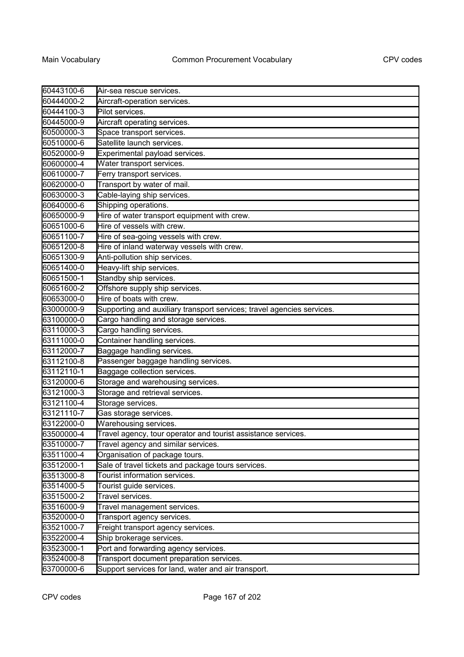| 60443100-6 | Air-sea rescue services.                                               |
|------------|------------------------------------------------------------------------|
| 60444000-2 | Aircraft-operation services.                                           |
| 60444100-3 | Pilot services.                                                        |
| 60445000-9 | Aircraft operating services.                                           |
| 60500000-3 | Space transport services.                                              |
| 60510000-6 | Satellite launch services.                                             |
| 60520000-9 | Experimental payload services.                                         |
| 60600000-4 | Water transport services.                                              |
| 60610000-7 | Ferry transport services.                                              |
| 60620000-0 | Transport by water of mail.                                            |
| 60630000-3 | Cable-laying ship services.                                            |
| 60640000-6 | Shipping operations.                                                   |
| 60650000-9 | Hire of water transport equipment with crew.                           |
| 60651000-6 | Hire of vessels with crew.                                             |
| 60651100-7 | Hire of sea-going vessels with crew.                                   |
| 60651200-8 | Hire of inland waterway vessels with crew.                             |
| 60651300-9 | Anti-pollution ship services.                                          |
| 60651400-0 | Heavy-lift ship services.                                              |
| 60651500-1 | Standby ship services.                                                 |
| 60651600-2 | Offshore supply ship services.                                         |
| 60653000-0 | Hire of boats with crew.                                               |
| 63000000-9 | Supporting and auxiliary transport services; travel agencies services. |
| 63100000-0 | Cargo handling and storage services.                                   |
| 63110000-3 | Cargo handling services.                                               |
| 63111000-0 | Container handling services.                                           |
| 63112000-7 | Baggage handling services.                                             |
| 63112100-8 | Passenger baggage handling services.                                   |
| 63112110-1 | Baggage collection services.                                           |
| 63120000-6 | Storage and warehousing services.                                      |
| 63121000-3 | Storage and retrieval services.                                        |
| 63121100-4 | Storage services.                                                      |
| 63121110-7 | Gas storage services.                                                  |
| 63122000-0 | Warehousing services.                                                  |
| 63500000-4 | Travel agency, tour operator and tourist assistance services.          |
| 63510000-7 | Travel agency and similar services.                                    |
| 63511000-4 | Organisation of package tours.                                         |
| 63512000-1 | Sale of travel tickets and package tours services.                     |
| 63513000-8 | Tourist information services.                                          |
| 63514000-5 | Tourist guide services.                                                |
| 63515000-2 | Travel services.                                                       |
| 63516000-9 | Travel management services.                                            |
| 63520000-0 | Transport agency services.                                             |
| 63521000-7 | Freight transport agency services.                                     |
| 63522000-4 | Ship brokerage services.                                               |
| 63523000-1 | Port and forwarding agency services.                                   |
| 63524000-8 | Transport document preparation services.                               |
| 63700000-6 | Support services for land, water and air transport.                    |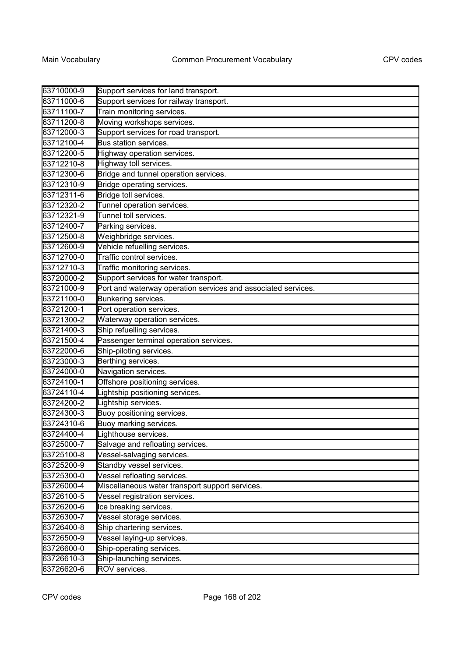| 63710000-9 | Support services for land transport.                          |
|------------|---------------------------------------------------------------|
| 63711000-6 | Support services for railway transport.                       |
| 63711100-7 | Train monitoring services.                                    |
| 63711200-8 | Moving workshops services.                                    |
| 63712000-3 | Support services for road transport.                          |
| 63712100-4 | Bus station services.                                         |
| 63712200-5 | Highway operation services.                                   |
| 63712210-8 | Highway toll services.                                        |
| 63712300-6 | Bridge and tunnel operation services.                         |
| 63712310-9 | Bridge operating services.                                    |
| 63712311-6 | Bridge toll services.                                         |
| 63712320-2 | Tunnel operation services.                                    |
| 63712321-9 | Tunnel toll services.                                         |
| 63712400-7 | Parking services.                                             |
| 63712500-8 | Weighbridge services.                                         |
| 63712600-9 | Vehicle refuelling services.                                  |
| 63712700-0 | Traffic control services.                                     |
| 63712710-3 | Traffic monitoring services.                                  |
| 63720000-2 | Support services for water transport.                         |
| 63721000-9 | Port and waterway operation services and associated services. |
| 63721100-0 | Bunkering services.                                           |
| 63721200-1 | Port operation services.                                      |
| 63721300-2 | Waterway operation services.                                  |
| 63721400-3 | Ship refuelling services.                                     |
| 63721500-4 | Passenger terminal operation services.                        |
| 63722000-6 | Ship-piloting services.                                       |
| 63723000-3 | Berthing services.                                            |
| 63724000-0 | Navigation services.                                          |
| 63724100-1 | Offshore positioning services.                                |
| 63724110-4 | Lightship positioning services.                               |
| 63724200-2 | Lightship services.                                           |
| 63724300-3 | Buoy positioning services.                                    |
| 63724310-6 | Buoy marking services.                                        |
| 63724400-4 | Lighthouse services.                                          |
| 63725000-7 | Salvage and refloating services.                              |
| 63725100-8 | Vessel-salvaging services.                                    |
| 63725200-9 | Standby vessel services.                                      |
| 63725300-0 | Vessel refloating services.                                   |
| 63726000-4 | Miscellaneous water transport support services.               |
| 63726100-5 | Vessel registration services.                                 |
| 63726200-6 | Ice breaking services.                                        |
| 63726300-7 | Vessel storage services.                                      |
| 63726400-8 | Ship chartering services.                                     |
| 63726500-9 | Vessel laying-up services.                                    |
| 63726600-0 | Ship-operating services.                                      |
| 63726610-3 | Ship-launching services.                                      |
| 63726620-6 | ROV services.                                                 |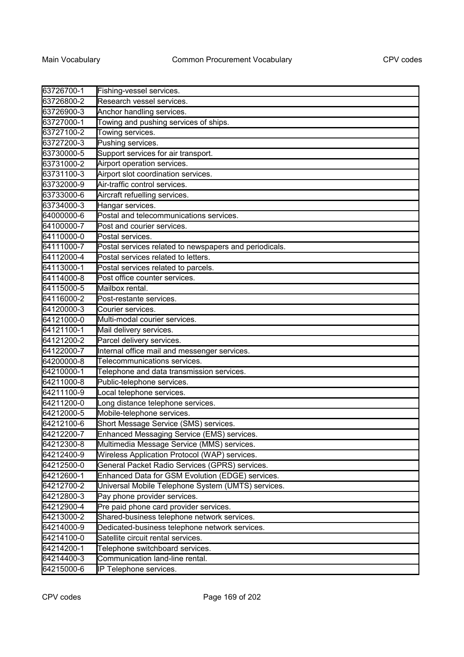| 63726700-1 | Fishing-vessel services.                               |
|------------|--------------------------------------------------------|
| 63726800-2 | Research vessel services.                              |
| 63726900-3 | Anchor handling services.                              |
| 63727000-1 | Towing and pushing services of ships.                  |
| 63727100-2 | Towing services.                                       |
| 63727200-3 | Pushing services.                                      |
| 63730000-5 | Support services for air transport.                    |
| 63731000-2 | Airport operation services.                            |
| 63731100-3 | Airport slot coordination services.                    |
| 63732000-9 | Air-traffic control services.                          |
| 63733000-6 | Aircraft refuelling services.                          |
| 63734000-3 | Hangar services.                                       |
| 64000000-6 | Postal and telecommunications services.                |
| 64100000-7 | Post and courier services.                             |
| 64110000-0 | Postal services.                                       |
| 64111000-7 | Postal services related to newspapers and periodicals. |
| 64112000-4 | Postal services related to letters.                    |
| 64113000-1 | Postal services related to parcels.                    |
| 64114000-8 | Post office counter services.                          |
| 64115000-5 | Mailbox rental.                                        |
| 64116000-2 | Post-restante services.                                |
| 64120000-3 | Courier services.                                      |
| 64121000-0 | Multi-modal courier services.                          |
| 64121100-1 | Mail delivery services.                                |
| 64121200-2 | Parcel delivery services.                              |
| 64122000-7 | Internal office mail and messenger services.           |
| 64200000-8 | Telecommunications services.                           |
| 64210000-1 | Telephone and data transmission services.              |
| 64211000-8 | Public-telephone services.                             |
| 64211100-9 | Local telephone services.                              |
| 64211200-0 | ong distance telephone services.                       |
| 64212000-5 | Mobile-telephone services.                             |
| 64212100-6 | Short Message Service (SMS) services.                  |
| 64212200-7 | Enhanced Messaging Service (EMS) services.             |
| 64212300-8 | Multimedia Message Service (MMS) services.             |
| 64212400-9 | Wireless Application Protocol (WAP) services.          |
| 64212500-0 | General Packet Radio Services (GPRS) services.         |
| 64212600-1 | Enhanced Data for GSM Evolution (EDGE) services.       |
| 64212700-2 | Universal Mobile Telephone System (UMTS) services.     |
| 64212800-3 | Pay phone provider services.                           |
| 64212900-4 | Pre paid phone card provider services.                 |
| 64213000-2 | Shared-business telephone network services.            |
| 64214000-9 | Dedicated-business telephone network services.         |
| 64214100-0 | Satellite circuit rental services.                     |
| 64214200-1 | Telephone switchboard services.                        |
| 64214400-3 | Communication land-line rental.                        |
| 64215000-6 | IP Telephone services.                                 |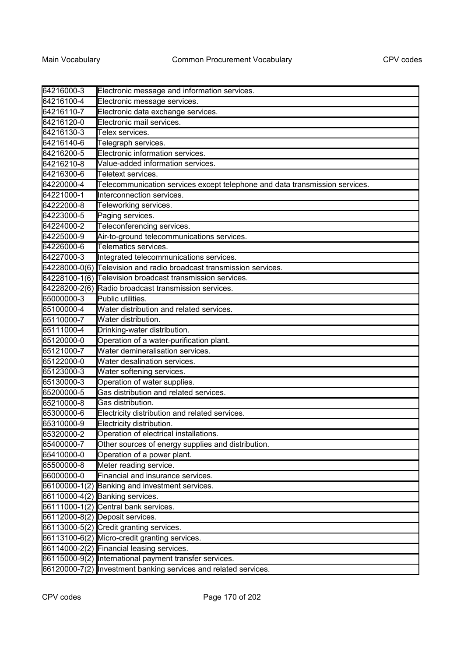| 64216000-3    | Electronic message and information services.                                |
|---------------|-----------------------------------------------------------------------------|
| 64216100-4    | Electronic message services.                                                |
| 64216110-7    | Electronic data exchange services.                                          |
| 64216120-0    | Electronic mail services.                                                   |
| 64216130-3    | Telex services.                                                             |
| 64216140-6    | Telegraph services.                                                         |
| 64216200-5    | Electronic information services.                                            |
| 64216210-8    | Value-added information services.                                           |
| 64216300-6    | Teletext services.                                                          |
| 64220000-4    | Telecommunication services except telephone and data transmission services. |
| 64221000-1    | Interconnection services.                                                   |
| 64222000-8    | Teleworking services.                                                       |
| 64223000-5    | Paging services.                                                            |
| 64224000-2    | Teleconferencing services.                                                  |
| 64225000-9    | Air-to-ground telecommunications services.                                  |
| 64226000-6    | Telematics services.                                                        |
| 64227000-3    | Integrated telecommunications services.                                     |
| 64228000-0(6) | Television and radio broadcast transmission services.                       |
| 64228100-1(6) | Television broadcast transmission services.                                 |
|               | 64228200-2(6) Radio broadcast transmission services.                        |
| 65000000-3    | Public utilities.                                                           |
| 65100000-4    | Water distribution and related services.                                    |
| 65110000-7    | Water distribution.                                                         |
| 65111000-4    | Drinking-water distribution.                                                |
| 65120000-0    | Operation of a water-purification plant.                                    |
| 65121000-7    | Water demineralisation services.                                            |
| 65122000-0    | Water desalination services.                                                |
| 65123000-3    | Water softening services.                                                   |
| 65130000-3    | Operation of water supplies.                                                |
| 65200000-5    | Gas distribution and related services.                                      |
| 65210000-8    | Gas distribution.                                                           |
| 65300000-6    | Electricity distribution and related services.                              |
| 65310000-9    | Electricity distribution.                                                   |
| 65320000-2    | Operation of electrical installations.                                      |
| 65400000-7    | Other sources of energy supplies and distribution.                          |
| 65410000-0    | Operation of a power plant.                                                 |
| 65500000-8    | Meter reading service.                                                      |
| 66000000-0    | Financial and insurance services.                                           |
|               | 66100000-1(2) Banking and investment services.                              |
|               | 66110000-4(2) Banking services.                                             |
|               | 66111000-1(2) Central bank services.                                        |
|               | 66112000-8(2) Deposit services.                                             |
|               | 66113000-5(2) Credit granting services.                                     |
|               | 66113100-6(2) Micro-credit granting services.                               |
|               | 66114000-2(2) Financial leasing services.                                   |
|               | 66115000-9(2) International payment transfer services.                      |
|               | 66120000-7(2) Investment banking services and related services.             |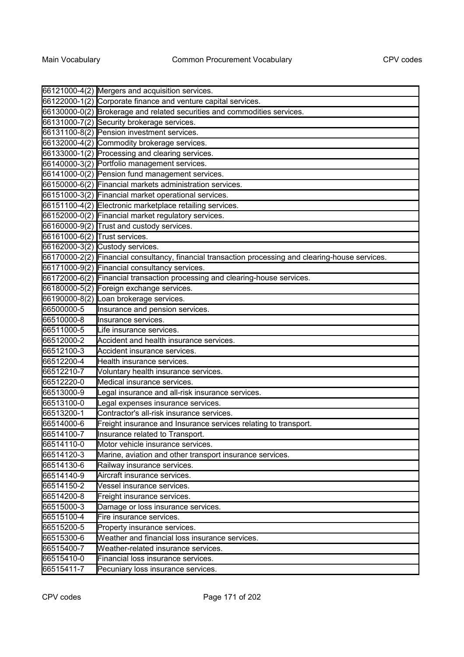|                               | 66121000-4(2) Mergers and acquisition services.                                                    |
|-------------------------------|----------------------------------------------------------------------------------------------------|
|                               | 66122000-1(2) Corporate finance and venture capital services.                                      |
|                               | 66130000-0(2) Brokerage and related securities and commodities services.                           |
|                               | 66131000-7(2) Security brokerage services.                                                         |
|                               | 66131100-8(2) Pension investment services.                                                         |
|                               | 66132000-4(2) Commodity brokerage services.                                                        |
|                               | 66133000-1(2) Processing and clearing services.                                                    |
|                               | 66140000-3(2) Portfolio management services.                                                       |
|                               | 66141000-0(2) Pension fund management services.                                                    |
|                               | 66150000-6(2) Financial markets administration services.                                           |
|                               | 66151000-3(2) Financial market operational services.                                               |
|                               | 66151100-4(2) Electronic marketplace retailing services.                                           |
|                               | 66152000-0(2) Financial market regulatory services.                                                |
|                               | 66160000-9(2) Trust and custody services.                                                          |
| 66161000-6(2) Trust services. |                                                                                                    |
|                               | 66162000-3(2) Custody services.                                                                    |
|                               | 66170000-2(2) Financial consultancy, financial transaction processing and clearing-house services. |
|                               | 66171000-9(2) Financial consultancy services.                                                      |
|                               | 66172000-6(2) Financial transaction processing and clearing-house services.                        |
|                               | 66180000-5(2) Foreign exchange services.                                                           |
|                               | 66190000-8(2) Loan brokerage services.                                                             |
| 66500000-5                    | Insurance and pension services.                                                                    |
| 66510000-8                    | Insurance services.                                                                                |
| 66511000-5                    | Life insurance services.                                                                           |
| 66512000-2                    | Accident and health insurance services.                                                            |
| 66512100-3                    | Accident insurance services.                                                                       |
| 66512200-4                    | Health insurance services.                                                                         |
| 66512210-7                    | Voluntary health insurance services.                                                               |
| 66512220-0                    | Medical insurance services.                                                                        |
| 66513000-9                    | Legal insurance and all-risk insurance services.                                                   |
| 66513100-0                    | Legal expenses insurance services.                                                                 |
| 66513200-1                    | Contractor's all-risk insurance services.                                                          |
| 66514000-6                    | Freight insurance and Insurance services relating to transport.                                    |
| 66514100-7                    | Insurance related to Transport.                                                                    |
| 66514110-0                    | Motor vehicle insurance services.                                                                  |
| 66514120-3                    | Marine, aviation and other transport insurance services.                                           |
| 66514130-6                    | Railway insurance services.                                                                        |
| 66514140-9                    | Aircraft insurance services.                                                                       |
| 66514150-2                    | Vessel insurance services.                                                                         |
| 66514200-8                    | Freight insurance services.                                                                        |
| 66515000-3                    | Damage or loss insurance services.                                                                 |
| 66515100-4                    | Fire insurance services.                                                                           |
| 66515200-5                    | Property insurance services.                                                                       |
| 66515300-6                    | Weather and financial loss insurance services.                                                     |
| 66515400-7                    | Weather-related insurance services.                                                                |
| 66515410-0                    | Financial loss insurance services.                                                                 |
| 66515411-7                    | Pecuniary loss insurance services.                                                                 |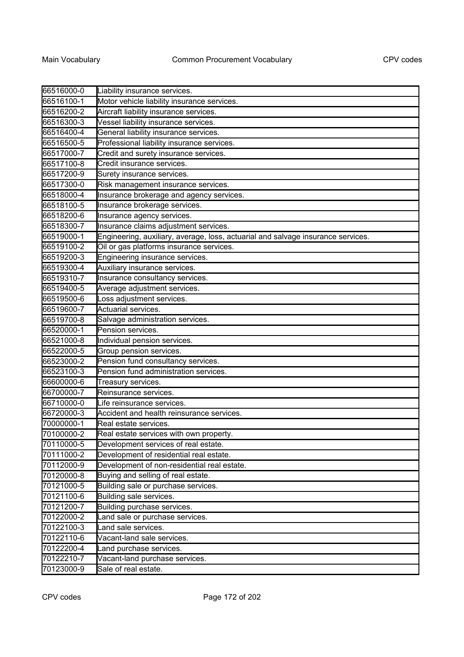| 66516000-0 | Liability insurance services.                                                    |
|------------|----------------------------------------------------------------------------------|
| 66516100-1 | Motor vehicle liability insurance services.                                      |
| 66516200-2 | Aircraft liability insurance services.                                           |
| 66516300-3 | Vessel liability insurance services.                                             |
| 66516400-4 | General liability insurance services.                                            |
| 66516500-5 | Professional liability insurance services.                                       |
| 66517000-7 | Credit and surety insurance services.                                            |
| 66517100-8 | Credit insurance services.                                                       |
| 66517200-9 | Surety insurance services.                                                       |
| 66517300-0 | Risk management insurance services.                                              |
| 66518000-4 | Insurance brokerage and agency services.                                         |
| 66518100-5 | Insurance brokerage services.                                                    |
| 66518200-6 | Insurance agency services.                                                       |
| 66518300-7 | Insurance claims adjustment services.                                            |
| 66519000-1 | Engineering, auxiliary, average, loss, actuarial and salvage insurance services. |
| 66519100-2 | Oil or gas platforms insurance services.                                         |
| 66519200-3 | Engineering insurance services.                                                  |
| 66519300-4 | Auxiliary insurance services.                                                    |
| 66519310-7 | Insurance consultancy services.                                                  |
| 66519400-5 | Average adjustment services.                                                     |
| 66519500-6 | Loss adjustment services.                                                        |
| 66519600-7 | Actuarial services.                                                              |
| 66519700-8 | Salvage administration services.                                                 |
| 66520000-1 | Pension services.                                                                |
| 66521000-8 | Individual pension services.                                                     |
| 66522000-5 | Group pension services.                                                          |
| 66523000-2 | Pension fund consultancy services.                                               |
| 66523100-3 | Pension fund administration services.                                            |
| 66600000-6 | Treasury services.                                                               |
| 66700000-7 | Reinsurance services.                                                            |
| 66710000-0 | Life reinsurance services.                                                       |
| 66720000-3 | Accident and health reinsurance services.                                        |
| 70000000-1 | Real estate services.                                                            |
| 70100000-2 | Real estate services with own property.                                          |
| 70110000-5 | Development services of real estate.                                             |
| 70111000-2 | Development of residential real estate.                                          |
| 70112000-9 | Development of non-residential real estate.                                      |
| 70120000-8 | Buying and selling of real estate.                                               |
| 70121000-5 | Building sale or purchase services.                                              |
| 70121100-6 | Building sale services.                                                          |
| 70121200-7 | Building purchase services.                                                      |
| 70122000-2 | Land sale or purchase services.                                                  |
| 70122100-3 | Land sale services.                                                              |
| 70122110-6 | Vacant-land sale services.                                                       |
| 70122200-4 | Land purchase services.                                                          |
| 70122210-7 | Vacant-land purchase services.                                                   |
| 70123000-9 | Sale of real estate.                                                             |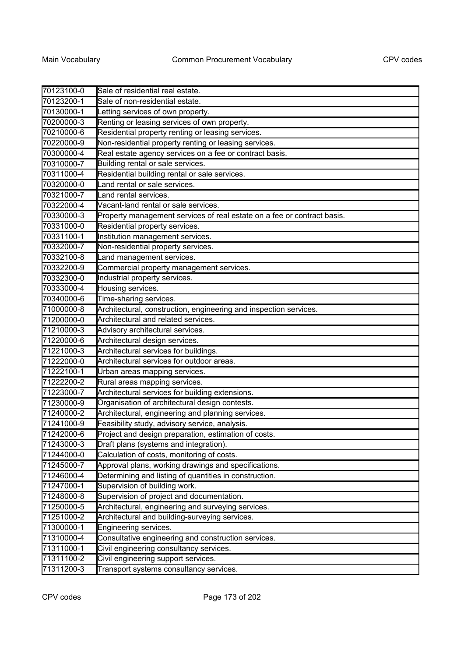| 70123100-0 | Sale of residential real estate.                                        |
|------------|-------------------------------------------------------------------------|
| 70123200-1 | Sale of non-residential estate.                                         |
| 70130000-1 | etting services of own property.                                        |
| 70200000-3 | Renting or leasing services of own property.                            |
| 70210000-6 | Residential property renting or leasing services.                       |
| 70220000-9 | Non-residential property renting or leasing services.                   |
| 70300000-4 | Real estate agency services on a fee or contract basis.                 |
| 70310000-7 | Building rental or sale services.                                       |
| 70311000-4 | Residential building rental or sale services.                           |
| 70320000-0 | Land rental or sale services.                                           |
| 70321000-7 | Land rental services.                                                   |
| 70322000-4 | Vacant-land rental or sale services.                                    |
| 70330000-3 | Property management services of real estate on a fee or contract basis. |
| 70331000-0 | Residential property services.                                          |
| 70331100-1 | Institution management services.                                        |
| 70332000-7 | Non-residential property services.                                      |
| 70332100-8 | Land management services.                                               |
| 70332200-9 | Commercial property management services.                                |
| 70332300-0 | Industrial property services.                                           |
| 70333000-4 | Housing services.                                                       |
| 70340000-6 | Time-sharing services.                                                  |
| 71000000-8 | Architectural, construction, engineering and inspection services.       |
| 71200000-0 | Architectural and related services.                                     |
| 71210000-3 | Advisory architectural services.                                        |
| 71220000-6 | Architectural design services.                                          |
| 71221000-3 | Architectural services for buildings.                                   |
| 71222000-0 | Architectural services for outdoor areas.                               |
| 71222100-1 | Urban areas mapping services.                                           |
| 71222200-2 | Rural areas mapping services.                                           |
| 71223000-7 | Architectural services for building extensions.                         |
| 71230000-9 | Organisation of architectural design contests.                          |
| 71240000-2 | Architectural, engineering and planning services.                       |
| 71241000-9 | Feasibility study, advisory service, analysis.                          |
| 71242000-6 | Project and design preparation, estimation of costs.                    |
| 71243000-3 | Draft plans (systems and integration).                                  |
| 71244000-0 | Calculation of costs, monitoring of costs.                              |
| 71245000-7 | Approval plans, working drawings and specifications.                    |
| 71246000-4 | Determining and listing of quantities in construction.                  |
| 71247000-1 | Supervision of building work.                                           |
| 71248000-8 | Supervision of project and documentation.                               |
| 71250000-5 | Architectural, engineering and surveying services.                      |
| 71251000-2 | Architectural and building-surveying services.                          |
| 71300000-1 | Engineering services.                                                   |
| 71310000-4 | Consultative engineering and construction services.                     |
| 71311000-1 | Civil engineering consultancy services.                                 |
| 71311100-2 | Civil engineering support services.                                     |
| 71311200-3 | Transport systems consultancy services.                                 |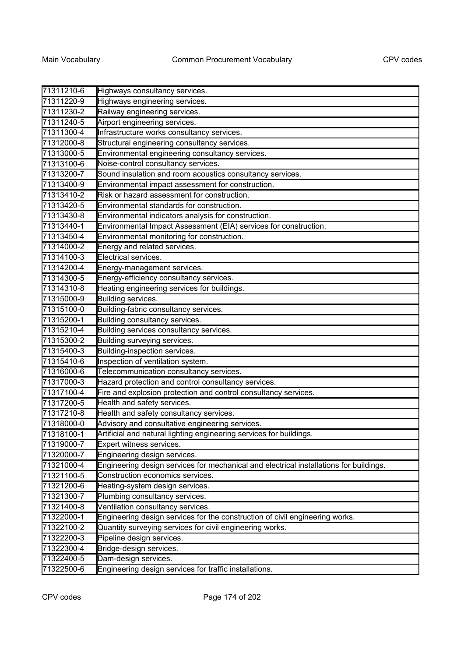| 71311210-6 | Highways consultancy services.                                                         |
|------------|----------------------------------------------------------------------------------------|
| 71311220-9 | Highways engineering services.                                                         |
| 71311230-2 | Railway engineering services.                                                          |
| 71311240-5 | Airport engineering services.                                                          |
| 71311300-4 | Infrastructure works consultancy services.                                             |
| 71312000-8 | Structural engineering consultancy services.                                           |
| 71313000-5 | Environmental engineering consultancy services.                                        |
| 71313100-6 | Noise-control consultancy services.                                                    |
| 71313200-7 | Sound insulation and room acoustics consultancy services.                              |
| 71313400-9 | Environmental impact assessment for construction.                                      |
| 71313410-2 | Risk or hazard assessment for construction.                                            |
| 71313420-5 | Environmental standards for construction.                                              |
| 71313430-8 | Environmental indicators analysis for construction.                                    |
| 71313440-1 | Environmental Impact Assessment (EIA) services for construction.                       |
| 71313450-4 | Environmental monitoring for construction.                                             |
| 71314000-2 | Energy and related services.                                                           |
| 71314100-3 | Electrical services.                                                                   |
| 71314200-4 | Energy-management services.                                                            |
| 71314300-5 | Energy-efficiency consultancy services.                                                |
| 71314310-8 | Heating engineering services for buildings.                                            |
| 71315000-9 | Building services.                                                                     |
| 71315100-0 | Building-fabric consultancy services.                                                  |
| 71315200-1 | Building consultancy services.                                                         |
| 71315210-4 | Building services consultancy services.                                                |
| 71315300-2 | Building surveying services.                                                           |
| 71315400-3 | Building-inspection services.                                                          |
| 71315410-6 | Inspection of ventilation system.                                                      |
| 71316000-6 | Telecommunication consultancy services.                                                |
| 71317000-3 | Hazard protection and control consultancy services.                                    |
| 71317100-4 | Fire and explosion protection and control consultancy services.                        |
| 71317200-5 | Health and safety services.                                                            |
| 71317210-8 | Health and safety consultancy services.                                                |
| 71318000-0 | Advisory and consultative engineering services.                                        |
| 71318100-1 | Artificial and natural lighting engineering services for buildings.                    |
| 71319000-7 | Expert witness services.                                                               |
| 71320000-7 | Engineering design services.                                                           |
| 71321000-4 | Engineering design services for mechanical and electrical installations for buildings. |
| 71321100-5 | Construction economics services.                                                       |
| 71321200-6 | Heating-system design services.                                                        |
| 71321300-7 | Plumbing consultancy services.                                                         |
| 71321400-8 | Ventilation consultancy services.                                                      |
| 71322000-1 | Engineering design services for the construction of civil engineering works.           |
| 71322100-2 | Quantity surveying services for civil engineering works.                               |
| 71322200-3 | Pipeline design services.                                                              |
| 71322300-4 | Bridge-design services.                                                                |
| 71322400-5 | Dam-design services.                                                                   |
| 71322500-6 | Engineering design services for traffic installations.                                 |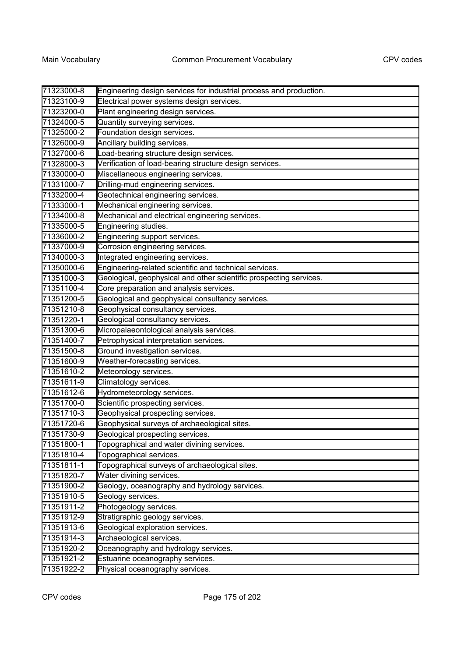| 71323000-8 | Engineering design services for industrial process and production. |
|------------|--------------------------------------------------------------------|
| 71323100-9 | Electrical power systems design services.                          |
| 71323200-0 | Plant engineering design services.                                 |
| 71324000-5 | Quantity surveying services.                                       |
| 71325000-2 | Foundation design services.                                        |
| 71326000-9 | Ancillary building services.                                       |
| 71327000-6 | Load-bearing structure design services.                            |
| 71328000-3 | Verification of load-bearing structure design services.            |
| 71330000-0 | Miscellaneous engineering services.                                |
| 71331000-7 | Drilling-mud engineering services.                                 |
| 71332000-4 | Geotechnical engineering services.                                 |
| 71333000-1 | Mechanical engineering services.                                   |
| 71334000-8 | Mechanical and electrical engineering services.                    |
| 71335000-5 | Engineering studies.                                               |
| 71336000-2 | Engineering support services.                                      |
| 71337000-9 | Corrosion engineering services.                                    |
| 71340000-3 | Integrated engineering services.                                   |
| 71350000-6 | Engineering-related scientific and technical services.             |
| 71351000-3 | Geological, geophysical and other scientific prospecting services. |
| 71351100-4 | Core preparation and analysis services.                            |
| 71351200-5 | Geological and geophysical consultancy services.                   |
| 71351210-8 | Geophysical consultancy services.                                  |
| 71351220-1 | Geological consultancy services.                                   |
| 71351300-6 | Micropalaeontological analysis services.                           |
| 71351400-7 | Petrophysical interpretation services.                             |
| 71351500-8 | Ground investigation services.                                     |
| 71351600-9 | Weather-forecasting services.                                      |
| 71351610-2 | Meteorology services.                                              |
| 71351611-9 | Climatology services.                                              |
| 71351612-6 | Hydrometeorology services.                                         |
| 71351700-0 | Scientific prospecting services.                                   |
| 71351710-3 | Geophysical prospecting services.                                  |
| 71351720-6 | Geophysical surveys of archaeological sites.                       |
| 71351730-9 | Geological prospecting services.                                   |
| 71351800-1 | Topographical and water divining services.                         |
| 71351810-4 | Topographical services.                                            |
| 71351811-1 | Topographical surveys of archaeological sites.                     |
| 71351820-7 | Water divining services.                                           |
| 71351900-2 | Geology, oceanography and hydrology services.                      |
| 71351910-5 | Geology services.                                                  |
| 71351911-2 | Photogeology services.                                             |
| 71351912-9 | Stratigraphic geology services.                                    |
| 71351913-6 | Geological exploration services.                                   |
| 71351914-3 | Archaeological services.                                           |
| 71351920-2 | Oceanography and hydrology services.                               |
| 71351921-2 | Estuarine oceanography services.                                   |
| 71351922-2 | Physical oceanography services.                                    |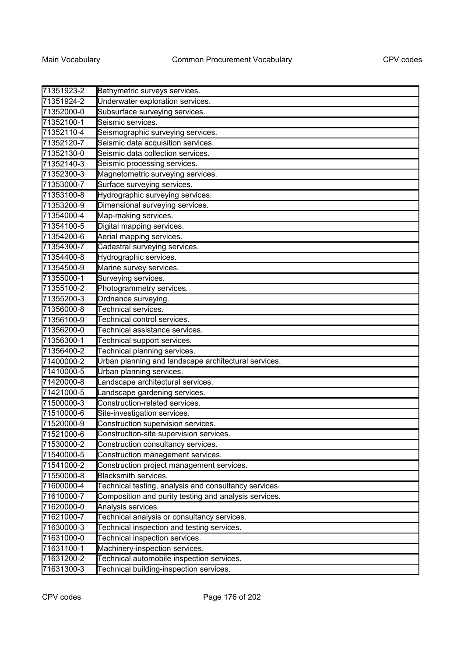| 71351923-2 | Bathymetric surveys services.                         |
|------------|-------------------------------------------------------|
| 71351924-2 | Underwater exploration services.                      |
| 71352000-0 | Subsurface surveying services.                        |
| 71352100-1 | Seismic services.                                     |
| 71352110-4 | Seismographic surveying services.                     |
| 71352120-7 | Seismic data acquisition services.                    |
| 71352130-0 | Seismic data collection services.                     |
| 71352140-3 | Seismic processing services.                          |
| 71352300-3 | Magnetometric surveying services.                     |
| 71353000-7 | Surface surveying services.                           |
| 71353100-8 | Hydrographic surveying services.                      |
| 71353200-9 | Dimensional surveying services.                       |
| 71354000-4 | Map-making services.                                  |
| 71354100-5 | Digital mapping services.                             |
| 71354200-6 | Aerial mapping services.                              |
| 71354300-7 | Cadastral surveying services.                         |
| 71354400-8 | Hydrographic services.                                |
| 71354500-9 | Marine survey services.                               |
| 71355000-1 | Surveying services.                                   |
| 71355100-2 | Photogrammetry services.                              |
| 71355200-3 | Ordnance surveying.                                   |
| 71356000-8 | Technical services.                                   |
| 71356100-9 | Technical control services.                           |
| 71356200-0 | Technical assistance services.                        |
| 71356300-1 | Technical support services.                           |
| 71356400-2 | Technical planning services.                          |
| 71400000-2 | Urban planning and landscape architectural services.  |
| 71410000-5 | Urban planning services.                              |
| 71420000-8 | Landscape architectural services.                     |
| 71421000-5 | Landscape gardening services.                         |
| 71500000-3 | Construction-related services.                        |
| 71510000-6 | Site-investigation services.                          |
| 71520000-9 | Construction supervision services.                    |
| 71521000-6 | Construction-site supervision services.               |
| 71530000-2 | Construction consultancy services.                    |
| 71540000-5 | Construction management services.                     |
| 71541000-2 | Construction project management services.             |
| 71550000-8 | Blacksmith services.                                  |
| 71600000-4 | Technical testing, analysis and consultancy services. |
| 71610000-7 | Composition and purity testing and analysis services. |
| 71620000-0 | Analysis services.                                    |
| 71621000-7 | Technical analysis or consultancy services.           |
| 71630000-3 | Technical inspection and testing services.            |
| 71631000-0 | Technical inspection services.                        |
| 71631100-1 | Machinery-inspection services.                        |
| 71631200-2 | Technical automobile inspection services.             |
| 71631300-3 | Technical building-inspection services.               |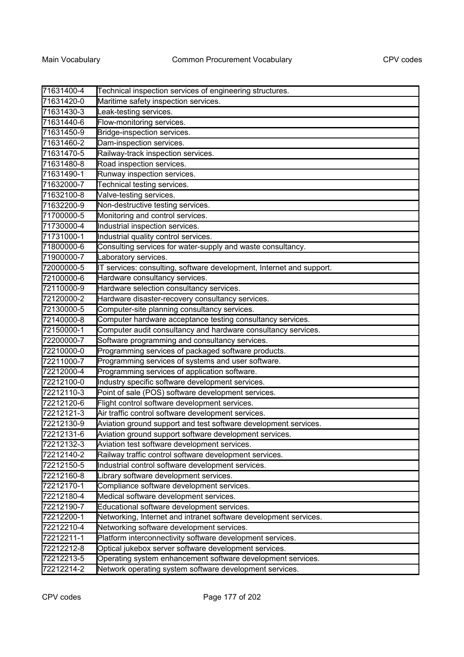| 71631400-4 | Technical inspection services of engineering structures.             |
|------------|----------------------------------------------------------------------|
| 71631420-0 | Maritime safety inspection services.                                 |
| 71631430-3 | Leak-testing services.                                               |
| 71631440-6 | Flow-monitoring services.                                            |
| 71631450-9 | Bridge-inspection services.                                          |
| 71631460-2 | Dam-inspection services.                                             |
| 71631470-5 | Railway-track inspection services.                                   |
| 71631480-8 | Road inspection services.                                            |
| 71631490-1 | Runway inspection services.                                          |
| 71632000-7 | Technical testing services.                                          |
| 71632100-8 | Valve-testing services.                                              |
| 71632200-9 | Non-destructive testing services.                                    |
| 71700000-5 | Monitoring and control services.                                     |
| 71730000-4 | Industrial inspection services.                                      |
| 71731000-1 | Industrial quality control services.                                 |
| 71800000-6 | Consulting services for water-supply and waste consultancy.          |
| 71900000-7 | Laboratory services.                                                 |
| 72000000-5 | IT services: consulting, software development, Internet and support. |
| 72100000-6 | Hardware consultancy services.                                       |
| 72110000-9 | Hardware selection consultancy services.                             |
| 72120000-2 | Hardware disaster-recovery consultancy services.                     |
| 72130000-5 | Computer-site planning consultancy services.                         |
| 72140000-8 | Computer hardware acceptance testing consultancy services.           |
| 72150000-1 | Computer audit consultancy and hardware consultancy services.        |
| 72200000-7 | Software programming and consultancy services.                       |
| 72210000-0 | Programming services of packaged software products.                  |
| 72211000-7 | Programming services of systems and user software.                   |
| 72212000-4 | Programming services of application software.                        |
| 72212100-0 | Industry specific software development services.                     |
| 72212110-3 | Point of sale (POS) software development services.                   |
| 72212120-6 | Flight control software development services.                        |
| 72212121-3 | Air traffic control software development services.                   |
| 72212130-9 | Aviation ground support and test software development services.      |
| 72212131-6 | Aviation ground support software development services.               |
| 72212132-3 | Aviation test software development services.                         |
| 72212140-2 | Railway traffic control software development services.               |
| 72212150-5 | Industrial control software development services.                    |
| 72212160-8 | Library software development services.                               |
| 72212170-1 | Compliance software development services.                            |
| 72212180-4 | Medical software development services.                               |
| 72212190-7 | Educational software development services.                           |
| 72212200-1 | Networking, Internet and intranet software development services.     |
| 72212210-4 | Networking software development services.                            |
| 72212211-1 | Platform interconnectivity software development services.            |
| 72212212-8 | Optical jukebox server software development services.                |
| 72212213-5 | Operating system enhancement software development services.          |
| 72212214-2 | Network operating system software development services.              |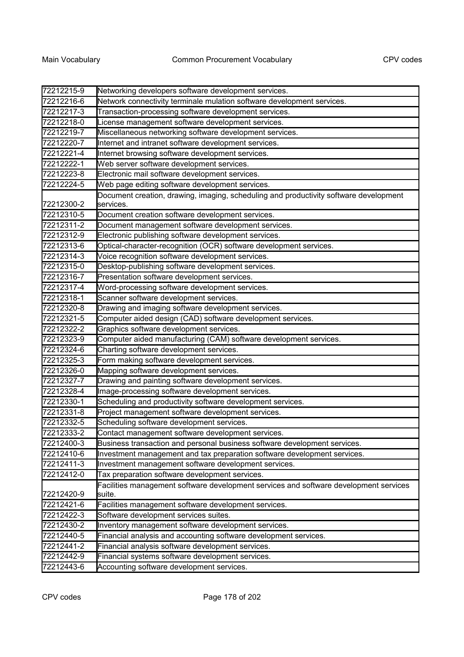| 72212215-9 | Networking developers software development services.                                               |
|------------|----------------------------------------------------------------------------------------------------|
| 72212216-6 | Network connectivity terminale mulation software development services.                             |
| 72212217-3 | Transaction-processing software development services.                                              |
| 72212218-0 | License management software development services.                                                  |
| 72212219-7 | Miscellaneous networking software development services.                                            |
| 72212220-7 | Internet and intranet software development services.                                               |
| 72212221-4 | Internet browsing software development services.                                                   |
| 72212222-1 | Web server software development services.                                                          |
| 72212223-8 | Electronic mail software development services.                                                     |
| 72212224-5 | Web page editing software development services.                                                    |
| 72212300-2 | Document creation, drawing, imaging, scheduling and productivity software development<br>services. |
| 72212310-5 | Document creation software development services.                                                   |
| 72212311-2 | Document management software development services.                                                 |
| 72212312-9 | Electronic publishing software development services.                                               |
| 72212313-6 | Optical-character-recognition (OCR) software development services.                                 |
| 72212314-3 | Voice recognition software development services.                                                   |
| 72212315-0 | Desktop-publishing software development services.                                                  |
| 72212316-7 | Presentation software development services.                                                        |
| 72212317-4 | Word-processing software development services.                                                     |
| 72212318-1 | Scanner software development services.                                                             |
| 72212320-8 | Drawing and imaging software development services.                                                 |
| 72212321-5 | Computer aided design (CAD) software development services.                                         |
| 72212322-2 | Graphics software development services.                                                            |
| 72212323-9 | Computer aided manufacturing (CAM) software development services.                                  |
| 72212324-6 | Charting software development services.                                                            |
| 72212325-3 | Form making software development services.                                                         |
| 72212326-0 | Mapping software development services.                                                             |
| 72212327-7 | Drawing and painting software development services.                                                |
| 72212328-4 | Image-processing software development services.                                                    |
| 72212330-1 | Scheduling and productivity software development services.                                         |
| 72212331-8 | Project management software development services.                                                  |
| 72212332-5 | Scheduling software development services.                                                          |
| 72212333-2 | Contact management software development services.                                                  |
| 72212400-3 | Business transaction and personal business software development services.                          |
| 72212410-6 | Investment management and tax preparation software development services.                           |
| 72212411-3 | Investment management software development services.                                               |
| 72212412-0 | Tax preparation software development services.                                                     |
|            | Facilities management software development services and software development services              |
| 72212420-9 | suite.                                                                                             |
| 72212421-6 | Facilities management software development services.                                               |
| 72212422-3 | Software development services suites.                                                              |
| 72212430-2 | Inventory management software development services.                                                |
| 72212440-5 | Financial analysis and accounting software development services.                                   |
| 72212441-2 | Financial analysis software development services.                                                  |
| 72212442-9 | Financial systems software development services.                                                   |
| 72212443-6 | Accounting software development services.                                                          |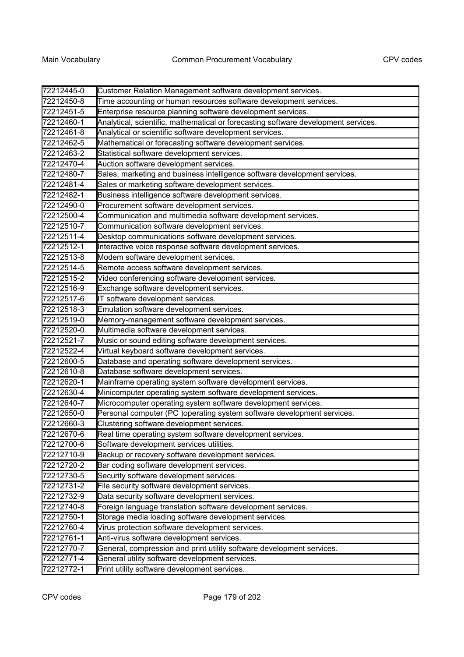| 72212445-0 | Customer Relation Management software development services.                        |
|------------|------------------------------------------------------------------------------------|
| 72212450-8 | Time accounting or human resources software development services.                  |
| 72212451-5 | Enterprise resource planning software development services.                        |
| 72212460-1 | Analytical, scientific, mathematical or forecasting software development services. |
| 72212461-8 | Analytical or scientific software development services.                            |
| 72212462-5 | Mathematical or forecasting software development services.                         |
| 72212463-2 | Statistical software development services.                                         |
| 72212470-4 | Auction software development services.                                             |
| 72212480-7 | Sales, marketing and business intelligence software development services.          |
| 72212481-4 | Sales or marketing software development services.                                  |
| 72212482-1 | Business intelligence software development services.                               |
| 72212490-0 | Procurement software development services.                                         |
| 72212500-4 | Communication and multimedia software development services.                        |
| 72212510-7 | Communication software development services.                                       |
| 72212511-4 | Desktop communications software development services.                              |
| 72212512-1 | Interactive voice response software development services.                          |
| 72212513-8 | Modem software development services.                                               |
| 72212514-5 | Remote access software development services.                                       |
| 72212515-2 | Video conferencing software development services.                                  |
| 72212516-9 | Exchange software development services.                                            |
| 72212517-6 | IT software development services.                                                  |
| 72212518-3 | Emulation software development services.                                           |
| 72212519-0 | Memory-management software development services.                                   |
| 72212520-0 | Multimedia software development services.                                          |
| 72212521-7 | Music or sound editing software development services.                              |
| 72212522-4 | Virtual keyboard software development services.                                    |
| 72212600-5 | Database and operating software development services.                              |
| 72212610-8 | Database software development services.                                            |
| 72212620-1 | Mainframe operating system software development services.                          |
| 72212630-4 | Minicomputer operating system software development services.                       |
| 72212640-7 | Microcomputer operating system software development services.                      |
| 72212650-0 | Personal computer (PC )operating system software development services.             |
| 72212660-3 | Clustering software development services.                                          |
| 72212670-6 | Real time operating system software development services.                          |
| 72212700-6 | Software development services utilities.                                           |
| 72212710-9 | Backup or recovery software development services.                                  |
| 72212720-2 | Bar coding software development services.                                          |
| 72212730-5 | Security software development services.                                            |
| 72212731-2 | File security software development services.                                       |
| 72212732-9 | Data security software development services.                                       |
| 72212740-8 | Foreign language translation software development services.                        |
| 72212750-1 | Storage media loading software development services.                               |
| 72212760-4 | Virus protection software development services.                                    |
| 72212761-1 | Anti-virus software development services.                                          |
| 72212770-7 | General, compression and print utility software development services.              |
| 72212771-4 | General utility software development services.                                     |
| 72212772-1 | Print utility software development services.                                       |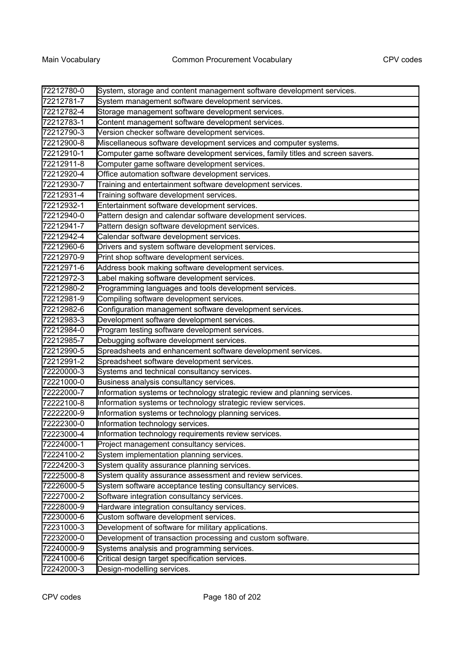| 72212780-0 | System, storage and content management software development services.         |
|------------|-------------------------------------------------------------------------------|
| 72212781-7 | System management software development services.                              |
| 72212782-4 | Storage management software development services.                             |
| 72212783-1 | Content management software development services.                             |
| 72212790-3 | Version checker software development services.                                |
| 72212900-8 | Miscellaneous software development services and computer systems.             |
| 72212910-1 | Computer game software development services, family titles and screen savers. |
| 72212911-8 | Computer game software development services.                                  |
| 72212920-4 | Office automation software development services.                              |
| 72212930-7 | Training and entertainment software development services.                     |
| 72212931-4 | Training software development services.                                       |
| 72212932-1 | Entertainment software development services.                                  |
| 72212940-0 | Pattern design and calendar software development services.                    |
| 72212941-7 | Pattern design software development services.                                 |
| 72212942-4 | Calendar software development services.                                       |
| 72212960-6 | Drivers and system software development services.                             |
| 72212970-9 | Print shop software development services.                                     |
| 72212971-6 | Address book making software development services.                            |
| 72212972-3 | Label making software development services.                                   |
| 72212980-2 | Programming languages and tools development services.                         |
| 72212981-9 | Compiling software development services.                                      |
| 72212982-6 | Configuration management software development services.                       |
| 72212983-3 | Development software development services.                                    |
| 72212984-0 | Program testing software development services.                                |
| 72212985-7 | Debugging software development services.                                      |
| 72212990-5 | Spreadsheets and enhancement software development services.                   |
| 72212991-2 | Spreadsheet software development services.                                    |
| 72220000-3 | Systems and technical consultancy services.                                   |
| 72221000-0 | Business analysis consultancy services.                                       |
| 72222000-7 | Information systems or technology strategic review and planning services.     |
| 72222100-8 | Information systems or technology strategic review services.                  |
| 72222200-9 | Information systems or technology planning services.                          |
| 72222300-0 | Information technology services.                                              |
| 72223000-4 | Information technology requirements review services.                          |
| 72224000-1 | Project management consultancy services.                                      |
| 72224100-2 | System implementation planning services.                                      |
| 72224200-3 | System quality assurance planning services.                                   |
| 72225000-8 | System quality assurance assessment and review services.                      |
| 72226000-5 | System software acceptance testing consultancy services.                      |
| 72227000-2 | Software integration consultancy services.                                    |
| 72228000-9 | Hardware integration consultancy services.                                    |
| 72230000-6 | Custom software development services.                                         |
| 72231000-3 | Development of software for military applications.                            |
| 72232000-0 | Development of transaction processing and custom software.                    |
| 72240000-9 | Systems analysis and programming services.                                    |
| 72241000-6 | Critical design target specification services.                                |
| 72242000-3 | Design-modelling services.                                                    |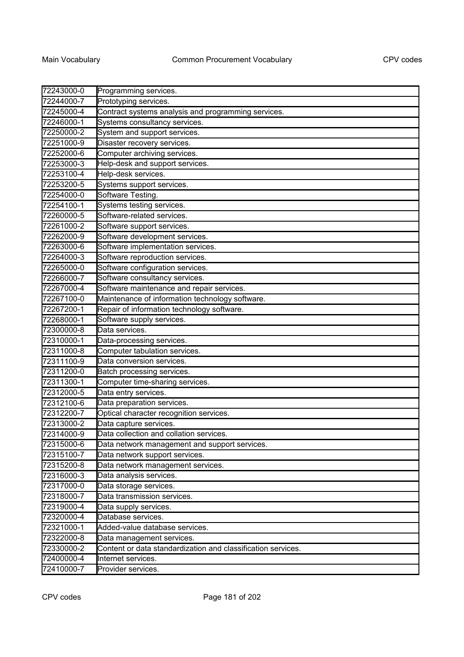| 72243000-0 | Programming services.                                        |
|------------|--------------------------------------------------------------|
| 72244000-7 | Prototyping services.                                        |
| 72245000-4 | Contract systems analysis and programming services.          |
| 72246000-1 | Systems consultancy services.                                |
| 72250000-2 | System and support services.                                 |
| 72251000-9 | Disaster recovery services.                                  |
| 72252000-6 | Computer archiving services.                                 |
| 72253000-3 | Help-desk and support services.                              |
| 72253100-4 | Help-desk services.                                          |
| 72253200-5 | Systems support services.                                    |
| 72254000-0 | Software Testing.                                            |
| 72254100-1 | Systems testing services.                                    |
| 72260000-5 | Software-related services.                                   |
| 72261000-2 | Software support services.                                   |
| 72262000-9 | Software development services.                               |
| 72263000-6 | Software implementation services.                            |
| 72264000-3 | Software reproduction services.                              |
| 72265000-0 | Software configuration services.                             |
| 72266000-7 | Software consultancy services.                               |
| 72267000-4 | Software maintenance and repair services.                    |
| 72267100-0 | Maintenance of information technology software.              |
| 72267200-1 | Repair of information technology software.                   |
| 72268000-1 | Software supply services.                                    |
| 72300000-8 | Data services.                                               |
| 72310000-1 | Data-processing services.                                    |
| 72311000-8 | Computer tabulation services.                                |
| 72311100-9 | Data conversion services.                                    |
| 72311200-0 | Batch processing services.                                   |
| 72311300-1 | Computer time-sharing services.                              |
| 72312000-5 | Data entry services.                                         |
| 72312100-6 | Data preparation services.                                   |
| 72312200-7 | Optical character recognition services.                      |
| 72313000-2 | Data capture services.                                       |
| 72314000-9 | Data collection and collation services.                      |
| 72315000-6 | Data network management and support services.                |
| 72315100-7 | Data network support services.                               |
| 72315200-8 | Data network management services.                            |
| 72316000-3 | Data analysis services.                                      |
| 72317000-0 | Data storage services.                                       |
| 72318000-7 | Data transmission services.                                  |
| 72319000-4 | Data supply services.                                        |
| 72320000-4 | Database services.                                           |
| 72321000-1 | Added-value database services.                               |
| 72322000-8 | Data management services.                                    |
| 72330000-2 | Content or data standardization and classification services. |
| 72400000-4 | Internet services.                                           |
| 72410000-7 | Provider services.                                           |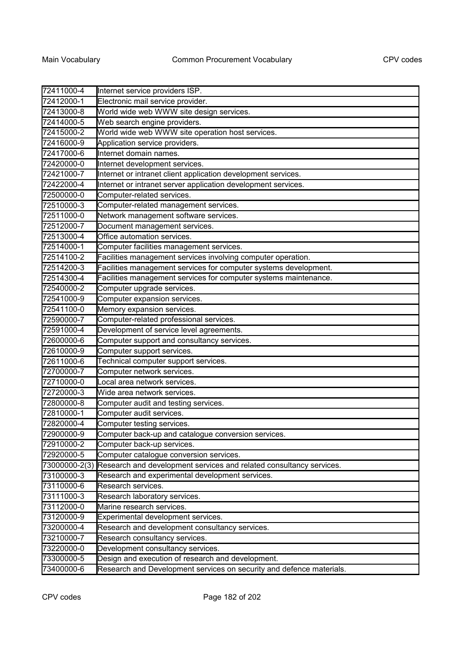| 72411000-4               | Internet service providers ISP.                                      |
|--------------------------|----------------------------------------------------------------------|
| 72412000-1               | Electronic mail service provider.                                    |
| 72413000-8               | World wide web WWW site design services.                             |
| 72414000-5               | Web search engine providers.                                         |
| 72415000-2               | World wide web WWW site operation host services.                     |
| 72416000-9               | Application service providers.                                       |
| 72417000-6               | Internet domain names.                                               |
| 72420000-0               | Internet development services.                                       |
| 72421000-7               | Internet or intranet client application development services.        |
| 72422000-4               | Internet or intranet server application development services.        |
| 72500000-0               | Computer-related services.                                           |
| 72510000-3               | Computer-related management services.                                |
| 72511000-0               | Network management software services.                                |
| 72512000-7               | Document management services.                                        |
| 72513000-4               | Office automation services.                                          |
| 72514000-1               | Computer facilities management services.                             |
| 72514100-2               | Facilities management services involving computer operation.         |
| 72514200-3               | Facilities management services for computer systems development.     |
| 72514300-4               | Facilities management services for computer systems maintenance.     |
| 72540000-2               | Computer upgrade services.                                           |
| 72541000-9               | Computer expansion services.                                         |
| 72541100-0               | Memory expansion services.                                           |
| 72590000-7               | Computer-related professional services.                              |
| 72591000-4               | Development of service level agreements.                             |
| 72600000-6               | Computer support and consultancy services.                           |
| 72610000-9               | Computer support services.                                           |
| 72611000-6               | Technical computer support services.                                 |
| 72700000-7               | Computer network services.                                           |
| 72710000-0               | Local area network services.                                         |
| 72720000-3               | Wide area network services.                                          |
| 72800000-8               | Computer audit and testing services.                                 |
| 72810000-1               | Computer audit services.                                             |
| 72820000-4               | Computer testing services.                                           |
| 72900000-9               | Computer back-up and catalogue conversion services.                  |
| 72910000-2               | Computer back-up services.                                           |
| 72920000-5               | Computer catalogue conversion services.                              |
| 73000000-2(3)            | Research and development services and related consultancy services.  |
| 73100000-3               | Research and experimental development services.                      |
| 73110000-6               | Research services.                                                   |
| 73111000-3               | Research laboratory services.                                        |
| 73112000-0<br>73120000-9 | Marine research services.                                            |
|                          | Experimental development services.                                   |
| 73200000-4               | Research and development consultancy services.                       |
| 73210000-7               | Research consultancy services.                                       |
| 73220000-0               | Development consultancy services.                                    |
| 73300000-5               | Design and execution of research and development.                    |
| 73400000-6               | Research and Development services on security and defence materials. |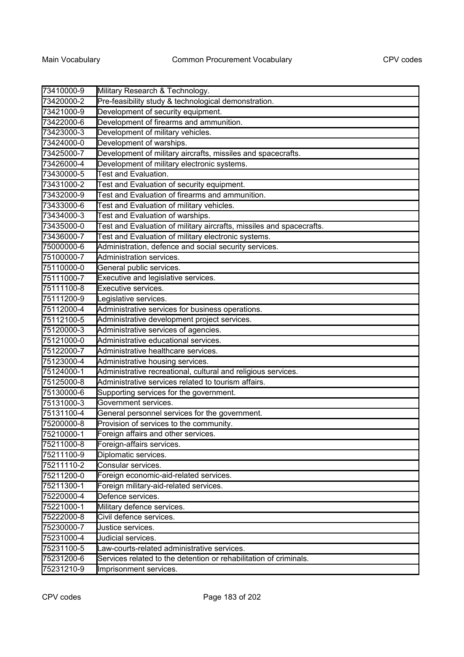| 73410000-9 | Military Research & Technology.                                      |
|------------|----------------------------------------------------------------------|
| 73420000-2 | Pre-feasibility study & technological demonstration.                 |
| 73421000-9 | Development of security equipment.                                   |
| 73422000-6 | Development of firearms and ammunition.                              |
| 73423000-3 | Development of military vehicles.                                    |
| 73424000-0 | Development of warships.                                             |
| 73425000-7 | Development of military aircrafts, missiles and spacecrafts.         |
| 73426000-4 | Development of military electronic systems.                          |
| 73430000-5 | <b>Test and Evaluation.</b>                                          |
| 73431000-2 | Test and Evaluation of security equipment.                           |
| 73432000-9 | Test and Evaluation of firearms and ammunition.                      |
| 73433000-6 | Test and Evaluation of military vehicles.                            |
| 73434000-3 | Test and Evaluation of warships.                                     |
| 73435000-0 | Test and Evaluation of military aircrafts, missiles and spacecrafts. |
| 73436000-7 | Test and Evaluation of military electronic systems.                  |
| 75000000-6 | Administration, defence and social security services.                |
| 75100000-7 | Administration services.                                             |
| 75110000-0 | General public services.                                             |
| 75111000-7 | Executive and legislative services.                                  |
| 75111100-8 | Executive services.                                                  |
| 75111200-9 | Legislative services.                                                |
| 75112000-4 | Administrative services for business operations.                     |
| 75112100-5 | Administrative development project services.                         |
| 75120000-3 | Administrative services of agencies.                                 |
| 75121000-0 | Administrative educational services.                                 |
| 75122000-7 | Administrative healthcare services.                                  |
| 75123000-4 | Administrative housing services.                                     |
| 75124000-1 | Administrative recreational, cultural and religious services.        |
| 75125000-8 | Administrative services related to tourism affairs.                  |
| 75130000-6 | Supporting services for the government.                              |
| 75131000-3 | Government services.                                                 |
| 75131100-4 | General personnel services for the government.                       |
| 75200000-8 | Provision of services to the community.                              |
| 75210000-1 | Foreign affairs and other services.                                  |
| 75211000-8 | Foreign-affairs services.                                            |
| 75211100-9 | Diplomatic services.                                                 |
| 75211110-2 | Consular services.                                                   |
| 75211200-0 | Foreign economic-aid-related services.                               |
| 75211300-1 | Foreign military-aid-related services.                               |
| 75220000-4 | Defence services.                                                    |
| 75221000-1 | Military defence services.                                           |
| 75222000-8 | Civil defence services.                                              |
| 75230000-7 | Justice services.                                                    |
| 75231000-4 | Judicial services.                                                   |
| 75231100-5 | Law-courts-related administrative services.                          |
| 75231200-6 | Services related to the detention or rehabilitation of criminals.    |
| 75231210-9 | Imprisonment services.                                               |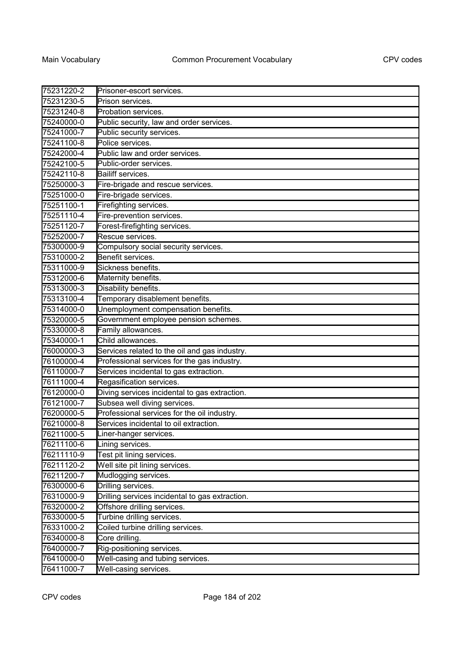| 75231220-2 | Prisoner-escort services.                       |
|------------|-------------------------------------------------|
| 75231230-5 | Prison services.                                |
| 75231240-8 | Probation services.                             |
| 75240000-0 | Public security, law and order services.        |
| 75241000-7 | Public security services.                       |
| 75241100-8 | Police services.                                |
| 75242000-4 | Public law and order services.                  |
| 75242100-5 | Public-order services.                          |
| 75242110-8 | Bailiff services.                               |
| 75250000-3 | Fire-brigade and rescue services.               |
| 75251000-0 | Fire-brigade services.                          |
| 75251100-1 | Firefighting services.                          |
| 75251110-4 | Fire-prevention services.                       |
| 75251120-7 | Forest-firefighting services.                   |
| 75252000-7 | Rescue services.                                |
| 75300000-9 | Compulsory social security services.            |
| 75310000-2 | Benefit services.                               |
| 75311000-9 | Sickness benefits.                              |
| 75312000-6 | Maternity benefits.                             |
| 75313000-3 | Disability benefits.                            |
| 75313100-4 | Temporary disablement benefits.                 |
| 75314000-0 | Unemployment compensation benefits.             |
| 75320000-5 | Government employee pension schemes.            |
| 75330000-8 | Family allowances.                              |
| 75340000-1 | Child allowances.                               |
| 76000000-3 | Services related to the oil and gas industry.   |
| 76100000-4 | Professional services for the gas industry.     |
| 76110000-7 | Services incidental to gas extraction.          |
| 76111000-4 | Regasification services.                        |
| 76120000-0 | Diving services incidental to gas extraction.   |
| 76121000-7 | Subsea well diving services.                    |
| 76200000-5 | Professional services for the oil industry.     |
| 76210000-8 | Services incidental to oil extraction.          |
| 76211000-5 | Liner-hanger services.                          |
| 76211100-6 | Lining services.                                |
| 76211110-9 | Test pit lining services.                       |
| 76211120-2 | Well site pit lining services.                  |
| 76211200-7 | Mudlogging services.                            |
| 76300000-6 | Drilling services.                              |
| 76310000-9 | Drilling services incidental to gas extraction. |
| 76320000-2 | Offshore drilling services.                     |
| 76330000-5 | Turbine drilling services.                      |
| 76331000-2 | Coiled turbine drilling services.               |
| 76340000-8 | Core drilling.                                  |
| 76400000-7 | Rig-positioning services.                       |
| 76410000-0 | Well-casing and tubing services.                |
| 76411000-7 | Well-casing services.                           |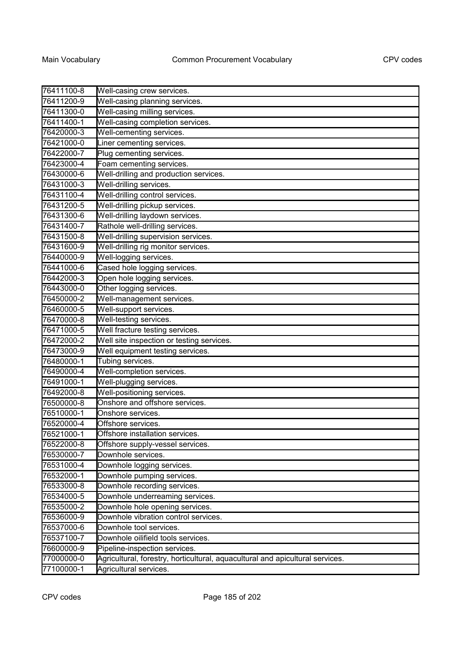| 76411100-8 | Well-casing crew services.                                                    |
|------------|-------------------------------------------------------------------------------|
| 76411200-9 | Well-casing planning services.                                                |
| 76411300-0 | Well-casing milling services.                                                 |
| 76411400-1 | Well-casing completion services.                                              |
| 76420000-3 | Well-cementing services.                                                      |
| 76421000-0 | Liner cementing services.                                                     |
| 76422000-7 | Plug cementing services.                                                      |
| 76423000-4 | Foam cementing services.                                                      |
| 76430000-6 | Well-drilling and production services.                                        |
| 76431000-3 | Well-drilling services.                                                       |
| 76431100-4 | Well-drilling control services.                                               |
| 76431200-5 | Well-drilling pickup services.                                                |
| 76431300-6 | Well-drilling laydown services.                                               |
| 76431400-7 | Rathole well-drilling services.                                               |
| 76431500-8 | Well-drilling supervision services.                                           |
| 76431600-9 | Well-drilling rig monitor services.                                           |
| 76440000-9 | Well-logging services.                                                        |
| 76441000-6 | Cased hole logging services.                                                  |
| 76442000-3 | Open hole logging services.                                                   |
| 76443000-0 | Other logging services.                                                       |
| 76450000-2 | Well-management services.                                                     |
| 76460000-5 | Well-support services.                                                        |
| 76470000-8 | Well-testing services.                                                        |
| 76471000-5 | Well fracture testing services.                                               |
| 76472000-2 | Well site inspection or testing services.                                     |
| 76473000-9 | Well equipment testing services.                                              |
| 76480000-1 | Tubing services.                                                              |
| 76490000-4 | Well-completion services.                                                     |
| 76491000-1 | Well-plugging services.                                                       |
| 76492000-8 | Well-positioning services.                                                    |
| 76500000-8 | Onshore and offshore services.                                                |
| 76510000-1 | Onshore services.                                                             |
| 76520000-4 | Offshore services.                                                            |
| 76521000-1 | Offshore installation services.                                               |
| 76522000-8 | Offshore supply-vessel services.                                              |
| 76530000-7 | Downhole services.                                                            |
| 76531000-4 | Downhole logging services.                                                    |
| 76532000-1 | Downhole pumping services.                                                    |
| 76533000-8 | Downhole recording services.                                                  |
| 76534000-5 | Downhole underreaming services.                                               |
| 76535000-2 | Downhole hole opening services.                                               |
| 76536000-9 | Downhole vibration control services.                                          |
| 76537000-6 | Downhole tool services.                                                       |
| 76537100-7 | Downhole oilifield tools services.                                            |
| 76600000-9 | Pipeline-inspection services.                                                 |
| 77000000-0 | Agricultural, forestry, horticultural, aquacultural and apicultural services. |
| 77100000-1 | Agricultural services.                                                        |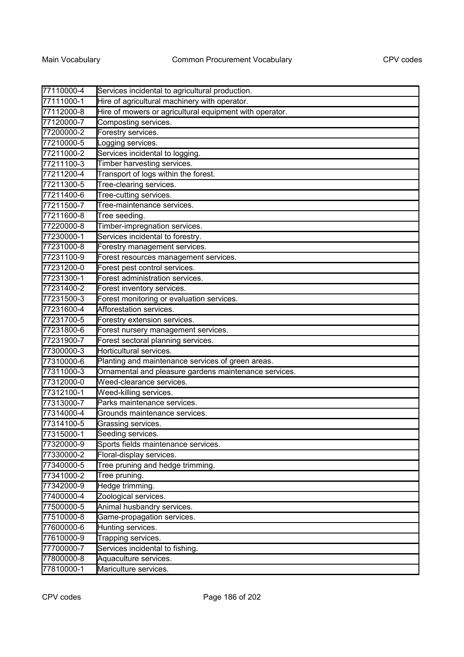| 77110000-4 | Services incidental to agricultural production.         |
|------------|---------------------------------------------------------|
| 77111000-1 | Hire of agricultural machinery with operator.           |
| 77112000-8 | Hire of mowers or agricultural equipment with operator. |
| 77120000-7 | Composting services.                                    |
| 77200000-2 | Forestry services.                                      |
| 77210000-5 | Logging services.                                       |
| 77211000-2 | Services incidental to logging.                         |
| 77211100-3 | Timber harvesting services.                             |
| 77211200-4 | Transport of logs within the forest.                    |
| 77211300-5 | Tree-clearing services.                                 |
| 77211400-6 | Tree-cutting services.                                  |
| 77211500-7 | Tree-maintenance services.                              |
| 77211600-8 | Tree seeding.                                           |
| 77220000-8 | Timber-impregnation services.                           |
| 77230000-1 | Services incidental to forestry.                        |
| 77231000-8 | Forestry management services.                           |
| 77231100-9 | Forest resources management services.                   |
| 77231200-0 | Forest pest control services.                           |
| 77231300-1 | Forest administration services.                         |
| 77231400-2 | Forest inventory services.                              |
| 77231500-3 | Forest monitoring or evaluation services.               |
| 77231600-4 | Afforestation services.                                 |
| 77231700-5 | Forestry extension services.                            |
| 77231800-6 | Forest nursery management services.                     |
| 77231900-7 | Forest sectoral planning services.                      |
| 77300000-3 | Horticultural services.                                 |
| 77310000-6 | Planting and maintenance services of green areas.       |
| 77311000-3 | Ornamental and pleasure gardens maintenance services.   |
| 77312000-0 | Weed-clearance services.                                |
| 77312100-1 | Weed-killing services.                                  |
| 77313000-7 | Parks maintenance services.                             |
| 77314000-4 | Grounds maintenance services.                           |
| 77314100-5 | Grassing services.                                      |
| 77315000-1 | Seeding services.                                       |
| 77320000-9 | Sports fields maintenance services.                     |
| 77330000-2 | Floral-display services.                                |
| 77340000-5 | Tree pruning and hedge trimming.                        |
| 77341000-2 | Tree pruning.                                           |
| 77342000-9 | Hedge trimming.                                         |
| 77400000-4 | Zoological services.                                    |
| 77500000-5 | Animal husbandry services.                              |
| 77510000-8 | Game-propagation services.                              |
| 77600000-6 | Hunting services.                                       |
| 77610000-9 | Trapping services.                                      |
| 77700000-7 | Services incidental to fishing.                         |
| 77800000-8 | Aquaculture services.                                   |
| 77810000-1 | Mariculture services.                                   |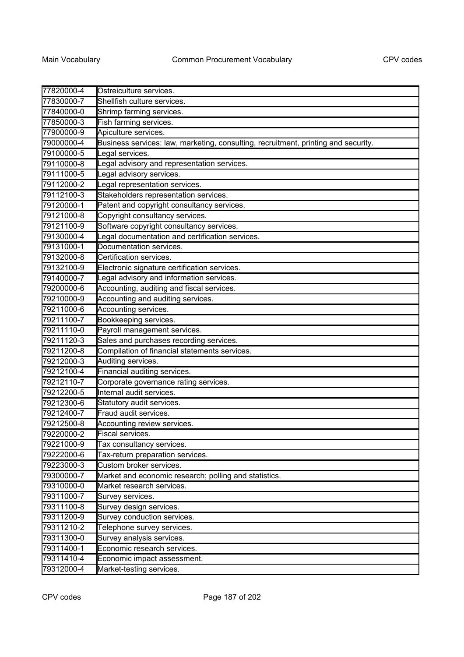| 77820000-4 | Ostreiculture services.                                                            |
|------------|------------------------------------------------------------------------------------|
| 77830000-7 | Shellfish culture services.                                                        |
| 77840000-0 | Shrimp farming services.                                                           |
| 77850000-3 | Fish farming services.                                                             |
| 77900000-9 | Apiculture services.                                                               |
| 79000000-4 | Business services: law, marketing, consulting, recruitment, printing and security. |
| 79100000-5 | Legal services.                                                                    |
| 79110000-8 | Legal advisory and representation services.                                        |
| 79111000-5 | Legal advisory services.                                                           |
| 79112000-2 | Legal representation services.                                                     |
| 79112100-3 | Stakeholders representation services.                                              |
| 79120000-1 | Patent and copyright consultancy services.                                         |
| 79121000-8 | Copyright consultancy services.                                                    |
| 79121100-9 | Software copyright consultancy services.                                           |
| 79130000-4 | Legal documentation and certification services.                                    |
| 79131000-1 | Documentation services.                                                            |
| 79132000-8 | Certification services.                                                            |
| 79132100-9 | Electronic signature certification services.                                       |
| 79140000-7 | Legal advisory and information services.                                           |
| 79200000-6 | Accounting, auditing and fiscal services.                                          |
| 79210000-9 | Accounting and auditing services.                                                  |
| 79211000-6 | Accounting services.                                                               |
| 79211100-7 | Bookkeeping services.                                                              |
| 79211110-0 | Payroll management services.                                                       |
| 79211120-3 | Sales and purchases recording services.                                            |
| 79211200-8 | Compilation of financial statements services.                                      |
| 79212000-3 | Auditing services.                                                                 |
| 79212100-4 | Financial auditing services.                                                       |
| 79212110-7 | Corporate governance rating services.                                              |
| 79212200-5 | Internal audit services.                                                           |
| 79212300-6 | Statutory audit services.                                                          |
| 79212400-7 | Fraud audit services.                                                              |
| 79212500-8 | Accounting review services.                                                        |
| 79220000-2 | Fiscal services.                                                                   |
| 79221000-9 | Tax consultancy services.                                                          |
| 79222000-6 | Tax-return preparation services.                                                   |
| 79223000-3 | Custom broker services.                                                            |
| 79300000-7 | Market and economic research; polling and statistics.                              |
| 79310000-0 | Market research services.                                                          |
| 79311000-7 | Survey services.                                                                   |
| 79311100-8 | Survey design services.                                                            |
| 79311200-9 | Survey conduction services.                                                        |
| 79311210-2 | Telephone survey services.                                                         |
| 79311300-0 | Survey analysis services.                                                          |
| 79311400-1 | Economic research services.                                                        |
| 79311410-4 | Economic impact assessment.                                                        |
| 79312000-4 | Market-testing services.                                                           |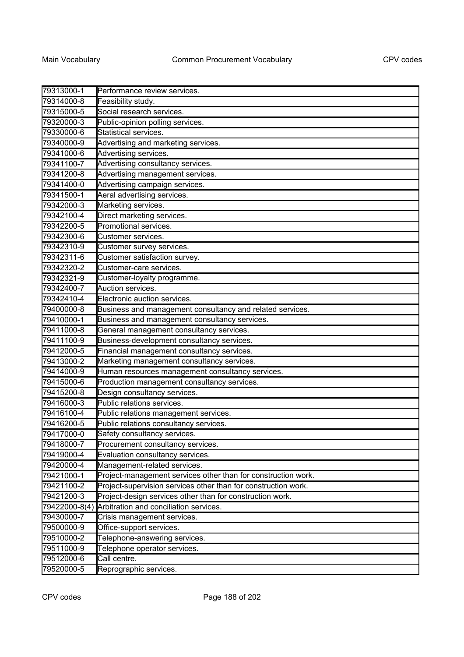| 79313000-1    | Performance review services.                                   |
|---------------|----------------------------------------------------------------|
| 79314000-8    | Feasibility study.                                             |
| 79315000-5    | Social research services.                                      |
| 79320000-3    | Public-opinion polling services.                               |
| 79330000-6    | Statistical services.                                          |
| 79340000-9    | Advertising and marketing services.                            |
| 79341000-6    | Advertising services.                                          |
| 79341100-7    | Advertising consultancy services.                              |
| 79341200-8    | Advertising management services.                               |
| 79341400-0    | Advertising campaign services.                                 |
| 79341500-1    | Aeral advertising services.                                    |
| 79342000-3    | Marketing services.                                            |
| 79342100-4    | Direct marketing services.                                     |
| 79342200-5    | Promotional services.                                          |
| 79342300-6    | Customer services.                                             |
| 79342310-9    | Customer survey services.                                      |
| 79342311-6    | Customer satisfaction survey.                                  |
| 79342320-2    | Customer-care services.                                        |
| 79342321-9    | Customer-loyalty programme.                                    |
| 79342400-7    | Auction services.                                              |
| 79342410-4    | Electronic auction services.                                   |
| 79400000-8    | Business and management consultancy and related services.      |
| 79410000-1    | Business and management consultancy services.                  |
| 79411000-8    | General management consultancy services.                       |
| 79411100-9    | Business-development consultancy services.                     |
| 79412000-5    | Financial management consultancy services.                     |
| 79413000-2    | Marketing management consultancy services.                     |
| 79414000-9    | Human resources management consultancy services.               |
| 79415000-6    | Production management consultancy services.                    |
| 79415200-8    | Design consultancy services.                                   |
| 79416000-3    | Public relations services.                                     |
| 79416100-4    | Public relations management services.                          |
| 79416200-5    | Public relations consultancy services.                         |
| 79417000-0    | Safety consultancy services                                    |
| 79418000-7    | Procurement consultancy services.                              |
| 79419000-4    | Evaluation consultancy services.                               |
| 79420000-4    | Management-related services.                                   |
| 79421000-1    | Project-management services other than for construction work.  |
| 79421100-2    | Project-supervision services other than for construction work. |
| 79421200-3    | Project-design services other than for construction work.      |
| 79422000-8(4) | Arbitration and conciliation services.                         |
| 79430000-7    | Crisis management services.                                    |
| 79500000-9    | Office-support services.                                       |
| 79510000-2    | Telephone-answering services.                                  |
| 79511000-9    | Telephone operator services.                                   |
| 79512000-6    | Call centre.                                                   |
| 79520000-5    | Reprographic services.                                         |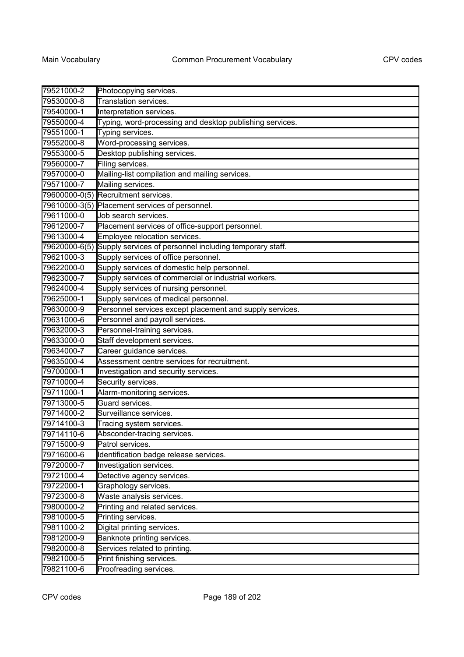| 79521000-2    | Photocopying services.                                   |
|---------------|----------------------------------------------------------|
| 79530000-8    | Translation services.                                    |
| 79540000-1    | Interpretation services.                                 |
| 79550000-4    | Typing, word-processing and desktop publishing services. |
| 79551000-1    | Typing services.                                         |
| 79552000-8    | Word-processing services.                                |
| 79553000-5    | Desktop publishing services.                             |
| 79560000-7    | Filing services.                                         |
| 79570000-0    | Mailing-list compilation and mailing services.           |
| 79571000-7    | Mailing services.                                        |
| 79600000-0(5) | Recruitment services.                                    |
| 79610000-3(5) | Placement services of personnel.                         |
| 79611000-0    | Job search services.                                     |
| 79612000-7    | Placement services of office-support personnel.          |
| 79613000-4    | Employee relocation services.                            |
| 79620000-6(5) | Supply services of personnel including temporary staff.  |
| 79621000-3    | Supply services of office personnel.                     |
| 79622000-0    | Supply services of domestic help personnel.              |
| 79623000-7    | Supply services of commercial or industrial workers.     |
| 79624000-4    | Supply services of nursing personnel.                    |
| 79625000-1    | Supply services of medical personnel.                    |
| 79630000-9    | Personnel services except placement and supply services. |
| 79631000-6    | Personnel and payroll services.                          |
| 79632000-3    | Personnel-training services.                             |
| 79633000-0    | Staff development services.                              |
| 79634000-7    | Career guidance services.                                |
| 79635000-4    | Assessment centre services for recruitment.              |
| 79700000-1    | Investigation and security services.                     |
| 79710000-4    | Security services.                                       |
| 79711000-1    | Alarm-monitoring services.                               |
| 79713000-5    | Guard services.                                          |
| 79714000-2    | Surveillance services.                                   |
| 79714100-3    | Tracing system services.                                 |
| 79714110-6    | Absconder-tracing services.                              |
| 79715000-9    | Patrol services.                                         |
| 79716000-6    | Identification badge release services.                   |
| 79720000-7    | Investigation services.                                  |
| 79721000-4    | Detective agency services.                               |
| 79722000-1    | Graphology services.                                     |
| 79723000-8    | Waste analysis services.                                 |
| 79800000-2    | Printing and related services.                           |
| 79810000-5    | Printing services.                                       |
| 79811000-2    | Digital printing services.                               |
| 79812000-9    | Banknote printing services.                              |
| 79820000-8    | Services related to printing.                            |
| 79821000-5    | Print finishing services.                                |
| 79821100-6    | Proofreading services.                                   |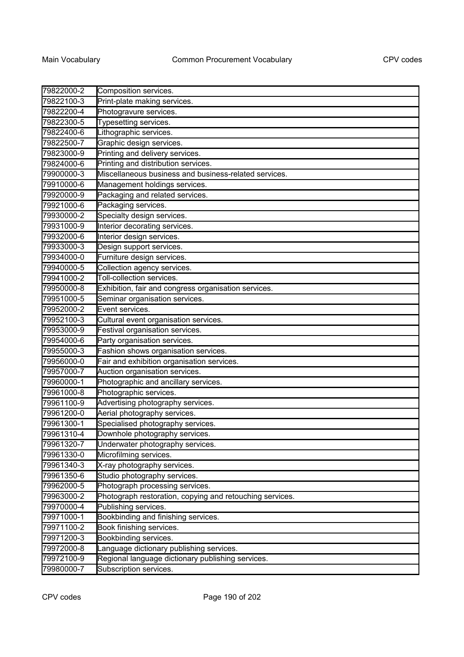| 79822000-2 | Composition services.                                    |
|------------|----------------------------------------------------------|
| 79822100-3 | Print-plate making services.                             |
| 79822200-4 | Photogravure services.                                   |
| 79822300-5 | Typesetting services.                                    |
| 79822400-6 | Lithographic services.                                   |
| 79822500-7 | Graphic design services.                                 |
| 79823000-9 | Printing and delivery services.                          |
| 79824000-6 | Printing and distribution services.                      |
| 79900000-3 | Miscellaneous business and business-related services.    |
| 79910000-6 | Management holdings services.                            |
| 79920000-9 | Packaging and related services.                          |
| 79921000-6 | Packaging services.                                      |
| 79930000-2 | Specialty design services.                               |
| 79931000-9 | Interior decorating services.                            |
| 79932000-6 | Interior design services.                                |
| 79933000-3 | Design support services.                                 |
| 79934000-0 | Furniture design services.                               |
| 79940000-5 | Collection agency services.                              |
| 79941000-2 | Toll-collection services.                                |
| 79950000-8 | Exhibition, fair and congress organisation services.     |
| 79951000-5 | Seminar organisation services.                           |
| 79952000-2 | Event services.                                          |
| 79952100-3 | Cultural event organisation services.                    |
| 79953000-9 | Festival organisation services.                          |
| 79954000-6 | Party organisation services.                             |
| 79955000-3 | Fashion shows organisation services.                     |
| 79956000-0 | Fair and exhibition organisation services.               |
| 79957000-7 | Auction organisation services.                           |
| 79960000-1 | Photographic and ancillary services.                     |
| 79961000-8 | Photographic services.                                   |
| 79961100-9 | Advertising photography services.                        |
| 79961200-0 | Aerial photography services.                             |
| 79961300-1 | Specialised photography services.                        |
| 79961310-4 | Downhole photography services.                           |
| 79961320-7 | Underwater photography services.                         |
| 79961330-0 | Microfilming services.                                   |
| 79961340-3 | X-ray photography services.                              |
| 79961350-6 | Studio photography services.                             |
| 79962000-5 | Photograph processing services.                          |
| 79963000-2 | Photograph restoration, copying and retouching services. |
| 79970000-4 | Publishing services.                                     |
| 79971000-1 | Bookbinding and finishing services.                      |
| 79971100-2 | Book finishing services.                                 |
| 79971200-3 | Bookbinding services.                                    |
| 79972000-8 | Language dictionary publishing services.                 |
| 79972100-9 | Regional language dictionary publishing services.        |
| 79980000-7 | Subscription services.                                   |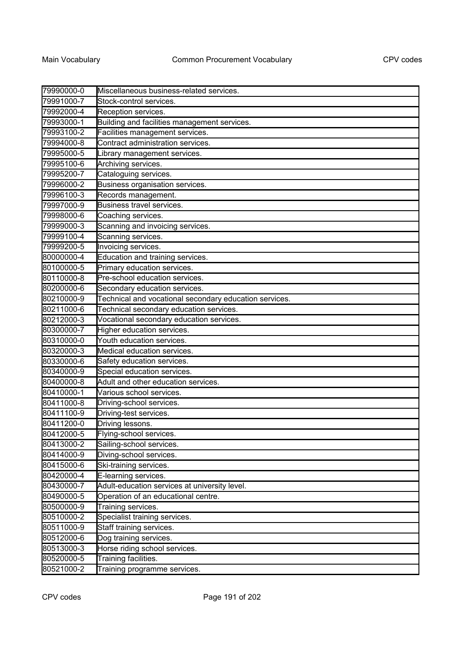| 79990000-0 | Miscellaneous business-related services.               |
|------------|--------------------------------------------------------|
| 79991000-7 | Stock-control services.                                |
| 79992000-4 | Reception services.                                    |
| 79993000-1 | Building and facilities management services.           |
| 79993100-2 | Facilities management services.                        |
| 79994000-8 | Contract administration services.                      |
| 79995000-5 | Library management services.                           |
| 79995100-6 | Archiving services.                                    |
| 79995200-7 | Cataloguing services.                                  |
| 79996000-2 | Business organisation services.                        |
| 79996100-3 | Records management.                                    |
| 79997000-9 | Business travel services.                              |
| 79998000-6 | Coaching services.                                     |
| 79999000-3 | Scanning and invoicing services.                       |
| 79999100-4 | Scanning services.                                     |
| 79999200-5 | Invoicing services.                                    |
| 80000000-4 | Education and training services.                       |
| 80100000-5 | Primary education services.                            |
| 80110000-8 | Pre-school education services.                         |
| 80200000-6 | Secondary education services.                          |
| 80210000-9 | Technical and vocational secondary education services. |
| 80211000-6 | Technical secondary education services.                |
| 80212000-3 | Vocational secondary education services.               |
| 80300000-7 | Higher education services.                             |
| 80310000-0 | Youth education services.                              |
| 80320000-3 | Medical education services.                            |
| 80330000-6 | Safety education services.                             |
| 80340000-9 | Special education services.                            |
| 80400000-8 | Adult and other education services.                    |
| 80410000-1 | Various school services.                               |
| 80411000-8 | Driving-school services.                               |
| 80411100-9 | Driving-test services.                                 |
| 80411200-0 | Driving lessons.                                       |
| 80412000-5 | Flying-school services.                                |
| 80413000-2 | Sailing-school services.                               |
| 80414000-9 | Diving-school services.                                |
| 80415000-6 | Ski-training services.                                 |
| 80420000-4 | E-learning services.                                   |
| 80430000-7 | Adult-education services at university level.          |
| 80490000-5 | Operation of an educational centre.                    |
| 80500000-9 | Training services.                                     |
| 80510000-2 | Specialist training services.                          |
| 80511000-9 | Staff training services.                               |
| 80512000-6 | Dog training services.                                 |
| 80513000-3 | Horse riding school services.                          |
| 80520000-5 | Training facilities.                                   |
| 80521000-2 | Training programme services.                           |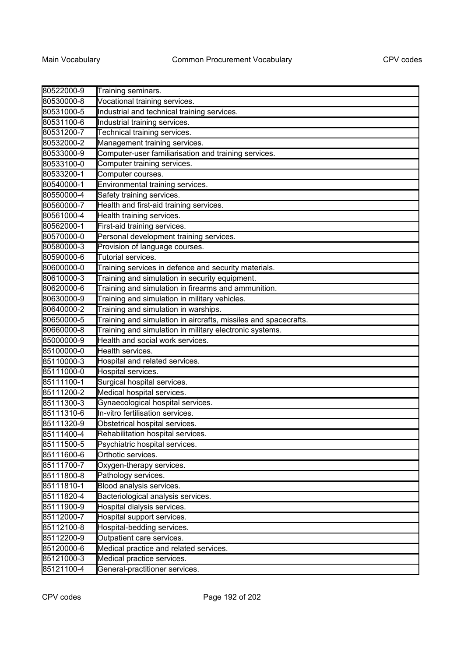| 80522000-9 | Training seminars.                                              |
|------------|-----------------------------------------------------------------|
| 80530000-8 | Vocational training services.                                   |
| 80531000-5 | Industrial and technical training services.                     |
| 80531100-6 | Industrial training services.                                   |
| 80531200-7 | Technical training services.                                    |
| 80532000-2 | Management training services.                                   |
| 80533000-9 | Computer-user familiarisation and training services.            |
| 80533100-0 | Computer training services.                                     |
| 80533200-1 | Computer courses.                                               |
| 80540000-1 | Environmental training services.                                |
| 80550000-4 | Safety training services.                                       |
| 80560000-7 | Health and first-aid training services.                         |
| 80561000-4 | Health training services.                                       |
| 80562000-1 | First-aid training services.                                    |
| 80570000-0 | Personal development training services.                         |
| 80580000-3 | Provision of language courses.                                  |
| 80590000-6 | Tutorial services.                                              |
| 80600000-0 | Training services in defence and security materials.            |
| 80610000-3 | Training and simulation in security equipment.                  |
| 80620000-6 | Training and simulation in firearms and ammunition.             |
| 80630000-9 | Training and simulation in military vehicles.                   |
| 80640000-2 | Training and simulation in warships.                            |
| 80650000-5 | Training and simulation in aircrafts, missiles and spacecrafts. |
| 80660000-8 | Training and simulation in military electronic systems.         |
| 85000000-9 | Health and social work services.                                |
| 85100000-0 | Health services.                                                |
| 85110000-3 | Hospital and related services.                                  |
| 85111000-0 | Hospital services.                                              |
| 85111100-1 | Surgical hospital services.                                     |
| 85111200-2 | Medical hospital services.                                      |
| 85111300-3 | Gynaecological hospital services.                               |
| 85111310-6 | In-vitro fertilisation services.                                |
| 85111320-9 | Obstetrical hospital services.                                  |
| 85111400-4 | Rehabilitation hospital services.                               |
| 85111500-5 | Psychiatric hospital services.                                  |
| 85111600-6 | Orthotic services.                                              |
| 85111700-7 | Oxygen-therapy services.                                        |
| 85111800-8 | Pathology services.                                             |
| 85111810-1 | Blood analysis services.                                        |
| 85111820-4 | Bacteriological analysis services.                              |
| 85111900-9 | Hospital dialysis services.                                     |
| 85112000-7 | Hospital support services.                                      |
| 85112100-8 | Hospital-bedding services.                                      |
| 85112200-9 | Outpatient care services.                                       |
| 85120000-6 | Medical practice and related services.                          |
| 85121000-3 | Medical practice services.                                      |
| 85121100-4 | General-practitioner services.                                  |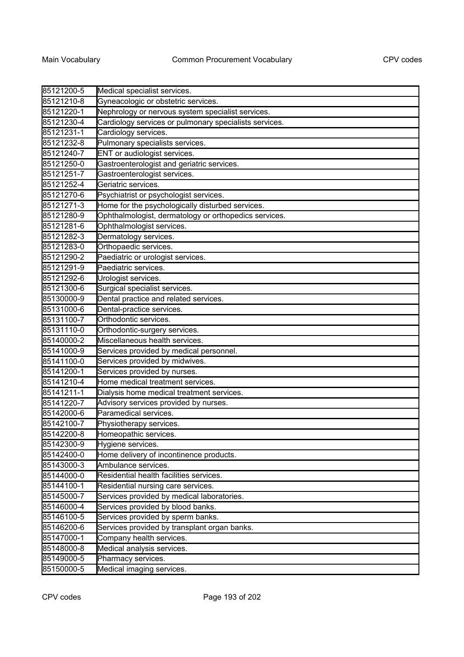| 85121200-5 | Medical specialist services.                           |
|------------|--------------------------------------------------------|
| 85121210-8 | Gyneacologic or obstetric services.                    |
| 85121220-1 | Nephrology or nervous system specialist services.      |
| 85121230-4 | Cardiology services or pulmonary specialists services. |
| 85121231-1 | Cardiology services.                                   |
| 85121232-8 | Pulmonary specialists services.                        |
| 85121240-7 | ENT or audiologist services.                           |
| 85121250-0 | Gastroenterologist and geriatric services.             |
| 85121251-7 | Gastroenterologist services.                           |
| 85121252-4 | Geriatric services.                                    |
| 85121270-6 | Psychiatrist or psychologist services.                 |
| 85121271-3 | Home for the psychologically disturbed services.       |
| 85121280-9 | Ophthalmologist, dermatology or orthopedics services.  |
| 85121281-6 | Ophthalmologist services.                              |
| 85121282-3 | Dermatology services.                                  |
| 85121283-0 | Orthopaedic services.                                  |
| 85121290-2 | Paediatric or urologist services.                      |
| 85121291-9 | Paediatric services.                                   |
| 85121292-6 | Urologist services.                                    |
| 85121300-6 | Surgical specialist services.                          |
| 85130000-9 | Dental practice and related services.                  |
| 85131000-6 | Dental-practice services.                              |
| 85131100-7 | Orthodontic services.                                  |
| 85131110-0 | Orthodontic-surgery services.                          |
| 85140000-2 | Miscellaneous health services.                         |
| 85141000-9 | Services provided by medical personnel.                |
| 85141100-0 | Services provided by midwives.                         |
| 85141200-1 | Services provided by nurses.                           |
| 85141210-4 | Home medical treatment services.                       |
| 85141211-1 | Dialysis home medical treatment services.              |
| 85141220-7 | Advisory services provided by nurses.                  |
| 85142000-6 | Paramedical services.                                  |
| 85142100-7 | Physiotherapy services.                                |
| 85142200-8 | Homeopathic services.                                  |
| 85142300-9 | Hygiene services.                                      |
| 85142400-0 | Home delivery of incontinence products.                |
| 85143000-3 | Ambulance services.                                    |
| 85144000-0 | Residential health facilities services.                |
| 85144100-1 | Residential nursing care services.                     |
| 85145000-7 | Services provided by medical laboratories.             |
| 85146000-4 | Services provided by blood banks.                      |
| 85146100-5 | Services provided by sperm banks.                      |
| 85146200-6 | Services provided by transplant organ banks.           |
| 85147000-1 | Company health services.                               |
| 85148000-8 | Medical analysis services.                             |
| 85149000-5 | Pharmacy services.                                     |
| 85150000-5 | Medical imaging services.                              |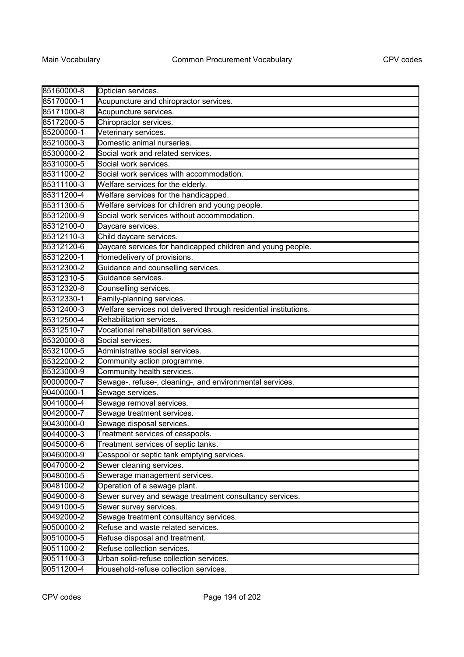| 85160000-8 | Optician services.                                               |
|------------|------------------------------------------------------------------|
| 85170000-1 | Acupuncture and chiropractor services.                           |
| 85171000-8 | Acupuncture services.                                            |
| 85172000-5 | Chiropractor services.                                           |
| 85200000-1 | Veterinary services.                                             |
| 85210000-3 | Domestic animal nurseries.                                       |
| 85300000-2 | Social work and related services.                                |
| 85310000-5 | Social work services.                                            |
| 85311000-2 | Social work services with accommodation.                         |
| 85311100-3 | Welfare services for the elderly.                                |
| 85311200-4 | Welfare services for the handicapped.                            |
| 85311300-5 | Welfare services for children and young people.                  |
| 85312000-9 | Social work services without accommodation.                      |
| 85312100-0 | Daycare services.                                                |
| 85312110-3 | Child daycare services.                                          |
| 85312120-6 | Daycare services for handicapped children and young people.      |
| 85312200-1 | Homedelivery of provisions.                                      |
| 85312300-2 | Guidance and counselling services.                               |
| 85312310-5 | Guidance services.                                               |
| 85312320-8 | Counselling services.                                            |
| 85312330-1 | Family-planning services.                                        |
| 85312400-3 | Welfare services not delivered through residential institutions. |
| 85312500-4 | Rehabilitation services.                                         |
| 85312510-7 | Vocational rehabilitation services.                              |
| 85320000-8 | Social services.                                                 |
| 85321000-5 | Administrative social services.                                  |
| 85322000-2 | Community action programme.                                      |
| 85323000-9 | Community health services.                                       |
| 90000000-7 | Sewage-, refuse-, cleaning-, and environmental services.         |
| 90400000-1 | Sewage services.                                                 |
| 90410000-4 | Sewage removal services.                                         |
| 90420000-7 | Sewage treatment services.                                       |
| 90430000-0 | Sewage disposal services.                                        |
| 90440000-3 | Treatment services of cesspools.                                 |
| 90450000-6 | Treatment services of septic tanks.                              |
| 90460000-9 | Cesspool or septic tank emptying services.                       |
| 90470000-2 | Sewer cleaning services.                                         |
| 90480000-5 | Sewerage management services.                                    |
| 90481000-2 | Operation of a sewage plant.                                     |
| 90490000-8 | Sewer survey and sewage treatment consultancy services.          |
| 90491000-5 | Sewer survey services.                                           |
| 90492000-2 | Sewage treatment consultancy services.                           |
| 90500000-2 | Refuse and waste related services.                               |
| 90510000-5 | Refuse disposal and treatment.                                   |
| 90511000-2 | Refuse collection services.                                      |
| 90511100-3 | Urban solid-refuse collection services.                          |
| 90511200-4 | Household-refuse collection services.                            |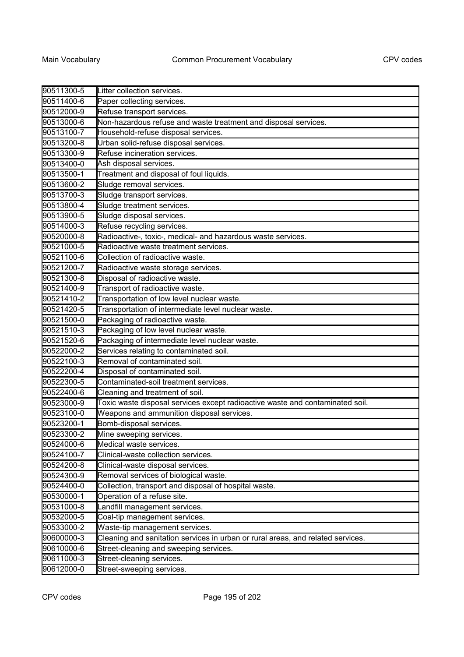| 90511300-5 | Litter collection services.                                                     |
|------------|---------------------------------------------------------------------------------|
| 90511400-6 | Paper collecting services.                                                      |
| 90512000-9 | Refuse transport services.                                                      |
| 90513000-6 | Non-hazardous refuse and waste treatment and disposal services.                 |
| 90513100-7 | Household-refuse disposal services.                                             |
| 90513200-8 | Urban solid-refuse disposal services.                                           |
| 90513300-9 | Refuse incineration services.                                                   |
| 90513400-0 | Ash disposal services.                                                          |
| 90513500-1 | Treatment and disposal of foul liquids.                                         |
| 90513600-2 | Sludge removal services.                                                        |
| 90513700-3 | Sludge transport services.                                                      |
| 90513800-4 | Sludge treatment services.                                                      |
| 90513900-5 | Sludge disposal services.                                                       |
| 90514000-3 | Refuse recycling services.                                                      |
| 90520000-8 | Radioactive-, toxic-, medical- and hazardous waste services.                    |
| 90521000-5 | Radioactive waste treatment services.                                           |
| 90521100-6 | Collection of radioactive waste.                                                |
| 90521200-7 | Radioactive waste storage services.                                             |
| 90521300-8 | Disposal of radioactive waste.                                                  |
| 90521400-9 | Transport of radioactive waste.                                                 |
| 90521410-2 | Transportation of low level nuclear waste.                                      |
| 90521420-5 | Transportation of intermediate level nuclear waste.                             |
| 90521500-0 | Packaging of radioactive waste.                                                 |
| 90521510-3 | Packaging of low level nuclear waste.                                           |
| 90521520-6 | Packaging of intermediate level nuclear waste.                                  |
| 90522000-2 | Services relating to contaminated soil.                                         |
| 90522100-3 | Removal of contaminated soil.                                                   |
| 90522200-4 | Disposal of contaminated soil.                                                  |
| 90522300-5 | Contaminated-soil treatment services.                                           |
| 90522400-6 | Cleaning and treatment of soil.                                                 |
| 90523000-9 | Toxic waste disposal services except radioactive waste and contaminated soil.   |
| 90523100-0 | Weapons and ammunition disposal services.                                       |
| 90523200-1 | Bomb-disposal services.                                                         |
| 90523300-2 | Mine sweeping services.                                                         |
| 90524000-6 | Medical waste services.                                                         |
| 90524100-7 | Clinical-waste collection services.                                             |
| 90524200-8 | Clinical-waste disposal services.                                               |
| 90524300-9 | Removal services of biological waste.                                           |
| 90524400-0 | Collection, transport and disposal of hospital waste.                           |
| 90530000-1 | Operation of a refuse site.                                                     |
| 90531000-8 | Landfill management services.                                                   |
| 90532000-5 | Coal-tip management services.                                                   |
| 90533000-2 | Waste-tip management services.                                                  |
| 90600000-3 | Cleaning and sanitation services in urban or rural areas, and related services. |
| 90610000-6 | Street-cleaning and sweeping services.                                          |
| 90611000-3 | Street-cleaning services.                                                       |
| 90612000-0 | Street-sweeping services.                                                       |
|            |                                                                                 |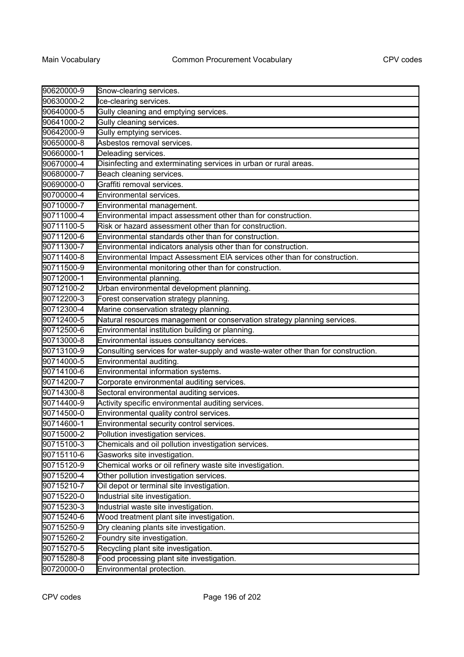| 90620000-9 | Snow-clearing services.                                                           |
|------------|-----------------------------------------------------------------------------------|
| 90630000-2 | Ice-clearing services.                                                            |
| 90640000-5 | Gully cleaning and emptying services.                                             |
| 90641000-2 | Gully cleaning services.                                                          |
| 90642000-9 | Gully emptying services.                                                          |
| 90650000-8 | Asbestos removal services.                                                        |
| 90660000-1 | Deleading services.                                                               |
| 90670000-4 | Disinfecting and exterminating services in urban or rural areas.                  |
| 90680000-7 | Beach cleaning services.                                                          |
| 90690000-0 | Graffiti removal services.                                                        |
| 90700000-4 | Environmental services.                                                           |
| 90710000-7 | Environmental management.                                                         |
| 90711000-4 | Environmental impact assessment other than for construction.                      |
| 90711100-5 | Risk or hazard assessment other than for construction.                            |
| 90711200-6 | Environmental standards other than for construction.                              |
| 90711300-7 | Environmental indicators analysis other than for construction.                    |
| 90711400-8 | Environmental Impact Assessment EIA services other than for construction.         |
| 90711500-9 | Environmental monitoring other than for construction.                             |
| 90712000-1 | Environmental planning.                                                           |
| 90712100-2 | Urban environmental development planning.                                         |
| 90712200-3 | Forest conservation strategy planning.                                            |
| 90712300-4 | Marine conservation strategy planning.                                            |
| 90712400-5 | Natural resources management or conservation strategy planning services.          |
| 90712500-6 | Environmental institution building or planning.                                   |
| 90713000-8 | Environmental issues consultancy services.                                        |
| 90713100-9 | Consulting services for water-supply and waste-water other than for construction. |
| 90714000-5 | Environmental auditing.                                                           |
| 90714100-6 | Environmental information systems.                                                |
| 90714200-7 | Corporate environmental auditing services.                                        |
| 90714300-8 | Sectoral environmental auditing services.                                         |
| 90714400-9 | Activity specific environmental auditing services.                                |
| 90714500-0 | Environmental quality control services.                                           |
| 90714600-1 | Environmental security control services.                                          |
| 90715000-2 | Pollution investigation services.                                                 |
| 90715100-3 | Chemicals and oil pollution investigation services.                               |
| 90715110-6 | Gasworks site investigation.                                                      |
| 90715120-9 | Chemical works or oil refinery waste site investigation.                          |
| 90715200-4 | Other pollution investigation services.                                           |
| 90715210-7 | Oil depot or terminal site investigation.                                         |
| 90715220-0 | Industrial site investigation.                                                    |
| 90715230-3 | Industrial waste site investigation.                                              |
| 90715240-6 | Wood treatment plant site investigation.                                          |
| 90715250-9 | Dry cleaning plants site investigation.                                           |
| 90715260-2 | Foundry site investigation.                                                       |
| 90715270-5 | Recycling plant site investigation.                                               |
| 90715280-8 | Food processing plant site investigation.                                         |
| 90720000-0 | Environmental protection.                                                         |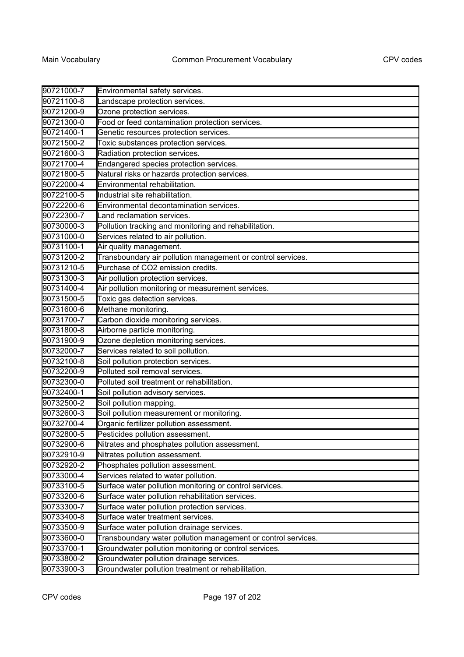| 90721000-7 | Environmental safety services.                                |
|------------|---------------------------------------------------------------|
| 90721100-8 | Landscape protection services.                                |
| 90721200-9 | Ozone protection services.                                    |
| 90721300-0 | Food or feed contamination protection services.               |
| 90721400-1 | Genetic resources protection services.                        |
| 90721500-2 | Toxic substances protection services.                         |
| 90721600-3 | Radiation protection services.                                |
| 90721700-4 | Endangered species protection services.                       |
| 90721800-5 | Natural risks or hazards protection services.                 |
| 90722000-4 | Environmental rehabilitation.                                 |
| 90722100-5 | Industrial site rehabilitation.                               |
| 90722200-6 | Environmental decontamination services.                       |
| 90722300-7 | Land reclamation services.                                    |
| 90730000-3 | Pollution tracking and monitoring and rehabilitation.         |
| 90731000-0 | Services related to air pollution.                            |
| 90731100-1 | Air quality management.                                       |
| 90731200-2 | Transboundary air pollution management or control services.   |
| 90731210-5 | Purchase of CO2 emission credits.                             |
| 90731300-3 | Air pollution protection services.                            |
| 90731400-4 | Air pollution monitoring or measurement services.             |
| 90731500-5 | Toxic gas detection services.                                 |
| 90731600-6 | Methane monitoring.                                           |
| 90731700-7 | Carbon dioxide monitoring services.                           |
| 90731800-8 | Airborne particle monitoring.                                 |
| 90731900-9 | Ozone depletion monitoring services.                          |
| 90732000-7 | Services related to soil pollution.                           |
| 90732100-8 | Soil pollution protection services.                           |
| 90732200-9 | Polluted soil removal services.                               |
| 90732300-0 | Polluted soil treatment or rehabilitation.                    |
| 90732400-1 | Soil pollution advisory services.                             |
| 90732500-2 | Soil pollution mapping.                                       |
| 90732600-3 | Soil pollution measurement or monitoring.                     |
| 90732700-4 | Organic fertilizer pollution assessment.                      |
| 90732800-5 | Pesticides pollution assessment.                              |
| 90732900-6 | Nitrates and phosphates pollution assessment.                 |
| 90732910-9 | Nitrates pollution assessment.                                |
| 90732920-2 | Phosphates pollution assessment.                              |
| 90733000-4 | Services related to water pollution.                          |
| 90733100-5 | Surface water pollution monitoring or control services.       |
| 90733200-6 | Surface water pollution rehabilitation services.              |
| 90733300-7 | Surface water pollution protection services.                  |
| 90733400-8 | Surface water treatment services.                             |
| 90733500-9 | Surface water pollution drainage services.                    |
| 90733600-0 | Transboundary water pollution management or control services. |
| 90733700-1 | Groundwater pollution monitoring or control services.         |
| 90733800-2 | Groundwater pollution drainage services.                      |
| 90733900-3 | Groundwater pollution treatment or rehabilitation.            |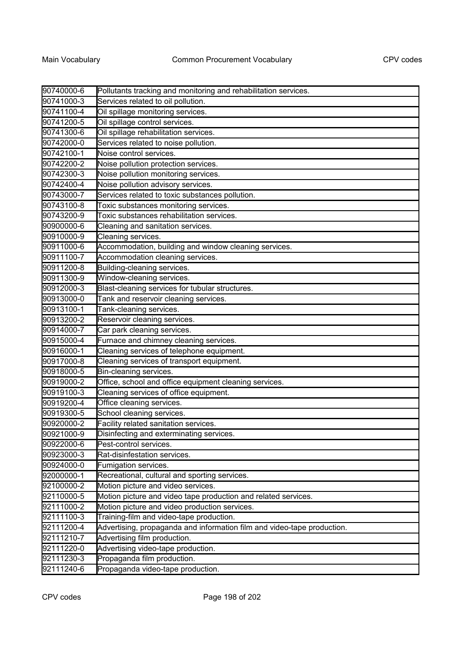| 90740000-6 | Pollutants tracking and monitoring and rehabilitation services.         |
|------------|-------------------------------------------------------------------------|
| 90741000-3 | Services related to oil pollution.                                      |
| 90741100-4 | Oil spillage monitoring services.                                       |
| 90741200-5 | Oil spillage control services.                                          |
| 90741300-6 | Oil spillage rehabilitation services.                                   |
| 90742000-0 | Services related to noise pollution.                                    |
| 90742100-1 | Noise control services.                                                 |
| 90742200-2 | Noise pollution protection services.                                    |
| 90742300-3 | Noise pollution monitoring services.                                    |
| 90742400-4 | Noise pollution advisory services.                                      |
| 90743000-7 | Services related to toxic substances pollution.                         |
| 90743100-8 | Toxic substances monitoring services.                                   |
| 90743200-9 | Toxic substances rehabilitation services.                               |
| 90900000-6 | Cleaning and sanitation services.                                       |
| 90910000-9 | Cleaning services.                                                      |
| 90911000-6 | Accommodation, building and window cleaning services.                   |
| 90911100-7 | Accommodation cleaning services.                                        |
| 90911200-8 | Building-cleaning services.                                             |
| 90911300-9 | Window-cleaning services.                                               |
| 90912000-3 | Blast-cleaning services for tubular structures.                         |
| 90913000-0 | Tank and reservoir cleaning services.                                   |
| 90913100-1 | Tank-cleaning services.                                                 |
| 90913200-2 | Reservoir cleaning services.                                            |
| 90914000-7 | Car park cleaning services.                                             |
| 90915000-4 | Furnace and chimney cleaning services.                                  |
| 90916000-1 | Cleaning services of telephone equipment.                               |
| 90917000-8 | Cleaning services of transport equipment.                               |
| 90918000-5 | Bin-cleaning services.                                                  |
| 90919000-2 | Office, school and office equipment cleaning services.                  |
| 90919100-3 | Cleaning services of office equipment.                                  |
| 90919200-4 | Office cleaning services.                                               |
| 90919300-5 | School cleaning services.                                               |
| 90920000-2 | Facility related sanitation services.                                   |
| 90921000-9 | Disinfecting and exterminating services.                                |
| 90922000-6 | Pest-control services.                                                  |
| 90923000-3 | Rat-disinfestation services.                                            |
| 90924000-0 | Fumigation services.                                                    |
| 92000000-1 | Recreational, cultural and sporting services.                           |
| 92100000-2 | Motion picture and video services.                                      |
| 92110000-5 | Motion picture and video tape production and related services.          |
| 92111000-2 | Motion picture and video production services.                           |
| 92111100-3 | Training-film and video-tape production.                                |
| 92111200-4 | Advertising, propaganda and information film and video-tape production. |
| 92111210-7 | Advertising film production.                                            |
| 92111220-0 | Advertising video-tape production.                                      |
| 92111230-3 | Propaganda film production.                                             |
| 92111240-6 | Propaganda video-tape production.                                       |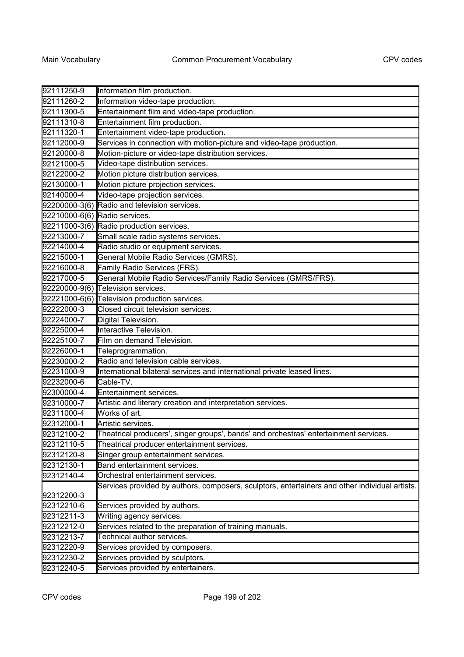| 92111250-9    | Information film production.                                                                   |
|---------------|------------------------------------------------------------------------------------------------|
| 92111260-2    | Information video-tape production.                                                             |
| 92111300-5    | Entertainment film and video-tape production.                                                  |
| 92111310-8    | Entertainment film production.                                                                 |
| 92111320-1    | Entertainment video-tape production.                                                           |
| 92112000-9    | Services in connection with motion-picture and video-tape production.                          |
| 92120000-8    | Motion-picture or video-tape distribution services.                                            |
| 92121000-5    | Video-tape distribution services.                                                              |
| 92122000-2    | Motion picture distribution services.                                                          |
| 92130000-1    | Motion picture projection services.                                                            |
| 92140000-4    | Video-tape projection services.                                                                |
| 92200000-3(6) | Radio and television services.                                                                 |
| 92210000-6(6) | Radio services.                                                                                |
| 92211000-3(6) | Radio production services.                                                                     |
| 92213000-7    | Small scale radio systems services.                                                            |
| 92214000-4    | Radio studio or equipment services.                                                            |
| 92215000-1    | General Mobile Radio Services (GMRS).                                                          |
| 92216000-8    | Family Radio Services (FRS).                                                                   |
| 92217000-5    | General Mobile Radio Services/Family Radio Services (GMRS/FRS).                                |
| 92220000-9(6) | Television services.                                                                           |
| 92221000-6(6) | Television production services.                                                                |
| 92222000-3    | Closed circuit television services.                                                            |
| 92224000-7    | Digital Television.                                                                            |
| 92225000-4    | Interactive Television.                                                                        |
| 92225100-7    | Film on demand Television.                                                                     |
| 92226000-1    | Teleprogrammation.                                                                             |
| 92230000-2    | Radio and television cable services.                                                           |
| 92231000-9    | International bilateral services and international private leased lines.                       |
| 92232000-6    | Cable-TV.                                                                                      |
| 92300000-4    | Entertainment services.                                                                        |
| 92310000-7    | Artistic and literary creation and interpretation services.                                    |
| 92311000-4    | Works of art.                                                                                  |
| 92312000-1    | Artistic services.                                                                             |
| 92312100-2    | Theatrical producers', singer groups', bands' and orchestras' entertainment services.          |
| 92312110-5    | Theatrical producer entertainment services.                                                    |
| 92312120-8    | Singer group entertainment services.                                                           |
| 92312130-1    | Band entertainment services.                                                                   |
| 92312140-4    | Orchestral entertainment services.                                                             |
|               | Services provided by authors, composers, sculptors, entertainers and other individual artists. |
| 92312200-3    |                                                                                                |
| 92312210-6    | Services provided by authors.                                                                  |
| 92312211-3    | Writing agency services.                                                                       |
| 92312212-0    | Services related to the preparation of training manuals.                                       |
| 92312213-7    | Technical author services.                                                                     |
| 92312220-9    | Services provided by composers.                                                                |
| 92312230-2    | Services provided by sculptors.                                                                |
| 92312240-5    | Services provided by entertainers.                                                             |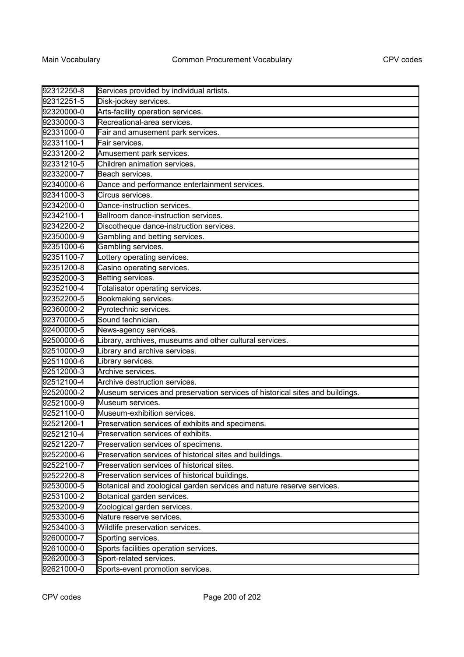| 92312250-8 | Services provided by individual artists.                                     |
|------------|------------------------------------------------------------------------------|
| 92312251-5 | Disk-jockey services.                                                        |
| 92320000-0 | Arts-facility operation services.                                            |
| 92330000-3 | Recreational-area services.                                                  |
| 92331000-0 | Fair and amusement park services.                                            |
| 92331100-1 | Fair services.                                                               |
| 92331200-2 | Amusement park services.                                                     |
| 92331210-5 | Children animation services.                                                 |
| 92332000-7 | Beach services.                                                              |
| 92340000-6 | Dance and performance entertainment services.                                |
| 92341000-3 | Circus services.                                                             |
| 92342000-0 | Dance-instruction services.                                                  |
| 92342100-1 | Ballroom dance-instruction services.                                         |
| 92342200-2 | Discotheque dance-instruction services.                                      |
| 92350000-9 | Gambling and betting services.                                               |
| 92351000-6 | Gambling services.                                                           |
| 92351100-7 | Lottery operating services.                                                  |
| 92351200-8 | Casino operating services.                                                   |
| 92352000-3 | Betting services.                                                            |
| 92352100-4 | Totalisator operating services.                                              |
| 92352200-5 | Bookmaking services.                                                         |
| 92360000-2 | Pyrotechnic services.                                                        |
| 92370000-5 | Sound technician.                                                            |
| 92400000-5 | News-agency services.                                                        |
| 92500000-6 | Library, archives, museums and other cultural services.                      |
| 92510000-9 | Library and archive services.                                                |
| 92511000-6 | Library services.                                                            |
| 92512000-3 | Archive services.                                                            |
| 92512100-4 | Archive destruction services.                                                |
| 92520000-2 | Museum services and preservation services of historical sites and buildings. |
| 92521000-9 | Museum services.                                                             |
| 92521100-0 | Museum-exhibition services.                                                  |
| 92521200-1 | Preservation services of exhibits and specimens.                             |
| 92521210-4 | Preservation services of exhibits                                            |
| 92521220-7 | Preservation services of specimens.                                          |
| 92522000-6 | Preservation services of historical sites and buildings.                     |
| 92522100-7 | Preservation services of historical sites.                                   |
| 92522200-8 | Preservation services of historical buildings.                               |
| 92530000-5 | Botanical and zoological garden services and nature reserve services.        |
| 92531000-2 | Botanical garden services.                                                   |
| 92532000-9 | Zoological garden services.                                                  |
| 92533000-6 | Nature reserve services.                                                     |
| 92534000-3 | Wildlife preservation services.                                              |
| 92600000-7 | Sporting services.                                                           |
| 92610000-0 | Sports facilities operation services.                                        |
| 92620000-3 | Sport-related services.                                                      |
| 92621000-0 | Sports-event promotion services.                                             |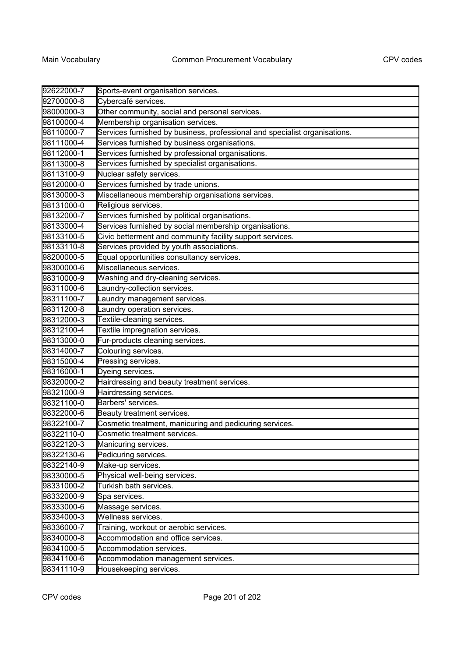| 92622000-7 | Sports-event organisation services.                                        |
|------------|----------------------------------------------------------------------------|
| 92700000-8 | Cybercafé services.                                                        |
| 98000000-3 | Other community, social and personal services.                             |
| 98100000-4 | Membership organisation services.                                          |
| 98110000-7 | Services furnished by business, professional and specialist organisations. |
| 98111000-4 | Services furnished by business organisations.                              |
| 98112000-1 | Services furnished by professional organisations.                          |
| 98113000-8 | Services furnished by specialist organisations.                            |
| 98113100-9 | Nuclear safety services.                                                   |
| 98120000-0 | Services furnished by trade unions.                                        |
| 98130000-3 | Miscellaneous membership organisations services.                           |
| 98131000-0 | Religious services.                                                        |
| 98132000-7 | Services furnished by political organisations.                             |
| 98133000-4 | Services furnished by social membership organisations.                     |
| 98133100-5 | Civic betterment and community facility support services.                  |
| 98133110-8 | Services provided by youth associations.                                   |
| 98200000-5 | Equal opportunities consultancy services.                                  |
| 98300000-6 | Miscellaneous services.                                                    |
| 98310000-9 | Washing and dry-cleaning services.                                         |
| 98311000-6 | Laundry-collection services.                                               |
| 98311100-7 | Laundry management services.                                               |
| 98311200-8 | Laundry operation services.                                                |
| 98312000-3 | Textile-cleaning services.                                                 |
| 98312100-4 | Textile impregnation services.                                             |
| 98313000-0 | Fur-products cleaning services.                                            |
| 98314000-7 | Colouring services.                                                        |
| 98315000-4 | Pressing services.                                                         |
| 98316000-1 | Dyeing services.                                                           |
| 98320000-2 | Hairdressing and beauty treatment services.                                |
| 98321000-9 | Hairdressing services.                                                     |
| 98321100-0 | Barbers' services.                                                         |
| 98322000-6 | Beauty treatment services.                                                 |
| 98322100-7 | Cosmetic treatment, manicuring and pedicuring services.                    |
| 98322110-0 | Cosmetic treatment services.                                               |
| 98322120-3 | Manicuring services.                                                       |
| 98322130-6 | Pedicuring services.                                                       |
| 98322140-9 | Make-up services.                                                          |
| 98330000-5 | Physical well-being services.                                              |
| 98331000-2 | Turkish bath services.                                                     |
| 98332000-9 | Spa services.                                                              |
| 98333000-6 | Massage services.                                                          |
| 98334000-3 | Wellness services.                                                         |
| 98336000-7 | Training, workout or aerobic services.                                     |
| 98340000-8 | Accommodation and office services.                                         |
| 98341000-5 | Accommodation services.                                                    |
| 98341100-6 | Accommodation management services.                                         |
| 98341110-9 | Housekeeping services.                                                     |